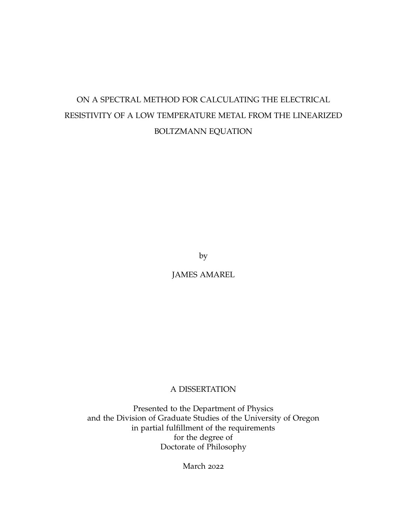# ON A SPECTRAL METHOD FOR CALCULATING THE ELECTRICAL RESISTIVITY OF A LOW TEMPERATURE METAL FROM THE LINEARIZED BOLTZMANN EQUATION

by

JAMES AMAREL

# A DISSERTATION

Presented to the Department of Physics and the Division of Graduate Studies of the University of Oregon in partial fulfillment of the requirements for the degree of Doctorate of Philosophy

March 2022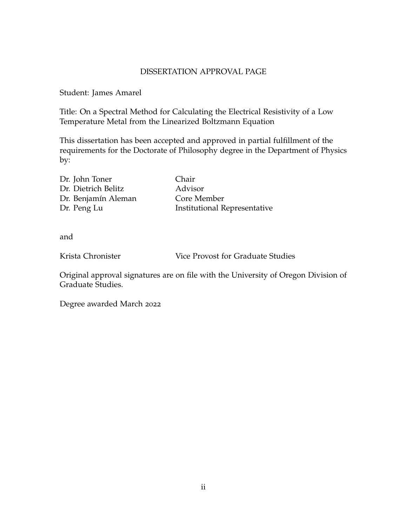# DISSERTATION APPROVAL PAGE

Student: James Amarel

Title: On a Spectral Method for Calculating the Electrical Resistivity of a Low Temperature Metal from the Linearized Boltzmann Equation

This dissertation has been accepted and approved in partial fulfillment of the requirements for the Doctorate of Philosophy degree in the Department of Physics by:

| Dr. John Toner      | Chair                               |
|---------------------|-------------------------------------|
| Dr. Dietrich Belitz | Advisor                             |
| Dr. Benjamín Aleman | Core Member                         |
| Dr. Peng Lu         | <b>Institutional Representative</b> |

and

Krista Chronister Vice Provost for Graduate Studies

Original approval signatures are on file with the University of Oregon Division of Graduate Studies.

Degree awarded March 2022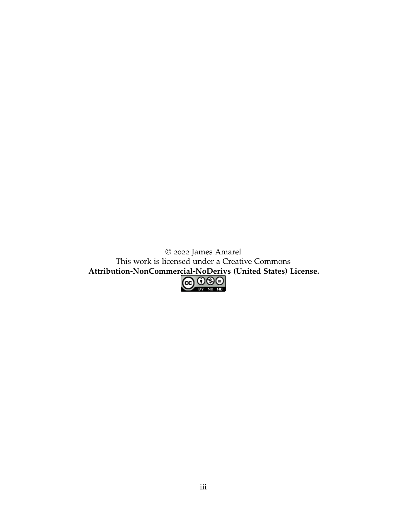© 2022 James Amarel This work is licensed under a Creative Commons **[Attribution-NonCommercial-NoDerivs \(United States\) License.](https://creativecommons.org/licenses/by-nc-nd/4.0/)**

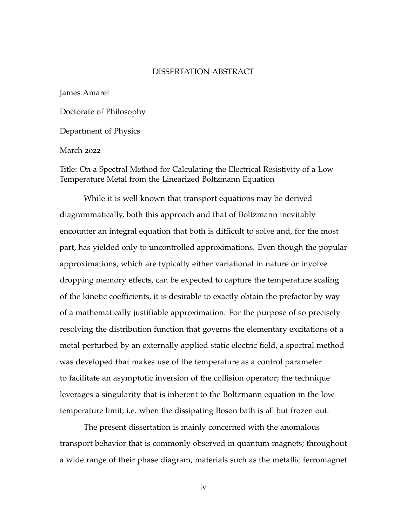### DISSERTATION ABSTRACT

James Amarel

Doctorate of Philosophy

Department of Physics

March 2022

Title: On a Spectral Method for Calculating the Electrical Resistivity of a Low Temperature Metal from the Linearized Boltzmann Equation

While it is well known that transport equations may be derived diagrammatically, both this approach and that of Boltzmann inevitably encounter an integral equation that both is difficult to solve and, for the most part, has yielded only to uncontrolled approximations. Even though the popular approximations, which are typically either variational in nature or involve dropping memory effects, can be expected to capture the temperature scaling of the kinetic coefficients, it is desirable to exactly obtain the prefactor by way of a mathematically justifiable approximation. For the purpose of so precisely resolving the distribution function that governs the elementary excitations of a metal perturbed by an externally applied static electric field, a spectral method was developed that makes use of the temperature as a control parameter to facilitate an asymptotic inversion of the collision operator; the technique leverages a singularity that is inherent to the Boltzmann equation in the low temperature limit, i.e. when the dissipating Boson bath is all but frozen out.

The present dissertation is mainly concerned with the anomalous transport behavior that is commonly observed in quantum magnets; throughout a wide range of their phase diagram, materials such as the metallic ferromagnet

iv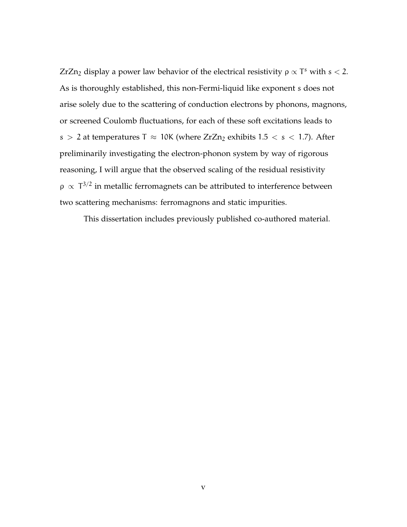ZrZn<sub>2</sub> display a power law behavior of the electrical resistivity  $ρ \propto T^s$  with  $s < 2$ . As is thoroughly established, this non-Fermi-liquid like exponent s does not arise solely due to the scattering of conduction electrons by phonons, magnons, or screened Coulomb fluctuations, for each of these soft excitations leads to s > 2 at temperatures T  $\approx$  10K (where ZrZn<sub>2</sub> exhibits 1.5 < s < 1.7). After preliminarily investigating the electron-phonon system by way of rigorous reasoning, I will argue that the observed scaling of the residual resistivity  $ρ \propto T^{3/2}$  in metallic ferromagnets can be attributed to interference between two scattering mechanisms: ferromagnons and static impurities.

This dissertation includes previously published co-authored material.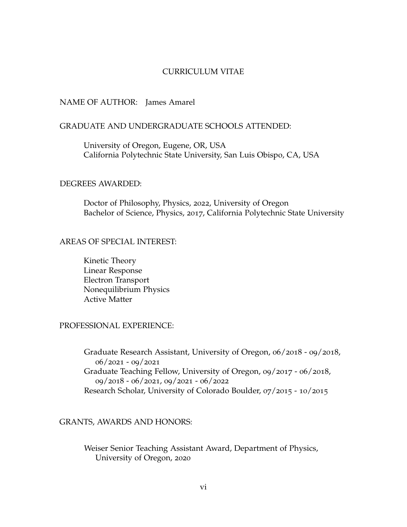### CURRICULUM VITAE

### NAME OF AUTHOR: James Amarel

### GRADUATE AND UNDERGRADUATE SCHOOLS ATTENDED:

University of Oregon, Eugene, OR, USA California Polytechnic State University, San Luis Obispo, CA, USA

### DEGREES AWARDED:

Doctor of Philosophy, Physics, 2022, University of Oregon Bachelor of Science, Physics, 2017, California Polytechnic State University

# AREAS OF SPECIAL INTEREST:

Kinetic Theory Linear Response Electron Transport Nonequilibrium Physics Active Matter

## PROFESSIONAL EXPERIENCE:

Graduate Research Assistant, University of Oregon, 06/2018 - 09/2018, 06/2021 - 09/2021 Graduate Teaching Fellow, University of Oregon, 09/2017 - 06/2018, 09/2018 - 06/2021, 09/2021 - 06/2022 Research Scholar, University of Colorado Boulder, 07/2015 - 10/2015

## GRANTS, AWARDS AND HONORS:

Weiser Senior Teaching Assistant Award, Department of Physics, University of Oregon, 2020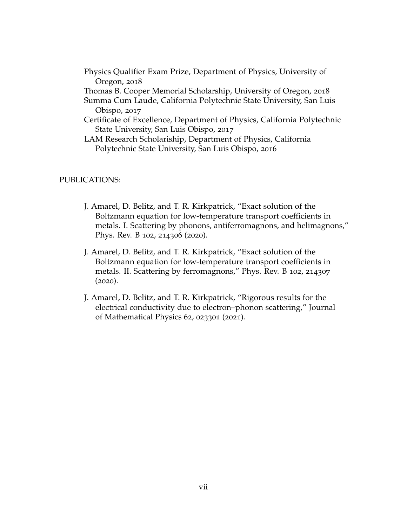- Physics Qualifier Exam Prize, Department of Physics, University of Oregon, 2018
- Thomas B. Cooper Memorial Scholarship, University of Oregon, 2018
- Summa Cum Laude, California Polytechnic State University, San Luis Obispo, 2017
- Certificate of Excellence, Department of Physics, California Polytechnic State University, San Luis Obispo, 2017
- LAM Research Scholariship, Department of Physics, California Polytechnic State University, San Luis Obispo, 2016

## PUBLICATIONS:

- J. Amarel, D. Belitz, and T. R. Kirkpatrick, "Exact solution of the Boltzmann equation for low-temperature transport coefficients in metals. I. Scattering by phonons, antiferromagnons, and helimagnons," Phys. Rev. B 102, 214306 (2020).
- J. Amarel, D. Belitz, and T. R. Kirkpatrick, "Exact solution of the Boltzmann equation for low-temperature transport coefficients in metals. II. Scattering by ferromagnons," Phys. Rev. B 102, 214307  $(2020).$
- J. Amarel, D. Belitz, and T. R. Kirkpatrick, "Rigorous results for the electrical conductivity due to electron–phonon scattering," Journal of Mathematical Physics 62, 023301 (2021).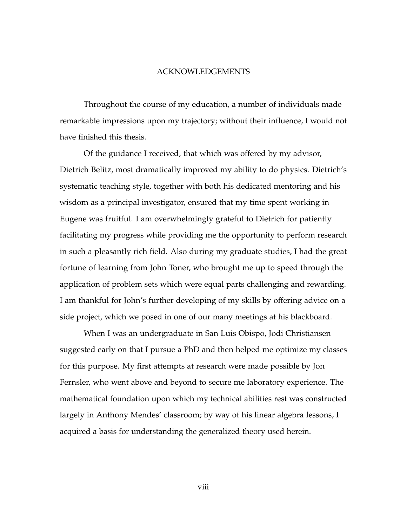#### ACKNOWLEDGEMENTS

Throughout the course of my education, a number of individuals made remarkable impressions upon my trajectory; without their influence, I would not have finished this thesis.

Of the guidance I received, that which was offered by my advisor, Dietrich Belitz, most dramatically improved my ability to do physics. Dietrich's systematic teaching style, together with both his dedicated mentoring and his wisdom as a principal investigator, ensured that my time spent working in Eugene was fruitful. I am overwhelmingly grateful to Dietrich for patiently facilitating my progress while providing me the opportunity to perform research in such a pleasantly rich field. Also during my graduate studies, I had the great fortune of learning from John Toner, who brought me up to speed through the application of problem sets which were equal parts challenging and rewarding. I am thankful for John's further developing of my skills by offering advice on a side project, which we posed in one of our many meetings at his blackboard.

When I was an undergraduate in San Luis Obispo, Jodi Christiansen suggested early on that I pursue a PhD and then helped me optimize my classes for this purpose. My first attempts at research were made possible by Jon Fernsler, who went above and beyond to secure me laboratory experience. The mathematical foundation upon which my technical abilities rest was constructed largely in Anthony Mendes' classroom; by way of his linear algebra lessons, I acquired a basis for understanding the generalized theory used herein.

viii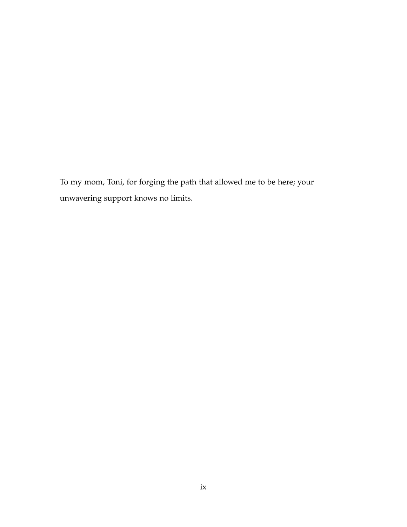To my mom, Toni, for forging the path that allowed me to be here; your unwavering support knows no limits.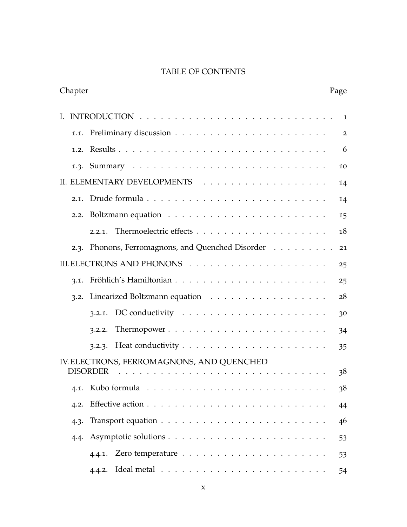# TABLE OF CONTENTS

| Chapter |                                                                                                                                                                                                                                                                                                                                                                                                                                                                                                          | Page           |
|---------|----------------------------------------------------------------------------------------------------------------------------------------------------------------------------------------------------------------------------------------------------------------------------------------------------------------------------------------------------------------------------------------------------------------------------------------------------------------------------------------------------------|----------------|
|         |                                                                                                                                                                                                                                                                                                                                                                                                                                                                                                          | 1              |
|         |                                                                                                                                                                                                                                                                                                                                                                                                                                                                                                          | $\overline{2}$ |
|         |                                                                                                                                                                                                                                                                                                                                                                                                                                                                                                          | 6              |
|         |                                                                                                                                                                                                                                                                                                                                                                                                                                                                                                          | 10             |
|         |                                                                                                                                                                                                                                                                                                                                                                                                                                                                                                          | 14             |
| 2.1.    |                                                                                                                                                                                                                                                                                                                                                                                                                                                                                                          | 14             |
| 2.2.    |                                                                                                                                                                                                                                                                                                                                                                                                                                                                                                          | 15             |
|         | 2.2.1.                                                                                                                                                                                                                                                                                                                                                                                                                                                                                                   | 18             |
|         | 2.3. Phonons, Ferromagnons, and Quenched Disorder                                                                                                                                                                                                                                                                                                                                                                                                                                                        | 21             |
|         |                                                                                                                                                                                                                                                                                                                                                                                                                                                                                                          | 25             |
| 3.1.    |                                                                                                                                                                                                                                                                                                                                                                                                                                                                                                          | 25             |
|         | 3.2. Linearized Boltzmann equation                                                                                                                                                                                                                                                                                                                                                                                                                                                                       | 28             |
|         | DC conductivity $\ldots \ldots \ldots \ldots \ldots \ldots \ldots$<br>3.2.1.                                                                                                                                                                                                                                                                                                                                                                                                                             | 30             |
|         | 3.2.2.                                                                                                                                                                                                                                                                                                                                                                                                                                                                                                   | 34             |
|         | 3.2.3.                                                                                                                                                                                                                                                                                                                                                                                                                                                                                                   | 35             |
|         | IV. ELECTRONS, FERROMAGNONS, AND QUENCHED                                                                                                                                                                                                                                                                                                                                                                                                                                                                |                |
|         | <b>DISORDER</b><br>$\mathbf{1} \quad \mathbf{1} \quad \mathbf{1} \quad \mathbf{1} \quad \mathbf{1} \quad \mathbf{1} \quad \mathbf{1} \quad \mathbf{1} \quad \mathbf{1} \quad \mathbf{1} \quad \mathbf{1} \quad \mathbf{1} \quad \mathbf{1} \quad \mathbf{1} \quad \mathbf{1} \quad \mathbf{1} \quad \mathbf{1} \quad \mathbf{1} \quad \mathbf{1} \quad \mathbf{1} \quad \mathbf{1} \quad \mathbf{1} \quad \mathbf{1} \quad \mathbf{1} \quad \mathbf{1} \quad \mathbf{1} \quad \mathbf{1} \quad \mathbf{$ | 38             |
| 4.1.    |                                                                                                                                                                                                                                                                                                                                                                                                                                                                                                          | 38             |
| 4.2.    |                                                                                                                                                                                                                                                                                                                                                                                                                                                                                                          | 44             |
| 4.3.    |                                                                                                                                                                                                                                                                                                                                                                                                                                                                                                          | 46             |
| 4.4.    |                                                                                                                                                                                                                                                                                                                                                                                                                                                                                                          | 53             |
|         |                                                                                                                                                                                                                                                                                                                                                                                                                                                                                                          | 53             |
|         | 4.4.2.                                                                                                                                                                                                                                                                                                                                                                                                                                                                                                   | 54             |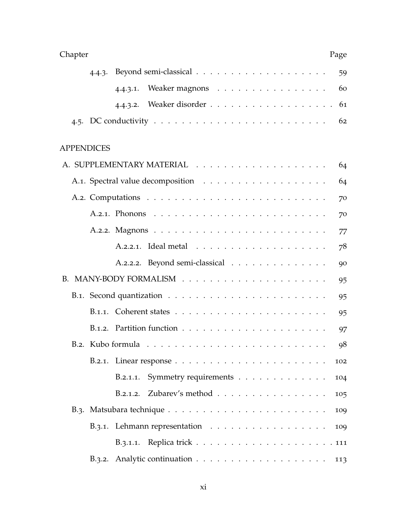| Chapter                                                                               | Page |
|---------------------------------------------------------------------------------------|------|
| 4.4.3.                                                                                | 59   |
| Weaker magnons<br>4.4.3.1.                                                            | 60   |
|                                                                                       | 61   |
| 4.5. DC conductivity $\ldots \ldots \ldots \ldots \ldots \ldots \ldots \ldots \ldots$ | 62   |
| <b>APPENDICES</b>                                                                     |      |
|                                                                                       | 64   |
|                                                                                       | 64   |
|                                                                                       | 70   |
|                                                                                       | 70   |
|                                                                                       | 77   |
|                                                                                       | 78   |
| A.2.2.2. Beyond semi-classical                                                        | 90   |
|                                                                                       | 95   |
|                                                                                       | 95   |
|                                                                                       | 95   |
|                                                                                       | 97   |
|                                                                                       | 98   |
| B.2.1. Linear response $\ldots \ldots \ldots \ldots \ldots \ldots \ldots \ldots$      | 102  |
| B.2.1.1. Symmetry requirements                                                        | 104  |
| B.2.1.2. Zubarev's method                                                             | 105  |
|                                                                                       | 109  |
| B.3.1. Lehmann representation                                                         | 109  |
|                                                                                       |      |
| B.3.2. Analytic continuation $\ldots \ldots \ldots \ldots \ldots \ldots$              | 113  |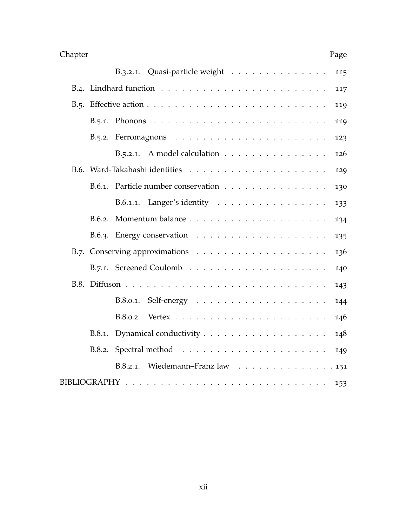| Chapter                                                                                | Page |
|----------------------------------------------------------------------------------------|------|
| B.3.2.1. Quasi-particle weight                                                         | 115  |
|                                                                                        | 117  |
| B.5. Effective action $\ldots \ldots \ldots \ldots \ldots \ldots \ldots \ldots \ldots$ | 119  |
| B.5.1. Phonons $\ldots \ldots \ldots \ldots \ldots \ldots \ldots \ldots \ldots$        | 119  |
|                                                                                        | 123  |
| B.5.2.1. A model calculation                                                           | 126  |
|                                                                                        | 129  |
| Particle number conservation<br>B.6.1.                                                 | 130  |
| B.6.1.1. Langer's identity                                                             | 133  |
| B.6.2.                                                                                 | 134  |
|                                                                                        | 135  |
|                                                                                        | 136  |
|                                                                                        | 140  |
|                                                                                        | 143  |
| B.8.0.1.                                                                               | 144  |
| B.8.0.2.                                                                               | 146  |
| B.8.1.                                                                                 | 148  |
| B.8.2.                                                                                 | 149  |
| Wiedemann-Franz law 151<br>B.8.2.1.                                                    |      |
|                                                                                        | 153  |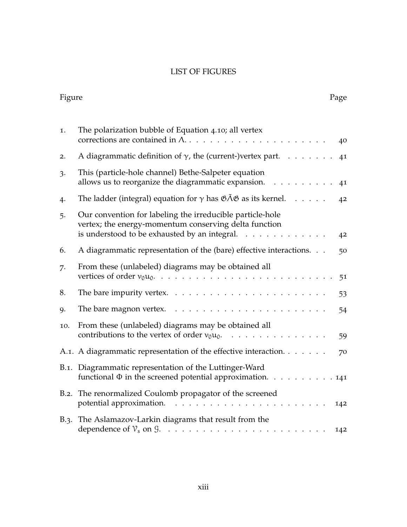# LIST OF FIGURES

| Figure |                                                                                                                                                                                                                                                                                                                                                                                                                                                                                                                                                    | Page |
|--------|----------------------------------------------------------------------------------------------------------------------------------------------------------------------------------------------------------------------------------------------------------------------------------------------------------------------------------------------------------------------------------------------------------------------------------------------------------------------------------------------------------------------------------------------------|------|
| 1.     | The polarization bubble of Equation 4.10; all vertex<br>corrections are contained in $\Lambda$                                                                                                                                                                                                                                                                                                                                                                                                                                                     | 40   |
| 2.     | A diagrammatic definition of $\gamma$ , the (current-)vertex part.                                                                                                                                                                                                                                                                                                                                                                                                                                                                                 | 41   |
| 3.     | This (particle-hole channel) Bethe-Salpeter equation<br>allows us to reorganize the diagrammatic expansion.                                                                                                                                                                                                                                                                                                                                                                                                                                        | 41   |
| 4.     | The ladder (integral) equation for $\gamma$ has $\mathfrak{GAB}$ as its kernel.                                                                                                                                                                                                                                                                                                                                                                                                                                                                    | 42   |
| 5.     | Our convention for labeling the irreducible particle-hole<br>vertex; the energy-momentum conserving delta function<br>is understood to be exhausted by an integral.<br>$\cdot$ $\cdot$ $\cdot$ $\cdot$<br>$\mathbf{r}$                                                                                                                                                                                                                                                                                                                             | 42   |
| 6.     | A diagrammatic representation of the (bare) effective interactions.                                                                                                                                                                                                                                                                                                                                                                                                                                                                                | 50   |
| 7.     | From these (unlabeled) diagrams may be obtained all<br>vertices of order $v_0u_0$ .<br>$\mathcal{L}^{(1)}\left(\mathcal{L}^{(1)}\left(\mathcal{L}^{(1)}\left(\mathcal{L}^{(1)}\left(\mathcal{L}^{(1)}\left(\mathcal{L}^{(1)}\left(\mathcal{L}^{(1)}\left(\mathcal{L}^{(1)}\left(\mathcal{L}^{(1)}\left(\mathcal{L}^{(1)}\right)\mathcal{L}^{(1)}\right)\right)\right)\right)\right)\right)\right)\right)\leq\mathcal{L}^{(1)}\left(\mathcal{L}^{(1)}\left(\mathcal{L}^{(1)}\left(\mathcal{L}^{(1)}\left(\mathcal{L}^{(1)}\left(\mathcal{L}^{(1)}\$ | 51   |
| 8.     | The bare impurity vertex. $\dots \dots \dots \dots \dots \dots \dots \dots$                                                                                                                                                                                                                                                                                                                                                                                                                                                                        | 53   |
| 9.     | The bare magnon vertex.<br>$\mathcal{A}$ , and a set of the set of the set of the set of the set of the $\mathcal{A}$                                                                                                                                                                                                                                                                                                                                                                                                                              | 54   |
| 10.    | From these (unlabeled) diagrams may be obtained all                                                                                                                                                                                                                                                                                                                                                                                                                                                                                                | 59   |
|        | A.1. A diagrammatic representation of the effective interaction.                                                                                                                                                                                                                                                                                                                                                                                                                                                                                   | 70   |
|        | B.1. Diagrammatic representation of the Luttinger-Ward<br>functional $\Phi$ in the screened potential approximation. 141                                                                                                                                                                                                                                                                                                                                                                                                                           |      |
| B.2.   | The renormalized Coulomb propagator of the screened<br>potential approximation.<br>.                                                                                                                                                                                                                                                                                                                                                                                                                                                               | 142  |
| B.3.   | The Aslamazov-Larkin diagrams that result from the                                                                                                                                                                                                                                                                                                                                                                                                                                                                                                 | 142  |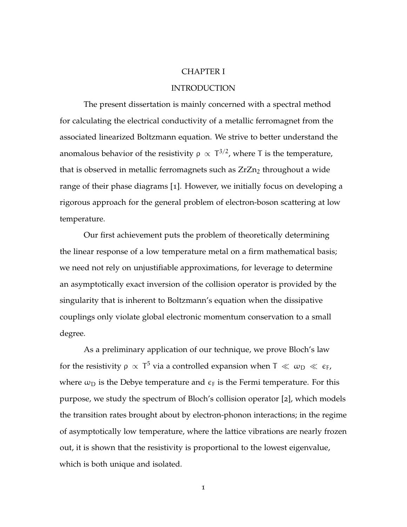### CHAPTER I

### INTRODUCTION

<span id="page-13-0"></span>The present dissertation is mainly concerned with a spectral method for calculating the electrical conductivity of a metallic ferromagnet from the associated linearized Boltzmann equation. We strive to better understand the anomalous behavior of the resistivity  $ρ \propto T^{3/2}$ , where T is the temperature, that is observed in metallic ferromagnets such as  $ZrZn<sub>2</sub>$  throughout a wide range of their phase diagrams [[1](#page-165-0)]. However, we initially focus on developing a rigorous approach for the general problem of electron-boson scattering at low temperature.

Our first achievement puts the problem of theoretically determining the linear response of a low temperature metal on a firm mathematical basis; we need not rely on unjustifiable approximations, for leverage to determine an asymptotically exact inversion of the collision operator is provided by the singularity that is inherent to Boltzmann's equation when the dissipative couplings only violate global electronic momentum conservation to a small degree.

As a preliminary application of our technique, we prove Bloch's law for the resistivity  $\rho~\propto~T^5$  via a controlled expansion when  $T~\ll~\omega_{\rm D}~\ll~\epsilon_{\rm F}$ , where  $\omega_D$  is the Debye temperature and  $\epsilon_F$  is the Fermi temperature. For this purpose, we study the spectrum of Bloch's collision operator [[2](#page-165-1)], which models the transition rates brought about by electron-phonon interactions; in the regime of asymptotically low temperature, where the lattice vibrations are nearly frozen out, it is shown that the resistivity is proportional to the lowest eigenvalue, which is both unique and isolated.

1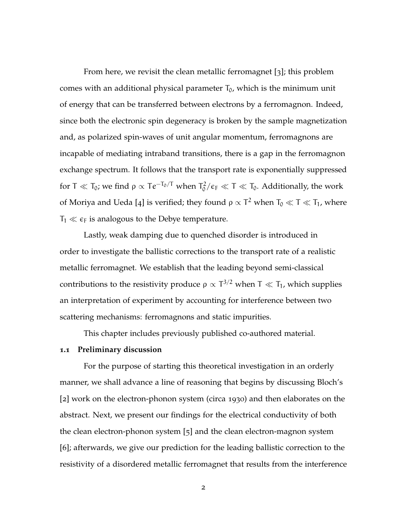From here, we revisit the clean metallic ferromagnet [[3](#page-165-2)]; this problem comes with an additional physical parameter  $T_0$ , which is the minimum unit of energy that can be transferred between electrons by a ferromagnon. Indeed, since both the electronic spin degeneracy is broken by the sample magnetization and, as polarized spin-waves of unit angular momentum, ferromagnons are incapable of mediating intraband transitions, there is a gap in the ferromagnon exchange spectrum. It follows that the transport rate is exponentially suppressed for T  $\ll$  T<sub>0</sub>; we find  $\rho \propto Te^{-T_0/T}$  when T $_0^2$  $\int_0^2/\epsilon_F \ll T \ll T_0$ . Additionally, the work of Moriya and Ueda [[4](#page-165-3)] is verified; they found  $\rho \propto T^2$  when  $T_0 \ll T \ll T_1$ , where  $T_1 \ll \epsilon_F$  is analogous to the Debye temperature.

Lastly, weak damping due to quenched disorder is introduced in order to investigate the ballistic corrections to the transport rate of a realistic metallic ferromagnet. We establish that the leading beyond semi-classical contributions to the resistivity produce  $\rho \propto T^{3/2}$  when T  $\ll T_1$ , which supplies an interpretation of experiment by accounting for interference between two scattering mechanisms: ferromagnons and static impurities.

This chapter includes previously published co-authored material.

### <span id="page-14-0"></span>**1.1 Preliminary discussion**

For the purpose of starting this theoretical investigation in an orderly manner, we shall advance a line of reasoning that begins by discussing Bloch's [[2](#page-165-1)] work on the electron-phonon system (circa 1930) and then elaborates on the abstract. Next, we present our findings for the electrical conductivity of both the clean electron-phonon system [[5](#page-165-4)] and the clean electron-magnon system [[6](#page-165-5)]; afterwards, we give our prediction for the leading ballistic correction to the resistivity of a disordered metallic ferromagnet that results from the interference

2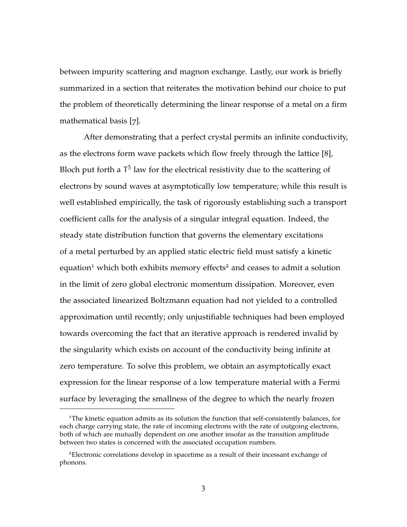between impurity scattering and magnon exchange. Lastly, our work is briefly summarized in a section that reiterates the motivation behind our choice to put the problem of theoretically determining the linear response of a metal on a firm mathematical basis [[7](#page-165-6)].

After demonstrating that a perfect crystal permits an infinite conductivity, as the electrons form wave packets which flow freely through the lattice [[8](#page-165-7)], Bloch put forth a  $T^5$  law for the electrical resistivity due to the scattering of electrons by sound waves at asymptotically low temperature; while this result is well established empirically, the task of rigorously establishing such a transport coefficient calls for the analysis of a singular integral equation. Indeed, the steady state distribution function that governs the elementary excitations of a metal perturbed by an applied static electric field must satisfy a kinetic equation<sup>1</sup> which both exhibits memory effects<sup>2</sup> and ceases to admit a solution in the limit of zero global electronic momentum dissipation. Moreover, even the associated linearized Boltzmann equation had not yielded to a controlled approximation until recently; only unjustifiable techniques had been employed towards overcoming the fact that an iterative approach is rendered invalid by the singularity which exists on account of the conductivity being infinite at zero temperature. To solve this problem, we obtain an asymptotically exact expression for the linear response of a low temperature material with a Fermi surface by leveraging the smallness of the degree to which the nearly frozen

 $1$ The kinetic equation admits as its solution the function that self-consistently balances, for each charge carrying state, the rate of incoming electrons with the rate of outgoing electrons, both of which are mutually dependent on one another insofar as the transition amplitude between two states is concerned with the associated occupation numbers.

<sup>2</sup>Electronic correlations develop in spacetime as a result of their incessant exchange of phonons.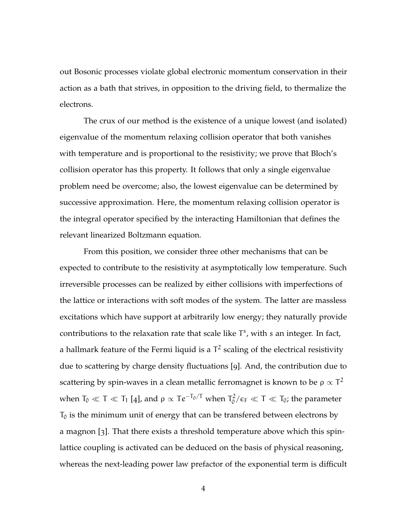out Bosonic processes violate global electronic momentum conservation in their action as a bath that strives, in opposition to the driving field, to thermalize the electrons.

The crux of our method is the existence of a unique lowest (and isolated) eigenvalue of the momentum relaxing collision operator that both vanishes with temperature and is proportional to the resistivity; we prove that Bloch's collision operator has this property. It follows that only a single eigenvalue problem need be overcome; also, the lowest eigenvalue can be determined by successive approximation. Here, the momentum relaxing collision operator is the integral operator specified by the interacting Hamiltonian that defines the relevant linearized Boltzmann equation.

From this position, we consider three other mechanisms that can be expected to contribute to the resistivity at asymptotically low temperature. Such irreversible processes can be realized by either collisions with imperfections of the lattice or interactions with soft modes of the system. The latter are massless excitations which have support at arbitrarily low energy; they naturally provide contributions to the relaxation rate that scale like  $T<sup>s</sup>$ , with s an integer. In fact, a hallmark feature of the Fermi liquid is a  $\mathsf{T}^2$  scaling of the electrical resistivity due to scattering by charge density fluctuations [[9](#page-166-0)]. And, the contribution due to scattering by spin-waves in a clean metallic ferromagnet is known to be  $\rho \propto T^2$ when  $T_0 \ll T \ll T_1$  [[4](#page-165-3)], and  $\rho \propto Te^{-T_0/T}$  when  $T_0^2$  $T_0^2/\epsilon_F \ll T \ll T_0$ ; the parameter  $T_0$  is the minimum unit of energy that can be transfered between electrons by a magnon [[3](#page-165-2)]. That there exists a threshold temperature above which this spinlattice coupling is activated can be deduced on the basis of physical reasoning, whereas the next-leading power law prefactor of the exponential term is difficult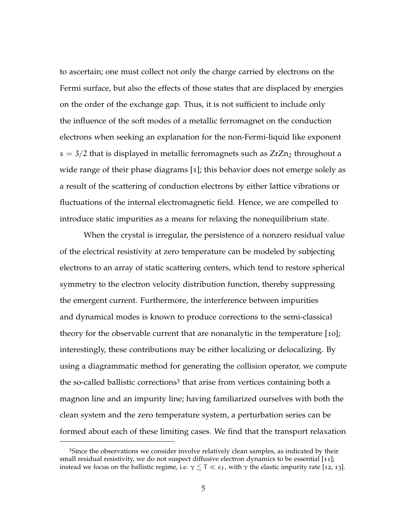to ascertain; one must collect not only the charge carried by electrons on the Fermi surface, but also the effects of those states that are displaced by energies on the order of the exchange gap. Thus, it is not sufficient to include only the influence of the soft modes of a metallic ferromagnet on the conduction electrons when seeking an explanation for the non-Fermi-liquid like exponent  $s = 3/2$  that is displayed in metallic ferromagnets such as  $ZrZn<sub>2</sub>$  throughout a wide range of their phase diagrams [[1](#page-165-0)]; this behavior does not emerge solely as a result of the scattering of conduction electrons by either lattice vibrations or fluctuations of the internal electromagnetic field. Hence, we are compelled to introduce static impurities as a means for relaxing the nonequilibrium state.

When the crystal is irregular, the persistence of a nonzero residual value of the electrical resistivity at zero temperature can be modeled by subjecting electrons to an array of static scattering centers, which tend to restore spherical symmetry to the electron velocity distribution function, thereby suppressing the emergent current. Furthermore, the interference between impurities and dynamical modes is known to produce corrections to the semi-classical theory for the observable current that are nonanalytic in the temperature [[10](#page-166-1)]; interestingly, these contributions may be either localizing or delocalizing. By using a diagrammatic method for generating the collision operator, we compute the so-called ballistic corrections<sup>3</sup> that arise from vertices containing both a magnon line and an impurity line; having familiarized ourselves with both the clean system and the zero temperature system, a perturbation series can be formed about each of these limiting cases. We find that the transport relaxation

<sup>&</sup>lt;sup>3</sup>Since the observations we consider involve relatively clean samples, as indicated by their small residual resistivity, we do not suspect diffusive electron dynamics to be essential [[11](#page-166-2)]; instead we focus on the ballistic regime, i.e.  $\gamma \lesssim T \ll \epsilon_F$ , with  $\gamma$  the elastic impurity rate [[12](#page-166-3), [13](#page-166-4)].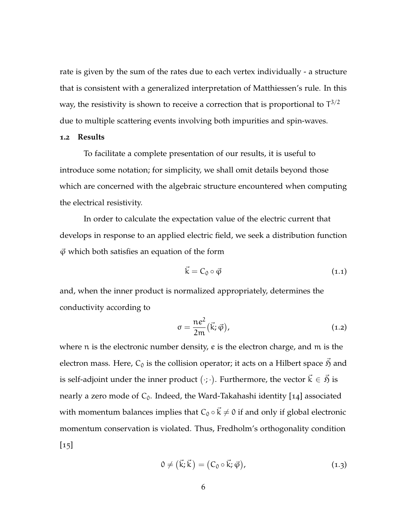rate is given by the sum of the rates due to each vertex individually - a structure that is consistent with a generalized interpretation of Matthiessen's rule. In this way, the resistivity is shown to receive a correction that is proportional to  $T^{3/2}$ due to multiple scattering events involving both impurities and spin-waves.

### <span id="page-18-0"></span>**1.2 Results**

To facilitate a complete presentation of our results, it is useful to introduce some notation; for simplicity, we shall omit details beyond those which are concerned with the algebraic structure encountered when computing the electrical resistivity.

In order to calculate the expectation value of the electric current that develops in response to an applied electric field, we seek a distribution function  $\vec{\varphi}$  which both satisfies an equation of the form

<span id="page-18-1"></span>
$$
\vec{k} = C_0 \circ \vec{\varphi} \tag{1.1}
$$

and, when the inner product is normalized appropriately, determines the conductivity according to

$$
\sigma = \frac{ne^2}{2m}(\vec{k}; \vec{\varphi}), \qquad (1.2)
$$

<span id="page-18-2"></span>where n is the electronic number density, e is the electron charge, and m is the electron mass. Here,  $C_0$  is the collision operator; it acts on a Hilbert space  $\vec{p}$  and is self-adjoint under the inner product  $(\cdot;\cdot).$  Furthermore, the vector  $\vec{\mathrm{k}} \in \vec{\mathfrak{H}}$  is nearly a zero mode of  $C_0$ . Indeed, the Ward-Takahashi identity [[14](#page-166-5)] associated with momentum balances implies that  $C_0 \circ \vec{k} \neq 0$  if and only if global electronic momentum conservation is violated. Thus, Fredholm's orthogonality condition  $\lfloor 15 \rfloor$  $\lfloor 15 \rfloor$  $\lfloor 15 \rfloor$ 

$$
0 \neq (\vec{k}; \vec{k}) = (C_0 \circ \vec{k}; \vec{\varphi}), \tag{1.3}
$$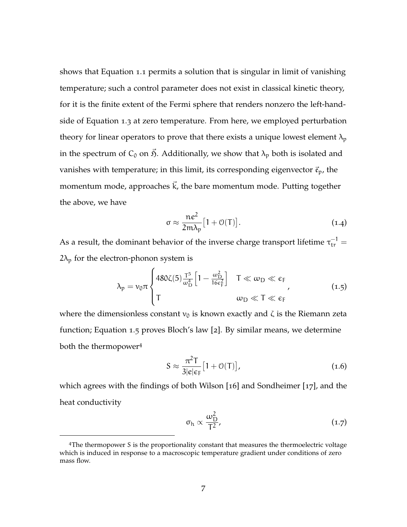shows that [Equation](#page-18-1) 1.1 permits a solution that is singular in limit of vanishing temperature; such a control parameter does not exist in classical kinetic theory, for it is the finite extent of the Fermi sphere that renders nonzero the left-handside of [Equation](#page-18-2) 1.3 at zero temperature. From here, we employed perturbation theory for linear operators to prove that there exists a unique lowest element  $\lambda_p$ in the spectrum of  $C_0$  on  $\vec{p}$ . Additionally, we show that  $\lambda_p$  both is isolated and vanishes with temperature; in this limit, its corresponding eigenvector  $\vec{\mathfrak{e}}_p$ , the momentum mode, approaches  $\vec{k}$ , the bare momentum mode. Putting together the above, we have

<span id="page-19-0"></span>
$$
\sigma \approx \frac{ne^2}{2m\lambda_p} [1 + \mathcal{O}(T)]. \tag{1.4}
$$

As a result, the dominant behavior of the inverse charge transport lifetime  $\tau_{tr}^{-1} =$  $2\lambda_p$  for the electron-phonon system is

$$
\lambda_{p} = \nu_{0} \pi \begin{cases} 480 \zeta(5) \frac{T^{5}}{\omega_{D}^{4}} \left[ 1 - \frac{\omega_{D}^{2}}{16 \epsilon_{F}^{2}} \right] & T \ll \omega_{D} \ll \epsilon_{F} \\ T & \omega_{D} \ll T \ll \epsilon_{F} \end{cases}
$$
(1.5)

where the dimensionless constant  $v_0$  is known exactly and  $\zeta$  is the Riemann zeta function; [Equation](#page-19-0) 1.5 proves Bloch's law [[2](#page-165-1)]. By similar means, we determine both the thermopower<sup>4</sup>

<span id="page-19-1"></span>
$$
S \approx \frac{\pi^2 T}{3|e|\epsilon_F} [1 + \mathcal{O}(T)], \qquad (1.6)
$$

which agrees with the findings of both Wilson [[16](#page-166-7)] and Sondheimer [[17](#page-167-0)], and the heat conductivity

$$
\sigma_{h} \propto \frac{\omega_{D}^{2}}{T^{2}},\tag{1.7}
$$

<sup>4</sup>The thermopower S is the proportionality constant that measures the thermoelectric voltage which is induced in response to a macroscopic temperature gradient under conditions of zero mass flow.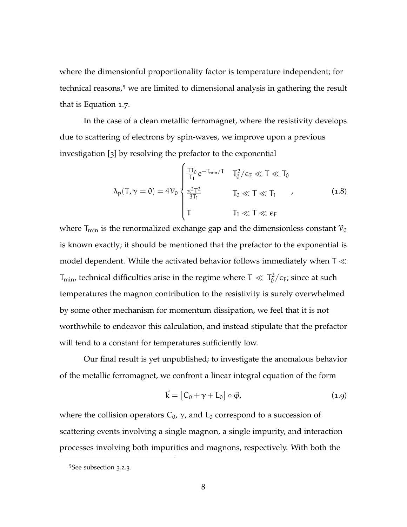where the dimensionful proportionality factor is temperature independent; for technical reasons,<sup>5</sup> we are limited to dimensional analysis in gathering the result that is [Equation](#page-19-1) 1.7.

In the case of a clean metallic ferromagnet, where the resistivity develops due to scattering of electrons by spin-waves, we improve upon a previous investigation [[3](#page-165-2)] by resolving the prefactor to the exponential

$$
\lambda_{p}(T,\gamma=0)=4\mathcal{V}_{0}\begin{cases} \frac{T T_{0}}{T_{1}}e^{-T_{min}/T} & T_{0}^{2}/\varepsilon_{F}\ll T\ll T_{0} \\ \frac{\pi^{2}T^{2}}{3T_{1}} & T_{0}\ll T\ll T_{1} \end{cases} \qquad (1.8)
$$
\n
$$
T_{1}\ll T\ll \varepsilon_{F}
$$

where  $T_{min}$  is the renormalized exchange gap and the dimensionless constant  $\mathcal{V}_0$ is known exactly; it should be mentioned that the prefactor to the exponential is model dependent. While the activated behavior follows immediately when  $T \ll$  $T_{\text{min}}$ , technical difficulties arise in the regime where T  $\ll T_0^2$  $\frac{1}{0}/\epsilon_F$ ; since at such temperatures the magnon contribution to the resistivity is surely overwhelmed by some other mechanism for momentum dissipation, we feel that it is not worthwhile to endeavor this calculation, and instead stipulate that the prefactor will tend to a constant for temperatures sufficiently low.

Our final result is yet unpublished; to investigate the anomalous behavior of the metallic ferromagnet, we confront a linear integral equation of the form

$$
\vec{k} = [C_0 + \gamma + L_0] \circ \vec{\varphi}, \qquad (1.9)
$$

where the collision operators  $C_0$ ,  $\gamma$ , and  $L_0$  correspond to a succession of scattering events involving a single magnon, a single impurity, and interaction processes involving both impurities and magnons, respectively. With both the

<sup>5</sup>See [subsection](#page-47-0) 3.2.3.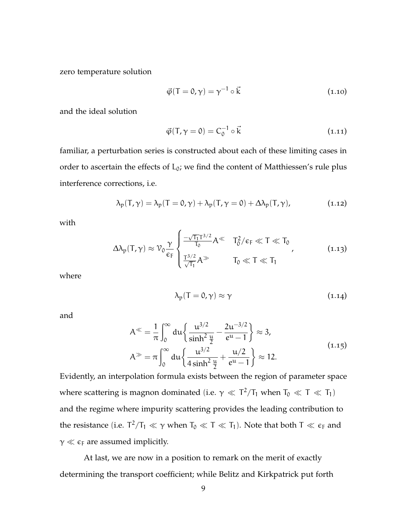zero temperature solution

$$
\vec{\varphi}(T=0,\gamma) = \gamma^{-1} \circ \vec{k} \tag{1.10}
$$

and the ideal solution

$$
\vec{\varphi}(\mathsf{T}, \gamma = 0) = \mathsf{C}_0^{-1} \circ \vec{\mathsf{k}} \tag{1.11}
$$

familiar, a perturbation series is constructed about each of these limiting cases in order to ascertain the effects of  $L_0$ ; we find the content of Matthiessen's rule plus interference corrections, i.e.

$$
\lambda_p(T,\gamma)=\lambda_p(T=0,\gamma)+\lambda_p(T,\gamma=0)+\Delta\lambda_p(T,\gamma),\qquad \qquad (1.12)
$$

with

$$
\Delta\lambda_p(T,\gamma) \approx \mathcal{V}_0 \frac{\gamma}{\varepsilon_F} \begin{cases} \frac{-\sqrt{T_1}T^{3/2}}{T_0} A^{\ll} & T_0^2/\varepsilon_F \ll T \ll T_0 \\ \frac{T^{3/2}}{\sqrt{T_1}} A^{\gg} & T_0 \ll T \ll T_1 \end{cases} \tag{1.13}
$$

where

$$
\lambda_{\rm p}(T=0,\gamma) \approx \gamma \tag{1.14}
$$

and

$$
A^{\ll} = \frac{1}{\pi} \int_0^{\infty} du \left\{ \frac{u^{3/2}}{\sinh^2 \frac{u}{2}} - \frac{2u^{-3/2}}{e^u - 1} \right\} \approx 3,
$$
  

$$
A^{\gg} = \pi \int_0^{\infty} du \left\{ \frac{u^{3/2}}{4 \sinh^2 \frac{u}{2}} + \frac{u/2}{e^u - 1} \right\} \approx 12.
$$
 (1.15)

Evidently, an interpolation formula exists between the region of parameter space where scattering is magnon dominated (i.e.  $\gamma \ll T^2/T_1$  when  $T_0 \ll T \ll T_1$ ) and the regime where impurity scattering provides the leading contribution to the resistance (i.e.  $T^2/T_1 \ll \gamma$  when  $T_0 \ll T \ll T_1$ ). Note that both  $T \ll \epsilon_F$  and  $\gamma \ll \epsilon_F$  are assumed implicitly.

At last, we are now in a position to remark on the merit of exactly determining the transport coefficient; while Belitz and Kirkpatrick put forth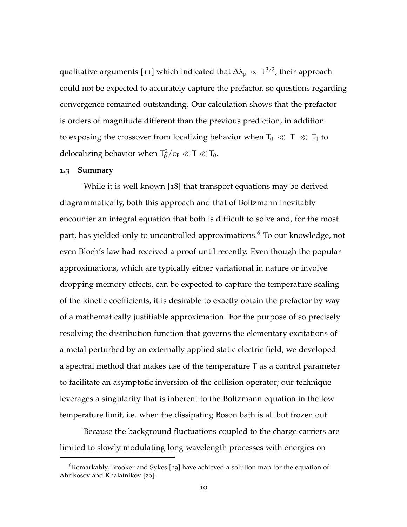qualitative arguments [[11](#page-166-2)] which indicated that  $\Delta\lambda_{\rm p}\,\propto\, {\rm T}^{3/2}$ , their approach could not be expected to accurately capture the prefactor, so questions regarding convergence remained outstanding. Our calculation shows that the prefactor is orders of magnitude different than the previous prediction, in addition to exposing the crossover from localizing behavior when  $T_0 \ll T \ll T_1$  to delocalizing behavior when  $T_0^2$  $T_0^2/\epsilon_F \ll T \ll T_0.$ 

### <span id="page-22-0"></span>**1.3 Summary**

While it is well known [[18](#page-167-1)] that transport equations may be derived diagrammatically, both this approach and that of Boltzmann inevitably encounter an integral equation that both is difficult to solve and, for the most part, has yielded only to uncontrolled approximations.<sup>6</sup> To our knowledge, not even Bloch's law had received a proof until recently. Even though the popular approximations, which are typically either variational in nature or involve dropping memory effects, can be expected to capture the temperature scaling of the kinetic coefficients, it is desirable to exactly obtain the prefactor by way of a mathematically justifiable approximation. For the purpose of so precisely resolving the distribution function that governs the elementary excitations of a metal perturbed by an externally applied static electric field, we developed a spectral method that makes use of the temperature T as a control parameter to facilitate an asymptotic inversion of the collision operator; our technique leverages a singularity that is inherent to the Boltzmann equation in the low temperature limit, i.e. when the dissipating Boson bath is all but frozen out.

Because the background fluctuations coupled to the charge carriers are limited to slowly modulating long wavelength processes with energies on

 $6R$ emarkably, Brooker and Sykes [[19](#page-167-2)] have achieved a solution map for the equation of Abrikosov and Khalatnikov [[20](#page-167-3)].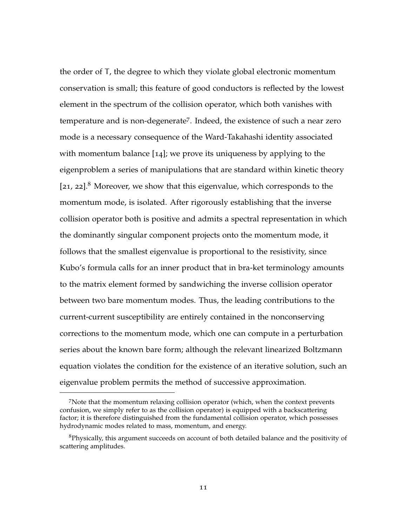the order of T, the degree to which they violate global electronic momentum conservation is small; this feature of good conductors is reflected by the lowest element in the spectrum of the collision operator, which both vanishes with temperature and is non-degenerate<sup>7</sup>. Indeed, the existence of such a near zero mode is a necessary consequence of the Ward-Takahashi identity associated with momentum balance [[14](#page-166-5)]; we prove its uniqueness by applying to the eigenproblem a series of manipulations that are standard within kinetic theory  $[21, 22]$  $[21, 22]$  $[21, 22]$  $[21, 22]$  $[21, 22]$ .<sup>8</sup> Moreover, we show that this eigenvalue, which corresponds to the momentum mode, is isolated. After rigorously establishing that the inverse collision operator both is positive and admits a spectral representation in which the dominantly singular component projects onto the momentum mode, it follows that the smallest eigenvalue is proportional to the resistivity, since Kubo's formula calls for an inner product that in bra-ket terminology amounts to the matrix element formed by sandwiching the inverse collision operator between two bare momentum modes. Thus, the leading contributions to the current-current susceptibility are entirely contained in the nonconserving corrections to the momentum mode, which one can compute in a perturbation series about the known bare form; although the relevant linearized Boltzmann equation violates the condition for the existence of an iterative solution, such an eigenvalue problem permits the method of successive approximation.

<sup>7</sup>Note that the momentum relaxing collision operator (which, when the context prevents confusion, we simply refer to as the collision operator) is equipped with a backscattering factor; it is therefore distinguished from the fundamental collision operator, which possesses hydrodynamic modes related to mass, momentum, and energy.

<sup>8</sup>Physically, this argument succeeds on account of both detailed balance and the positivity of scattering amplitudes.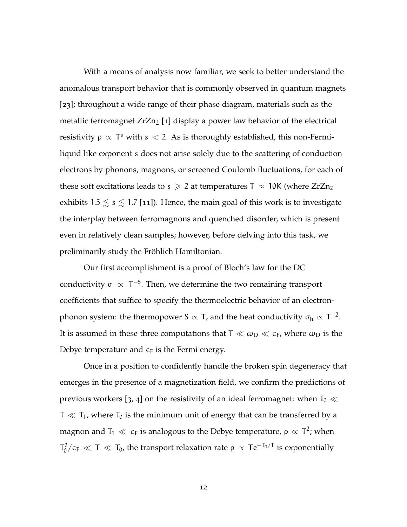With a means of analysis now familiar, we seek to better understand the anomalous transport behavior that is commonly observed in quantum magnets [[23](#page-167-6)]; throughout a wide range of their phase diagram, materials such as the metallic ferromagnet  $ZrZn<sub>2</sub>$  [[1](#page-165-0)] display a power law behavior of the electrical resistivity  $\rho \propto T^s$  with  $s < 2$ . As is thoroughly established, this non-Fermiliquid like exponent s does not arise solely due to the scattering of conduction electrons by phonons, magnons, or screened Coulomb fluctuations, for each of these soft excitations leads to  $s \ge 2$  at temperatures  $T \approx 10$ K (where  $ZrZn_2$ exhibits 1.5  $\leq$  s  $\leq$  1.7 [[11](#page-166-2)]). Hence, the main goal of this work is to investigate the interplay between ferromagnons and quenched disorder, which is present even in relatively clean samples; however, before delving into this task, we preliminarily study the Fröhlich Hamiltonian.

Our first accomplishment is a proof of Bloch's law for the DC conductivity σ  $\propto$  T<sup>-5</sup>. Then, we determine the two remaining transport coefficients that suffice to specify the thermoelectric behavior of an electronphonon system: the thermopower S  $\propto$  T, and the heat conductivity  $\sigma_{\rm h} \propto {\rm T}^{-2}.$ It is assumed in these three computations that  $T \ll \omega_D \ll \epsilon_F$ , where  $\omega_D$  is the Debye temperature and  $\epsilon_F$  is the Fermi energy.

Once in a position to confidently handle the broken spin degeneracy that emerges in the presence of a magnetization field, we confirm the predictions of previous workers [[3](#page-165-2), [4](#page-165-3)] on the resistivity of an ideal ferromagnet: when  $T_0 \ll$  $T \ll T_1$ , where  $T_0$  is the minimum unit of energy that can be transferred by a magnon and  $\mathsf{T}_1 \ll \, \varepsilon_{\mathsf{F}}$  is analogous to the Debye temperature,  $\mathsf{\rho} \, \propto \, \mathsf{T}^2$ ; when  $T_0^2$  $T_0^2/\epsilon_F \ll T \ll T_0$ , the transport relaxation rate  $\rho \propto Te^{-T_0/T}$  is exponentially

12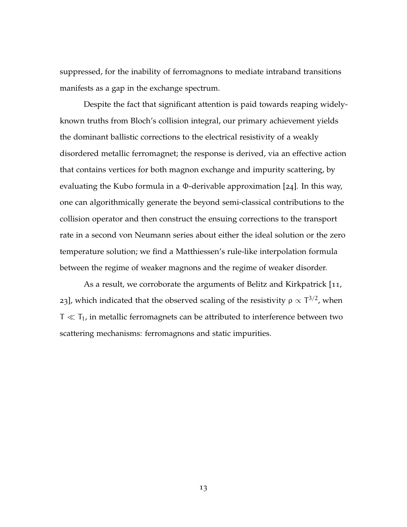suppressed, for the inability of ferromagnons to mediate intraband transitions manifests as a gap in the exchange spectrum.

Despite the fact that significant attention is paid towards reaping widelyknown truths from Bloch's collision integral, our primary achievement yields the dominant ballistic corrections to the electrical resistivity of a weakly disordered metallic ferromagnet; the response is derived, via an effective action that contains vertices for both magnon exchange and impurity scattering, by evaluating the Kubo formula in a Φ-derivable approximation [[24](#page-167-7)]. In this way, one can algorithmically generate the beyond semi-classical contributions to the collision operator and then construct the ensuing corrections to the transport rate in a second von Neumann series about either the ideal solution or the zero temperature solution; we find a Matthiessen's rule-like interpolation formula between the regime of weaker magnons and the regime of weaker disorder.

As a result, we corroborate the arguments of Belitz and Kirkpatrick [[11](#page-166-2), [23](#page-167-6)], which indicated that the observed scaling of the resistivity  $ρ \propto T^{3/2}$ , when  $T \ll T_1$ , in metallic ferromagnets can be attributed to interference between two scattering mechanisms: ferromagnons and static impurities.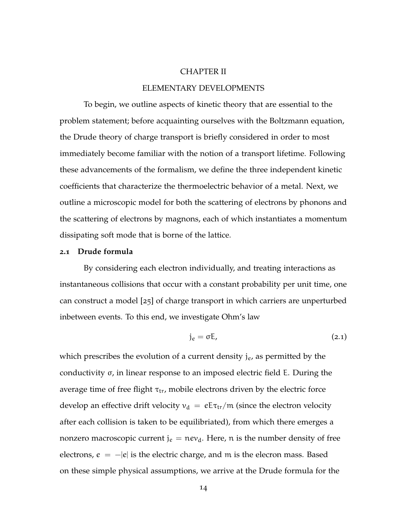### CHAPTER II

### ELEMENTARY DEVELOPMENTS

<span id="page-26-0"></span>To begin, we outline aspects of kinetic theory that are essential to the problem statement; before acquainting ourselves with the Boltzmann equation, the Drude theory of charge transport is briefly considered in order to most immediately become familiar with the notion of a transport lifetime. Following these advancements of the formalism, we define the three independent kinetic coefficients that characterize the thermoelectric behavior of a metal. Next, we outline a microscopic model for both the scattering of electrons by phonons and the scattering of electrons by magnons, each of which instantiates a momentum dissipating soft mode that is borne of the lattice.

#### <span id="page-26-1"></span>**2.1 Drude formula**

By considering each electron individually, and treating interactions as instantaneous collisions that occur with a constant probability per unit time, one can construct a model [[25](#page-167-8)] of charge transport in which carriers are unperturbed inbetween events. To this end, we investigate Ohm's law

$$
j_e = \sigma E, \qquad (2.1)
$$

which prescribes the evolution of a current density  $j_e$ , as permitted by the conductivity σ, in linear response to an imposed electric field E. During the average time of free flight  $\tau_{tr}$ , mobile electrons driven by the electric force develop an effective drift velocity  $v_d = eE\tau_{tr}/m$  (since the electron velocity after each collision is taken to be equilibriated), from which there emerges a nonzero macroscopic current  $j_e = new_d$ . Here, n is the number density of free electrons,  $e = -|e|$  is the electric charge, and m is the elecron mass. Based on these simple physical assumptions, we arrive at the Drude formula for the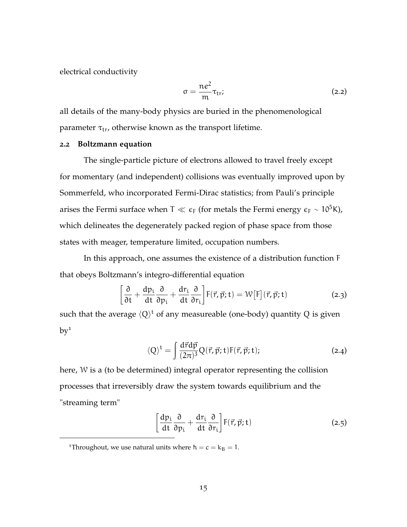electrical conductivity

$$
\sigma = \frac{ne^2}{m}\tau_{tr};
$$
\n(2.2)

all details of the many-body physics are buried in the phenomenological parameter  $\tau_{tr}$ , otherwise known as the transport lifetime.

### <span id="page-27-0"></span>**2.2 Boltzmann equation**

The single-particle picture of electrons allowed to travel freely except for momentary (and independent) collisions was eventually improved upon by Sommerfeld, who incorporated Fermi-Dirac statistics; from Pauli's principle arises the Fermi surface when T  $\ll \epsilon_F$  (for metals the Fermi energy  $\epsilon_F \sim 10^5$ K), which delineates the degenerately packed region of phase space from those states with meager, temperature limited, occupation numbers.

In this approach, one assumes the existence of a distribution function F that obeys Boltzmann's integro-differential equation

$$
\left[\frac{\partial}{\partial t} + \frac{dp_i}{dt} \frac{\partial}{\partial p_i} + \frac{dr_i}{dt} \frac{\partial}{\partial r_i}\right] F(\vec{r}, \vec{p}; t) = \mathcal{W}[F](\vec{r}, \vec{p}; t)
$$
\n(2.3)

such that the average  $\langle Q \rangle^{\rm t}$  of any measureable (one-body) quantity  $Q$  is given  $by<sup>1</sup>$ 

<span id="page-27-1"></span>
$$
\langle Q \rangle^{t} = \int \frac{d\vec{r} d\vec{p}}{(2\pi)^{3}} Q(\vec{r}, \vec{p}; t) F(\vec{r}, \vec{p}; t); \qquad (2.4)
$$

here, W is a (to be determined) integral operator representing the collision processes that irreversibly draw the system towards equilibrium and the "streaming term"

$$
\left[\frac{dp_i}{dt}\frac{\partial}{\partial p_i} + \frac{dr_i}{dt}\frac{\partial}{\partial r_i}\right] F(\vec{r}, \vec{p}; t)
$$
\n(2.5)

<sup>&</sup>lt;sup>1</sup>Throughout, we use natural units where  $\hbar = c = k_B = 1$ .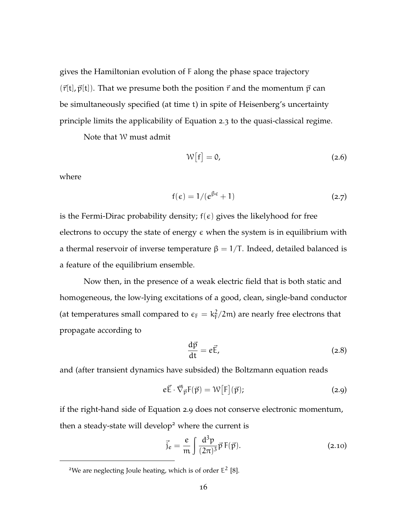gives the Hamiltonian evolution of F along the phase space trajectory  $(\vec{r}[t], \vec{p}[t])$ . That we presume both the position  $\vec{r}$  and the momentum  $\vec{p}$  can be simultaneously specified (at time t) in spite of Heisenberg's uncertainty principle limits the applicability of [Equation](#page-27-1) 2.3 to the quasi-classical regime.

Note that W must admit

$$
W[f] = 0, \t\t(2.6)
$$

where

$$
f(\epsilon) = 1/(e^{\beta \epsilon} + 1) \tag{2.7}
$$

is the Fermi-Dirac probability density;  $f(\epsilon)$  gives the likelyhood for free electrons to occupy the state of energy  $\epsilon$  when the system is in equilibrium with a thermal reservoir of inverse temperature  $\beta = 1/T$ . Indeed, detailed balanced is a feature of the equilibrium ensemble.

Now then, in the presence of a weak electric field that is both static and homogeneous, the low-lying excitations of a good, clean, single-band conductor (at temperatures small compared to  $\epsilon_F = k_F^2$  $\frac{2}{\sqrt{2}}$ (2m) are nearly free electrons that propagate according to

<span id="page-28-0"></span>
$$
\frac{\mathrm{d}\vec{p}}{\mathrm{d}t} = e\vec{E},\tag{2.8}
$$

and (after transient dynamics have subsided) the Boltzmann equation reads

$$
e\vec{E} \cdot \vec{\nabla}_{\vec{p}} F(\vec{p}) = \mathcal{W}[F](\vec{p}); \qquad (2.9)
$$

if the right-hand side of [Equation](#page-28-0) 2.9 does not conserve electronic momentum, then a steady-state will develop<sup>2</sup> where the current is

$$
\vec{j}_e = \frac{e}{m} \int \frac{d^3 p}{(2\pi)^3} \vec{p} \, F(\vec{p}).
$$
\n(2.10)

<sup>&</sup>lt;sup>2</sup>We are neglecting Joule heating, which is of order  $E^2$  [[8](#page-165-7)].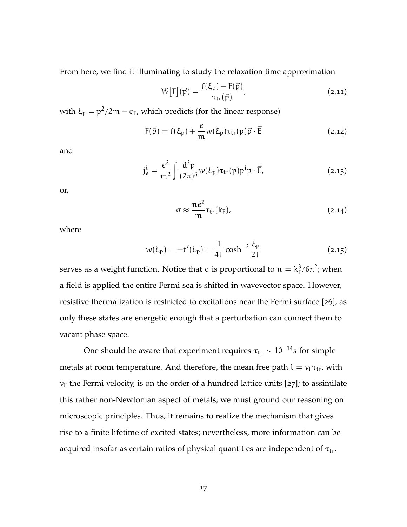From here, we find it illuminating to study the relaxation time approximation

$$
W[F](\vec{p}) = \frac{f(\xi_p) - F(\vec{p})}{\tau_{tr}(\vec{p})},
$$
\n(2.11)

with  $\xi_p = p^2/2m - \epsilon_F$ , which predicts (for the linear response)

$$
F(\vec{p}) = f(\xi_p) + \frac{e}{m} w(\xi_p) \tau_{tr}(p) \vec{p} \cdot \vec{E}
$$
 (2.12)

and

$$
j_e^i = \frac{e^2}{m^2} \int \frac{d^3 p}{(2\pi)^3} w(\xi_p) \tau_{tr}(p) p^i \vec{p} \cdot \vec{E}, \qquad (2.13)
$$

or,

$$
\sigma \approx \frac{ne^2}{m} \tau_{tr}(k_F), \qquad (2.14)
$$

where

$$
w(\xi_p) = -f'(\xi_p) = \frac{1}{4T} \cosh^{-2} \frac{\xi_p}{2T}
$$
 (2.15)

serves as a weight function. Notice that  $\sigma$  is proportional to  $\mathfrak{n} = \mathrm{k}_\mathrm{F}^3$  $\frac{3}{F}/6\pi^2$ ; when a field is applied the entire Fermi sea is shifted in wavevector space. However, resistive thermalization is restricted to excitations near the Fermi surface [[26](#page-167-9)], as only these states are energetic enough that a perturbation can connect them to vacant phase space.

One should be aware that experiment requires  $\tau_{\rm tr} \sim 10^{-14}$ s for simple metals at room temperature. And therefore, the mean free path  $l = v_F \tau_{tr}$ , with  $v_F$  the Fermi velocity, is on the order of a hundred lattice units [[27](#page-167-10)]; to assimilate this rather non-Newtonian aspect of metals, we must ground our reasoning on microscopic principles. Thus, it remains to realize the mechanism that gives rise to a finite lifetime of excited states; nevertheless, more information can be acquired insofar as certain ratios of physical quantities are independent of  $\tau_{tr}$ .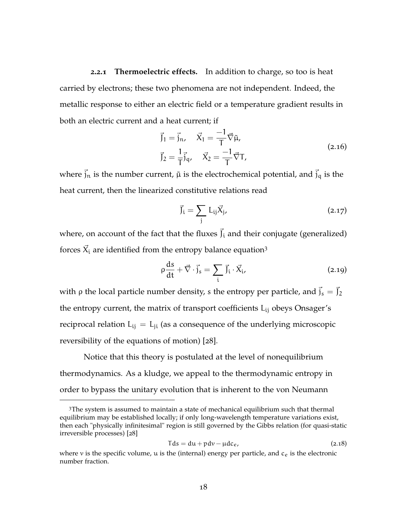<span id="page-30-0"></span>**2.2.1 Thermoelectric effects.** In addition to charge, so too is heat carried by electrons; these two phenomena are not independent. Indeed, the metallic response to either an electric field or a temperature gradient results in both an electric current and a heat current; if

$$
\vec{J}_1 = \vec{j}_n, \quad \vec{X}_1 = \frac{-1}{T} \vec{\nabla} \tilde{\mu}, \n\vec{J}_2 = \frac{1}{T} \vec{j}_q, \quad \vec{X}_2 = \frac{-1}{T} \vec{\nabla} T,
$$
\n(2.16)

where  $\vec{j}_n$  is the number current,  $\tilde{\mu}$  is the electrochemical potential, and  $\vec{j}_q$  is the heat current, then the linearized constitutive relations read

<span id="page-30-1"></span>
$$
\vec{J}_i = \sum_j L_{ij} \vec{X}_j, \qquad (2.17)
$$

where, on account of the fact that the fluxes  $\vec{J}_i$  and their conjugate (generalized) forces  $\vec{X}_i$  are identified from the entropy balance equation<sup>3</sup>

$$
\rho \frac{ds}{dt} + \vec{\nabla} \cdot \vec{j}_s = \sum_i \vec{j}_i \cdot \vec{X}_i, \qquad (2.19)
$$

with  $\rho$  the local particle number density, s the entropy per particle, and  $\vec{j}_s = \vec{j}_2$ the entropy current, the matrix of transport coefficients  $L_{ii}$  obeys Onsager's reciprocal relation  $L_{ij} = L_{ji}$  (as a consequence of the underlying microscopic reversibility of the equations of motion) [[28](#page-168-0)].

Notice that this theory is postulated at the level of nonequilibrium thermodynamics. As a kludge, we appeal to the thermodynamic entropy in order to bypass the unitary evolution that is inherent to the von Neumann

 $3$ The system is assumed to maintain a state of mechanical equilibrium such that thermal equilibrium may be established locally; if only long-wavelength temperature variations exist, then each "physically infinitesimal" region is still governed by the Gibbs relation (for quasi-static irreversible processes) [[28](#page-168-0)]

$$
Tds = du + p dv - \mu dc_e, \qquad (2.18)
$$

where  $v$  is the specific volume,  $u$  is the (internal) energy per particle, and  $c_e$  is the electronic number fraction.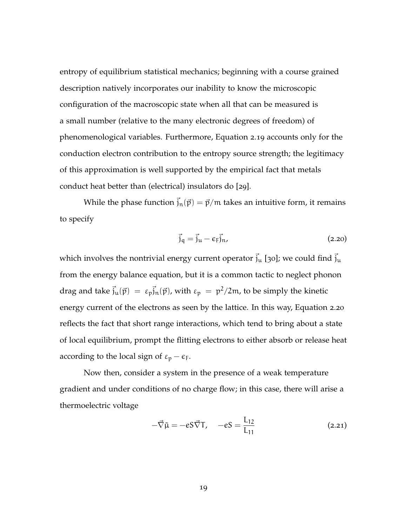entropy of equilibrium statistical mechanics; beginning with a course grained description natively incorporates our inability to know the microscopic configuration of the macroscopic state when all that can be measured is a small number (relative to the many electronic degrees of freedom) of phenomenological variables. Furthermore, [Equation](#page-30-1) 2.19 accounts only for the conduction electron contribution to the entropy source strength; the legitimacy of this approximation is well supported by the empirical fact that metals conduct heat better than (electrical) insulators do [[29](#page-168-1)].

<span id="page-31-0"></span>While the phase function  $\vec{j}_n(\vec{p}) = \vec{p}/m$  takes an intuitive form, it remains to specify

$$
\vec{j}_q = \vec{j}_u - \epsilon_F \vec{j}_n, \tag{2.20}
$$

which involves the nontrivial energy current operator  $\vec{j}_u$  [[30](#page-168-2)]; we could find  $\vec{j}_u$ from the energy balance equation, but it is a common tactic to neglect phonon drag and take  $\vec{j}_\text{u}(\vec{p}) = \varepsilon_\text{p} \vec{j}_\text{n}(\vec{p})$ , with  $\varepsilon_\text{p} = \frac{p^2}{2m}$ , to be simply the kinetic energy current of the electrons as seen by the lattice. In this way, [Equation](#page-31-0) 2.20 reflects the fact that short range interactions, which tend to bring about a state of local equilibrium, prompt the flitting electrons to either absorb or release heat according to the local sign of  $\varepsilon_p - \varepsilon_F$ .

Now then, consider a system in the presence of a weak temperature gradient and under conditions of no charge flow; in this case, there will arise a thermoelectric voltage

$$
-\vec{\nabla}\tilde{\mu} = -eS\vec{\nabla}T, \quad -eS = \frac{L_{12}}{L_{11}} \tag{2.21}
$$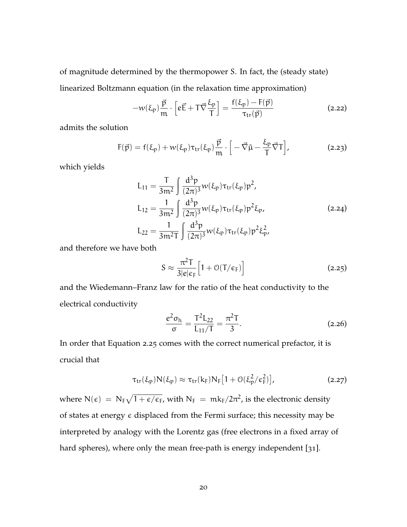of magnitude determined by the thermopower S. In fact, the (steady state) linearized Boltzmann equation (in the relaxation time approximation)

$$
-w(\xi_{\mathfrak{p}})\frac{\vec{p}}{m}\cdot\left[e\vec{E}+\mathsf{T}\vec{\nabla}\frac{\xi_{\mathfrak{p}}}{\mathsf{T}}\right]=\frac{f(\xi_{\mathfrak{p}})-F(\vec{p})}{\tau_{\mathrm{tr}}(\vec{p})}
$$
(2.22)

admits the solution

$$
F(\vec{p}) = f(\xi_p) + w(\xi_p)\tau_{tr}(\xi_p)\frac{\vec{p}}{m} \cdot \left[ -\vec{\nabla}\tilde{\mu} - \frac{\xi_p}{T}\vec{\nabla}T \right],
$$
 (2.23)

which yields

$$
L_{11} = \frac{T}{3m^2} \int \frac{d^3 p}{(2\pi)^3} w(\xi_p) \tau_{tr}(\xi_p) p^2,
$$
  
\n
$$
L_{12} = \frac{1}{3m^2} \int \frac{d^3 p}{(2\pi)^3} w(\xi_p) \tau_{tr}(\xi_p) p^2 \xi_p,
$$
  
\n
$$
L_{22} = \frac{1}{3m^2 T} \int \frac{d^3 p}{(2\pi)^3} w(\xi_p) \tau_{tr}(\xi_p) p^2 \xi_p^2,
$$
  
\n(2.24)

and therefore we have both

<span id="page-32-0"></span>
$$
S \approx \frac{\pi^2 T}{3|e|\epsilon_F} \Big[ 1 + \mathcal{O}(T/\epsilon_F) \Big] \tag{2.25}
$$

and the Wiedemann–Franz law for the ratio of the heat conductivity to the electrical conductivity

$$
\frac{e^2 \sigma_h}{\sigma} = \frac{T^2 L_{22}}{L_{11}/T} = \frac{\pi^2 T}{3}.
$$
 (2.26)

In order that [Equation](#page-32-0) 2.25 comes with the correct numerical prefactor, it is crucial that

$$
\tau_{tr}(\xi_p) N(\xi_p) \approx \tau_{tr}(k_F) N_F [1 + \mathcal{O}(\xi_p^2/\epsilon_F^2)], \qquad (2.27)
$$

where  $N(\epsilon)~=~N_F \sqrt{1+\epsilon/\epsilon_F}$ , with  $N_F~=~m k_F /2\pi^2$ , is the electronic density of states at energy  $\epsilon$  displaced from the Fermi surface; this necessity may be interpreted by analogy with the Lorentz gas (free electrons in a fixed array of hard spheres), where only the mean free-path is energy independent [[31](#page-168-3)].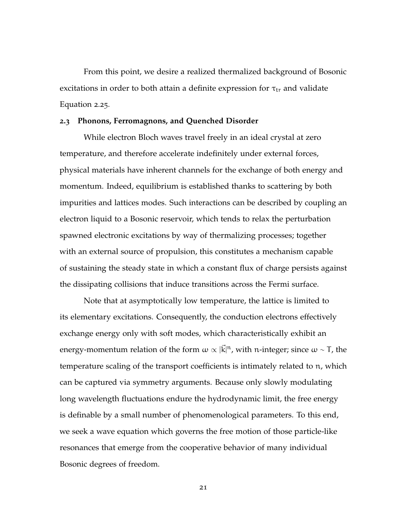From this point, we desire a realized thermalized background of Bosonic excitations in order to both attain a definite expression for  $\tau_{tr}$  and validate [Equation](#page-32-0) 2.25.

### <span id="page-33-0"></span>**2.3 Phonons, Ferromagnons, and Quenched Disorder**

While electron Bloch waves travel freely in an ideal crystal at zero temperature, and therefore accelerate indefinitely under external forces, physical materials have inherent channels for the exchange of both energy and momentum. Indeed, equilibrium is established thanks to scattering by both impurities and lattices modes. Such interactions can be described by coupling an electron liquid to a Bosonic reservoir, which tends to relax the perturbation spawned electronic excitations by way of thermalizing processes; together with an external source of propulsion, this constitutes a mechanism capable of sustaining the steady state in which a constant flux of charge persists against the dissipating collisions that induce transitions across the Fermi surface.

Note that at asymptotically low temperature, the lattice is limited to its elementary excitations. Consequently, the conduction electrons effectively exchange energy only with soft modes, which characteristically exhibit an energy-momentum relation of the form  $\omega \propto |\vec{k}|^n$ , with n-integer; since  $\omega \sim$  T, the temperature scaling of the transport coefficients is intimately related to n, which can be captured via symmetry arguments. Because only slowly modulating long wavelength fluctuations endure the hydrodynamic limit, the free energy is definable by a small number of phenomenological parameters. To this end, we seek a wave equation which governs the free motion of those particle-like resonances that emerge from the cooperative behavior of many individual Bosonic degrees of freedom.

21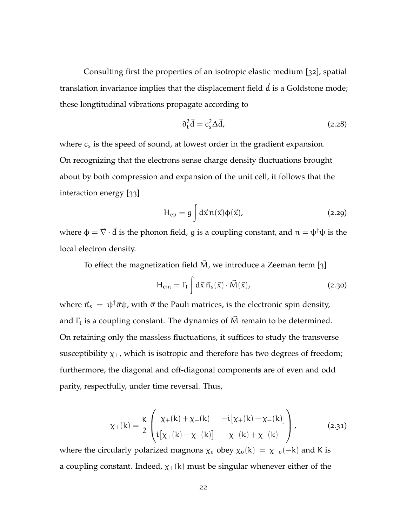Consulting first the properties of an isotropic elastic medium [[32](#page-168-4)], spatial translation invariance implies that the displacement field  $\vec{d}$  is a Goldstone mode; these longtitudinal vibrations propagate according to

$$
\partial_t^2 \vec{d} = c_s^2 \Delta \vec{d},\tag{2.28}
$$

where  $c_s$  is the speed of sound, at lowest order in the gradient expansion. On recognizing that the electrons sense charge density fluctuations brought about by both compression and expansion of the unit cell, it follows that the interaction energy [[33](#page-168-5)]

$$
H_{ep} = g \int d\vec{x} \, n(\vec{x}) \Phi(\vec{x}), \qquad (2.29)
$$

where  $\phi = \vec{\nabla} \cdot \vec{d}$  is the phonon field, g is a coupling constant, and  $n = \psi^{\dagger} \psi$  is the local electron density.

To effect the magnetization field  $\vec{M}$ , we introduce a Zeeman term [[3](#page-165-2)]

$$
H_{em} = \Gamma_t \int d\vec{x} \,\vec{n}_s(\vec{x}) \cdot \vec{M}(\vec{x}), \qquad (2.30)
$$

where  $\vec{n}_s = \psi^{\dagger} \vec{\sigma} \psi$ , with  $\vec{\sigma}$  the Pauli matrices, is the electronic spin density, and  $\Gamma_t$  is a coupling constant. The dynamics of  $\vec{M}$  remain to be determined. On retaining only the massless fluctuations, it suffices to study the transverse susceptibility  $\chi_{\perp}$ , which is isotropic and therefore has two degrees of freedom; furthermore, the diagonal and off-diagonal components are of even and odd parity, respectfully, under time reversal. Thus,

$$
\chi_{\perp}(k) = \frac{K}{2} \begin{pmatrix} \chi_{+}(k) + \chi_{-}(k) & -i[\chi_{+}(k) - \chi_{-}(k)] \\ i[\chi_{+}(k) - \chi_{-}(k)] & \chi_{+}(k) + \chi_{-}(k) \end{pmatrix},
$$
(2.31)

where the circularly polarized magnons  $\chi_{\sigma}$  obey  $\chi_{\sigma}(k) = \chi_{-\sigma}(-k)$  and K is a coupling constant. Indeed,  $\chi_{\perp}(k)$  must be singular whenever either of the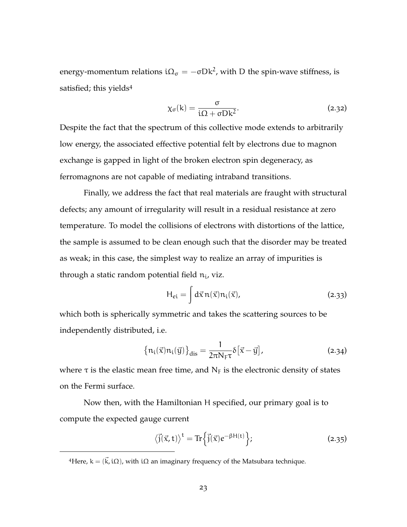energy-momentum relations  ${\rm i} \Omega_{\sigma} = - \sigma {\rm D} {\rm k}^{2}$ , with D the spin-wave stiffness, is satisfied; this yields<sup>4</sup>

$$
\chi_{\sigma}(k) = \frac{\sigma}{i\Omega + \sigma Dk^2}.
$$
 (2.32)

Despite the fact that the spectrum of this collective mode extends to arbitrarily low energy, the associated effective potential felt by electrons due to magnon exchange is gapped in light of the broken electron spin degeneracy, as ferromagnons are not capable of mediating intraband transitions.

Finally, we address the fact that real materials are fraught with structural defects; any amount of irregularity will result in a residual resistance at zero temperature. To model the collisions of electrons with distortions of the lattice, the sample is assumed to be clean enough such that the disorder may be treated as weak; in this case, the simplest way to realize an array of impurities is through a static random potential field  $n_i$ , viz.

$$
H_{ei} = \int d\vec{x} \, n(\vec{x}) n_i(\vec{x}), \qquad (2.33)
$$

which both is spherically symmetric and takes the scattering sources to be independently distributed, i.e.

$$
\{n_i(\vec{x})n_i(\vec{y})\}_{dis} = \frac{1}{2\pi N_F \tau} \delta[\vec{x} - \vec{y}], \qquad (2.34)
$$

where  $\tau$  is the elastic mean free time, and  $N_F$  is the electronic density of states on the Fermi surface.

Now then, with the Hamiltonian H specified, our primary goal is to compute the expected gauge current

$$
\langle \vec{j}(\vec{x},t) \rangle^{t} = \text{Tr} \left\{ \vec{j}(\vec{x}) e^{-\beta H(t)} \right\};
$$
\n(2.35)

<sup>&</sup>lt;sup>4</sup>Here,  $k = (k\vec{k}, i\Omega)$ , with iΩ an imaginary frequency of the Matsubara technique.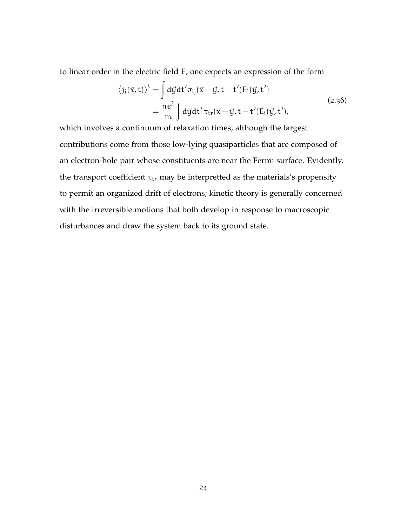to linear order in the electric field E, one expects an expression of the form

<sup>n</sup>

$$
\langle j_i(\vec{x}, t) \rangle^t = \int d\vec{y} dt' \sigma_{ij} (\vec{x} - \vec{y}, t - t') E^j(\vec{y}, t')
$$
  
= 
$$
\frac{ne^2}{m} \int d\vec{y} dt' \tau_{tr} (\vec{x} - \vec{y}, t - t') E_i(\vec{y}, t'),
$$
 (2.36)

which involves a continuum of relaxation times, although the largest contributions come from those low-lying quasiparticles that are composed of an electron-hole pair whose constituents are near the Fermi surface. Evidently, the transport coefficient  $\tau_{tr}$  may be interpretted as the materials's propensity to permit an organized drift of electrons; kinetic theory is generally concerned with the irreversible motions that both develop in response to macroscopic disturbances and draw the system back to its ground state.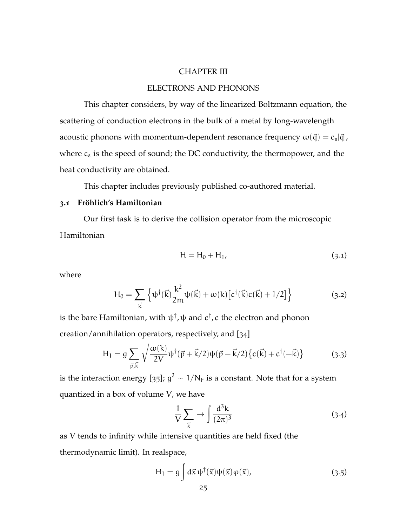### CHAPTER III

## ELECTRONS AND PHONONS

This chapter considers, by way of the linearized Boltzmann equation, the scattering of conduction electrons in the bulk of a metal by long-wavelength acoustic phonons with momentum-dependent resonance frequency  $\omega(\vec{q}) = c_s|\vec{q}|$ , where  $c_s$  is the speed of sound; the DC conductivity, the thermopower, and the heat conductivity are obtained.

This chapter includes previously published co-authored material.

## **3.1 Fröhlich's Hamiltonian**

Our first task is to derive the collision operator from the microscopic Hamiltonian

$$
H = H_0 + H_1,\tag{3.1}
$$

where

$$
H_0 = \sum_{\vec{k}} \left\{ \psi^{\dagger}(\vec{k}) \frac{k^2}{2m} \psi(\vec{k}) + \omega(k) \left[ c^{\dagger}(\vec{k}) c(\vec{k}) + 1/2 \right] \right\}
$$
(3.2)

is the bare Hamiltonian, with  $\psi^\dagger$ ,  $\psi$  and  $c^\dagger$ ,  $c$  the electron and phonon creation/annihilation operators, respectively, and [[34](#page-168-0)]

$$
H_1 = g \sum_{\vec{p}, \vec{k}} \sqrt{\frac{\omega(k)}{2V}} \psi^{\dagger} (\vec{p} + \vec{k}/2) \psi(\vec{p} - \vec{k}/2) \{c(\vec{k}) + c^{\dagger}(-\vec{k})\}
$$
(3.3)

is the interaction energy [[35](#page-168-1)];  $g^2 \sim 1/N_F$  is a constant. Note that for a system quantized in a box of volume V, we have

$$
\frac{1}{V} \sum_{\vec{k}} \rightarrow \int \frac{d^3k}{(2\pi)^3} \tag{3.4}
$$

as V tends to infinity while intensive quantities are held fixed (the thermodynamic limit). In realspace,

$$
H_1 = g \int d\vec{x} \, \psi^\dagger(\vec{x}) \psi(\vec{x}) \varphi(\vec{x}), \qquad (3.5)
$$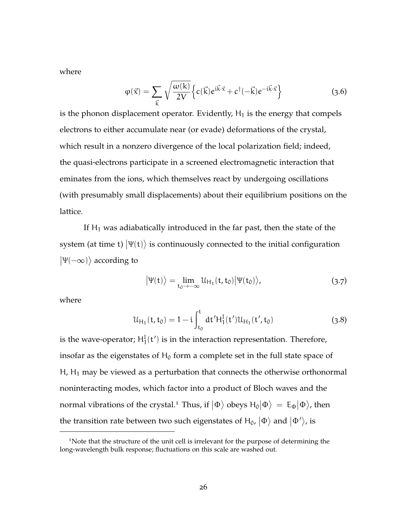where

$$
\varphi(\vec{x}) = \sum_{\vec{k}} \sqrt{\frac{\omega(k)}{2V}} \left\{ c(\vec{k}) e^{i\vec{k}\cdot\vec{x}} + c^{\dagger}(-\vec{k}) e^{-i\vec{k}\cdot\vec{x}} \right\}
$$
(3.6)

is the phonon displacement operator. Evidently,  $H_1$  is the energy that compels electrons to either accumulate near (or evade) deformations of the crystal, which result in a nonzero divergence of the local polarization field; indeed, the quasi-electrons participate in a screened electromagnetic interaction that eminates from the ions, which themselves react by undergoing oscillations (with presumably small displacements) about their equilibrium positions on the lattice.

If  $H_1$  was adiabatically introduced in the far past, then the state of the system (at time t)  $\ket{\Psi(\text{t})}$  is continuously connected to the initial configuration  $|\Psi(-\infty)\rangle$  according to

$$
\left|\Psi(t)\right\rangle = \lim_{t_0 \to -\infty} \mathcal{U}_{H_1}(t, t_0) \left|\Psi(t_0)\right\rangle, \tag{3.7}
$$

where

$$
\mathcal{U}_{H_1}(t, t_0) = 1 - i \int_{t_0}^t dt' H_1^I(t') \mathcal{U}_{H_1}(t', t_0)
$$
\n(3.8)

is the wave-operator;  $H_1^I(t')$  is in the interaction representation. Therefore, insofar as the eigenstates of  $H_0$  form a complete set in the full state space of  $H$ ,  $H_1$  may be viewed as a perturbation that connects the otherwise orthonormal noninteracting modes, which factor into a product of Bloch waves and the normal vibrations of the crystal.<sup>1</sup> Thus, if  $|\Phi\rangle$  obeys  $H_0|\Phi\rangle = E_{\Phi}|\Phi\rangle$ , then the transition rate between two such eigenstates of  ${\sf H}_0$ ,  $|\Phi\rangle$  and  $|\Phi'\rangle$ , is

<sup>&</sup>lt;sup>1</sup>Note that the structure of the unit cell is irrelevant for the purpose of determining the long-wavelength bulk response; fluctuations on this scale are washed out.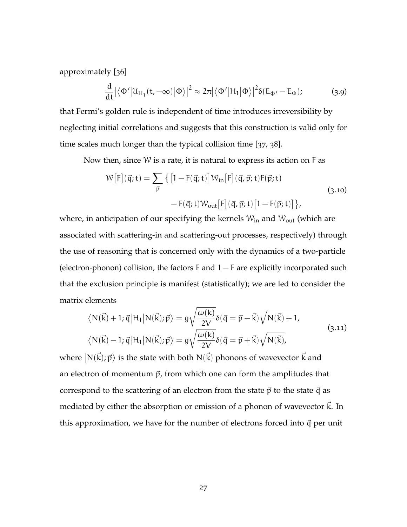approximately [[36](#page-168-2)]

$$
\frac{d}{dt} \left| \left\langle \Phi' \middle| \mathcal{U}_{H_1}(t, -\infty) \middle| \Phi \right\rangle \right|^2 \approx 2\pi \left| \left\langle \Phi' \middle| H_1 \middle| \Phi \right\rangle \right|^2 \delta(E_{\Phi'} - E_{\Phi});\tag{3.9}
$$

that Fermi's golden rule is independent of time introduces irreversibility by neglecting initial correlations and suggests that this construction is valid only for time scales much longer than the typical collision time [[37](#page-168-3), [38](#page-168-4)].

Now then, since  $W$  is a rate, it is natural to express its action on  $F$  as

$$
\mathcal{W}\big[F\big](\vec{q};t) = \sum_{\vec{p}} \left\{ \left[ 1 - F(\vec{q};t) \right] \mathcal{W}_{in} \big[F\big](\vec{q}, \vec{p};t) F(\vec{p};t) - F(\vec{q};t) \mathcal{W}_{out} \big[F\big](\vec{q}, \vec{p};t) \big[ 1 - F(\vec{p};t) \big] \right\},\tag{3.10}
$$

where, in anticipation of our specifying the kernels  $W_{in}$  and  $W_{out}$  (which are associated with scattering-in and scattering-out processes, respectively) through the use of reasoning that is concerned only with the dynamics of a two-particle (electron-phonon) collision, the factors  $F$  and  $1-F$  are explicitly incorporated such that the exclusion principle is manifest (statistically); we are led to consider the matrix elements

$$
\langle N(\vec{k})+1; \vec{q}|H_1|N(\vec{k}); \vec{p}\rangle = g\sqrt{\frac{\omega(k)}{2V}}\delta(\vec{q} = \vec{p} - \vec{k})\sqrt{N(\vec{k})+1},
$$
  

$$
\langle N(\vec{k})-1; \vec{q}|H_1|N(\vec{k}); \vec{p}\rangle = g\sqrt{\frac{\omega(k)}{2V}}\delta(\vec{q} = \vec{p} + \vec{k})\sqrt{N(\vec{k})},
$$
\n(3.11)

where  $\big|{\mathsf N}(\vec{\mathsf k});\vec{\mathsf p} \big\rangle$  is the state with both  ${\mathsf N}(\vec{\mathsf k})$  phonons of wavevector  $\vec{\mathsf k}$  and an electron of momentum  $\vec{p}$ , from which one can form the amplitudes that correspond to the scattering of an electron from the state  $\vec{p}$  to the state  $\vec{q}$  as mediated by either the absorption or emission of a phonon of wavevector  $\hat{k}$ . In this approximation, we have for the number of electrons forced into  $\vec{q}$  per unit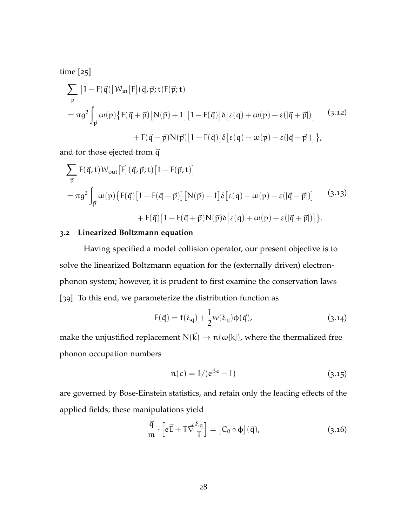time [[25](#page-167-0)]

$$
\sum_{\vec{p}} [1 - F(\vec{q})] \mathcal{W}_{in}[F](\vec{q}, \vec{p}; t) F(\vec{p}; t)
$$
  
=  $\pi g^2 \int_{\vec{p}} \omega(p) \{ F(\vec{q} + \vec{p}) [N(\vec{p}) + 1] [1 - F(\vec{q})] \delta [\epsilon(q) + \omega(p) - \epsilon(|\vec{q} + \vec{p}|)]$  (3.12)  
+  $F(\vec{q} - \vec{p}) N(\vec{p}) [1 - F(\vec{q})] \delta [\epsilon(q) - \omega(p) - \epsilon(|\vec{q} - \vec{p}|)] \},$ 

and for those ejected from  $\vec{q}$ 

$$
\sum_{\vec{p}} F(\vec{q}; t) W_{out}[F](\vec{q}, \vec{p}; t) [1 - F(\vec{p}; t)]
$$
  
=  $\pi g^2 \int_{\vec{p}} \omega(p) \{ F(\vec{q}) [1 - F(\vec{q} - \vec{p})] [N(\vec{p}) + 1] \delta [\epsilon(q) - \omega(p) - \epsilon(|\vec{q} - \vec{p}|)]$  (3.13)  
+  $F(\vec{q}) [1 - F(\vec{q} + \vec{p}) N(\vec{p}) \delta [\epsilon(q) + \omega(p) - \epsilon(|\vec{q} + \vec{p}|)] \}.$ 

### **3.2 Linearized Boltzmann equation**

Having specified a model collision operator, our present objective is to solve the linearized Boltzmann equation for the (externally driven) electronphonon system; however, it is prudent to first examine the conservation laws [[39](#page-169-0)]. To this end, we parameterize the distribution function as

$$
F(\vec{q}) = f(\xi_q) + \frac{1}{2}w(\xi_q)\varphi(\vec{q}),
$$
\n(3.14)

make the unjustified replacement  $N(\vec{k}) \rightarrow n(\omega[k])$ , where the thermalized free phonon occupation numbers

$$
n(\epsilon) = 1/(e^{\beta \epsilon} - 1) \tag{3.15}
$$

are governed by Bose-Einstein statistics, and retain only the leading effects of the applied fields; these manipulations yield

$$
\frac{\vec{q}}{m} \cdot \left[ e\vec{E} + T\vec{\nabla} \frac{\xi_q}{T} \right] = \left[ C_0 \circ \phi \right](\vec{q}), \tag{3.16}
$$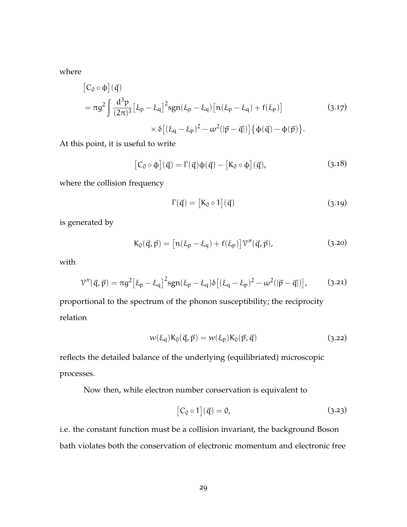where

$$
\begin{aligned} \left[C_0 \circ \phi\right](\vec{q}) \\ &= \pi g^2 \int \frac{d^3 p}{(2\pi)^3} \left[\xi_p - \xi_q\right]^2 \text{sgn}(\xi_p - \xi_q) \left[n(\xi_p - \xi_q) + f(\xi_p)\right] \\ &\quad \times \delta \left[(\xi_q - \xi_p)^2 - \omega^2(|\vec{p} - \vec{q}|)\right] \{\phi(\vec{q}) - \phi(\vec{p})\} . \end{aligned} \tag{3.17}
$$

At this point, it is useful to write

$$
[C_0 \circ \phi](\vec{q}) = \Gamma(\vec{q})\phi(\vec{q}) - [K_0 \circ \phi](\vec{q}), \qquad (3.18)
$$

where the collision frequency

$$
\Gamma(\vec{q}) = [K_0 \circ 1](\vec{q}) \tag{3.19}
$$

is generated by

$$
K_0(\vec{q}, \vec{p}) = \left[ n(\xi_p - \xi_q) + f(\xi_p) \right] \mathcal{V}''(\vec{q}, \vec{p}), \tag{3.20}
$$

with

$$
\mathcal{V}''(\vec{\mathbf{q}}, \vec{\mathbf{p}}) = \pi g^2 \left[\xi_p - \xi_q\right]^2 \text{sgn}(\xi_p - \xi_q) \delta \left[(\xi_q - \xi_p)^2 - \omega^2(|\vec{p} - \vec{q}|)\right],\tag{3.21}
$$

proportional to the spectrum of the phonon susceptibility; the reciprocity relation

$$
w(\xi_q)K_0(\vec{q}, \vec{p}) = w(\xi_p)K_0(\vec{p}, \vec{q})
$$
\n(3.22)

reflects the detailed balance of the underlying (equilibriated) microscopic processes.

Now then, while electron number conservation is equivalent to

$$
[C_0 \circ 1](\vec{q}) = 0,\t\t(3.23)
$$

i.e. the constant function must be a collision invariant, the background Boson bath violates both the conservation of electronic momentum and electronic free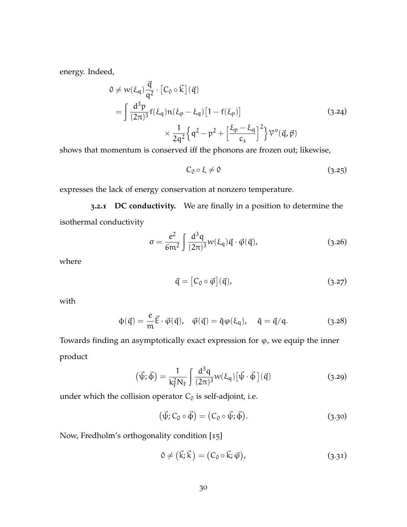energy. Indeed,

$$
0 \neq w(\xi_q) \frac{\vec{q}}{q^2} \cdot [C_0 \circ \vec{k}] (\vec{q})
$$
  
= 
$$
\int \frac{d^3 p}{(2\pi)^3} f(\xi_q) n(\xi_p - \xi_q) [1 - f(\xi_p)]
$$
  

$$
\times \frac{1}{2q^2} \left\{ q^2 - p^2 + \left[ \frac{\xi_p - \xi_q}{c_s} \right]^2 \right\} \mathcal{V}''(\vec{q}, \vec{p})
$$
(3.24)

shows that momentum is conserved iff the phonons are frozen out; likewise,

$$
C_0 \circ \xi \neq 0 \tag{3.25}
$$

expresses the lack of energy conservation at nonzero temperature.

**3.2.1 DC conductivity.** We are finally in a position to determine the isothermal conductivity

$$
\sigma = \frac{e^2}{6m^2} \int \frac{d^3q}{(2\pi)^3} w(\xi_q) \vec{q} \cdot \vec{\varphi}(\vec{q}), \qquad (3.26)
$$

<span id="page-42-0"></span>where

$$
\vec{q} = [C_0 \circ \vec{\varphi}](\vec{q}), \qquad (3.27)
$$

with

$$
\varphi(\vec{q}) = \frac{e}{m}\vec{E}\cdot\vec{\varphi}(\vec{q}), \quad \vec{\varphi}(\vec{q}) = \hat{q}\varphi(\xi_q), \quad \hat{q} = \vec{q}/q. \tag{3.28}
$$

Towards finding an asymptotically exact expression for  $\varphi$ , we equip the inner product

$$
(\vec{\psi}; \vec{\phi}) = \frac{1}{k_F^2 N_F} \int \frac{d^3 q}{(2\pi)^3} w(\xi_q) [\vec{\psi} \cdot \vec{\phi}] (\vec{q})
$$
 (3.29)

under which the collision operator  $C_0$  is self-adjoint, i.e.

<span id="page-42-1"></span>
$$
(\vec{\psi}; C_0 \circ \vec{\phi}) = (C_0 \circ \vec{\psi}; \vec{\phi}). \tag{3.30}
$$

Now, Fredholm's orthogonality condition [[15](#page-166-0)]

$$
0 \neq (\vec{k}; \vec{k}) = (C_0 \circ \vec{k}; \vec{\varphi}), \tag{3.31}
$$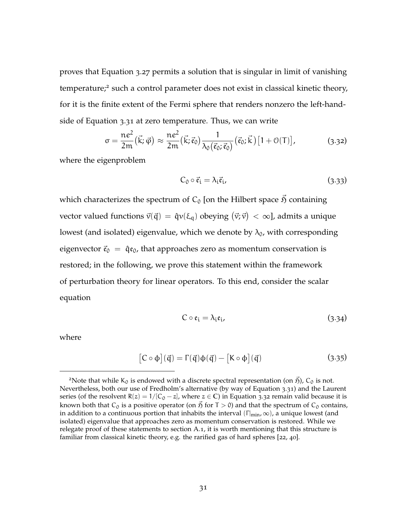proves that [Equation](#page-42-0) 3.27 permits a solution that is singular in limit of vanishing temperature;<sup>2</sup> such a control parameter does not exist in classical kinetic theory, for it is the finite extent of the Fermi sphere that renders nonzero the left-handside of [Equation](#page-42-1) 3.31 at zero temperature. Thus, we can write

$$
\sigma = \frac{ne^2}{2m}(\vec{k}; \vec{\varphi}) \approx \frac{ne^2}{2m}(\vec{k}; \vec{\varepsilon}_0) \frac{1}{\lambda_0(\vec{\varepsilon}_0; \vec{\varepsilon}_0)} (\vec{\varepsilon}_0; \vec{k}) [1 + \mathcal{O}(T)], \qquad (3.32)
$$

where the eigenproblem

<span id="page-43-0"></span>
$$
C_0 \circ \vec{\mathfrak{e}}_i = \lambda_i \vec{\mathfrak{e}}_i, \tag{3.33}
$$

which characterizes the spectrum of  $C_0$  [on the Hilbert space  $\tilde{D}$  containing vector valued functions  $\vec{v}(\vec{q}) = \hat{q}v(\xi_q)$  obeying  $(\vec{v}; \vec{v}) < \infty$ ], admits a unique lowest (and isolated) eigenvalue, which we denote by  $\lambda_0$ , with corresponding eigenvector  $\vec{\mathbf{e}}_0 = \hat{\mathbf{q}} \mathbf{e}_0$ , that approaches zero as momentum conservation is restored; in the following, we prove this statement within the framework of perturbation theory for linear operators. To this end, consider the scalar equation

$$
C \circ \mathfrak{e}_i = \lambda_i \mathfrak{e}_i, \tag{3.34}
$$

where

$$
[C \circ \varphi](\vec{q}) = \Gamma(\vec{q})\varphi(\vec{q}) - [K \circ \varphi](\vec{q}) \qquad (3.35)
$$

<sup>&</sup>lt;sup>2</sup>Note that while K<sub>0</sub> is endowed with a discrete spectral representation (on  $\vec{r}$ ), C<sub>0</sub> is not. Nevertheless, both our use of Fredholm's alternative (by way of [Equation](#page-42-1) 3.31) and the Laurent series (of the resolvent  $R(z) = 1/[C_0 - z]$ , where  $z \in \mathbb{C}$ ) in [Equation](#page-43-0) 3.32 remain valid because it is known both that C<sub>0</sub> is a positive operator (on  $\vec{p}$  for T > 0) and that the spectrum of C<sub>0</sub> contains, in addition to a continuous portion that inhabits the interval  $(\Gamma_{min}, \infty)$ , a unique lowest (and isolated) eigenvalue that approaches zero as momentum conservation is restored. While we relegate proof of these statements to [section A.](#page-14-0)1, it is worth mentioning that this structure is familiar from classical kinetic theory, e.g. the rarified gas of hard spheres [[22](#page-167-1), [40](#page-169-1)].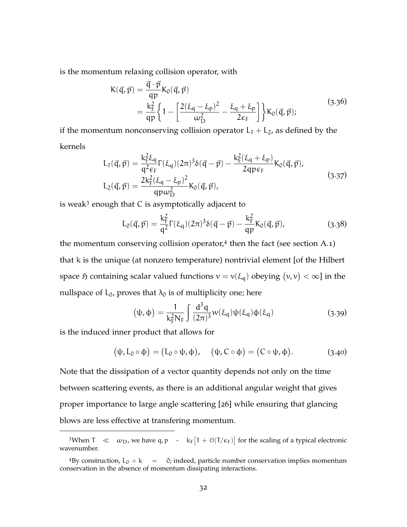is the momentum relaxing collision operator, with

$$
K(\vec{q}, \vec{p}) = \frac{\vec{q} \cdot \vec{p}}{qp} K_0(\vec{q}, \vec{p})
$$
  
= 
$$
\frac{k_F^2}{qp} \left\{ 1 - \left[ \frac{2(\xi_q - \xi_p)^2}{\omega_D^2} - \frac{\xi_q + \xi_p}{2\varepsilon_F} \right] \right\} K_0(\vec{q}, \vec{p});
$$
(3.36)

if the momentum nonconserving collision operator  $L_1 + L_2$ , as defined by the kernels

$$
L_{1}(\vec{q}, \vec{p}) = \frac{k_{F}^{2} \xi_{q}}{q^{2} \epsilon_{F}} \Gamma(\xi_{q}) (2\pi)^{3} \delta(\vec{q} - \vec{p}) - \frac{k_{F}^{2}(\xi_{q} + \xi_{p})}{2q p \epsilon_{F}} K_{0}(\vec{q}, \vec{p}),
$$
  
\n
$$
L_{2}(\vec{q}, \vec{p}) = \frac{2k_{F}^{2}(\xi_{q} - \xi_{p})^{2}}{qp \omega_{D}^{2}} K_{0}(\vec{q}, \vec{p}),
$$
\n(3.37)

is weak<sup>3</sup> enough that C is asymptotically adjacent to

$$
L_0(\vec{q}, \vec{p}) = \frac{k_F^2}{q^2} \Gamma(\xi_q) (2\pi)^3 \delta(\vec{q} - \vec{p}) - \frac{k_F^2}{qp} K_0(\vec{q}, \vec{p}), \tag{3.38}
$$

the momentum conserving collision operator,<sup>4</sup> then the fact (see [section A.](#page-14-0)1) that k is the unique (at nonzero temperature) nontrivial element [of the Hilbert space  $\mathfrak H$  containing scalar valued functions  $v = v(\xi_{\mathfrak q})$  obeying  $(v, v) < \infty$ ] in the nullspace of  $L_0$ , proves that  $\lambda_0$  is of multiplicity one; here

$$
(\psi, \phi) = \frac{1}{k_F^2 N_F} \int \frac{d^3 q}{(2\pi)^3} w(\xi_q) \psi(\xi_q) \phi(\xi_q)
$$
 (3.39)

is the induced inner product that allows for

$$
(\psi, L_0 \circ \phi) = (L_0 \circ \psi, \phi), \quad (\psi, C \circ \phi) = (C \circ \psi, \phi).
$$
 (3.40)

Note that the dissipation of a vector quantity depends not only on the time between scattering events, as there is an additional angular weight that gives proper importance to large angle scattering [[26](#page-167-2)] while ensuring that glancing blows are less effective at transfering momentum.

<sup>&</sup>lt;sup>3</sup>When T  $\ll \omega_D$ , we have q, p  $\sim k_F[1 + O(T/\epsilon_F)]$  for the scaling of a typical electronic wavenumber.

<sup>&</sup>lt;sup>4</sup>By construction,  $L_0 \circ k = 0$ ; indeed, particle number conservation implies momentum conservation in the absence of momentum dissipating interactions.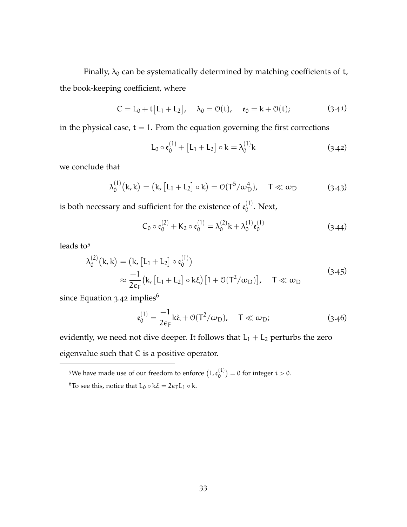Finally,  $\lambda_0$  can be systematically determined by matching coefficients of t, the book-keeping coefficient, where

$$
C = L_0 + t[L_1 + L_2], \quad \lambda_0 = \mathcal{O}(t), \quad \mathfrak{e}_0 = k + \mathcal{O}(t); \tag{3.41}
$$

in the physical case,  $t = 1$ . From the equation governing the first corrections

<span id="page-45-0"></span>
$$
L_0 \circ \mathfrak{e}_0^{(1)} + [L_1 + L_2] \circ k = \lambda_0^{(1)}k
$$
 (3.42)

we conclude that

$$
\lambda_0^{(1)}(k,k) = (k, [L_1 + L_2] \circ k) = O(T^5 / \omega_D^4), \quad T \ll \omega_D \tag{3.43}
$$

is both necessary and sufficient for the existence of  $\mathfrak{e}_0^{(1)}$  $\int_0^{17}$ . Next,

$$
C_0 \circ \mathfrak{e}_0^{(2)} + K_2 \circ \mathfrak{e}_0^{(1)} = \lambda_0^{(2)} k + \lambda_0^{(1)} \mathfrak{e}_0^{(1)}
$$
(3.44)

leads to<sup>5</sup>

$$
\lambda_0^{(2)}(\mathbf{k}, \mathbf{k}) = (\mathbf{k}, [\mathbf{L}_1 + \mathbf{L}_2] \circ \mathfrak{e}_0^{(1)})
$$
  
\n
$$
\approx \frac{-1}{2\varepsilon_F} (\mathbf{k}, [\mathbf{L}_1 + \mathbf{L}_2] \circ \mathbf{k}\xi) [1 + \mathcal{O}(T^2/\omega_D)], \quad T \ll \omega_D
$$
\n(3.45)

since [Equation](#page-45-0) 3.42 implies $^6$ 

$$
\mathfrak{e}_0^{(1)} = \frac{-1}{2\varepsilon_F} k\xi + \mathcal{O}(T^2/\omega_D), \quad T \ll \omega_D; \tag{3.46}
$$

evidently, we need not dive deeper. It follows that  $L_1 + L_2$  perturbs the zero eigenvalue such that C is a positive operator.

<sup>5</sup>We have made use of our freedom to enforce  $(1, \mathfrak{e}_0^{(i)})$  $\binom{1}{0}$  = 0 for integer i > 0.

 $^6\mathrm{To}$  see this, notice that  $L_0\circ k\xi=2\varepsilon_{\text{F}}L_1\circ k.$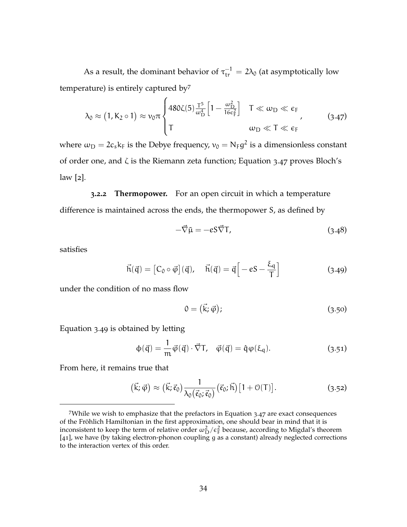As a result, the dominant behavior of  $\tau_{tr}^{-1} = 2\lambda_0$  (at asymptotically low temperature) is entirely captured by<sup>7</sup>

<span id="page-46-0"></span>
$$
\lambda_0 \approx (1, K_2 \circ 1) \approx \nu_0 \pi \begin{cases} 480 \zeta(5) \frac{T^5}{\omega_D^4} \left[ 1 - \frac{\omega_D^2}{16 \epsilon_F^2} \right] & T \ll \omega_D \ll \epsilon_F \\ T & \omega_D \ll T \ll \epsilon_F \end{cases}
$$
 (3.47)

where  $\omega_{\rm D} = 2 c_s \rm k_F$  is the Debye frequency,  $v_0 = N_{\rm F} g^2$  is a dimensionless constant of order one, and ζ is the Riemann zeta function; [Equation](#page-46-0) 3.47 proves Bloch's law [[2](#page-165-0)].

**3.2.2 Thermopower.** For an open circuit in which a temperature difference is maintained across the ends, the thermopower S, as defined by

$$
-\vec{\nabla}\tilde{\mu} = -eS\vec{\nabla}T,\tag{3.48}
$$

<span id="page-46-1"></span>satisfies

$$
\vec{h}(\vec{q}) = [C_0 \circ \vec{\varphi}](\vec{q}), \quad \vec{h}(\vec{q}) = \vec{q} \left[ -eS - \frac{\xi_q}{T} \right]
$$
(3.49)

under the condition of no mass flow

$$
0 = (\vec{k}; \vec{\varphi}); \tag{3.50}
$$

[Equation](#page-46-1) 3.49 is obtained by letting

$$
\Phi(\vec{q}) = \frac{1}{m}\vec{\varphi}(\vec{q}) \cdot \vec{\nabla} T, \quad \vec{\varphi}(\vec{q}) = \hat{q}\varphi(\xi_q). \tag{3.51}
$$

From here, it remains true that

$$
(\vec{k}; \vec{\varphi}) \approx (\vec{k}; \vec{\varepsilon}_0) \frac{1}{\lambda_0(\vec{\varepsilon}_0; \vec{\varepsilon}_0)} (\vec{\varepsilon}_0; \vec{h}) [1 + \mathcal{O}(T)]. \tag{3.52}
$$

<sup>7</sup>While we wish to emphasize that the prefactors in [Equation](#page-46-0) 3.47 are exact consequences of the Fröhlich Hamiltonian in the first approximation, one should bear in mind that it is inconsistent to keep the term of relative order  $\omega_{\rm D}^2/\epsilon_{\rm F}^2$  because, according to Migdal's theorem [[41](#page-169-2)], we have (by taking electron-phonon coupling g as a constant) already neglected corrections to the interaction vertex of this order.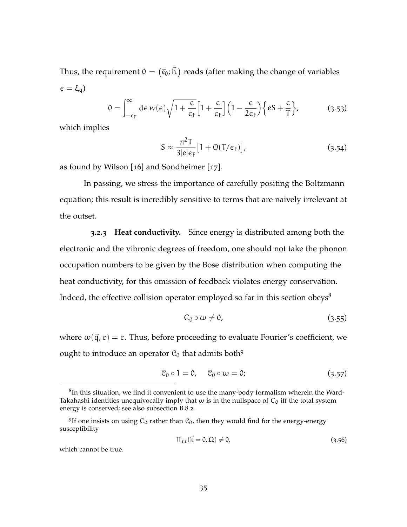Thus, the requirement  $0 = \left( \vec{\mathfrak e}_0; \vec{\mathfrak h} \, \right)$  reads (after making the change of variables  $\epsilon = \xi_{q}$ )

$$
0 = \int_{-\epsilon_{\rm F}}^{\infty} d\epsilon \, w(\epsilon) \sqrt{1 + \frac{\epsilon}{\epsilon_{\rm F}}} \Big[ 1 + \frac{\epsilon}{\epsilon_{\rm F}} \Big] \Big( 1 - \frac{\epsilon}{2\epsilon_{\rm F}} \Big) \Big\{ eS + \frac{\epsilon}{\rm T} \Big\},\tag{3.53}
$$

which implies

$$
S \approx \frac{\pi^2 T}{3|e|\epsilon_F} [1 + \mathcal{O}(T/\epsilon_F)], \qquad (3.54)
$$

as found by Wilson [[16](#page-166-1)] and Sondheimer [[17](#page-167-3)].

In passing, we stress the importance of carefully positing the Boltzmann equation; this result is incredibly sensitive to terms that are naively irrelevant at the outset.

**3.2.3 Heat conductivity.** Since energy is distributed among both the electronic and the vibronic degrees of freedom, one should not take the phonon occupation numbers to be given by the Bose distribution when computing the heat conductivity, for this omission of feedback violates energy conservation. Indeed, the effective collision operator employed so far in this section obeys<sup>8</sup>

<span id="page-47-0"></span>
$$
C_0 \circ \omega \neq 0, \tag{3.55}
$$

where  $\omega(\vec{q}, \epsilon) = \epsilon$ . Thus, before proceeding to evaluate Fourier's coefficient, we ought to introduce an operator  $C_0$  that admits both<sup>9</sup>

$$
\mathcal{C}_0 \circ 1 = 0, \quad \mathcal{C}_0 \circ \omega = 0; \tag{3.57}
$$

<sup>9</sup>If one insists on using  $C_0$  rather than  $C_0$ , then they would find for the energy-energy susceptibility

$$
\Pi_{\varepsilon\,\varepsilon}(\vec{k}=0,\Omega)\neq0,\tag{3.56}
$$

which cannot be true.

 ${}^{8}$ In this situation, we find it convenient to use the many-body formalism wherein the Ward-Takahashi identities unequivocally imply that  $\omega$  is in the nullspace of  $C_0$  iff the total system energy is conserved; see also [subsection B.](#page-161-0)8.2.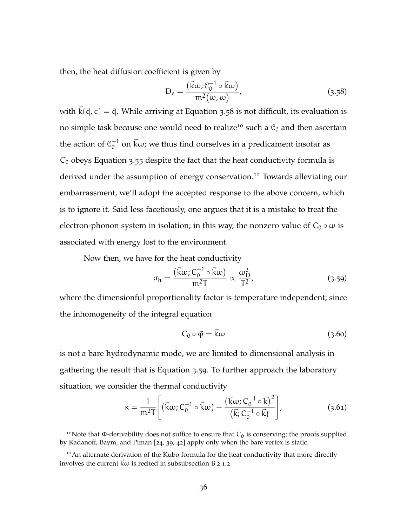then, the heat diffusion coefficient is given by

<span id="page-48-0"></span>
$$
D_{\varepsilon} = \frac{(\vec{k}\omega; \mathcal{C}_0^{-1} \circ \vec{k}\omega)}{m^2(\omega, \omega)},
$$
\n(3.58)

with  $\vec{k}(\vec{q}, \epsilon) = \vec{q}$ . While arriving at [Equation](#page-48-0) 3.58 is not difficult, its evaluation is no simple task because one would need to realize<sup>10</sup> such a  $C_0$  and then ascertain the action of  $\mathcal{C}_0^{-1}$  $^{-1}_{0}$  on  $\vec{k}\omega$ ; we thus find ourselves in a predicament insofar as  $C_0$  obeys [Equation](#page-47-0) 3.55 despite the fact that the heat conductivity formula is derived under the assumption of energy conservation.<sup>11</sup> Towards alleviating our embarrassment, we'll adopt the accepted response to the above concern, which is to ignore it. Said less facetiously, one argues that it is a mistake to treat the electron-phonon system in isolation; in this way, the nonzero value of  $C_0 \circ \omega$  is associated with energy lost to the environment.

Now then, we have for the heat conductivity

<span id="page-48-1"></span>
$$
\sigma_{\rm h} = \frac{(\vec{k}\omega; C_0^{-1} \circ \vec{k}\omega)}{m^2 T} \propto \frac{\omega_{\rm D}^2}{T^2},\tag{3.59}
$$

where the dimensionful proportionality factor is temperature independent; since the inhomogeneity of the integral equation

<span id="page-48-2"></span>
$$
C_0 \circ \vec{\varphi} = \vec{k}\omega \tag{3.60}
$$

is not a bare hydrodynamic mode, we are limited to dimensional analysis in gathering the result that is [Equation](#page-48-1) 3.59. To further approach the laboratory situation, we consider the thermal conductivity

$$
\kappa = \frac{1}{m^2 T} \left[ \left( \vec{k}\omega; C_0^{-1} \circ \vec{k}\omega \right) - \frac{\left( \vec{k}\omega; C_0^{-1} \circ \vec{k} \right)^2}{\left( \vec{k}; C_0^{-1} \circ \vec{k} \right)} \right],\tag{3.61}
$$

<sup>&</sup>lt;sup>10</sup>Note that Φ-derivability does not suffice to ensure that  $C_0$  is conserving; the proofs supplied by Kadanoff, Baym, and Piman [[24](#page-167-4), [39](#page-169-0), [42](#page-169-3)] apply only when the bare vertex is static.

 $11$ An alternate derivation of the Kubo formula for the heat conductivity that more directly involves the current  $\vec{k}\omega$  is recited in [subsubsection B.](#page-117-0)2.1.2.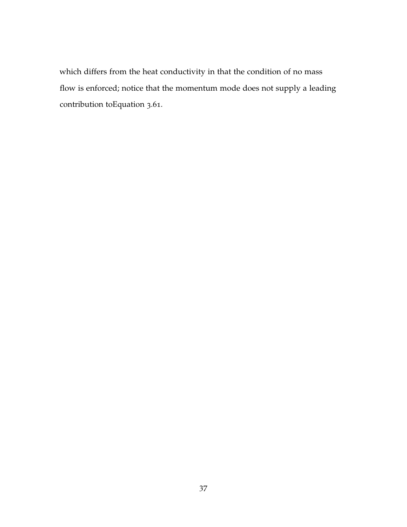which differs from the heat conductivity in that the condition of no mass flow is enforced; notice that the momentum mode does not supply a leading contribution t[oEquation](#page-48-2) 3.61.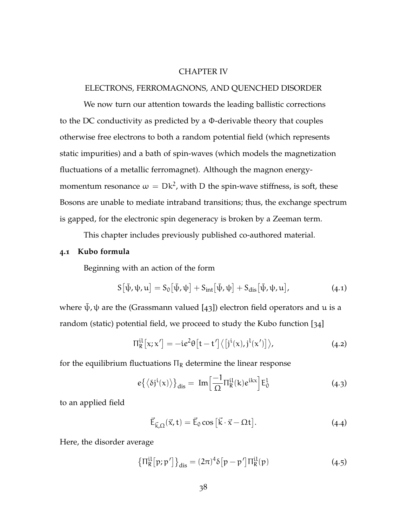### CHAPTER IV

## ELECTRONS, FERROMAGNONS, AND QUENCHED DISORDER

We now turn our attention towards the leading ballistic corrections to the DC conductivity as predicted by a Φ-derivable theory that couples otherwise free electrons to both a random potential field (which represents static impurities) and a bath of spin-waves (which models the magnetization fluctuations of a metallic ferromagnet). Although the magnon energymomentum resonance  $\omega = Dk^2$ , with D the spin-wave stiffness, is soft, these Bosons are unable to mediate intraband transitions; thus, the exchange spectrum is gapped, for the electronic spin degeneracy is broken by a Zeeman term.

This chapter includes previously published co-authored material.

### **4.1 Kubo formula**

Beginning with an action of the form

$$
S[\bar{\psi}, \psi, u] = S_0[\bar{\psi}, \psi] + S_{int}[\bar{\psi}, \psi] + S_{dis}[\bar{\psi}, \psi, u], \qquad (4.1)
$$

where  $\bar{\psi}$ ,  $\psi$  are the (Grassmann valued [[43](#page-169-4)]) electron field operators and u is a random (static) potential field, we proceed to study the Kubo function [[34](#page-168-0)]

$$
\Pi_R^{\rm il}[x;x'] = -ie^2\theta[t-t']\langle [j^{\rm i}(x),j^{\rm l}(x')]\rangle, \qquad (4.2)
$$

for the equilibrium fluctuations  $\Pi_R$  determine the linear response

$$
e\{\langle \delta j^{i}(x)\rangle\}_{dis} = Im\Big[\frac{-1}{\Omega}\Pi_{R}^{il}(k)e^{ikx}\Big]E_{0}^{l}
$$
 (4.3)

to an applied field

$$
\vec{\mathsf{E}}_{\vec{\mathsf{k}},\Omega}(\vec{x},t) = \vec{\mathsf{E}}_0 \cos\left[\vec{\mathsf{k}}\cdot\vec{x} - \Omega t\right].\tag{4.4}
$$

Here, the disorder average

$$
\left\{\Pi_{\mathsf{R}}^{\text{il}}[p;p']\right\}_{\text{dis}} = (2\pi)^4 \delta[p-p'] \Pi_{\mathsf{R}}^{\text{il}}(p) \tag{4.5}
$$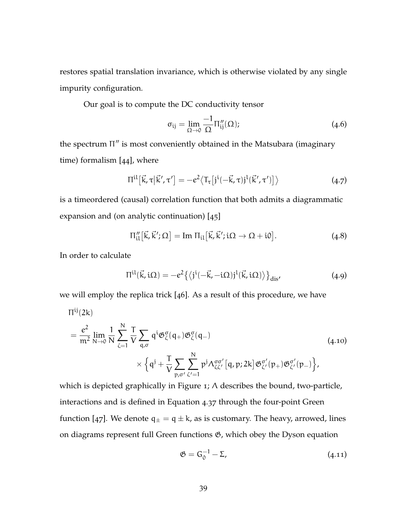restores spatial translation invariance, which is otherwise violated by any single impurity configuration.

Our goal is to compute the DC conductivity tensor

$$
\sigma_{ij} = \lim_{\Omega \to 0} \frac{-1}{\Omega} \Pi''_{ij}(\Omega); \tag{4.6}
$$

the spectrum Π" is most conveniently obtained in the Matsubara (imaginary time) formalism [[44](#page-169-5)], where

$$
\Pi^{il} \left[ \vec{k}, \tau \middle| \vec{k}', \tau' \right] = -e^2 \langle T_{\tau} \left[ j^i(-\vec{k}, \tau) j^l(\vec{k}', \tau') \right] \rangle \tag{4.7}
$$

is a timeordered (causal) correlation function that both admits a diagrammatic expansion and (on analytic continuation) [[45](#page-169-6)]

$$
\Pi_{\mathfrak{U}}''[\vec{k}, \vec{k}'; \Omega] = \text{Im } \Pi_{\mathfrak{U}}[\vec{k}, \vec{k}'; \mathfrak{U} \to \Omega + \mathfrak{U}]. \tag{4.8}
$$

In order to calculate

<span id="page-51-0"></span>
$$
\Pi^{il}(\vec{k}, i\Omega) = -e^2 \{ \langle j^i(-\vec{k}, -i\Omega)j^l(\vec{k}, i\Omega) \rangle \}_{dis'}
$$
 (4.9)

we will employ the replica trick [[46](#page-169-7)]. As a result of this procedure, we have

$$
\Pi^{ij}(2k) = \frac{e^2}{m^2} \lim_{N \to 0} \frac{1}{N} \sum_{\zeta=1}^N \frac{T}{V} \sum_{q,\sigma} q^i \mathfrak{G}^{\sigma}_{\zeta}(q_+) \mathfrak{G}^{\sigma}_{\zeta}(q_-) \times \left\{ q^j + \frac{T}{V} \sum_{p,\sigma'} \sum_{\zeta'=1}^N p^j \Lambda^{\sigma\sigma'}_{\zeta\zeta'}[q,p;2k] \mathfrak{G}^{\sigma'}_{\zeta'}(p_+) \mathfrak{G}^{\sigma'}_{\zeta'}(p_-) \right\},
$$
\n(4.10)

which is depicted graphically in [Figure](#page-52-0) 1; Λ describes the bound, two-particle, interactions and is defined in [Equation](#page-58-0) 4.37 through the four-point Green function [[47](#page-169-8)]. We denote  $q_{\pm} = q \pm k$ , as is customary. The heavy, arrowed, lines on diagrams represent full Green functions  $\mathfrak{G}$ , which obey the Dyson equation

$$
\mathfrak{G} = \mathsf{G}_{0}^{-1} - \Sigma, \tag{4.11}
$$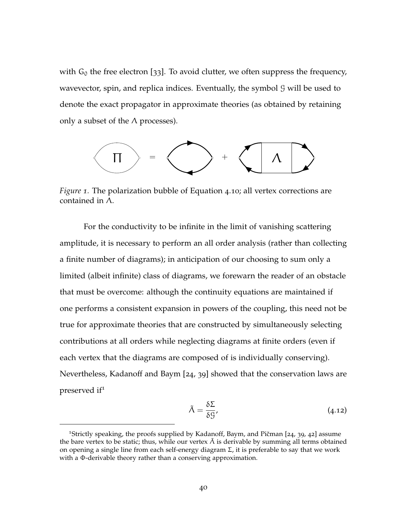with  $G_0$  the free electron [[33](#page-168-5)]. To avoid clutter, we often suppress the frequency, wavevector, spin, and replica indices. Eventually, the symbol  $\mathcal G$  will be used to denote the exact propagator in approximate theories (as obtained by retaining only a subset of the  $\Lambda$  processes).

<span id="page-52-0"></span>

*Figure 1.* The polarization bubble of [Equation](#page-51-0) 4.10; all vertex corrections are contained in Λ.

For the conductivity to be infinite in the limit of vanishing scattering amplitude, it is necessary to perform an all order analysis (rather than collecting a finite number of diagrams); in anticipation of our choosing to sum only a limited (albeit infinite) class of diagrams, we forewarn the reader of an obstacle that must be overcome: although the continuity equations are maintained if one performs a consistent expansion in powers of the coupling, this need not be true for approximate theories that are constructed by simultaneously selecting contributions at all orders while neglecting diagrams at finite orders (even if each vertex that the diagrams are composed of is individually conserving). Nevertheless, Kadanoff and Baym [[24](#page-167-4), [39](#page-169-0)] showed that the conservation laws are preserved if<sup>1</sup>

$$
\tilde{\Lambda} = \frac{\delta \Sigma}{\delta \mathcal{G}},\tag{4.12}
$$

<sup>&</sup>lt;sup>1</sup>Strictly speaking, the proofs supplied by Kadanoff, Baym, and Pičman  $[24, 39, 42]$  $[24, 39, 42]$  $[24, 39, 42]$  $[24, 39, 42]$  $[24, 39, 42]$  $[24, 39, 42]$  $[24, 39, 42]$  assume the bare vertex to be static; thus, while our vertex  $\tilde{\Lambda}$  is derivable by summing all terms obtained on opening a single line from each self-energy diagram Σ, it is preferable to say that we work with a Φ-derivable theory rather than a conserving approximation.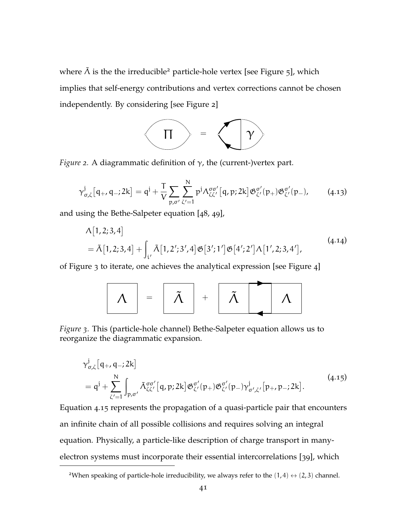<span id="page-53-0"></span>where  $\tilde{\Lambda}$  is the the irreducible<sup>2</sup> particle-hole vertex [see [Figure](#page-54-0) 5], which implies that self-energy contributions and vertex corrections cannot be chosen independently. By considering [see [Figure](#page-53-0) 2]



*Figure 2.* A diagrammatic definition of γ, the (current-)vertex part.

$$
\gamma_{\sigma,\zeta}^{j}[q_{+},q_{-};2k]=q^{j}+\frac{T}{V}\sum_{p,\sigma'}\sum_{\zeta'=1}^{N}p^{j}\Lambda_{\zeta\zeta'}^{\sigma\sigma'}[q,p;2k]\mathfrak{G}_{\zeta'}^{\sigma'}(p_{+})\mathfrak{G}_{\zeta'}^{\sigma'}(p_{-}), \qquad (4.13)
$$

and using the Bethe-Salpeter equation [[48](#page-169-9), [49](#page-169-10)],

$$
\Lambda[1,2;3,4]
$$
  
=  $\tilde{\Lambda}[1,2;3,4] + \int_{i'} \tilde{\Lambda}[1,2';3',4] \mathfrak{G}[3';1'] \mathfrak{G}[4';2'] \Lambda[1',2;3,4'],$  (4.14)

<span id="page-53-1"></span>of [Figure](#page-53-1) 3 to iterate, one achieves the analytical expression [see [Figure](#page-54-1) 4]

<span id="page-53-2"></span>
$$
\boxed{\Lambda} = \boxed{\tilde{\Lambda}} + \boxed{\tilde{\Lambda}} \boxed{\Lambda}
$$

*Figure 3.* This (particle-hole channel) Bethe-Salpeter equation allows us to reorganize the diagrammatic expansion.

$$
\gamma_{\sigma,\zeta}^{j}[q_{+},q_{-};2k] = q^{j} + \sum_{\zeta'=1}^{N} \int_{p,\sigma'} \tilde{\Lambda}_{\zeta\zeta'}^{\sigma\sigma'}[q,p;2k] \mathfrak{G}_{\zeta'}^{\sigma'}(p_{+}) \mathfrak{G}_{\zeta'}^{\sigma'}(p_{-}) \gamma_{\sigma',\zeta'}^{j}[p_{+},p_{-};2k].
$$
\n(4.15)

[Equation](#page-53-2) 4.15 represents the propagation of a quasi-particle pair that encounters an infinite chain of all possible collisions and requires solving an integral equation. Physically, a particle-like description of charge transport in manyelectron systems must incorporate their essential intercorrelations [[39](#page-169-0)], which

<sup>&</sup>lt;sup>2</sup>When speaking of particle-hole irreducibility, we always refer to the  $(1,4) \leftrightarrow (2,3)$  channel.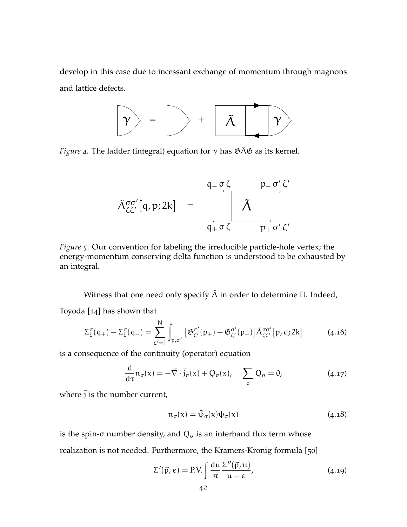<span id="page-54-1"></span>develop in this case due to incessant exchange of momentum through magnons and lattice defects.



<span id="page-54-0"></span>*Figure* 4. The ladder (integral) equation for  $\gamma$  has  $\mathfrak{GAB}$  as its kernel.

$$
\tilde{\Lambda}_{\zeta\zeta'}^{\sigma\sigma'}[q,p;2k] = \frac{q_{-\sigma}\zeta}{q_{+\sigma}\zeta} \frac{p_{-\sigma'}\zeta'}{\tilde{\Lambda}}
$$

*Figure 5.* Our convention for labeling the irreducible particle-hole vertex; the energy-momentum conserving delta function is understood to be exhausted by an integral.

Witness that one need only specify  $\tilde{\Lambda}$  in order to determine Π. Indeed, Toyoda [[14](#page-166-2)] has shown that

$$
\Sigma_{\zeta}^{\sigma}(q_{+}) - \Sigma_{\zeta}^{\sigma}(q_{-}) = \sum_{\zeta'=1}^{N} \int_{p,\sigma'} \left[ \mathfrak{G}_{\zeta'}^{\sigma'}(p_{+}) - \mathfrak{G}_{\zeta'}^{\sigma'}(p_{-}) \right] \tilde{\Lambda}_{\zeta\zeta'}^{\sigma\sigma'}[p,q;2k] \tag{4.16}
$$

is a consequence of the continuity (operator) equation

<span id="page-54-2"></span>
$$
\frac{d}{d\tau}n_{\sigma}(x) = -\vec{\nabla}\cdot\vec{j}_{\sigma}(x) + Q_{\sigma}(x), \quad \sum_{\sigma} Q_{\sigma} = 0,
$$
\n(4.17)

where  $\vec{j}$  is the number current,

$$
n_{\sigma}(x) = \bar{\psi}_{\sigma}(x)\psi_{\sigma}(x) \tag{4.18}
$$

is the spin-σ number density, and  $Q_σ$  is an interband flux term whose realization is not needed. Furthermore, the Kramers-Kronig formula [[50](#page-170-0)]

$$
\Sigma'(\vec{p}, \epsilon) = \text{P.V.} \int \frac{du}{\pi} \frac{\Sigma''(\vec{p}, u)}{u - \epsilon},
$$
\n(4.19)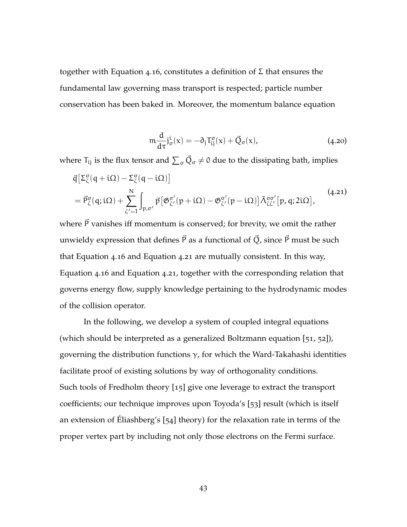together with [Equation](#page-54-2) 4.16, constitutes a definition of  $\Sigma$  that ensures the fundamental law governing mass transport is respected; particle number conservation has been baked in. Moreover, the momentum balance equation

<span id="page-55-0"></span>
$$
m\frac{d}{d\tau}\dot{J}_{\sigma}^{\iota}(x) = -\partial_{j}T_{ij}^{\sigma}(x) + \vec{Q}_{\sigma}(x), \qquad (4.20)
$$

where  ${\sf T}_{\mathfrak i j}$  is the flux tensor and  $\sum_\sigma \vec Q_\sigma \neq 0$  due to the dissipating bath, implies

$$
\begin{split} & \vec{q} \left[ \Sigma_{\zeta}^{\sigma} (q + i\Omega) - \Sigma_{\zeta}^{\sigma} (q - i\Omega) \right] \\ & = \vec{P}_{\zeta}^{\sigma} (q; i\Omega) + \sum_{\zeta'=1}^{N} \int_{p, \sigma'} \vec{p} \left[ \mathfrak{G}_{\zeta'}^{\sigma'} (p + i\Omega) - \mathfrak{G}_{\zeta'}^{\sigma'} (p - i\Omega) \right] \tilde{\Lambda}_{\zeta\zeta'}^{\sigma\sigma'} \left[ p, q; 2i\Omega \right], \end{split} \tag{4.21}
$$

where  $\vec{P}$  vanishes iff momentum is conserved; for brevity, we omit the rather unwieldy expression that defines  $\vec{P}$  as a functional of  $\vec{Q}$ , since  $\vec{P}$  must be such that [Equation](#page-54-2) 4.16 and [Equation](#page-55-0) 4.21 are mutually consistent. In this way, [Equation](#page-54-2) 4.16 and [Equation](#page-55-0) 4.21, together with the corresponding relation that governs energy flow, supply knowledge pertaining to the hydrodynamic modes of the collision operator.

In the following, we develop a system of coupled integral equations (which should be interpreted as a generalized Boltzmann equation [[51](#page-170-1), [52](#page-170-2)]), governing the distribution functions  $\gamma$ , for which the Ward-Takahashi identities facilitate proof of existing solutions by way of orthogonality conditions. Such tools of Fredholm theory [[15](#page-166-0)] give one leverage to extract the transport coefficients; our technique improves upon Toyoda's [[53](#page-170-3)] result (which is itself an extension of Éliashberg's [[54](#page-170-4)] theory) for the relaxation rate in terms of the proper vertex part by including not only those electrons on the Fermi surface.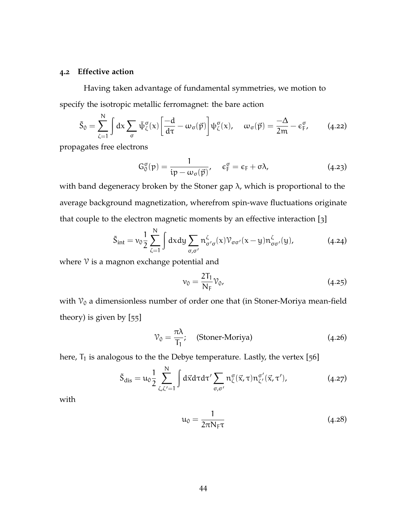### **4.2 Effective action**

Having taken advantage of fundamental symmetries, we motion to specify the isotropic metallic ferromagnet: the bare action

$$
\tilde{S}_0 = \sum_{\zeta=1}^N \int dx \sum_{\sigma} \bar{\psi}_{\zeta}^{\sigma}(x) \left[ \frac{-d}{d\tau} - \omega_{\sigma}(\vec{p}) \right] \psi_{\zeta}^{\sigma}(x), \quad \omega_{\sigma}(\vec{p}) = \frac{-\Delta}{2m} - \varepsilon_{\mathsf{F}}^{\sigma}, \tag{4.22}
$$

propagates free electrons

$$
G_0^{\sigma}(p) = \frac{1}{ip - \omega_{\sigma}(\vec{p})}, \quad \epsilon_{\rm F}^{\sigma} = \epsilon_{\rm F} + \sigma \lambda, \qquad (4.23)
$$

with band degeneracy broken by the Stoner gap  $\lambda$ , which is proportional to the average background magnetization, wherefrom spin-wave fluctuations originate that couple to the electron magnetic moments by an effective interaction [[3](#page-165-1)]

$$
\tilde{S}_{int} = \nu_0 \frac{1}{2} \sum_{\zeta=1}^{N} \int dx dy \sum_{\sigma,\sigma'} n^{\zeta}_{\sigma'\sigma}(x) \mathcal{V}_{\sigma\sigma'}(x-y) n^{\zeta}_{\sigma\sigma'}(y), \tag{4.24}
$$

where  $\nu$  is a magnon exchange potential and

$$
v_0 = \frac{2T_1}{N_F} V_0, \tag{4.25}
$$

with  $\mathcal{V}_0$  a dimensionless number of order one that (in Stoner-Moriya mean-field theory) is given by [[55](#page-170-5)]

$$
\mathcal{V}_0 = \frac{\pi \lambda}{T_1}; \quad \text{(Stoner-Moriya)} \tag{4.26}
$$

here,  $T_1$  is analogous to the the Debye temperature. Lastly, the vertex [[56](#page-170-6)]

$$
\tilde{S}_{dis} = u_0 \frac{1}{2} \sum_{\zeta, \zeta'=1}^{N} \int d\vec{x} d\tau d\tau' \sum_{\sigma, \sigma'} n_{\zeta}^{\sigma}(\vec{x}, \tau) n_{\zeta'}^{\sigma'}(\vec{x}, \tau'), \qquad (4.27)
$$

with

$$
u_0 = \frac{1}{2\pi N_F \tau} \tag{4.28}
$$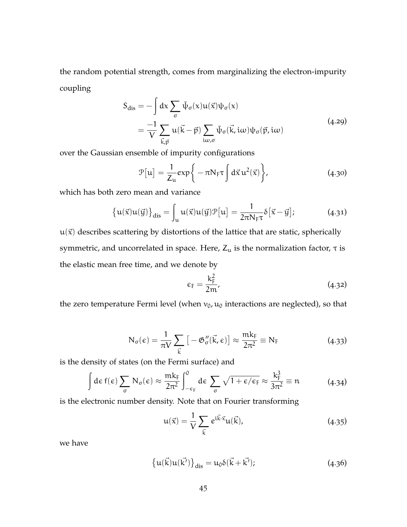the random potential strength, comes from marginalizing the electron-impurity coupling

$$
S_{dis} = -\int dx \sum_{\sigma} \bar{\psi}_{\sigma}(x) u(\vec{x}) \psi_{\sigma}(x)
$$
  
= 
$$
\frac{-1}{V} \sum_{\vec{k}, \vec{p}} u(\vec{k} - \vec{p}) \sum_{i\omega, \sigma} \bar{\psi}_{\sigma}(\vec{k}, i\omega) \psi_{\sigma}(\vec{p}, i\omega)
$$
(4.29)

over the Gaussian ensemble of impurity configurations

$$
\mathcal{P}[u] = \frac{1}{Z_u} \exp\left\{-\pi N_F \tau \int d\vec{x} u^2(\vec{x})\right\},\tag{4.30}
$$

which has both zero mean and variance

$$
\{u(\vec{x})u(\vec{y})\}_{dis} = \int_{u} u(\vec{x})u(\vec{y})\mathcal{P}[u] = \frac{1}{2\pi N_{F}\tau}\delta[\vec{x} - \vec{y}];
$$
 (4.31)

 $u(\vec{x})$  describes scattering by distortions of the lattice that are static, spherically symmetric, and uncorrelated in space. Here,  $Z_u$  is the normalization factor,  $\tau$  is the elastic mean free time, and we denote by

$$
\varepsilon_{\rm F} = \frac{k_{\rm F}^2}{2m},\tag{4.32}
$$

the zero temperature Fermi level (when  $v_0$ ,  $u_0$  interactions are neglected), so that

$$
N_{\sigma}(\epsilon) = \frac{1}{\pi V} \sum_{\vec{k}} \left[ -\mathfrak{G}_{\sigma}''(\vec{k}, \epsilon) \right] \approx \frac{mk_{F}}{2\pi^{2}} \equiv N_{F}
$$
(4.33)

is the density of states (on the Fermi surface) and

$$
\int d\epsilon f(\epsilon) \sum_{\sigma} N_{\sigma}(\epsilon) \approx \frac{mk_{F}}{2\pi^{2}} \int_{-\epsilon_{F}}^{0} d\epsilon \sum_{\sigma} \sqrt{1+\epsilon/\epsilon_{F}} \approx \frac{k_{F}^{3}}{3\pi^{2}} \equiv n \tag{4.34}
$$

is the electronic number density. Note that on Fourier transforming

$$
\mathfrak{u}(\vec{x}) = \frac{1}{V} \sum_{\vec{k}} e^{i\vec{k}\cdot\vec{x}} \mathfrak{u}(\vec{k}), \qquad (4.35)
$$

we have

$$
\{u(\vec{k})u(\vec{k'})\}_{dis} = u_0 \delta(\vec{k} + \vec{k'}); \tag{4.36}
$$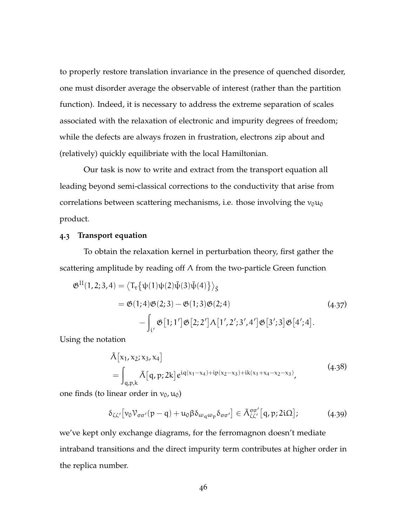to properly restore translation invariance in the presence of quenched disorder, one must disorder average the observable of interest (rather than the partition function). Indeed, it is necessary to address the extreme separation of scales associated with the relaxation of electronic and impurity degrees of freedom; while the defects are always frozen in frustration, electrons zip about and (relatively) quickly equilibriate with the local Hamiltonian.

Our task is now to write and extract from the transport equation all leading beyond semi-classical corrections to the conductivity that arise from correlations between scattering mechanisms, i.e. those involving the  $v_0u_0$ product.

### **4.3 Transport equation**

To obtain the relaxation kernel in perturbation theory, first gather the scattering amplitude by reading off Λ from the two-particle Green function

$$
\mathfrak{G}^{\text{II}}(1,2;3,4) = \left\langle \mathsf{T}_{\tau} \{ \psi(1) \psi(2) \bar{\psi}(3) \bar{\psi}(4) \} \right\rangle_{\tilde{S}}
$$
\n
$$
= \mathfrak{G}(1;4) \mathfrak{G}(2;3) - \mathfrak{G}(1;3) \mathfrak{G}(2;4)
$$
\n
$$
- \int_{\mathfrak{i}'} \mathfrak{G}[1;1'] \mathfrak{G}[2;2'] \Lambda[1',2';3',4'] \mathfrak{G}[3';3] \mathfrak{G}[4';4].
$$
\n(4.37)

Using the notation

<span id="page-58-1"></span><span id="page-58-0"></span>
$$
\tilde{\Lambda}[x_1, x_2; x_3, x_4] = \int_{q,p,k} \tilde{\Lambda}[q, p; 2k] e^{iq(x_1 - x_4) + ip(x_2 - x_3) + ik(x_1 + x_4 - x_2 - x_3)},
$$
\n(4.38)

one finds (to linear order in  $v_0$ ,  $u_0$ )

$$
\delta_{\zeta\zeta'}\big[\nu_0\mathcal{V}_{\sigma\sigma'}(p-q)+u_0\beta\delta_{\omega_q\omega_p}\delta_{\sigma\sigma'}\big]\in\tilde{\Lambda}_{\zeta\zeta'}^{\sigma\sigma'}\big[q,p;2i\Omega\big];\tag{4.39}
$$

we've kept only exchange diagrams, for the ferromagnon doesn't mediate intraband transitions and the direct impurity term contributes at higher order in the replica number.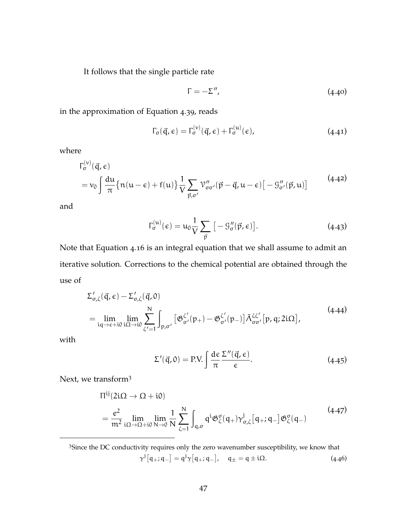It follows that the single particle rate

$$
\Gamma = -\Sigma'',\tag{4.40}
$$

in the approximation of [Equation](#page-58-1) 4.39, reads

$$
\Gamma_{\sigma}(\vec{q}, \epsilon) = \Gamma_{\sigma}^{(\nu)}(\vec{q}, \epsilon) + \Gamma_{\sigma}^{(\mu)}(\epsilon), \qquad (4.41)
$$

where

$$
\Gamma_{\sigma}^{(\nu)}(\vec{q}, \epsilon) = \nu_0 \int \frac{d\mu}{\pi} \{ n(u - \epsilon) + f(u) \} \frac{1}{V} \sum_{\vec{p}, \sigma'} \mathcal{V}''_{\sigma\sigma'}(\vec{p} - \vec{q}, u - \epsilon) [-\mathcal{G}''_{\sigma'}(\vec{p}, u)] \tag{4.42}
$$

and

$$
\Gamma_{\sigma}^{(u)}(\epsilon) = u_0 \frac{1}{V} \sum_{\vec{p}} \left[ -\mathcal{G}_{\sigma}''(\vec{p}, \epsilon) \right]. \tag{4.43}
$$

Note that [Equation](#page-54-2) 4.16 is an integral equation that we shall assume to admit an iterative solution. Corrections to the chemical potential are obtained through the use of

$$
\Sigma'_{\sigma,\zeta}(\vec{q},\epsilon) - \Sigma'_{\sigma,\zeta}(\vec{q},0)
$$
\n
$$
= \lim_{iq \to \epsilon + i0} \lim_{i\Omega \to i0} \sum_{\zeta'=1}^{N} \int_{p,\sigma'} \left[ \mathfrak{G}^{\zeta'}_{\sigma'}(p_{+}) - \mathfrak{G}^{\zeta'}_{\sigma'}(p_{-}) \right] \tilde{\Lambda}^{\zeta\zeta'}_{\sigma\sigma'}[p,q;2i\Omega],
$$
\n(4.44)

with

$$
\Sigma'(\vec{q},0) = \text{P.V.} \int \frac{\text{d}\epsilon}{\pi} \frac{\Sigma''(\vec{q},\epsilon)}{\epsilon}.
$$
 (4.45)

Next, we transform<sup>3</sup>

$$
\Pi^{ij}(2i\Omega \to \Omega + i0)
$$
\n
$$
= \frac{e^2}{m^2} \lim_{i\Omega \to \Omega + i0} \lim_{N \to 0} \frac{1}{N} \sum_{\zeta=1}^N \int_{q,\sigma} q^i \mathfrak{G}^{\sigma}_{\zeta}(q_+) \gamma^j_{\sigma,\zeta}[q_+; q_-] \mathfrak{G}^{\sigma}_{\zeta}(q_-) \tag{4.47}
$$

<sup>3</sup>Since the DC conductivity requires only the zero wavenumber susceptibility, we know that  $\gamma^{\dagger} [q_{+}; q_{-}] = q^{\dagger} \gamma [q_{+}; q_{-}], \quad q_{\pm} = q \pm i \Omega.$  (4.46)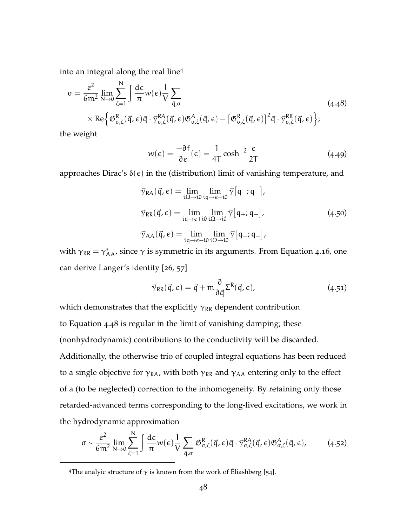into an integral along the real line<sup>4</sup>

$$
\sigma = \frac{e^2}{6m^2} \lim_{N \to 0} \sum_{\zeta=1}^{N} \int \frac{d\epsilon}{\pi} w(\epsilon) \frac{1}{V} \sum_{\vec{q}, \sigma}
$$
\n
$$
\times \text{Re} \Big\{ \mathfrak{G}_{\sigma, \zeta}^R(\vec{q}, \epsilon) \vec{q} \cdot \vec{\gamma}_{\sigma, \zeta}^{R\mathcal{A}}(\vec{q}, \epsilon) \mathfrak{G}_{\sigma, \zeta}^{\mathcal{A}}(\vec{q}, \epsilon) - \left[ \mathfrak{G}_{\sigma, \zeta}^R(\vec{q}, \epsilon) \right]^2 \vec{q} \cdot \vec{\gamma}_{\sigma, \zeta}^{R\mathcal{R}}(\vec{q}, \epsilon) \Big\};\tag{4.48}
$$

the weight

<span id="page-60-0"></span>
$$
w(\epsilon) = \frac{-\partial f}{\partial \epsilon}(\epsilon) = \frac{1}{4T} \cosh^{-2} \frac{\epsilon}{2T}
$$
 (4.49)

approaches Dirac's  $\delta(\epsilon)$  in the (distribution) limit of vanishing temperature, and

$$
\vec{\gamma}_{\text{RA}}(\vec{q}, \epsilon) = \lim_{i\Omega \to i0} \lim_{iq \to \epsilon + i0} \vec{\gamma} [q_{+}; q_{-}],
$$
\n
$$
\vec{\gamma}_{\text{RR}}(\vec{q}, \epsilon) = \lim_{iq \to \epsilon + i0} \lim_{i\Omega \to i0} \vec{\gamma} [q_{+}; q_{-}],
$$
\n
$$
\vec{\gamma}_{\text{AA}}(\vec{q}, \epsilon) = \lim_{iq \to \epsilon - i0} \lim_{i\Omega \to i0} \vec{\gamma} [q_{+}; q_{-}],
$$
\n(4.50)

with  $\gamma_{RR} = \gamma_{AA}^*$ , since  $\gamma$  is symmetric in its arguments. From [Equation](#page-54-2) 4.16, one can derive Langer's identity [[26](#page-167-2), [57](#page-170-7)]

$$
\vec{\gamma}_{RR}(\vec{q}, \epsilon) = \vec{q} + m \frac{\partial}{\partial \vec{q}} \Sigma^{R}(\vec{q}, \epsilon), \qquad (4.51)
$$

which demonstrates that the explicitly  $\gamma_{RR}$  dependent contribution to [Equation](#page-60-0) 4.48 is regular in the limit of vanishing damping; these (nonhydrodynamic) contributions to the conductivity will be discarded. Additionally, the otherwise trio of coupled integral equations has been reduced to a single objective for  $\gamma_{RA}$ , with both  $\gamma_{RR}$  and  $\gamma_{AA}$  entering only to the effect of a (to be neglected) correction to the inhomogeneity. By retaining only those retarded-advanced terms corresponding to the long-lived excitations, we work in the hydrodynamic approximation

$$
\sigma \sim \frac{e^2}{6m^2} \lim_{N \to 0} \sum_{\zeta=1}^N \int \frac{d\varepsilon}{\pi} w(\varepsilon) \frac{1}{V} \sum_{\vec{q}, \sigma} \mathfrak{G}^R_{\sigma, \zeta}(\vec{q}, \varepsilon) \vec{q} \cdot \vec{\gamma}^{RA}_{\sigma, \zeta}(\vec{q}, \varepsilon) \mathfrak{G}^A_{\sigma, \zeta}(\vec{q}, \varepsilon), \tag{4.52}
$$

<sup>&</sup>lt;sup>4</sup>The analyic structure of  $\gamma$  is known from the work of Éliashberg [[54](#page-170-4)].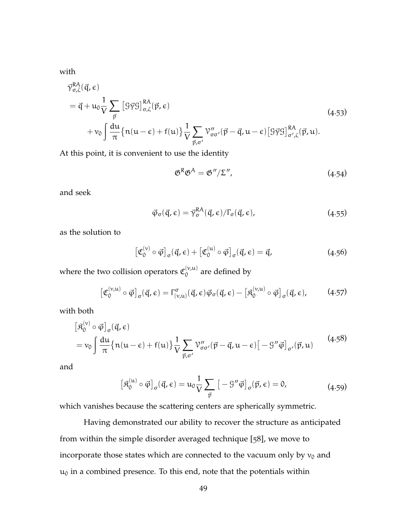with

$$
\vec{\gamma}^{RA}_{\sigma,\zeta}(\vec{q},\epsilon) \n= \vec{q} + u_0 \frac{1}{V} \sum_{\vec{p}} \left[ \mathcal{G}\vec{\gamma}\mathcal{G} \right]^{RA}_{\sigma,\zeta}(\vec{p},\epsilon) \n+ v_0 \int \frac{du}{\pi} \{ n(u-\epsilon) + f(u) \} \frac{1}{V} \sum_{\vec{p},\sigma'} \mathcal{V}''_{\sigma\sigma'}(\vec{p}-\vec{q},u-\epsilon) \left[ \mathcal{G}\vec{\gamma}\mathcal{G} \right]^{RA}_{\sigma',\zeta}(\vec{p},u).
$$
\n(4.53)

At this point, it is convenient to use the identity

$$
\mathfrak{G}^R \mathfrak{G}^A = \mathfrak{G}'' / \Sigma'', \qquad (4.54)
$$

and seek

$$
\vec{\varphi}_{\sigma}(\vec{q}, \epsilon) = \vec{\gamma}_{\sigma}^{RA}(\vec{q}, \epsilon) / \Gamma_{\sigma}(\vec{q}, \epsilon), \qquad (4.55)
$$

as the solution to

$$
\left[\mathfrak{C}_0^{(\nu)}\circ\vec{\varphi}\right]_{\sigma}(\vec{q},\epsilon) + \left[\mathfrak{C}_0^{(\mu)}\circ\vec{\varphi}\right]_{\sigma}(\vec{q},\epsilon) = \vec{q},\tag{4.56}
$$

where the two collision operators  $\mathfrak{C}_0^{(\nu,\mathfrak{u})}$  $\int_0^{(\nu,\mathbf{u})}$  are defined by

$$
\left[\mathfrak{C}_0^{(\nu,\mathfrak{u})}\circ\vec{\varphi}\right]_{\sigma}(\vec{q},\epsilon)=\Gamma_{(\nu,\mathfrak{u})}^{\sigma}(\vec{q},\epsilon)\vec{\varphi}_{\sigma}(\vec{q},\epsilon)-\left[\mathfrak{K}_0^{(\nu,\mathfrak{u})}\circ\vec{\varphi}\right]_{\sigma}(\vec{q},\epsilon),\qquad(4.57)
$$

with both

$$
\begin{aligned}\n\left[\mathfrak{K}_{0}^{(\nu)} \circ \vec{\varphi}\right]_{\sigma}(\vec{\mathfrak{q}}, \epsilon) \\
&= v_{0} \int \frac{d\mathfrak{u}}{\pi} \left\{ n(\mathfrak{u} - \epsilon) + f(\mathfrak{u}) \right\} \frac{1}{V} \sum_{\vec{p}, \sigma'} \mathcal{V}''_{\sigma\sigma'}(\vec{p} - \vec{\mathfrak{q}}, \mathfrak{u} - \epsilon) \left[ -\mathcal{G}'' \vec{\varphi} \right]_{\sigma'}(\vec{p}, \mathfrak{u})\n\end{aligned} \tag{4.58}
$$

and

$$
\left[\mathfrak{K}_0^{(\mathfrak{u})} \circ \vec{\varphi}\right]_{\sigma}(\vec{\mathfrak{q}}, \epsilon) = \mathfrak{u}_0 \frac{1}{V} \sum_{\vec{p}} \left[ -\mathfrak{G}'' \vec{\varphi} \right]_{\sigma}(\vec{p}, \epsilon) = 0, \tag{4.59}
$$

which vanishes because the scattering centers are spherically symmetric.

Having demonstrated our ability to recover the structure as anticipated from within the simple disorder averaged technique [[58](#page-170-8)], we move to incorporate those states which are connected to the vacuum only by  $v_0$  and  $u_0$  in a combined presence. To this end, note that the potentials within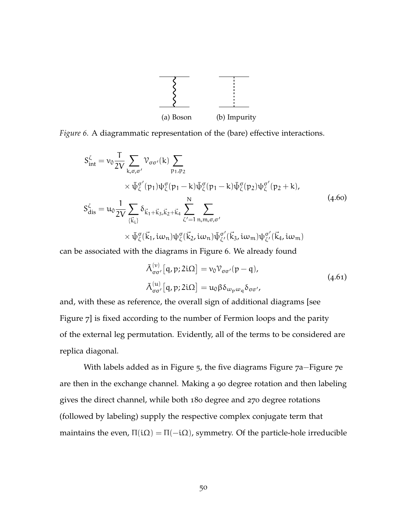

<span id="page-62-0"></span>*Figure 6.* A diagrammatic representation of the (bare) effective interactions.

$$
S_{int}^{\zeta} = v_0 \frac{T}{2V} \sum_{k,\sigma,\sigma'} \mathcal{V}_{\sigma\sigma'}(k) \sum_{p_1,p_2} \times \bar{\psi}_{\zeta}^{\sigma'}(p_1) \psi_{\zeta}^{\sigma}(p_1 - k) \bar{\psi}_{\zeta}^{\sigma}(p_1 - k) \bar{\psi}_{\zeta}^{\sigma}(p_2) \psi_{\zeta}^{\sigma'}(p_2 + k),
$$
  
\n
$$
S_{dis}^{\zeta} = u_0 \frac{1}{2V} \sum_{\{\vec{k}_1\}} \delta_{\vec{k}_1 + \vec{k}_3, \vec{k}_2 + \vec{k}_4} \sum_{\zeta'=1}^{N} \sum_{n,m,\sigma,\sigma'} \times \bar{\psi}_{\zeta}^{\sigma'}(\vec{k}_1, i\omega_n) \psi_{\zeta}^{\sigma'}(\vec{k}_2, i\omega_n) \bar{\psi}_{\zeta'}^{\sigma'}(\vec{k}_3, i\omega_m) \psi_{\zeta'}^{\sigma'}(\vec{k}_4, i\omega_m)
$$
\n(4.60)

can be associated with the diagrams in [Figure](#page-62-0) 6. We already found

$$
\tilde{\Lambda}_{\sigma\sigma'}^{(\nu)}[q,p;2i\Omega] = v_0 \mathcal{V}_{\sigma\sigma'}(p-q),
$$
\n
$$
\tilde{\Lambda}_{\sigma\sigma'}^{(\mu)}[q,p;2i\Omega] = u_0 \beta \delta_{\omega_p\omega_q} \delta_{\sigma\sigma'}
$$
\n(4.61)

and, with these as reference, the overall sign of additional diagrams [see [Figure](#page-63-0) 7] is fixed according to the number of Fermion loops and the parity of the external leg permutation. Evidently, all of the terms to be considered are replica diagonal.

With labels added as in [Figure](#page-54-0) 5, the five diagrams [Figure](#page-63-0) 7a−[Figure](#page-63-0) 7e are then in the exchange channel. Making a 90 degree rotation and then labeling gives the direct channel, while both 180 degree and 270 degree rotations (followed by labeling) supply the respective complex conjugate term that maintains the even,  $\Pi(i\Omega) = \Pi(-i\Omega)$ , symmetry. Of the particle-hole irreducible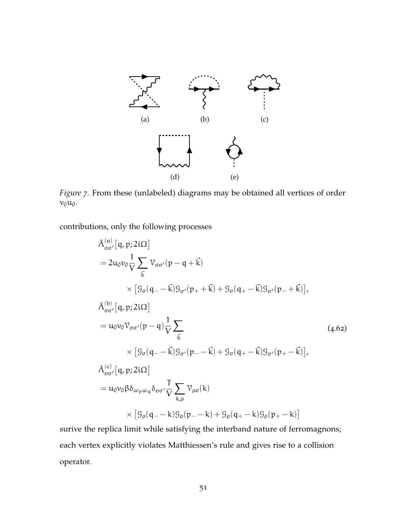<span id="page-63-0"></span>

*Figure 7.* From these (unlabeled) diagrams may be obtained all vertices of order  $v_0u_0$ .

contributions, only the following processes

<span id="page-63-1"></span>
$$
\tilde{\Lambda}_{\sigma\sigma'}^{(a)}[q,p;2i\Omega]
$$
\n
$$
= 2u_0v_0 \frac{1}{V} \sum_{\vec{k}} V_{\sigma\sigma'}(p-q+\vec{k})
$$
\n
$$
\times [9_{\sigma}(q_{-}-\vec{k})g_{\sigma'}(p_{+}+\vec{k})+9_{\sigma}(q_{+}-\vec{k})g_{\sigma'}(p_{-}+\vec{k})],
$$
\n
$$
\tilde{\Lambda}_{\sigma\sigma'}^{(b)}[q,p;2i\Omega]
$$
\n
$$
= u_0v_0 \mathcal{V}_{\sigma\sigma'}(p-q) \frac{1}{V} \sum_{\vec{k}} (4.62)
$$
\n
$$
\times [9_{\sigma}(q_{-}-\vec{k})g_{\sigma'}(p_{-}-\vec{k})+9_{\sigma}(q_{+}-\vec{k})g_{\sigma'}(p_{+}-\vec{k})],
$$
\n
$$
\tilde{\Lambda}_{\sigma\sigma'}^{(c)}[q,p;2i\Omega]
$$
\n
$$
= u_0v_0 \beta \delta_{\omega_p \omega_q} \delta_{\sigma\sigma'} \frac{T}{V} \sum_{k,p} \mathcal{V}_{\rho\sigma}(k)
$$
\n
$$
\times [9_{\rho}(q_{-}-k)g_{\rho}(p_{-}-k)+9_{\rho}(q_{+}-k)g_{\rho}(p_{+}-k)]
$$

surive the replica limit while satisfying the interband nature of ferromagnons; each vertex explicitly violates Matthiessen's rule and gives rise to a collision operator.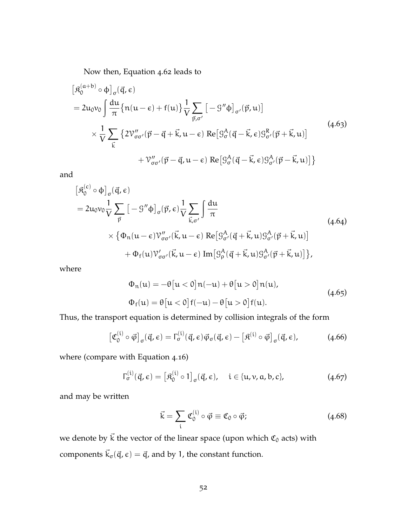Now then, [Equation](#page-63-1) 4.62 leads to

$$
\begin{split} \left[\mathfrak{K}_{0}^{(a+b)} \circ \varphi\right]_{\sigma}(\vec{q}, \epsilon) \\ &= 2\mathfrak{u}_{0}\mathfrak{v}_{0} \int \frac{\mathrm{d}\mathfrak{u}}{\pi} \left\{\mathfrak{n}(\mathfrak{u}-\epsilon)+\mathfrak{f}(\mathfrak{u})\right\} \frac{1}{V} \sum_{\vec{p}, \sigma'}\left[-\mathfrak{g}''\varphi\right]_{\sigma'}(\vec{p}, \mathfrak{u})\right] \\ &\times \frac{1}{V} \sum_{\vec{k}}\left\{2\mathfrak{V}_{\sigma\sigma'}''(\vec{p}-\vec{q}+\vec{k}, \mathfrak{u}-\epsilon)\operatorname{Re}\left[\mathfrak{G}_{\sigma}^{A}(\vec{q}-\vec{k}, \epsilon)\mathfrak{G}_{\sigma'}^{R}(\vec{p}+\vec{k}, \mathfrak{u})\right]\right. \\ &\left. + \mathfrak{V}_{\sigma\sigma'}''(\vec{p}-\vec{q}, \mathfrak{u}-\epsilon)\operatorname{Re}\left[\mathfrak{G}_{\sigma}^{A}(\vec{q}-\vec{k}, \epsilon)\mathfrak{G}_{\sigma'}^{A}(\vec{p}-\vec{k}, \mathfrak{u})\right]\right\} \end{split} \tag{4.63}
$$

and

$$
\begin{split} \left[\mathfrak{K}_{0}^{(c)} \circ \varphi\right]_{\sigma}(\vec{q}, \epsilon) \\ &= 2\mathfrak{u}_{0}\mathfrak{v}_{0}\frac{1}{V} \sum_{\vec{p}}\left[-\mathfrak{G}''\varphi\right]_{\sigma}(\vec{p}, \epsilon)\frac{1}{V} \sum_{\vec{k}, \sigma'}\int \frac{d\mathfrak{u}}{\pi} \\ &\times \left\{\Phi_{n}(\mathfrak{u}-\epsilon)\mathcal{V}_{\sigma\sigma'}''(\vec{k}, \mathfrak{u}-\epsilon)\operatorname{Re}\left[\mathfrak{G}_{\sigma'}^{A}(\vec{q}+\vec{k}, \mathfrak{u})\mathfrak{G}_{\sigma'}^{A}(\vec{p}+\vec{k}, \mathfrak{u})\right]\right. \\ &\left. + \Phi_{f}(\mathfrak{u})\mathcal{V}_{\sigma\sigma'}'(\vec{k}, \mathfrak{u}-\epsilon)\operatorname{Im}\left[\mathfrak{G}_{\rho}^{A}(\vec{q}+\vec{k}, \mathfrak{u})\mathfrak{G}_{\sigma'}^{A}(\vec{p}+\vec{k}, \mathfrak{u})\right]\right\}, \end{split} \tag{4.64}
$$

where

$$
\Phi_n(u) = -\theta [u < 0]n(-u) + \theta [u > 0]n(u),
$$
  
\n
$$
\Phi_f(u) = \theta [u < 0]f(-u) - \theta [u > 0]f(u).
$$
\n(4.65)

Thus, the transport equation is determined by collision integrals of the form

$$
\left[\mathfrak{C}_0^{(i)}\circ\vec{\varphi}\right]_{\sigma}(\vec{q},\epsilon)=\Gamma_{\sigma}^{(i)}(\vec{q},\epsilon)\vec{\varphi}_{\sigma}(\vec{q},\epsilon)-\left[\mathfrak{K}^{(i)}\circ\vec{\varphi}\right]_{\sigma}(\vec{q},\epsilon),\qquad(4.66)
$$

where (compare with [Equation](#page-54-2) 4.16)

$$
\Gamma_{\sigma}^{(i)}(\vec{q}, \epsilon) = \left[\mathfrak{K}_{0}^{(i)} \circ 1\right]_{\sigma}(\vec{q}, \epsilon), \quad i \in \{\mathfrak{u}, \mathfrak{v}, \mathfrak{a}, \mathfrak{b}, \mathfrak{c}\},\tag{4.67}
$$

and may be written

$$
\vec{k} = \sum_{i} \mathfrak{C}_0^{(i)} \circ \vec{\varphi} \equiv \mathfrak{C}_0 \circ \vec{\varphi};\tag{4.68}
$$

we denote by  $\vec{k}$  the vector of the linear space (upon which  $\mathfrak{C}_0$  acts) with components  $\vec{k}_{\sigma}(\vec{q}, \epsilon) = \vec{q}$ , and by 1, the constant function.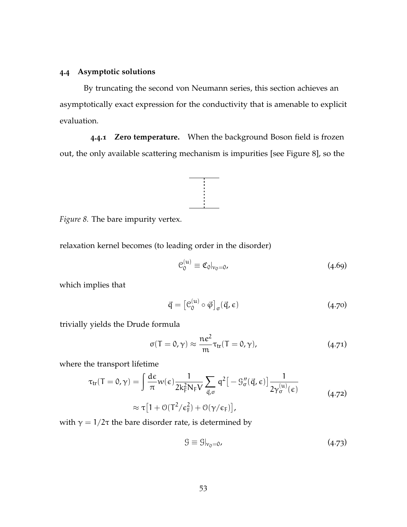# **4.4 Asymptotic solutions**

By truncating the second von Neumann series, this section achieves an asymptotically exact expression for the conductivity that is amenable to explicit evaluation.

<span id="page-65-0"></span>**4.4.1 Zero temperature.** When the background Boson field is frozen out, the only available scattering mechanism is impurities [see [Figure](#page-65-0) 8], so the



*Figure 8.* The bare impurity vertex.

relaxation kernel becomes (to leading order in the disorder)

$$
\mathcal{C}_0^{(u)} \equiv \mathfrak{C}_0|_{v_0=0},\tag{4.69}
$$

which implies that

$$
\vec{\mathbf{q}} = \left[ \mathcal{C}_0^{(\mathfrak{u})} \circ \vec{\varphi} \right]_{\sigma} (\vec{\mathbf{q}}, \epsilon) \tag{4.70}
$$

trivially yields the Drude formula

$$
\sigma(T = 0, \gamma) \approx \frac{ne^2}{m} \tau_{tr}(T = 0, \gamma), \qquad (4.71)
$$

where the transport lifetime

$$
\tau_{tr}(T=0,\gamma) = \int \frac{d\epsilon}{\pi} w(\epsilon) \frac{1}{2k_F^2 N_F V} \sum_{\vec{q},\sigma} q^2 \left[ -g''_{\sigma}(\vec{q}, \epsilon) \right] \frac{1}{2\gamma_{\sigma}^{(u)}(\epsilon)}
$$

$$
\approx \tau \left[ 1 + \mathcal{O}(T^2/\epsilon_F^2) + \mathcal{O}(\gamma/\epsilon_F) \right],
$$
(4.72)

with  $γ = 1/2τ$  the bare disorder rate, is determined by

$$
\mathcal{G} \equiv \mathcal{G}|_{v_0=0},\tag{4.73}
$$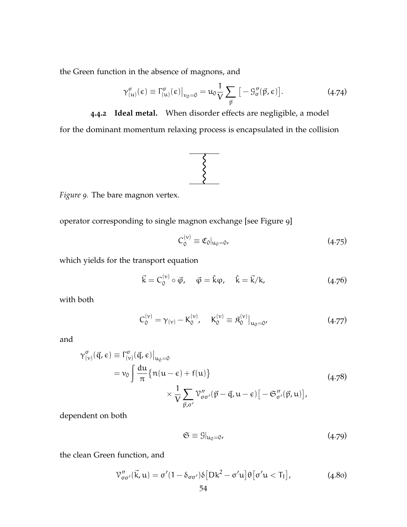the Green function in the absence of magnons, and

$$
\gamma_{(u)}^{\sigma}(\epsilon) \equiv \Gamma_{(u)}^{\sigma}(\epsilon)|_{v_0=0} = u_0 \frac{1}{V} \sum_{\vec{p}} [-\mathcal{G}_{\sigma}''(\vec{p}, \epsilon)]. \tag{4.74}
$$

**4.4.2 Ideal metal.** When disorder effects are negligible, a model

<span id="page-66-0"></span>for the dominant momentum relaxing process is encapsulated in the collision



*Figure 9.* The bare magnon vertex.

operator corresponding to single magnon exchange [see [Figure](#page-66-0) 9]

<span id="page-66-1"></span>
$$
C_0^{(\nu)} \equiv \mathfrak{C}_0|_{u_0=0},\tag{4.75}
$$

which yields for the transport equation

$$
\vec{k} = C_0^{(v)} \circ \vec{\varphi}, \quad \vec{\varphi} = \hat{k}\varphi, \quad \hat{k} = \vec{k}/k,
$$
 (4.76)

with both

$$
C_0^{(v)} = \gamma_{(v)} - K_0^{(v)}, \quad K_0^{(v)} \equiv \mathfrak{K}_0^{(v)} \big|_{u_0 = 0'}, \tag{4.77}
$$

and

$$
\gamma_{(\nu)}^{\sigma}(\vec{q}, \epsilon) \equiv \Gamma_{(\nu)}^{\sigma}(\vec{q}, \epsilon)|_{u_0=0}
$$
  
=  $v_0 \int \frac{du}{\pi} \{n(u-\epsilon) + f(u)\}\n\times \frac{1}{V} \sum_{\vec{p}, \sigma'} \gamma_{\sigma\sigma'}''(\vec{p} - \vec{q}, u - \epsilon) [-\mathfrak{S}_{\sigma'}''(\vec{p}, u)],$  (4.78)

dependent on both

<span id="page-66-2"></span>
$$
\mathfrak{S} \equiv \mathfrak{G}|_{\mathfrak{u}_0 = 0},\tag{4.79}
$$

the clean Green function, and

$$
\mathcal{V}''_{\sigma\sigma'}(\vec{k},\mathbf{u}) = \sigma'(1 - \delta_{\sigma\sigma'})\delta[Dk^2 - \sigma'\mathbf{u}]\Theta[\sigma'\mathbf{u} < T_1],
$$
\n(4.80)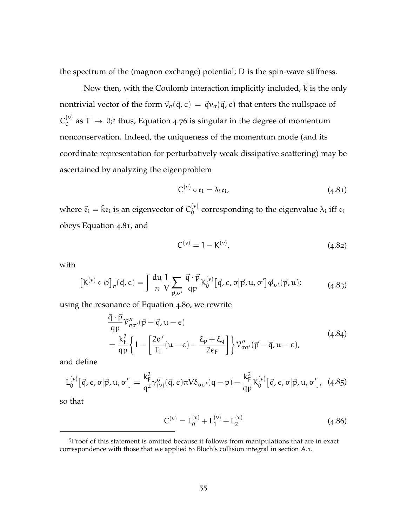the spectrum of the (magnon exchange) potential; D is the spin-wave stiffness.

Now then, with the Coulomb interaction implicitly included,  $\vec{k}$  is the only nontrivial vector of the form  $\vec{v}_{\sigma}(\vec{q}, \epsilon) = \vec{q}v_{\sigma}(\vec{q}, \epsilon)$  that enters the nullspace of  $C_{0}^{(\nu)}$  $\int_0^{(\nu)}$  as T  $\;\rightarrow$  0;<sup>5</sup> thus, [Equation](#page-66-1) 4.76 is singular in the degree of momentum nonconservation. Indeed, the uniqueness of the momentum mode (and its coordinate representation for perturbatively weak dissipative scattering) may be ascertained by analyzing the eigenproblem

<span id="page-67-0"></span>
$$
C^{(v)} \circ \mathfrak{e}_i = \lambda_i \mathfrak{e}_i, \tag{4.81}
$$

where  $\vec{\mathfrak e}_{\mathfrak l}=\hat{\mathfrak k}{\mathfrak e}_{\mathfrak l}$  is an eigenvector of  $\mathsf C^{(\nu)}_0$  $\chi$ <sup>(ν)</sup> corresponding to the eigenvalue  $\lambda$ <sub>i</sub> iff  $\mathfrak{e}_i$ obeys [Equation](#page-67-0) 4.81, and

$$
C^{(v)} = 1 - K^{(v)}, \tag{4.82}
$$

with

$$
\left[\mathbf{K}^{(\nu)}\circ\vec{\boldsymbol{\varphi}}\right]_{\sigma}(\vec{\mathfrak{q}},\epsilon) = \int \frac{d\mathfrak{u}}{\pi} \frac{1}{V} \sum_{\vec{p},\sigma'} \frac{\vec{\mathfrak{q}}\cdot\vec{p}}{\mathfrak{q}p} \mathbf{K}^{(\nu)}_{0}[\vec{\mathfrak{q}},\epsilon,\sigma|\vec{p},\mathfrak{u},\sigma'] \vec{\boldsymbol{\varphi}}_{\sigma'}(\vec{p},\mathfrak{u});\tag{4.83}
$$

using the resonance of [Equation](#page-66-2) 4.80, we rewrite

$$
\frac{\vec{q} \cdot \vec{p}}{qp} \gamma''_{\sigma\sigma'}(\vec{p} - \vec{q}, u - \epsilon) \n= \frac{k_F^2}{qp} \left\{ 1 - \left[ \frac{2\sigma'}{T_1} (u - \epsilon) - \frac{\xi_p + \xi_q}{2\epsilon_F} \right] \right\} \gamma''_{\sigma\sigma'}(\vec{p} - \vec{q}, u - \epsilon),
$$
\n(4.84)

and define

$$
L_0^{(\nu)}\big[\vec{q},\varepsilon,\sigma\big|\vec{p},\mathfrak{u},\sigma'\big] = \frac{k_F^2}{q^2} \gamma^{\sigma}_{(\nu)}(\vec{q},\varepsilon)\pi V \delta_{\sigma\sigma'}(q-p) - \frac{k_F^2}{qp} K_0^{(\nu)}\big[\vec{q},\varepsilon,\sigma\big|\vec{p},\mathfrak{u},\sigma'\big],\tag{4.85}
$$

so that

$$
C^{(\nu)} = L_0^{(\nu)} + L_1^{(\nu)} + L_2^{(\nu)} \tag{4.86}
$$

<sup>5</sup>Proof of this statement is omitted because it follows from manipulations that are in exact correspondence with those that we applied to Bloch's collision integral in [section A.](#page-14-0)1.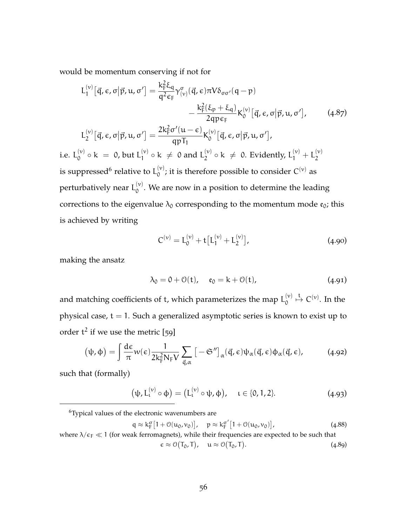would be momentum conserving if not for

$$
L_1^{(v)}[\vec{q}, \epsilon, \sigma | \vec{p}, u, \sigma'] = \frac{k_F^2 \xi_q}{q^2 \epsilon_F} \gamma_{(v)}^{\sigma}(\vec{q}, \epsilon) \pi V \delta_{\sigma \sigma'}(q - p)
$$

$$
- \frac{k_F^2(\xi_p + \xi_q)}{2q p \epsilon_F} K_0^{(v)}[\vec{q}, \epsilon, \sigma | \vec{p}, u, \sigma'], \qquad (4.87)
$$

$$
L_2^{(v)}[\vec{q}, \epsilon, \sigma | \vec{p}, u, \sigma'] = \frac{2k_F^2 \sigma'(u - \epsilon)}{qp T_1} K_0^{(v)}[\vec{q}, \epsilon, \sigma | \vec{p}, u, \sigma'],
$$

i.e.  $L_0^{(\nu)}$  $_{0}^{(\nu)} \circ k = 0$ , but  $L_1^{(\nu)}$  $\binom{v}{1} \circ k \neq 0$  and  $L_2^{(v)}$  $\mathcal{L}_2^{(\nu)} \circ \mathsf{k} \; \neq \; 0.$  Evidently,  $\mathsf{L}_1^{(\nu)} + \mathsf{L}_2^{(\nu)}$ 2 is suppressed<sup>6</sup> relative to  $L_0^{(v)}$  $\mathcal{O}_{\mathcal{O}}^{(v)}$ ; it is therefore possible to consider  $C^{(v)}$  as perturbatively near  $\mathsf{L}^{(\nu)}_0$  $\int_0^{(v)}$ . We are now in a position to determine the leading corrections to the eigenvalue  $\lambda_0$  corresponding to the momentum mode  $\mathfrak{e}_0$ ; this is achieved by writing

$$
C^{(\nu)} = L_0^{(\nu)} + t \left[ L_1^{(\nu)} + L_2^{(\nu)} \right], \tag{4.90}
$$

making the ansatz

$$
\lambda_0 = 0 + \mathcal{O}(t), \quad \mathfrak{e}_0 = k + \mathcal{O}(t), \tag{4.91}
$$

and matching coefficients of t, which parameterizes the map  $\mathsf{L}^{(\nu)}_0$ 0  $\stackrel{\text{t}}{\mapsto} C^{(\nu)}$ . In the physical case,  $t = 1$ . Such a generalized asymptotic series is known to exist up to order  $t^2$  if we use the metric [[59](#page-170-9)]

$$
(\psi, \phi) = \int \frac{d\epsilon}{\pi} w(\epsilon) \frac{1}{2k_F^2 N_F V} \sum_{\vec{q}, \alpha} \left[ -\mathfrak{S}'' \right]_{\alpha} (\vec{q}, \epsilon) \psi_{\alpha}(\vec{q}, \epsilon) \phi_{\alpha}(\vec{q}, \epsilon), \tag{4.92}
$$

such that (formally)

$$
\left(\psi, L_{\iota}^{(\nu)} \circ \varphi\right) = \left(L_{\iota}^{(\nu)} \circ \psi, \varphi\right), \quad \iota \in \{0, 1, 2\}.
$$
 (4.93)

<sup>6</sup>Typical values of the electronic wavenumbers are

$$
q \approx k_F^{\sigma} \left[ 1 + \mathcal{O}(u_0, v_0) \right], \quad p \approx k_F^{\sigma'} \left[ 1 + \mathcal{O}(u_0, v_0) \right], \tag{4.88}
$$

where  $\lambda/\epsilon_F \ll 1$  (for weak ferromagnets), while their frequencies are expected to be such that  $\epsilon \approx \mathcal{O}(T_0, T), \quad \mathfrak{u} \approx \mathcal{O}(T_0, T)$  $(4.89)$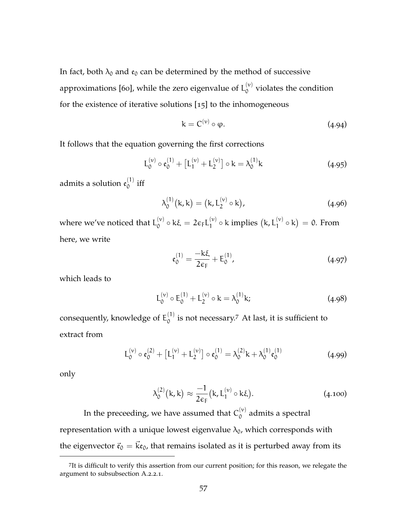In fact, both  $\lambda_0$  and  $\mathfrak{e}_0$  can be determined by the method of successive approximations [[60](#page-170-10)], while the zero eigenvalue of  ${\mathsf L}_{0}^{(\nu)}$  $\int_{0}^{\left(v\right)}$  violates the condition for the existence of iterative solutions [[15](#page-166-0)] to the inhomogeneous

$$
k = C^{(\nu)} \circ \varphi. \tag{4.94}
$$

It follows that the equation governing the first corrections

$$
L_0^{(v)} \circ \mathfrak{e}_0^{(1)} + [L_1^{(v)} + L_2^{(v)}] \circ k = \lambda_0^{(1)}k
$$
 (4.95)

admits a solution  $\mathfrak{e}_0^{(1)}$  $\int_0^{1}$  iff

$$
\lambda_0^{(1)}(k,k) = (k, L_2^{(\nu)} \circ k), \qquad (4.96)
$$

where we've noticed that  $L_0^{(v)}$  $\int_0^{(\nu)} \circ k \xi = 2 \varepsilon_F L_1^{(\nu)}$  $1^{(\nu)}$  o k implies  $(k, L_1^{(\nu)})$  $\binom{v}{1} \circ k = 0$ . From here, we write

$$
\mathfrak{e}_0^{(1)} = \frac{-k\xi}{2\varepsilon_F} + E_0^{(1)},\tag{4.97}
$$

which leads to

$$
L_0^{(v)} \circ E_0^{(1)} + L_2^{(v)} \circ k = \lambda_0^{(1)} k; \tag{4.98}
$$

consequently, knowledge of  $\mathsf{E}^{(1)}_0$  $_0^{(1)}$  is not necessary.<sup>7</sup> At last, it is sufficient to extract from

$$
L_0^{(\nu)} \circ \mathfrak{e}_0^{(2)} + [L_1^{(\nu)} + L_2^{(\nu)}] \circ \mathfrak{e}_0^{(1)} = \lambda_0^{(2)} k + \lambda_0^{(1)} \mathfrak{e}_0^{(1)}
$$
(4.99)

only

$$
\lambda_0^{(2)}(\mathbf{k}, \mathbf{k}) \approx \frac{-1}{2\varepsilon_F} (\mathbf{k}, \mathbf{L}_1^{(\nu)} \circ \mathbf{k}\xi). \tag{4.100}
$$

In the preceeding, we have assumed that  $C_0^{(v)}$  $\int_0^{(v)}$  admits a spectral representation with a unique lowest eigenvalue  $\lambda_0$ , which corresponds with the eigenvector  $\vec{\mathfrak{e}}_0 = \vec{k} \mathfrak{e}_0$ , that remains isolated as it is perturbed away from its

<sup>7</sup> It is difficult to verify this assertion from our current position; for this reason, we relegate the argument to [subsubsection A.](#page-90-0)2.2.1.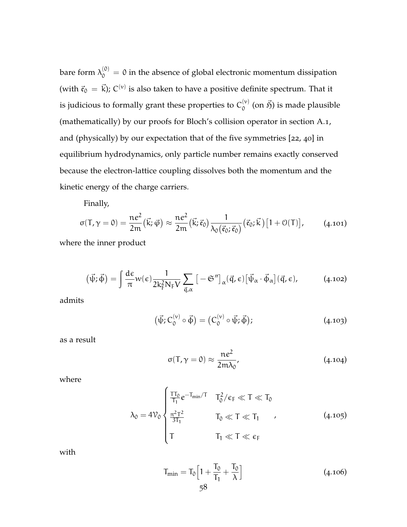bare form  $\lambda_0^{(0)} = 0$  in the absence of global electronic momentum dissipation (with  $\vec{\mathfrak{e}}_0 = \vec{k}$ ); C<sup>(v)</sup> is also taken to have a positive definite spectrum. That it is judicious to formally grant these properties to  $\mathsf{C}^{(\nu)}_0$  $\phi_0^{(\nu)}$  (on  $\vec{\mathfrak{H}}$ ) is made plausible (mathematically) by our proofs for Bloch's collision operator in [section A.](#page-14-0)1, and (physically) by our expectation that of the five symmetries [[22](#page-167-1), [40](#page-169-1)] in equilibrium hydrodynamics, only particle number remains exactly conserved because the electron-lattice coupling dissolves both the momentum and the kinetic energy of the charge carriers.

Finally,

$$
\sigma(\mathsf{T},\gamma=0)=\frac{\mathfrak{n}e^2}{2\mathfrak{m}}\big(\vec{k};\vec{\varphi}\big)\approx\frac{\mathfrak{n}e^2}{2\mathfrak{m}}\big(\vec{k};\vec{\mathfrak{e}}_0\big)\frac{1}{\lambda_0\big(\vec{\mathfrak{e}}_0;\vec{\mathfrak{e}}_0\big)}\big(\vec{\mathfrak{e}}_0;\vec{k}\big)\big[1+\mathcal{O}(\mathsf{T})\big],\qquad(4.101)
$$

where the inner product

$$
(\vec{\psi}; \vec{\phi}) = \int \frac{d\epsilon}{\pi} w(\epsilon) \frac{1}{2k_F^2 N_F V} \sum_{\vec{q}, \alpha} \left[ -\mathfrak{S}'' \right]_{\alpha} (\vec{q}, \epsilon) \left[ \vec{\psi}_{\alpha} \cdot \vec{\phi}_{\alpha} \right] (\vec{q}, \epsilon), \tag{4.102}
$$

admits

$$
(\vec{\psi}; C_0^{(\nu)} \circ \vec{\phi}) = (C_0^{(\nu)} \circ \vec{\psi}; \vec{\phi}); \qquad (4.103)
$$

as a result

$$
\sigma(\mathsf{T}, \gamma = 0) \approx \frac{\mathsf{ne}^2}{2\mathsf{m}\lambda_0},\tag{4.104}
$$

<span id="page-70-0"></span>where

$$
\lambda_0 = 4\mathcal{V}_0 \begin{cases} \frac{T T_0}{T_1} e^{-T_{min}/T} & T_0^2/\varepsilon_F \ll T \ll T_0 \\ \frac{\pi^2 T^2}{3T_1} & T_0 \ll T \ll T_1 \\ T & T_1 \ll T \ll \varepsilon_F \end{cases}
$$
(4.105)

with

$$
T_{\min} = T_0 \left[ 1 + \frac{T_0}{T_1} + \frac{T_0}{\lambda} \right]
$$
 (4.106)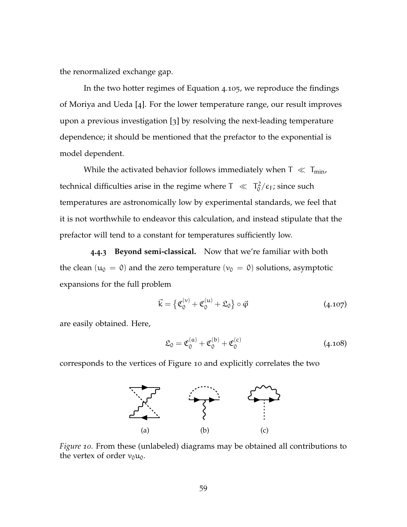the renormalized exchange gap.

In the two hotter regimes of [Equation](#page-70-0) 4.105, we reproduce the findings of Moriya and Ueda [[4](#page-165-2)]. For the lower temperature range, our result improves upon a previous investigation [[3](#page-165-1)] by resolving the next-leading temperature dependence; it should be mentioned that the prefactor to the exponential is model dependent.

While the activated behavior follows immediately when  $T \ll T_{min}$ , technical difficulties arise in the regime where  $T \ll T_0^2$  $\frac{1}{0}$ / $\epsilon$ <sub>F</sub>; since such temperatures are astronomically low by experimental standards, we feel that it is not worthwhile to endeavor this calculation, and instead stipulate that the prefactor will tend to a constant for temperatures sufficiently low.

**4.4.3 Beyond semi-classical.** Now that we're familiar with both the clean ( $u_0 = 0$ ) and the zero temperature ( $v_0 = 0$ ) solutions, asymptotic expansions for the full problem

$$
\vec{k} = \left\{ \mathfrak{C}_0^{(\nu)} + \mathfrak{C}_0^{(\mu)} + \mathfrak{L}_0 \right\} \circ \vec{\varphi} \tag{4.107}
$$

are easily obtained. Here,

$$
\mathfrak{L}_0 = \mathfrak{C}_0^{(\alpha)} + \mathfrak{C}_0^{(\mathsf{b})} + \mathfrak{C}_0^{(\mathsf{c})} \tag{4.108}
$$

<span id="page-71-0"></span>corresponds to the vertices of [Figure](#page-71-0) 10 and explicitly correlates the two



*Figure 10.* From these (unlabeled) diagrams may be obtained all contributions to the vertex of order  $v_0u_0$ .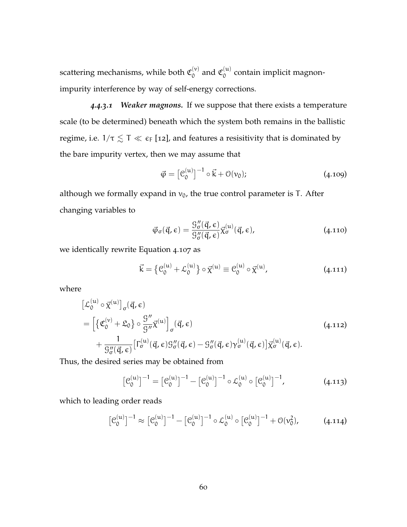scattering mechanisms, while both  $\mathfrak{C}_0^{(\nu)}$  $\int_0^{(\nu)}$  and  $\mathfrak{C}_0^{(\mu)}$  $\int_0^{(u)}$  contain implicit magnonimpurity interference by way of self-energy corrections.

*4.4.3.1 Weaker magnons.* If we suppose that there exists a temperature scale (to be determined) beneath which the system both remains in the ballistic regime, i.e.  $1/\tau \lesssim T \ll \epsilon_F$  [[12](#page-166-0)], and features a resisitivity that is dominated by the bare impurity vertex, then we may assume that

$$
\vec{\varphi} = \left[\mathcal{C}_0^{(u)}\right]^{-1} \circ \vec{k} + \mathcal{O}(v_0); \tag{4.109}
$$

although we formally expand in  $v_0$ , the true control parameter is T. After changing variables to

$$
\vec{\varphi}_{\sigma}(\vec{q}, \epsilon) = \frac{\mathcal{G}_{\sigma}''(\vec{q}, \epsilon)}{\mathcal{G}_{\sigma}''(\vec{q}, \epsilon)} \vec{\chi}_{\sigma}^{(u)}(\vec{q}, \epsilon), \qquad (4.110)
$$

we identically rewrite [Equation](#page-71-0) 4.107 as

$$
\vec{k} = \{ \mathcal{C}_0^{(u)} + \mathcal{L}_0^{(u)} \} \circ \vec{\chi}^{(u)} \equiv \mathcal{C}_0^{(u)} \circ \vec{\chi}^{(u)}, \tag{4.111}
$$

where

$$
\begin{split} & \left[ \mathcal{L}_0^{(u)} \circ \vec{\chi}^{(u)} \right]_{\sigma} (\vec{q}, \epsilon) \\ & = \left[ \left\{ \mathfrak{C}_0^{(v)} + \mathfrak{L}_0 \right\} \circ \frac{\mathfrak{G}''}{\mathfrak{G}''} \vec{\chi}^{(u)} \right]_{\sigma} (\vec{q}, \epsilon) \\ & + \frac{1}{\mathfrak{G}''_{\sigma} (\vec{q}, \epsilon)} \left[ \Gamma_{\sigma}^{(u)} (\vec{q}, \epsilon) \mathfrak{G}''_{\sigma} (\vec{q}, \epsilon) - \mathfrak{G}''_{\sigma} (\vec{q}, \epsilon) \gamma_{\sigma}^{(u)} (\vec{q}, \epsilon) \right] \vec{\chi}^{(u)}_{\sigma} (\vec{q}, \epsilon). \end{split} \tag{4.112}
$$

Thus, the desired series may be obtained from

$$
\left[\mathcal{C}_0^{(u)}\right]^{-1} = \left[\mathcal{C}_0^{(u)}\right]^{-1} - \left[\mathcal{C}_0^{(u)}\right]^{-1} \circ \mathcal{L}_0^{(u)} \circ \left[\mathcal{C}_0^{(u)}\right]^{-1},\tag{4.113}
$$

which to leading order reads

$$
\left[\mathcal{C}_0^{(u)}\right]^{-1} \approx \left[\mathcal{C}_0^{(u)}\right]^{-1} - \left[\mathcal{C}_0^{(u)}\right]^{-1} \circ \mathcal{L}_0^{(u)} \circ \left[\mathcal{C}_0^{(u)}\right]^{-1} + \mathcal{O}(v_0^2),\tag{4.114}
$$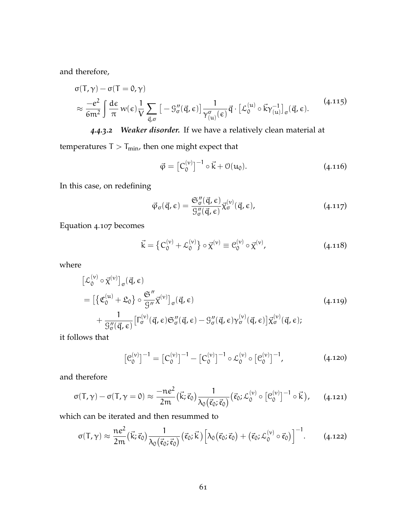and therefore,

<span id="page-73-0"></span>
$$
\sigma(T,\gamma) - \sigma(T = 0,\gamma)
$$
\n
$$
\approx \frac{-e^2}{6m^2} \int \frac{d\epsilon}{\pi} w(\epsilon) \frac{1}{V} \sum_{\vec{q},\sigma} \left[ -g''_{\sigma}(\vec{q}, \epsilon) \right] \frac{1}{\gamma_{(u)}^{\sigma}(\epsilon)} \vec{q} \cdot \left[ \mathcal{L}_0^{(u)} \circ \vec{k} \gamma_{(u)}^{-1} \right]_{\sigma}(\vec{q}, \epsilon). \tag{4.115}
$$

*4.4.3.2 Weaker disorder.* If we have a relatively clean material at

temperatures  $T > T_{min}$ , then one might expect that

$$
\vec{\varphi} = \left[C_0^{(\nu)}\right]^{-1} \circ \vec{k} + \mathcal{O}(u_0). \tag{4.116}
$$

In this case, on redefining

$$
\vec{\varphi}_{\sigma}(\vec{q}, \epsilon) = \frac{\mathfrak{S}_{\sigma}''(\vec{q}, \epsilon)}{\mathfrak{G}_{\sigma}''(\vec{q}, \epsilon)} \vec{\chi}_{\sigma}^{(\nu)}(\vec{q}, \epsilon), \qquad (4.117)
$$

[Equation](#page-71-0) 4.107 becomes

$$
\vec{k} = \left\{ C_0^{(\nu)} + \mathcal{L}_0^{(\nu)} \right\} \circ \vec{\chi}^{(\nu)} \equiv C_0^{(\nu)} \circ \vec{\chi}^{(\nu)}, \tag{4.118}
$$

where

$$
\begin{split} \left[\mathcal{L}_{0}^{(\nu)} \circ \vec{\chi}^{(\nu)}\right]_{\sigma}(\vec{q}, \epsilon) \\ &= \left[\left\{\mathfrak{C}_{0}^{(\mu)} + \mathfrak{L}_{0}\right\} \circ \frac{\mathfrak{S}''}{g_{\mu}} \vec{\chi}^{(\nu)}\right]_{\sigma}(\vec{q}, \epsilon) \\ &+ \frac{1}{\mathfrak{G}_{0}''(\vec{q}, \epsilon)} \left[\Gamma_{0}^{(\nu)}(\vec{q}, \epsilon) \mathfrak{S}_{\sigma}''(\vec{q}, \epsilon) - \mathfrak{G}_{\sigma}''(\vec{q}, \epsilon) \gamma_{\sigma}^{(\nu)}(\vec{q}, \epsilon)\right] \vec{\chi}_{\sigma}^{(\nu)}(\vec{q}, \epsilon); \end{split} \tag{4.119}
$$

it follows that

<span id="page-73-1"></span>
$$
\left[\mathcal{C}_0^{(\nu)}\right]^{-1} = \left[\mathcal{C}_0^{(\nu)}\right]^{-1} - \left[\mathcal{C}_0^{(\nu)}\right]^{-1} \circ \mathcal{L}_0^{(\nu)} \circ \left[\mathcal{C}_0^{(\nu)}\right]^{-1},\tag{4.120}
$$

and therefore

$$
\sigma(T,\gamma) - \sigma(T,\gamma=0) \approx \frac{-ne^2}{2m} (\vec{k}; \vec{\mathfrak{e}}_0) \frac{1}{\lambda_0(\vec{\mathfrak{e}}_0; \vec{\mathfrak{e}}_0)} (\vec{\mathfrak{e}}_0; \mathcal{L}_0^{(\nu)} \circ [\mathcal{C}_0^{(\nu)}]^{-1} \circ \vec{k}), \qquad (4.121)
$$

which can be iterated and then resummed to

$$
\sigma(\mathsf{T},\gamma) \approx \frac{\mathsf{ne}^2}{2\mathsf{m}}\big(\vec{\mathsf{k}};\vec{\mathsf{e}}_0\big) \frac{1}{\lambda_0(\vec{\mathsf{e}}_0;\vec{\mathsf{e}}_0)}\big(\vec{\mathsf{e}}_0;\vec{\mathsf{k}}\big)\Big[\lambda_0\big(\vec{\mathsf{e}}_0;\vec{\mathsf{e}}_0\big) + \big(\vec{\mathsf{e}}_0;\mathcal{L}_0^{(\nu)}\circ\vec{\mathsf{e}}_0\big)\Big]^{-1}.\tag{4.122}
$$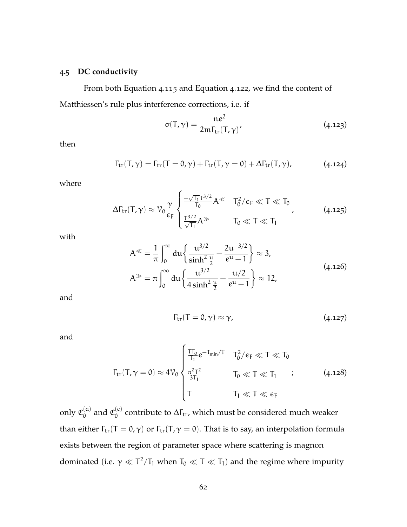# **4.5 DC conductivity**

From both [Equation](#page-73-0) 4.115 and [Equation](#page-73-1) 4.122, we find the content of Matthiessen's rule plus interference corrections, i.e. if

$$
\sigma(\mathsf{T}, \gamma) = \frac{\mathsf{ne}^2}{2\mathsf{m}\Gamma_{\mathsf{tr}}(\mathsf{T}, \gamma)},\tag{4.123}
$$

then

$$
\Gamma_{\rm tr}(T,\gamma) = \Gamma_{\rm tr}(T=0,\gamma) + \Gamma_{\rm tr}(T,\gamma=0) + \Delta\Gamma_{\rm tr}(T,\gamma), \qquad (4.124)
$$

<span id="page-74-0"></span>where

$$
\Delta\Gamma_{tr}(T,\gamma)\approx\mathcal{V}_0\frac{\gamma}{\varepsilon_F}\begin{cases} \frac{-\sqrt{T_1}T^{3/2}}{T_0}A^\ll&T_0^2/\varepsilon_F\ll T\ll T_0\\ \frac{T^{3/2}}{\sqrt{T_1}}A\gg&T_0\ll T\ll T_1 \end{cases}\tag{4.125}
$$

with

$$
A^{\ll} = \frac{1}{\pi} \int_0^{\infty} du \left\{ \frac{u^{3/2}}{\sinh^2 \frac{u}{2}} - \frac{2u^{-3/2}}{e^u - 1} \right\} \approx 3,
$$
  

$$
A^{\gg} = \pi \int_0^{\infty} du \left\{ \frac{u^{3/2}}{4 \sinh^2 \frac{u}{2}} + \frac{u/2}{e^u - 1} \right\} \approx 12,
$$
 (4.126)

and

$$
\Gamma_{\rm tr}(T=0,\gamma) \approx \gamma, \qquad (4.127)
$$

and

$$
\Gamma_{tr}(T,\gamma=0) \approx 4\mathcal{V}_0 \begin{cases} \frac{T T_0}{T_1} e^{-T_{min}/T} & T_0^2/\varepsilon_F \ll T \ll T_0 \\ \frac{\pi^2 T^2}{3T_1} & T_0 \ll T \ll T_1 \\ T & T_1 \ll T \ll \varepsilon_F \end{cases} \tag{4.128}
$$

only  $\mathfrak{C}_0^{(\mathfrak{a})}$  $\int_0^{(a)}$  and  $\mathfrak{C}_0^{(c)}$  $\alpha_0^{(c)}$  contribute to  $\Delta\Gamma_{tr}$ , which must be considered much weaker than either  $\Gamma_{tr}(T = 0, \gamma)$  or  $\Gamma_{tr}(T, \gamma = 0)$ . That is to say, an interpolation formula exists between the region of parameter space where scattering is magnon dominated (i.e.  $\gamma \ll T^2/T_1$  when  $T_0 \ll T \ll T_1$ ) and the regime where impurity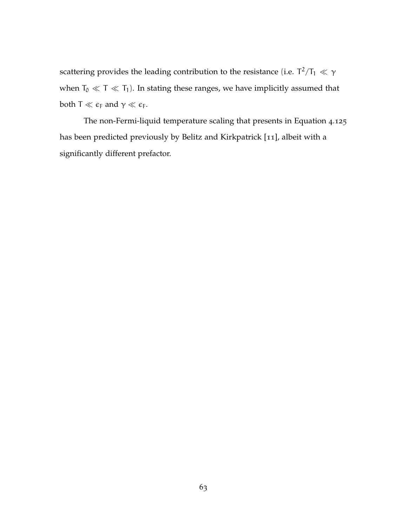scattering provides the leading contribution to the resistance (i.e.  $\mathsf{T}^2/\mathsf{T}_1\ll\gamma$ when  $T_0\ll T\ll T_1).$  In stating these ranges, we have implicitly assumed that both  $T \ll \epsilon_F$  and  $\gamma \ll \epsilon_F$ .

The non-Fermi-liquid temperature scaling that presents in [Equation](#page-74-0) 4.125 has been predicted previously by Belitz and Kirkpatrick [[11](#page-166-1)], albeit with a significantly different prefactor.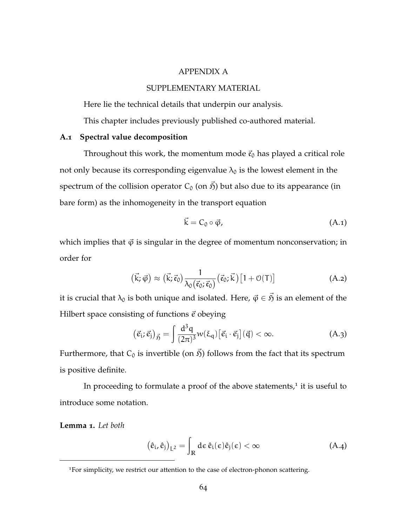### APPENDIX A

# SUPPLEMENTARY MATERIAL

Here lie the technical details that underpin our analysis.

This chapter includes previously published co-authored material.

#### **A.1 Spectral value decomposition**

Throughout this work, the momentum mode  $\vec{\epsilon}_0$  has played a critical role not only because its corresponding eigenvalue  $\lambda_0$  is the lowest element in the spectrum of the collision operator  $C_0$  (on  $\vec{p}$ ) but also due to its appearance (in bare form) as the inhomogeneity in the transport equation

$$
\vec{k} = C_0 \circ \vec{\varphi}, \tag{A.1}
$$

which implies that  $\vec{\varphi}$  is singular in the degree of momentum nonconservation; in order for

$$
(\vec{k}; \vec{\varphi}) \approx (\vec{k}; \vec{\varepsilon}_0) \frac{1}{\lambda_0(\vec{\varepsilon}_0; \vec{\varepsilon}_0)} (\vec{\varepsilon}_0; \vec{k}) [1 + \mathcal{O}(T)] \tag{A.2}
$$

it is crucial that  $\lambda_0$  is both unique and isolated. Here,  $\vec{\varphi} \in \vec{S}$  is an element of the Hilbert space consisting of functions  $\vec{e}$  obeying

$$
(\vec{e}_i; \vec{e}_j)_{\vec{p}} = \int \frac{d^3q}{(2\pi)^3} w(\xi_q) [\vec{e}_i \cdot \vec{e}_j] (\vec{q}) < \infty.
$$
 (A.3)

Furthermore, that  $C_0$  is invertible (on  $\vec{B}$ ) follows from the fact that its spectrum is positive definite.

In proceeding to formulate a proof of the above statements, $1$  it is useful to introduce some notation.

**Lemma 1.** *Let both*

$$
(\hat{e}_i, \hat{e}_j)_{L^2} = \int_{\mathbb{R}} d\varepsilon \, \hat{e}_i(\varepsilon) \hat{e}_j(\varepsilon) < \infty \tag{A.4}
$$

<sup>&</sup>lt;sup>1</sup>For simplicity, we restrict our attention to the case of electron-phonon scattering.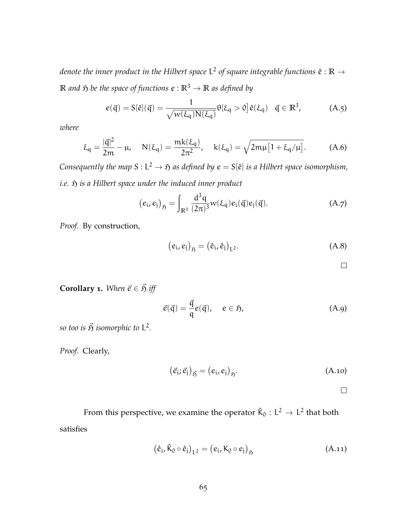denote the inner product in the Hilbert space L<sup>2</sup> of square integrable functions  $\hat{\textbf{e}}:\mathbb{R}\rightarrow$ **R** *and*  $\tilde{p}$  *be the space of functions*  $e : \mathbb{R}^3 \to \mathbb{R}$  *as defined by* 

$$
e(\vec{q}) = S[\hat{e}](\vec{q}) = \frac{1}{\sqrt{w(\xi_q)N(\xi_q)}}\theta[\xi_q > 0]\hat{e}(\xi_q) \quad \vec{q} \in \mathbb{R}^3,
$$
 (A.5)

*where*

$$
\xi_q = \frac{|\vec{q}|^2}{2m} - \mu, \quad N(\xi_q) = \frac{mk(\xi_q)}{2\pi^2}, \quad k(\xi_q) = \sqrt{2m\mu[1 + \xi_q/\mu]}.
$$
 (A.6)

*Consequently the map*  $S: L^2 \to \mathfrak{H}$  as defined by  $e = S[\hat{e}]$  is a Hilbert space isomorphism, *i.e.*  $\mathfrak{H}$  *is a Hilbert space under the induced inner product* 

$$
(e_i, e_j)_{\mathfrak{H}} = \int_{\mathbb{R}^3} \frac{d^3 q}{(2\pi)^3} w(\xi_q) e_i(\vec{q}) e_j(\vec{q}). \tag{A.7}
$$

*Proof.* By construction,

$$
(ei, ej)5j = (ei, ej)L2.
$$
 (A.8)

 $\Box$ 

**Corollary 1.** *When*  $\vec{e} \in \vec{S}$  *iff* 

$$
\vec{e}(\vec{q}) = \frac{\vec{q}}{q}e(\vec{q}), \quad e \in \mathfrak{H}, \tag{A.9}
$$

*so too is*  $\vec{\mathfrak{H}}$  *isomorphic to*  $L^2$ *.* 

*Proof.* Clearly,

$$
(\vec{e}_i; \vec{e}_j)_{\vec{\mathfrak{H}}} = (e_i, e_j)_{\mathfrak{H}}.
$$
 (A.10)

From this perspective, we examine the operator  $\hat{\mathsf{K}}_0:\mathsf{L}^2\to\mathsf{L}^2$  that both satisfies

$$
(\hat{e}_i, \hat{K}_0 \circ \hat{e}_j)_{L^2} = (e_i, K_0 \circ e_j)_{\mathfrak{H}}
$$
 (A.11)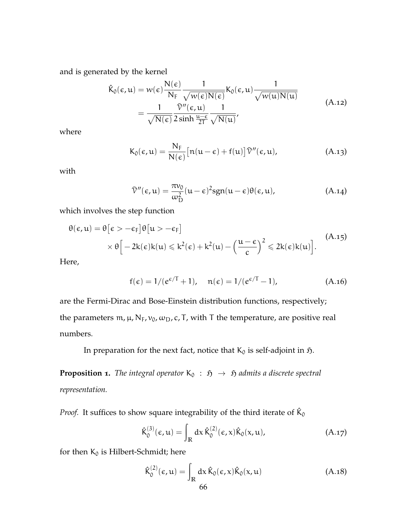and is generated by the kernel

$$
\hat{K}_0(\epsilon, u) = w(\epsilon) \frac{N(\epsilon)}{N_F} \frac{1}{\sqrt{w(\epsilon)N(\epsilon)}} K_0(\epsilon, u) \frac{1}{\sqrt{w(u)N(u)}} \n= \frac{1}{\sqrt{N(\epsilon)}} \frac{\tilde{V}''(\epsilon, u)}{2 \sinh \frac{u-\epsilon}{2T}} \frac{1}{\sqrt{N(u)}},
$$
\n(A.12)

where

$$
K_0(\epsilon, u) = \frac{N_F}{N(\epsilon)} [n(u - \epsilon) + f(u)] \tilde{V}''(\epsilon, u), \qquad (A.13)
$$

with

$$
\bar{\mathcal{V}}''(\epsilon, \mathbf{u}) = \frac{\pi v_0}{\omega_D^2} (\mathbf{u} - \epsilon)^2 \text{sgn}(\mathbf{u} - \epsilon) \theta(\epsilon, \mathbf{u}), \tag{A.14}
$$

which involves the step function

$$
\theta(\epsilon, u) = \theta[\epsilon > -\epsilon_F] \theta[u > -\epsilon_F]
$$
  
 
$$
\times \theta\Big[-2k(\epsilon)k(u) \le k^2(\epsilon) + k^2(u) - \left(\frac{u-\epsilon}{c}\right)^2 \le 2k(\epsilon)k(u)\Big].
$$
 (A.15)

Here,

$$
f(\epsilon) = 1/(e^{\epsilon/T} + 1), \quad n(\epsilon) = 1/(e^{\epsilon/T} - 1), \tag{A.16}
$$

are the Fermi-Dirac and Bose-Einstein distribution functions, respectively; the parameters m,  $\mu$ , N<sub>F</sub>,  $v_0$ ,  $\omega_D$ , c, T, with T the temperature, are positive real numbers.

In preparation for the next fact, notice that  $K_0$  is self-adjoint in  $\mathfrak{H}$ .

**Proposition 1.** *The integral operator*  $K_0$  :  $\tilde{p} \rightarrow \tilde{p}$  *admits a discrete spectral representation.*

*Proof.* It suffices to show square integrability of the third iterate of  $\hat{K}_0$ 

$$
\hat{K}_0^{(3)}(\varepsilon, \mathfrak{u}) = \int_{\mathbb{R}} dx \, \hat{K}_0^{(2)}(\varepsilon, x) \hat{K}_0(x, \mathfrak{u}), \tag{A.17}
$$

for then  $K_0$  is Hilbert-Schmidt; here

$$
\hat{\mathsf{K}}_0^{(2)}(\epsilon, \mathfrak{u}) = \int_{\mathbb{R}} dx \,\hat{\mathsf{K}}_0(\epsilon, x)\hat{\mathsf{K}}_0(x, \mathfrak{u})
$$
\n(A.18)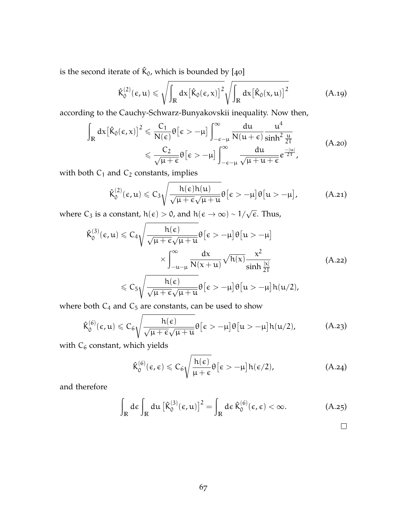is the second iterate of  $\hat{\mathsf{K}}_0$ , which is bounded by [[40](#page-169-0)]

$$
\hat{K}_0^{(2)}(\epsilon, u) \leqslant \sqrt{\int_{\mathbb{R}} dx \big[\hat{K}_0(\epsilon, x)\big]^2} \sqrt{\int_{\mathbb{R}} dx \big[\hat{K}_0(x, u)\big]^2}
$$
\n(A.19)

according to the Cauchy-Schwarz-Bunyakovskii inequality. Now then,

$$
\int_{\mathbb{R}} dx \left[ \hat{K}_{0}(\epsilon, x) \right]^{2} \leqslant \frac{C_{1}}{N(\epsilon)} \theta \left[ \epsilon > -\mu \right] \int_{-\epsilon-\mu}^{\infty} \frac{du}{N(u+\epsilon)} \frac{u^{4}}{\sinh^{2} \frac{u}{2T}} \leqslant \frac{C_{2}}{\sqrt{\mu+\epsilon}} \theta \left[ \epsilon > -\mu \right] \int_{-\epsilon-\mu}^{\infty} \frac{du}{\sqrt{\mu+u+\epsilon}} e^{\frac{-|u|}{2T}}, \tag{A.20}
$$

with both  $C_1$  and  $C_2$  constants, implies

$$
\hat{K}_0^{(2)}(\varepsilon, u) \leqslant C_3 \sqrt{\frac{h(\varepsilon)h(u)}{\sqrt{\mu + \varepsilon}\sqrt{\mu + u}}}\theta\big[\varepsilon > -\mu\big]\theta\big[u> - \mu\big],\tag{A.21}
$$

where C<sub>3</sub> is a constant,  $h(\epsilon) > 0$ , and  $h(\epsilon \to \infty) \sim 1/\sqrt{\epsilon}$ . Thus,

$$
\hat{K}_{0}^{(3)}(\varepsilon, u) \leqslant C_{4} \sqrt{\frac{h(\varepsilon)}{\sqrt{\mu + \varepsilon} \sqrt{\mu + u}} \theta \left[\varepsilon > -\mu\right] \theta \left[u > -\mu\right]}
$$
\n
$$
\times \int_{-u-\mu}^{\infty} \frac{dx}{N(x+u)} \sqrt{h(x)} \frac{x^{2}}{\sinh\frac{|x|}{2T}}
$$
\n
$$
\leqslant C_{5} \sqrt{\frac{h(\varepsilon)}{\sqrt{\mu + \varepsilon} \sqrt{\mu + u}} \theta \left[\varepsilon > -\mu\right] \theta \left[u > -\mu\right] h(u/2)},
$$
\n(A.22)

where both  $C_4$  and  $C_5$  are constants, can be used to show

$$
\hat{K}_0^{(6)}(\varepsilon,u)\leqslant C_6\sqrt{\frac{h(\varepsilon)}{\sqrt{\mu+\varepsilon}\sqrt{\mu+u}}}\theta\big[\varepsilon>-\mu\big]\theta\big[u>-\mu\big]h(u/2),\qquad \quad \ \ \text{(A.23)}
$$

with  $C_6$  constant, which yields

$$
\hat{K}_0^{(6)}(\varepsilon,\varepsilon) \leqslant C_6 \sqrt{\frac{h(\varepsilon)}{\mu+\varepsilon}} \theta\big[\varepsilon>-\mu\big]h(\varepsilon/2), \qquad \qquad \text{(A.24)}
$$

and therefore

$$
\int_{\mathbb{R}} d\varepsilon \int_{\mathbb{R}} du \left[ \hat{K}_0^{(3)}(\varepsilon, u) \right]^2 = \int_{\mathbb{R}} d\varepsilon \, \hat{K}_0^{(6)}(\varepsilon, \varepsilon) < \infty. \tag{A.25}
$$

 $\Box$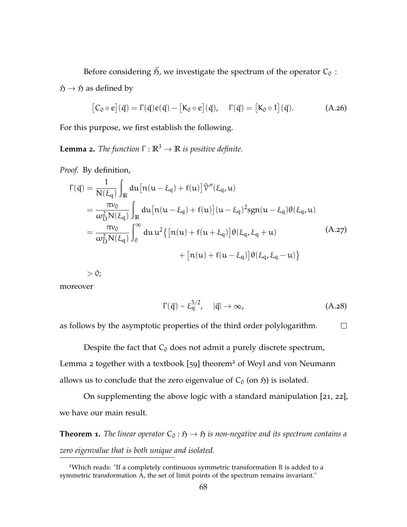Before considering  $\vec{B}$ , we investigate the spectrum of the operator  $C_0$ :

 $\mathfrak{H} \to \mathfrak{H}$  as defined by

$$
[C_0 \circ e](\vec{q}) = \Gamma(\vec{q})e(\vec{q}) - [K_0 \circ e](\vec{q}), \quad \Gamma(\vec{q}) = [K_0 \circ 1](\vec{q}). \tag{A.26}
$$

For this purpose, we first establish the following.

<span id="page-80-0"></span>**Lemma 2.** *The function*  $\Gamma : \mathbb{R}^3 \to \mathbb{R}$  *is positive definite.* 

*Proof.* By definition,

$$
\Gamma(\vec{q}) = \frac{1}{N(\xi_q)} \int_{\mathbb{R}} du \left[ n(u - \xi_q) + f(u) \right] \tilde{V}''(\xi_q, u) \n= \frac{\pi v_0}{\omega_D^2 N(\xi_q)} \int_{\mathbb{R}} du \left[ n(u - \xi_q) + f(u) \right] (u - \xi_q)^2 sgn(u - \xi_q) \theta(\xi_q, u) \n= \frac{\pi v_0}{\omega_D^2 N(\xi_q)} \int_0^\infty du \, u^2 \{ \left[ n(u) + f(u + \xi_q) \right] \theta(\xi_q, \xi_q + u) \n+ \left[ n(u) + f(u - \xi_q) \right] \theta(\xi_q, \xi_q - u) \}
$$
\n(A.27)

 $> 0;$ 

moreover

$$
\Gamma(\vec{q}) \sim \xi_q^{5/2}, \quad |\vec{q}| \to \infty,
$$
 (A.28)

as follows by the asymptotic properties of the third order polylogarithm.  $\Box$ 

Despite the fact that  $C_0$  does not admit a purely discrete spectrum, [Lemma](#page-80-0) 2 together with a textbook [[59](#page-170-0)] theorem<sup>2</sup> of Weyl and von Neumann allows us to conclude that the zero eigenvalue of  $C_0$  (on  $\mathfrak{H}$ ) is isolated.

On supplementing the above logic with a standard manipulation [[21](#page-167-0), [22](#page-167-1)], we have our main result.

**Theorem 1.** *The linear operator*  $C_0 : \mathfrak{H} \to \mathfrak{H}$  *is non-negative and its spectrum contains a zero eigenvalue that is both unique and isolated.*

<sup>2</sup>Which reads: "If a completely continuous symmetric transformation B is added to a symmetric transformation A, the set of limit points of the spectrum remains invariant."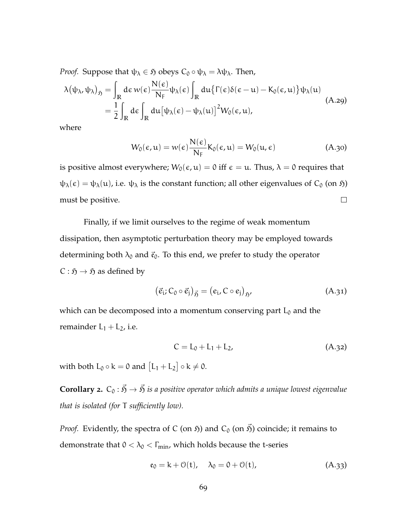*Proof.* Suppose that  $\psi_{\lambda} \in \mathfrak{H}$  obeys  $C_0 \circ \psi_{\lambda} = \lambda \psi_{\lambda}$ . Then,

$$
\lambda(\psi_{\lambda}, \psi_{\lambda})_{\mathfrak{H}} = \int_{\mathbb{R}} d\varepsilon \, w(\varepsilon) \frac{N(\varepsilon)}{N_{F}} \psi_{\lambda}(\varepsilon) \int_{\mathbb{R}} du \{ \Gamma(\varepsilon) \delta(\varepsilon - u) - K_{0}(\varepsilon, u) \} \psi_{\lambda}(u)
$$
\n
$$
= \frac{1}{2} \int_{\mathbb{R}} d\varepsilon \int_{\mathbb{R}} du \big[ \psi_{\lambda}(\varepsilon) - \psi_{\lambda}(u) \big]^{2} W_{0}(\varepsilon, u), \tag{A.29}
$$

where

$$
W_0(\epsilon, \mathfrak{u}) = w(\epsilon) \frac{N(\epsilon)}{N_F} K_0(\epsilon, \mathfrak{u}) = W_0(\mathfrak{u}, \epsilon)
$$
 (A.30)

is positive almost everywhere;  $W_0(\epsilon, u) = 0$  iff  $\epsilon = u$ . Thus,  $\lambda = 0$  requires that  $\psi_{\lambda}(\epsilon) = \psi_{\lambda}(u)$ , i.e.  $\psi_{\lambda}$  is the constant function; all other eigenvalues of  $C_0$  (on  $\mathfrak{H}$ ) must be positive.  $\Box$ 

Finally, if we limit ourselves to the regime of weak momentum dissipation, then asymptotic perturbation theory may be employed towards determining both  $\lambda_0$  and  $\vec{\epsilon}_0$ . To this end, we prefer to study the operator  $C : \mathfrak{H} \to \mathfrak{H}$  as defined by

$$
(\vec{e}_i; C_0 \circ \vec{e}_j)_{\vec{p}_j} = (e_i, C \circ e_j)_{\vec{p}_j}, \tag{A.31}
$$

which can be decomposed into a momentum conserving part  $L_0$  and the remainder  $L_1 + L_2$ , i.e.

$$
C = L_0 + L_1 + L_2, \tag{A.32}
$$

with both  $L_0 \circ k = 0$  and  $[L_1 + L_2] \circ k \neq 0$ .

**Corollary 2.**  $C_0 : \vec{S} \to \vec{S}$  is a positive operator which admits a unique lowest eigenvalue *that is isolated (for* T *sufficiently low).*

*Proof.* Evidently, the spectra of C (on  $\tilde{y}$ ) and C<sub>0</sub> (on  $\vec{y}$ ) coincide; it remains to demonstrate that  $0 < \lambda_0 < \Gamma_{\text{min}}$ , which holds because the t-series

$$
\mathfrak{e}_0 = k + \mathfrak{O}(t), \quad \lambda_0 = 0 + \mathfrak{O}(t), \tag{A.33}
$$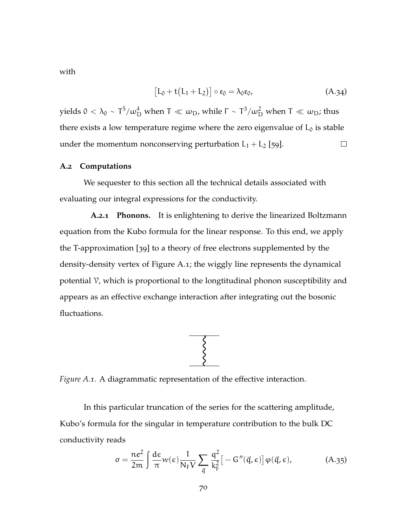with

$$
[L_0 + t(L_1 + L_2)] \circ \mathfrak{e}_0 = \lambda_0 \mathfrak{e}_0, \tag{A.34}
$$

yields 0 <  $\lambda_0 \sim T^5/\omega_D^4$  when T  $\ll \omega_D$ , while  $\Gamma \sim T^3/\omega_D^2$  when T  $\ll \omega_D$ ; thus there exists a low temperature regime where the zero eigenvalue of  $L_0$  is stable under the momentum nonconserving perturbation  $L_1 + L_2$  [[59](#page-170-0)].  $\Box$ 

### **A.2 Computations**

We sequester to this section all the technical details associated with evaluating our integral expressions for the conductivity.

**A.2.1 Phonons.** It is enlightening to derive the linearized Boltzmann equation from the Kubo formula for the linear response. To this end, we apply the T-approximation [[39](#page-169-1)] to a theory of free electrons supplemented by the density-density vertex of [Figure A.](#page-82-0)1; the wiggly line represents the dynamical potential V, which is proportional to the longtitudinal phonon susceptibility and appears as an effective exchange interaction after integrating out the bosonic fluctuations.



<span id="page-82-0"></span>*Figure A.1.* A diagrammatic representation of the effective interaction.

In this particular truncation of the series for the scattering amplitude, Kubo's formula for the singular in temperature contribution to the bulk DC conductivity reads

$$
\sigma = \frac{ne^2}{2m} \int \frac{d\epsilon}{\pi} w(\epsilon) \frac{1}{N_F V} \sum_{\vec{q}} \frac{q^2}{k_F^2} \left[ -G''(\vec{q}, \epsilon) \right] \varphi(\vec{q}, \epsilon), \tag{A.35}
$$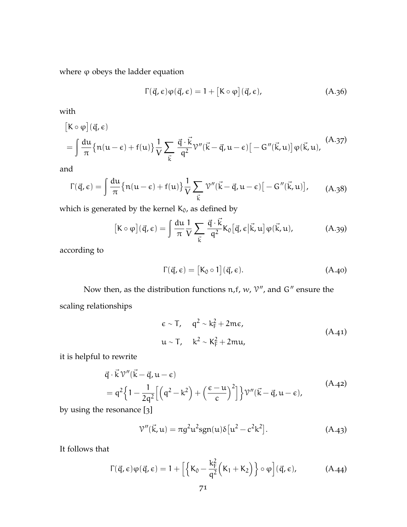where  $\varphi$  obeys the ladder equation

$$
\Gamma(\vec{q}, \epsilon)\varphi(\vec{q}, \epsilon) = 1 + [K \circ \varphi](\vec{q}, \epsilon), \qquad (A.36)
$$

with

$$
[\mathbf{K} \circ \varphi](\vec{\mathbf{q}}, \epsilon)
$$
  
= 
$$
\int \frac{d\mathbf{u}}{\pi} \{ n(u - \epsilon) + f(u) \} \frac{1}{V} \sum_{\vec{k}} \frac{\vec{q} \cdot \vec{k}}{q^2} \mathcal{V}''(\vec{k} - \vec{q}, u - \epsilon) [-G''(\vec{k}, u)] \varphi(\vec{k}, u),
$$
 (A.37)

and

$$
\Gamma(\vec{q}, \epsilon) = \int \frac{du}{\pi} \{ n(u - \epsilon) + f(u) \} \frac{1}{V} \sum_{\vec{k}} \mathcal{V}''(\vec{k} - \vec{q}, u - \epsilon) [-G''(\vec{k}, u)], \qquad (A.38)
$$

which is generated by the kernel  $K_0$ , as defined by

$$
[\mathbf{K} \circ \varphi](\vec{\mathsf{q}}, \epsilon) = \int \frac{\mathrm{d}\mathsf{u}}{\pi} \frac{1}{V} \sum_{\vec{k}} \frac{\vec{\mathsf{q}} \cdot \vec{k}}{\mathsf{q}^2} \mathsf{K}_0[\vec{\mathsf{q}}, \epsilon | \vec{k}, \mathsf{u}] \varphi(\vec{k}, \mathsf{u}), \tag{A.39}
$$

according to

$$
\Gamma(\vec{q}, \epsilon) = [K_0 \circ 1](\vec{q}, \epsilon). \tag{A.40}
$$

Now then, as the distribution functions  $n, f, w, \mathcal{V}''$ , and  $G''$  ensure the scaling relationships

$$
\varepsilon \sim T, \quad q^2 \sim k_F^2 + 2m\varepsilon,
$$
  
 
$$
u \sim T, \quad k^2 \sim K_F^2 + 2mu,
$$
 (A.41)

it is helpful to rewrite

$$
\vec{q} \cdot \vec{k} \mathcal{V}''(\vec{k} - \vec{q}, u - \epsilon) \n= q^2 \left\{ 1 - \frac{1}{2q^2} \left[ \left( q^2 - k^2 \right) + \left( \frac{\epsilon - u}{c} \right)^2 \right] \right\} \mathcal{V}''(\vec{k} - \vec{q}, u - \epsilon),
$$
\n(A.42)

by using the resonance [[3](#page-165-0)]

$$
\mathcal{V}''(\vec{k}, u) = \pi g^2 u^2 s g n(u) \delta [u^2 - c^2 k^2].
$$
 (A.43)

It follows that

$$
\Gamma(\vec{q}, \epsilon)\varphi(\vec{q}, \epsilon) = 1 + \left[ \left\{ K_0 - \frac{k_F^2}{q^2} \Big( K_1 + K_2 \Big) \right\} \circ \varphi \right] (\vec{q}, \epsilon), \tag{A.44}
$$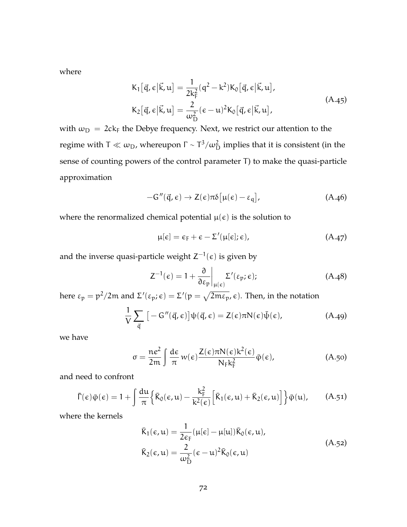where

$$
K_1[\vec{q}, \epsilon | \vec{k}, u] = \frac{1}{2k_F^2} (q^2 - k^2) K_0[\vec{q}, \epsilon | \vec{k}, u],
$$
  
\n
$$
K_2[\vec{q}, \epsilon | \vec{k}, u] = \frac{2}{\omega_D^2} (\epsilon - u)^2 K_0[\vec{q}, \epsilon | \vec{k}, u],
$$
\n(A.45)

with  $\omega_D = 2c k_F$  the Debye frequency. Next, we restrict our attention to the regime with T  $\ll \omega_{\rm D}$ , whereupon  $\Gamma$  ~  $T^3/\omega_{\rm D}^2$  implies that it is consistent (in the sense of counting powers of the control parameter T) to make the quasi-particle approximation

$$
-G''(\vec{q}, \epsilon) \to Z(\epsilon)\pi\delta[\mu(\epsilon) - \epsilon_{q}], \qquad (A.46)
$$

where the renormalized chemical potential  $\mu(\epsilon)$  is the solution to

$$
\mu[\epsilon] = \epsilon_{F} + \epsilon - \Sigma'(\mu[\epsilon]; \epsilon), \qquad (A.47)
$$

and the inverse quasi-particle weight  $Z^{-1}(\epsilon)$  is given by

$$
Z^{-1}(\epsilon) = 1 + \frac{\partial}{\partial \epsilon_p} \bigg|_{\mu(\epsilon)} \Sigma'(\epsilon_p; \epsilon); \tag{A.48}
$$

here  $\varepsilon_p = p^2/2m$  and  $\Sigma'(\varepsilon_p; \epsilon) = \Sigma'(p = \sqrt{2m\varepsilon_p}, \epsilon)$ . Then, in the notation

$$
\frac{1}{V} \sum_{\vec{q}} \left[ -G''(\vec{q}, \epsilon) \right] \psi(\vec{q}, \epsilon) = Z(\epsilon) \pi N(\epsilon) \bar{\psi}(\epsilon), \tag{A.49}
$$

we have

$$
\sigma = \frac{ne^2}{2m} \int \frac{d\epsilon}{\pi} w(\epsilon) \frac{Z(\epsilon)\pi N(\epsilon)k^2(\epsilon)}{N_F k_F^2} \bar{\varphi}(\epsilon), \tag{A.50}
$$

and need to confront

$$
\bar{\Gamma}(\epsilon)\bar{\varphi}(\epsilon) = 1 + \int \frac{du}{\pi} \Big\{ \bar{K}_0(\epsilon, u) - \frac{k_F^2}{k^2(\epsilon)} \Big[ \bar{K}_1(\epsilon, u) + \bar{K}_2(\epsilon, u) \Big] \Big\} \bar{\varphi}(u), \quad (A.51)
$$

where the kernels

$$
\bar{K}_1(\epsilon, u) = \frac{1}{2\varepsilon_F} (\mu[\epsilon] - \mu[u]) \bar{K}_0(\epsilon, u),
$$
\n
$$
\bar{K}_2(\epsilon, u) = \frac{2}{\omega_D^2} (\epsilon - u)^2 \bar{K}_0(\epsilon, u)
$$
\n(A.52)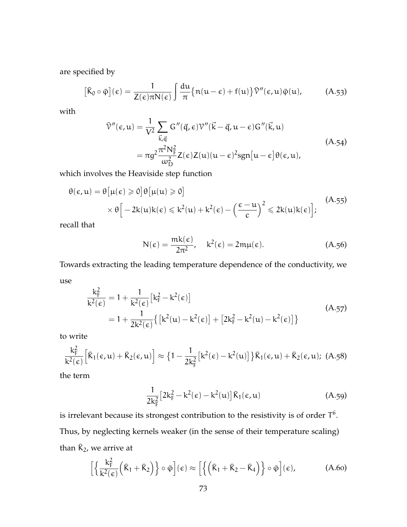are specified by

$$
[\bar{K}_0 \circ \bar{\phi}](\epsilon) = \frac{1}{Z(\epsilon)\pi N(\epsilon)} \int \frac{du}{\pi} \{n(u-\epsilon) + f(u)\} \bar{\mathcal{V}}''(\epsilon, u)\bar{\phi}(u), \quad (A.53)
$$

with

$$
\bar{\nu}''(\epsilon, u) = \frac{1}{V^2} \sum_{\vec{k}, \vec{q}} G''(\vec{q}, \epsilon) \nu''(\vec{k} - \vec{q}, u - \epsilon) G''(\vec{k}, u)
$$
  
= 
$$
\pi g^2 \frac{\pi^2 N_{\text{F}}^2}{\omega_{\text{D}}^2} Z(\epsilon) Z(u) (u - \epsilon)^2 sgn[u - \epsilon] \theta(\epsilon, u),
$$
 (A.54)

which involves the Heaviside step function

$$
\theta(\epsilon, u) = \theta \left[ \mu(\epsilon) \geqslant 0 \right] \theta \left[ \mu(u) \geqslant 0 \right] \times \theta \left[ -2k(u)k(\epsilon) \leqslant k^2(u) + k^2(\epsilon) - \left( \frac{\epsilon - u}{c} \right)^2 \leqslant 2k(u)k(\epsilon) \right]; \tag{A.55}
$$

recall that

$$
N(\epsilon) = \frac{mk(\epsilon)}{2\pi^2}, \quad k^2(\epsilon) = 2m\mu(\epsilon). \tag{A.56}
$$

Towards extracting the leading temperature dependence of the conductivity, we use

$$
\frac{k_{F}^{2}}{k^{2}(\epsilon)} = 1 + \frac{1}{k^{2}(\epsilon)} \left[ k_{F}^{2} - k^{2}(\epsilon) \right]
$$
\n
$$
= 1 + \frac{1}{2k^{2}(\epsilon)} \left\{ \left[ k^{2}(u) - k^{2}(\epsilon) \right] + \left[ 2k_{F}^{2} - k^{2}(u) - k^{2}(\epsilon) \right] \right\}
$$
\n(A.57)

to write

$$
\frac{k_F^2}{k^2(\varepsilon)} \Big[ \bar{K}_1(\varepsilon, u) + \bar{K}_2(\varepsilon, u) \Big] \approx \left\{ 1 - \frac{1}{2k_F^2} \big[ k^2(\varepsilon) - k^2(u) \big] \right\} \bar{K}_1(\varepsilon, u) + \bar{K}_2(\varepsilon, u); \ (A.58)
$$

the term

$$
\frac{1}{2k_F^2} \left[ 2k_F^2 - k^2(\epsilon) - k^2(\mu) \right] \bar{K}_1(\epsilon, \mu) \tag{A.59}
$$

is irrelevant because its strongest contribution to the resistivity is of order  $\mathsf{T}^6$ . Thus, by neglecting kernels weaker (in the sense of their temperature scaling) than  $\bar{K}_2$ , we arrive at

$$
\left[\left\{\frac{k_{F}^{2}}{k^{2}(\epsilon)}\left(\bar{K}_{1}+\bar{K}_{2}\right)\right\}\circ\bar{\varphi}\right](\epsilon)\approx\left[\left\{\left(\bar{K}_{1}+\bar{K}_{2}-\bar{K}_{4}\right)\right\}\circ\bar{\varphi}\right](\epsilon),\tag{A.60}
$$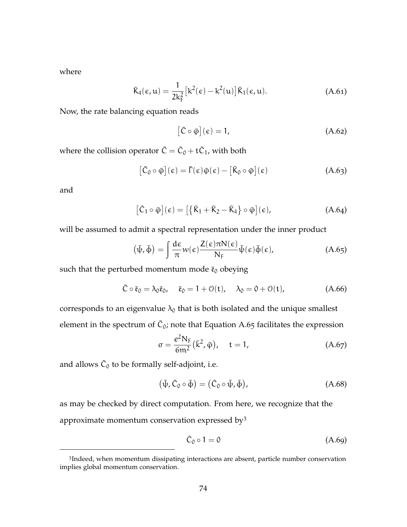where

$$
\bar{K}_4(\epsilon, u) = \frac{1}{2k_F^2} \left[ k^2(\epsilon) - k^2(u) \right] \bar{K}_1(\epsilon, u). \tag{A.61}
$$

Now, the rate balancing equation reads

<span id="page-86-1"></span><span id="page-86-0"></span>
$$
[\bar{C} \circ \bar{\varphi}](\epsilon) = 1, \tag{A.62}
$$

where the collision operator  $\bar{C} = \bar{C}_0 + t\bar{C}_1$ , with both

$$
\left[\bar{C}_0 \circ \bar{\varphi}\right](\epsilon) = \bar{\Gamma}(\epsilon)\bar{\varphi}(\epsilon) - \left[\bar{K}_0 \circ \bar{\varphi}\right](\epsilon)
$$
\n(A.63)

and

$$
\left[\bar{C}_1 \circ \bar{\varphi}\right](\epsilon) = \left[\left\{\bar{K}_1 + \bar{K}_2 - \bar{K}_4\right\} \circ \bar{\varphi}\right](\epsilon),\tag{A.64}
$$

will be assumed to admit a spectral representation under the inner product

$$
(\bar{\psi}, \bar{\phi}) = \int \frac{d\epsilon}{\pi} w(\epsilon) \frac{Z(\epsilon)\pi N(\epsilon)}{N_F} \bar{\psi}(\epsilon) \bar{\phi}(\epsilon), \qquad (A.65)
$$

such that the perturbed momentum mode  $\bar{\mathfrak{e}}_0$  obeying

$$
\bar{C} \circ \bar{\mathfrak{e}}_0 = \lambda_0 \bar{\mathfrak{e}}_0, \quad \bar{\mathfrak{e}}_0 = 1 + \mathfrak{O}(\mathfrak{t}), \quad \lambda_0 = 0 + \mathfrak{O}(\mathfrak{t}), \tag{A.66}
$$

corresponds to an eigenvalue  $\lambda_0$  that is both isolated and the unique smallest element in the spectrum of  $\bar{C}_0$ ; note that [Equation A.](#page-86-0)65 facilitates the expression

$$
\sigma = \frac{e^2 N_F}{6m^2} (\bar{k}^2, \bar{\varphi}), \quad t = 1,
$$
\n(A.67)

and allows  $\bar{C}_0$  to be formally self-adjoint, i.e.

$$
(\bar{\psi}, \bar{C}_0 \circ \bar{\phi}) = (\bar{C}_0 \circ \bar{\psi}, \bar{\phi}), \qquad (A.68)
$$

as may be checked by direct computation. From here, we recognize that the approximate momentum conservation expressed by $3$ 

$$
\bar{C}_0 \circ 1 = 0 \tag{A.69}
$$

<sup>&</sup>lt;sup>3</sup>Indeed, when momentum dissipating interactions are absent, particle number conservation implies global momentum conservation.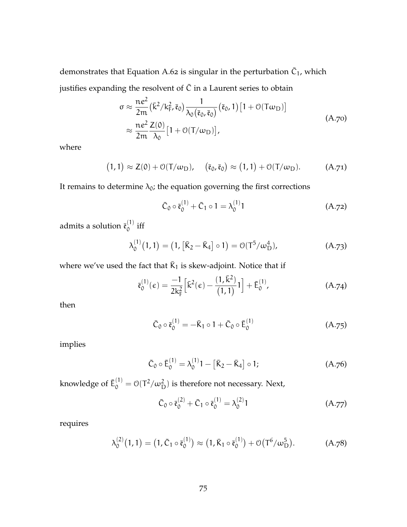demonstrates that [Equation A.](#page-86-1)62 is singular in the perturbation  $\bar{C}_1$ , which justifies expanding the resolvent of  $\bar{C}$  in a Laurent series to obtain

$$
\sigma \approx \frac{ne^2}{2m} (\bar{k}^2 / k_F^2, \bar{\mathfrak{e}}_0) \frac{1}{\lambda_0 (\bar{\mathfrak{e}}_0, \bar{\mathfrak{e}}_0)} (\bar{\mathfrak{e}}_0, 1) [1 + \mathcal{O}(T\omega_D)]
$$
  

$$
\approx \frac{ne^2}{2m} \frac{Z(0)}{\lambda_0} [1 + \mathcal{O}(T/\omega_D)],
$$
 (A.70)

where

$$
(1,1) \approx Z(0) + \mathcal{O}(T/\omega_D), \quad (\bar{\mathfrak{e}}_0, \bar{\mathfrak{e}}_0) \approx (1,1) + \mathcal{O}(T/\omega_D). \tag{A.71}
$$

It remains to determine  $\lambda_0$ ; the equation governing the first corrections

$$
\bar{C}_0 \circ \bar{\mathfrak{e}}_0^{(1)} + \bar{C}_1 \circ 1 = \lambda_0^{(1)} 1 \tag{A.72}
$$

admits a solution  $\bar{\mathfrak{e}}_0^{(1)}$  $\int_0^{1}$  iff

$$
\lambda_0^{(1)}(1,1) = (1, [\bar{K}_2 - \bar{K}_4] \circ 1) = \mathcal{O}(T^5/\omega_D^4), \tag{A.73}
$$

where we've used the fact that  $\bar{K}_1$  is skew-adjoint. Notice that if

$$
\bar{\mathfrak{e}}_0^{(1)}(\epsilon) = \frac{-1}{2k_F^2} \Big[ \bar{k}^2(\epsilon) - \frac{(1,\bar{k}^2)}{(1,1)} \mathbf{1} \Big] + \bar{E}_0^{(1)}, \tag{A.74}
$$

then

$$
\bar{C}_0 \circ \bar{\mathfrak{e}}_0^{(1)} = -\bar{K}_1 \circ 1 + \bar{C}_0 \circ \bar{E}_0^{(1)} \tag{A.75}
$$

implies

$$
\bar{C}_0 \circ \bar{E}_0^{(1)} = \lambda_0^{(1)}1 - [\bar{K}_2 - \bar{K}_4] \circ 1; \tag{A.76}
$$

knowledge of  $\bar{E}_0^{(1)} = \mathcal{O}(T^2/\omega_\mathrm{D}^2)$  is therefore not necessary. Next,

$$
\bar{C}_0 \circ \bar{\mathfrak{e}}_0^{(2)} + \bar{C}_1 \circ \bar{\mathfrak{e}}_0^{(1)} = \lambda_0^{(2)} 1 \tag{A.77}
$$

requires

$$
\lambda_0^{(2)}(1,1) = (1,\bar{C}_1 \circ \bar{\mathfrak{e}}_0^{(1)}) \approx (1,\bar{K}_1 \circ \bar{\mathfrak{e}}_0^{(1)}) + \mathcal{O}(T^6/\omega_{\mathrm{D}}^5). \tag{A.78}
$$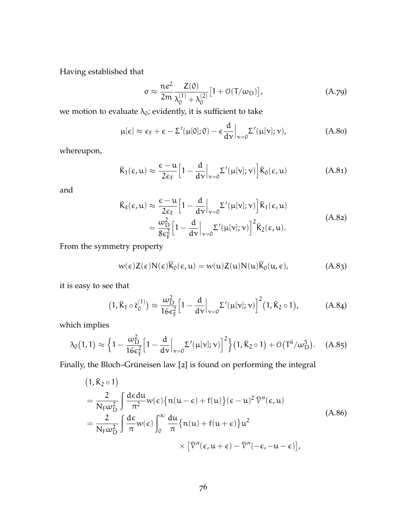Having established that

$$
\sigma \approx \frac{ne^2}{2m} \frac{Z(0)}{\lambda_0^{(1)} + \lambda_0^{(2)}} \left[ 1 + \mathcal{O}(T/\omega_D) \right],\tag{A.79}
$$

we motion to evaluate  $\lambda_0$ ; evidently, it is sufficient to take

$$
\mu[\epsilon] \approx \epsilon_{\rm F} + \epsilon - \Sigma'(\mu[0];0) - \epsilon \frac{\mathrm{d}}{\mathrm{d}\nu}\Big|_{\nu=0} \Sigma'(\mu[\nu];\nu), \tag{A.80}
$$

whereupon,

$$
\bar{K}_1(\epsilon, u) \approx \frac{\epsilon - u}{2\epsilon_F} \Big[ 1 - \frac{d}{dv} \Big|_{v=0} \Sigma'(\mu[v]; v) \Big] \bar{K}_0(\epsilon, u) \tag{A.81}
$$

and

$$
\bar{K}_4(\epsilon, u) \approx \frac{\epsilon - u}{2\epsilon_F} \Big[ 1 - \frac{d}{dv} \Big|_{v=0} \Sigma'(\mu[v]; v) \Big] \bar{K}_1(\epsilon, u)
$$
\n
$$
= \frac{\omega_{\mathrm{D}}^2}{8\epsilon_F^2} \Big[ 1 - \frac{d}{dv} \Big|_{v=0} \Sigma'(\mu[v]; v) \Big]^2 \bar{K}_2(\epsilon, u). \tag{A.82}
$$

From the symmetry property

$$
w(\epsilon)Z(\epsilon)N(\epsilon)\overline{K}_0(\epsilon, u) = w(u)Z(u)N(u)\overline{K}_0(u, \epsilon), \qquad (A.83)
$$

it is easy to see that

<span id="page-88-0"></span>
$$
(1, \overline{K}_1 \circ \overline{\mathfrak{e}}_0^{(1)}) \approx \frac{\omega_{\mathrm{D}}^2}{16 \epsilon_{\mathrm{F}}^2} \Big[ 1 - \frac{\mathrm{d}}{\mathrm{d}v} \Big|_{v=0} \Sigma'(\mu[v]; v) \Big]^2 (1, \overline{K}_2 \circ 1), \tag{A.84}
$$

which implies

$$
\lambda_0(1,1) \approx \left\{ 1 - \frac{\omega_{\rm D}^2}{16\epsilon_{\rm F}^2} \Big[ 1 - \frac{d}{dv} \Big|_{v=0} \Sigma'(\mu[v];v) \Big]^2 \right\} (1,\bar{K}_2 \circ 1) + \mathcal{O}\big(\mathsf{T}^6/\omega_{\rm D}^5\big). \tag{A.85}
$$

Finally, the Bloch–Grüneisen law [[2](#page-165-1)] is found on performing the integral

$$
(1, \bar{K}_2 \circ 1)
$$
\n
$$
= \frac{2}{N_F \omega_D^2} \int \frac{d\epsilon d\mu}{\pi^2} w(\epsilon) \{n(u - \epsilon) + f(u)\} (\epsilon - u)^2 \bar{V}''(\epsilon, u)
$$
\n
$$
= \frac{2}{N_F \omega_D^2} \int \frac{d\epsilon}{\pi} w(\epsilon) \int_0^\infty \frac{du}{\pi} \{n(u) + f(u + \epsilon)\} u^2
$$
\n
$$
\times [\bar{V}''(\epsilon, u + \epsilon) - \bar{V}''(-\epsilon, -u - \epsilon)],
$$
\n(A.86)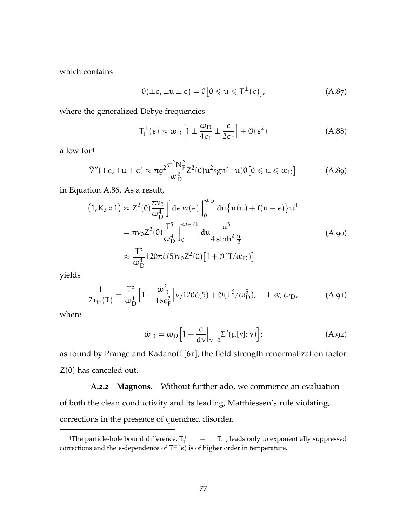which contains

$$
\theta(\pm \epsilon, \pm \mathfrak{u} \pm \epsilon) = \theta \big[ 0 \leq \mathfrak{u} \leq T_1^{\pm}(\epsilon) \big], \tag{A.87}
$$

where the generalized Debye frequencies

$$
T_1^{\pm}(\epsilon) \approx \omega_D \left[ 1 \pm \frac{\omega_D}{4\epsilon_F} \pm \frac{\epsilon}{2\epsilon_F} \right] + \mathcal{O}(\epsilon^2)
$$
 (A.88)

allow for<sup>4</sup>

$$
\bar{\mathcal{V}}''(\pm \epsilon, \pm u \pm \epsilon) \approx \pi g^2 \frac{\pi^2 N_F^2}{\omega_D^2} Z^2(0) u^2 s g n(\pm u) \theta \left[0 \leq u \leq \omega_D\right]
$$
 (A.89)

in [Equation A.](#page-88-0)86. As a result,

$$
(1, \bar{K}_2 \circ 1) \approx Z^2(0) \frac{\pi v_0}{\omega_D^4} \int d\varepsilon w(\varepsilon) \int_0^{\omega_D} du \{n(u) + f(u + \varepsilon)\} u^4
$$
  

$$
= \pi v_0 Z^2(0) \frac{T^5}{\omega_D^4} \int_0^{\omega_D/T} du \frac{u^5}{4 \sinh^2 \frac{u}{2}}
$$
  

$$
\approx \frac{T^5}{\omega_D^4} 120\pi \zeta(5) v_0 Z^2(0) [1 + O(T/\omega_D)]
$$
 (A.90)

yields

$$
\frac{1}{2\tau_{\rm tr}(T)} = \frac{T^5}{\omega_D^4} \Big[ 1 - \frac{\tilde{\omega}_{\rm D}^2}{16\epsilon_F^2} \Big] v_0 120\zeta(5) + \mathcal{O}(T^6/\omega_D^5), \quad T \ll \omega_D,
$$
 (A.91)

where

$$
\tilde{\omega}_{\rm D} = \omega_{\rm D} \Big[ 1 - \frac{d}{d\nu} \Big|_{\nu=0} \Sigma'(\mu[\nu]; \nu) \Big]; \tag{A.92}
$$

as found by Prange and Kadanoff [[61](#page-171-0)], the field strength renormalization factor  $Z(0)$  has canceled out.

**A.2.2 Magnons.** Without further ado, we commence an evaluation of both the clean conductivity and its leading, Matthiessen's rule violating, corrections in the presence of quenched disorder.

<sup>&</sup>lt;sup>4</sup>The particle-hole bound difference,  $T_1^+$   $T_1^-$ , leads only to exponentially suppressed corrections and the  $\epsilon$ -dependence of  $T_1^{\pm}(\epsilon)$  is of higher order in temperature.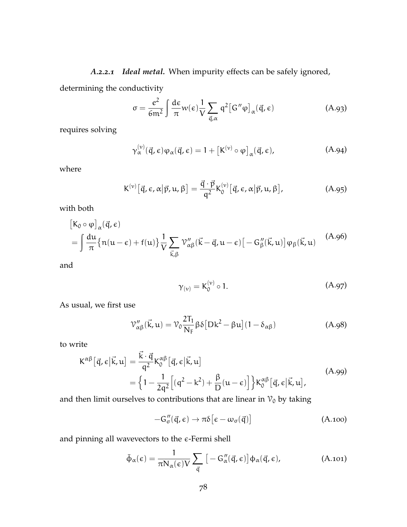*A.2.2.1 Ideal metal.* When impurity effects can be safely ignored,

determining the conductivity

<span id="page-90-0"></span>
$$
\sigma = \frac{e^2}{6m^2} \int \frac{d\epsilon}{\pi} w(\epsilon) \frac{1}{V} \sum_{\vec{q}, \alpha} q^2 [G''\varphi]_{\alpha}(\vec{q}, \epsilon)
$$
 (A.93)

requires solving

$$
\gamma_{\alpha}^{(\nu)}(\vec{q}, \epsilon)\varphi_{\alpha}(\vec{q}, \epsilon) = 1 + \left[K^{(\nu)} \circ \varphi\right]_{\alpha}(\vec{q}, \epsilon), \tag{A.94}
$$

where

$$
K^{(v)}\left[\vec{q},\epsilon,\alpha|\vec{p},\mathfrak{u},\beta\right]=\frac{\vec{q}\cdot\vec{p}}{q^2}K_0^{(v)}\left[\vec{q},\epsilon,\alpha|\vec{p},\mathfrak{u},\beta\right],\tag{A.95}
$$

with both

$$
\begin{aligned} & \left[ K_0 \circ \varphi \right]_{\alpha} (\vec{q}, \epsilon) \\ & = \int \frac{du}{\pi} \{ n(u - \epsilon) + f(u) \} \frac{1}{V} \sum_{\vec{k}, \beta} \mathcal{V}_{\alpha \beta}^{\prime\prime} (\vec{k} - \vec{q}, u - \epsilon) \left[ -G_{\beta}^{\prime\prime}(\vec{k}, u) \right] \varphi_{\beta}(\vec{k}, u) \end{aligned} \tag{A.96}
$$

and

$$
\gamma_{(v)} = K_0^{(v)} \circ 1. \tag{A.97}
$$

As usual, we first use

$$
\mathcal{V}_{\alpha\beta}''(\vec{k},\mathfrak{u}) = \mathcal{V}_0 \frac{2T_1}{N_F} \beta \delta \left[ Dk^2 - \beta \mathfrak{u} \right] (1 - \delta_{\alpha\beta})
$$
(A.98)

to write

$$
K^{\alpha\beta}[\vec{q}, \epsilon | \vec{k}, u] = \frac{\vec{k} \cdot \vec{q}}{q^2} K_0^{\alpha\beta}[\vec{q}, \epsilon | \vec{k}, u]
$$
  
=  $\left\{ 1 - \frac{1}{2q^2} \left[ (q^2 - k^2) + \frac{\beta}{D} (u - \epsilon) \right] \right\} K_0^{\alpha\beta}[\vec{q}, \epsilon | \vec{k}, u],$  (A.99)

and then limit ourselves to contributions that are linear in  $\mathcal{V}_0$  by taking

$$
-G''_{\sigma}(\vec{q}, \epsilon) \to \pi \delta \big[ \epsilon - \omega_{\sigma}(\vec{q}) \big] \tag{A.100}
$$

and pinning all wavevectors to the  $\varepsilon$ -Fermi shell

$$
\bar{\Phi}_{\alpha}(\epsilon) = \frac{1}{\pi N_{\alpha}(\epsilon)V} \sum_{\vec{q}} \left[ -G''_{\alpha}(\vec{q}, \epsilon) \right] \Phi_{\alpha}(\vec{q}, \epsilon), \tag{A.101}
$$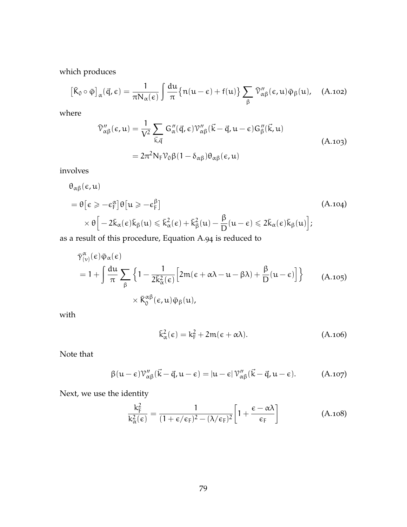which produces

$$
\left[\bar{K}_0 \circ \bar{\phi}\right]_{\alpha}(\vec{q}, \epsilon) = \frac{1}{\pi N_{\alpha}(\epsilon)} \int \frac{du}{\pi} \{n(u - \epsilon) + f(u)\} \sum_{\beta} \bar{\mathcal{V}}''_{\alpha\beta}(\epsilon, u) \bar{\phi}_{\beta}(u), \quad (A.102)
$$

where

$$
\tilde{\nu}''_{\alpha\beta}(\epsilon, u) = \frac{1}{V^2} \sum_{\vec{k}, \vec{q}} G''_{\alpha}(\vec{q}, \epsilon) \mathcal{V}''_{\alpha\beta}(\vec{k} - \vec{q}, u - \epsilon) G''_{\beta}(\vec{k}, u)
$$
\n
$$
= 2\pi^2 N_F \mathcal{V}_0 \beta (1 - \delta_{\alpha\beta}) \theta_{\alpha\beta}(\epsilon, u)
$$
\n(A.103)

involves

$$
\theta_{\alpha\beta}(\epsilon, u)
$$
\n
$$
= \theta \left[ \epsilon \geq -\epsilon_{\rm F}^{\alpha} \right] \theta \left[ u \geq -\epsilon_{\rm F}^{\beta} \right]
$$
\n
$$
\times \theta \left[ -2\bar{k}_{\alpha}(\epsilon)\bar{k}_{\beta}(u) \leq \bar{k}_{\alpha}^{2}(\epsilon) + \bar{k}_{\beta}^{2}(u) - \frac{\beta}{D}(u - \epsilon) \leq 2\bar{k}_{\alpha}(\epsilon)\bar{k}_{\beta}(u) \right];
$$
\n(A.104)

as a result of this procedure, [Equation A.](#page-90-0)94 is reduced to

$$
\tilde{\gamma}^{\alpha}_{(\nu)}(\epsilon)\bar{\varphi}_{\alpha}(\epsilon)
$$
\n
$$
= 1 + \int \frac{du}{\pi} \sum_{\beta} \left\{ 1 - \frac{1}{2\bar{k}^2_{\alpha}(\epsilon)} \left[ 2m(\epsilon + \alpha\lambda - u - \beta\lambda) + \frac{\beta}{D}(u - \epsilon) \right] \right\} \qquad (A.105)
$$
\n
$$
\times \bar{K}^{\alpha\beta}_{0}(\epsilon, u)\bar{\varphi}_{\beta}(u),
$$

with

$$
\bar{k}_{\alpha}^{2}(\epsilon) = k_{F}^{2} + 2m(\epsilon + \alpha\lambda). \tag{A.106}
$$

Note that

$$
\beta(u-\epsilon)\mathcal{V}_{\alpha\beta}''(\vec{k}-\vec{q},u-\epsilon) = |u-\epsilon|\mathcal{V}_{\alpha\beta}''(\vec{k}-\vec{q},u-\epsilon). \tag{A.107}
$$

Next, we use the identity

$$
\frac{k_{F}^{2}}{k_{\alpha}^{2}(\varepsilon)} = \frac{1}{(1 + \varepsilon/\varepsilon_{F})^{2} - (\lambda/\varepsilon_{F})^{2}} \left[1 + \frac{\varepsilon - \alpha\lambda}{\varepsilon_{F}}\right]
$$
(A.108)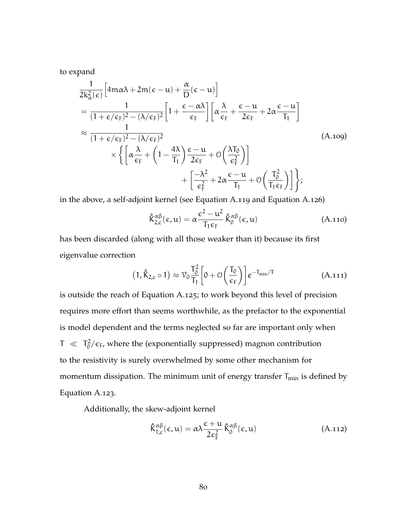to expand

$$
\frac{1}{2k_{\alpha}^{2}(\epsilon)} \Big[ 4m\alpha\lambda + 2m(\epsilon - u) + \frac{\alpha}{D}(\epsilon - u) \Big]
$$
\n
$$
= \frac{1}{(1 + \epsilon/\epsilon_{F})^{2} - (\lambda/\epsilon_{F})^{2}} \Big[ 1 + \frac{\epsilon - \alpha\lambda}{\epsilon_{F}} \Big] \Big[ \alpha \frac{\lambda}{\epsilon_{F}} + \frac{\epsilon - u}{2\epsilon_{F}} + 2\alpha \frac{\epsilon - u}{T_{1}} \Big]
$$
\n
$$
\approx \frac{1}{(1 + \epsilon/\epsilon_{F})^{2} - (\lambda/\epsilon_{F})^{2}} \times \Big\{ \Big[ \alpha \frac{\lambda}{\epsilon_{F}} + \Big( 1 - \frac{4\lambda}{T_{1}} \Big) \frac{\epsilon - u}{2\epsilon_{F}} + \mathcal{O} \Big( \frac{\lambda T_{0}}{\epsilon_{F}^{2}} \Big) \Big] + \Big[ \frac{-\lambda^{2}}{\epsilon_{F}^{2}} + 2\alpha \frac{\epsilon - u}{T_{1}} + \mathcal{O} \Big( \frac{T_{0}^{2}}{T_{1}\epsilon_{F}} \Big) \Big] \Big\};
$$
\n(A.109)

in the above, a self-adjoint kernel (see [Equation A.](#page-93-0)119 and [Equation A.](#page-94-0)126)

$$
\hat{\bar{K}}_{2,c}^{\alpha\beta}(\varepsilon, u) = \alpha \frac{\varepsilon^2 - u^2}{T_1 \varepsilon_F} \hat{\bar{K}}_0^{\alpha\beta}(\varepsilon, u)
$$
 (A.110)

has been discarded (along with all those weaker than it) because its first eigenvalue correction

$$
(1, \hat{K}_{2,c} \circ 1) \approx \mathcal{V}_0 \frac{T_0^2}{T_1} \left[ 0 + \mathcal{O}\left(\frac{T_0}{\epsilon_F}\right) \right] e^{-T_{\min}/T}
$$
 (A.111)

is outside the reach of [Equation A.](#page-94-1)125; to work beyond this level of precision requires more effort than seems worthwhile, as the prefactor to the exponential is model dependent and the terms neglected so far are important only when  $T \ll T_0^2$  $\frac{d^2}{dt^2}$  where the (exponentially suppressed) magnon contribution to the resistivity is surely overwhelmed by some other mechanism for momentum dissipation. The minimum unit of energy transfer  $T_{min}$  is defined by [Equation A.](#page-94-2)123.

Additionally, the skew-adjoint kernel

$$
\hat{\mathsf{K}}_{1,c}^{\alpha\beta}(\epsilon,\mathfrak{u}) = \alpha \lambda \frac{\epsilon + \mathfrak{u}}{2\epsilon_{\mathrm{F}}^2} \hat{\mathsf{K}}_0^{\alpha\beta}(\epsilon,\mathfrak{u})
$$
\n(A.112)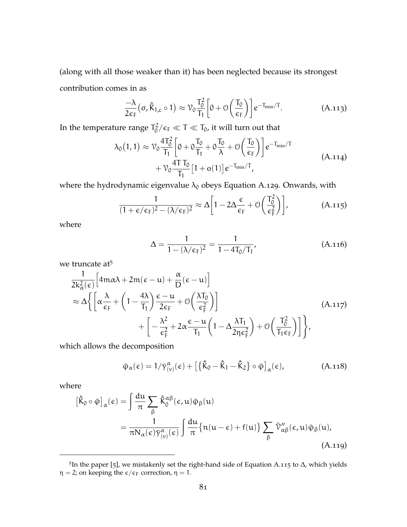(along with all those weaker than it) has been neglected because its strongest contribution comes in as

$$
\frac{-\lambda}{2\varepsilon_{\rm F}}\big(\sigma,\hat{\rm K}_{1,c}\circ 1\big)\approx\mathcal{V}_0\frac{T_0^2}{T_1}\bigg[0+\mathcal{O}\bigg(\frac{T_0}{\varepsilon_{\rm F}}\bigg)\bigg]e^{-T_{\rm min}/T}.\tag{A.113}
$$

In the temperature range  $T_0^2$  $\int_0^2/\epsilon_F \ll T \ll T_0$ , it will turn out that

$$
\lambda_0(1,1) \approx \mathcal{V}_0 \frac{4T_0^2}{T_1} \left[ 0 + 0 \frac{T_0}{T_1} + 0 \frac{T_0}{\lambda} + \mathcal{O}\left(\frac{T_0}{\epsilon_F}\right) \right] e^{-T_{min}/T} + \mathcal{V}_0 \frac{4T T_0}{T_1} \left[ 1 + o(1) \right] e^{-T_{min}/T},
$$
\n(A.114)

where the hydrodynamic eigenvalue  $\lambda_0$  obeys [Equation A.](#page-95-0)129. Onwards, with

$$
\frac{1}{(1+\epsilon/\epsilon_{F})^2 - (\lambda/\epsilon_{F})^2} \approx \Delta \left[1 - 2\Delta \frac{\epsilon}{\epsilon_{F}} + \mathcal{O}\left(\frac{T_0^2}{\epsilon_{F}^2}\right)\right],
$$
 (A.115)

where

<span id="page-93-1"></span>
$$
\Delta = \frac{1}{1 - (\lambda/\epsilon_{\rm F})^2} = \frac{1}{1 - 4T_0/T_1},
$$
\n(A.116)

we truncate at<sup>5</sup>

$$
\frac{1}{2k_{\alpha}^{2}(\epsilon)} \Big[ 4m\alpha\lambda + 2m(\epsilon - u) + \frac{\alpha}{D}(\epsilon - u) \Big] \n\approx \Delta \Big\{ \Big[ \alpha \frac{\lambda}{\epsilon_{F}} + \left( 1 - \frac{4\lambda}{T_{1}} \right) \frac{\epsilon - u}{2\epsilon_{F}} + \mathcal{O} \Big( \frac{\lambda T_{0}}{\epsilon_{F}^{2}} \Big) \Big] \n+ \Big[ -\frac{\lambda^{2}}{\epsilon_{F}^{2}} + 2\alpha \frac{\epsilon - u}{T_{1}} \Big( 1 - \Delta \frac{\lambda T_{1}}{2\eta \epsilon_{F}^{2}} \Big) + \mathcal{O} \Big( \frac{T_{0}^{2}}{T_{1} \epsilon_{F}} \Big) \Big] \Big\}, \tag{A.117}
$$

which allows the decomposition

$$
\bar{\varphi}_{\alpha}(\epsilon) = 1/\bar{\gamma}_{(\nu)}^{\alpha}(\epsilon) + \left[\left\{\hat{\bar{K}}_{0} - \hat{\bar{K}}_{1} - \hat{\bar{K}}_{2}\right\} \circ \bar{\varphi}\right]_{\alpha}(\epsilon), \tag{A.118}
$$

where

<span id="page-93-0"></span>
$$
\begin{split} \left[\hat{\mathbf{K}}_{0} \circ \bar{\boldsymbol{\varphi}}\right]_{\alpha}(\epsilon) &= \int \frac{\mathrm{d}\mathbf{u}}{\pi} \sum_{\beta} \hat{\mathbf{K}}_{0}^{\alpha\beta}(\epsilon, \mathbf{u}) \bar{\boldsymbol{\varphi}}_{\beta}(\mathbf{u}) \\ &= \frac{1}{\pi N_{\alpha}(\epsilon) \bar{\gamma}_{(\nu)}^{\alpha}(\epsilon)} \int \frac{\mathrm{d}\mathbf{u}}{\pi} \{ \mathbf{n}(\mathbf{u} - \epsilon) + \mathbf{f}(\mathbf{u}) \} \sum_{\beta} \bar{\mathbf{V}}_{\alpha\beta}^{\prime\prime}(\epsilon, \mathbf{u}) \bar{\boldsymbol{\varphi}}_{\beta}(\mathbf{u}), \end{split} \tag{A.119}
$$

<sup>5</sup> In the paper [[5](#page-165-2)], we mistakenly set the right-hand side of [Equation A.](#page-93-1)115 to ∆, which yields  $\eta = 2$ ; on keeping the  $\varepsilon / \varepsilon_F$  correction,  $\eta = 1$ .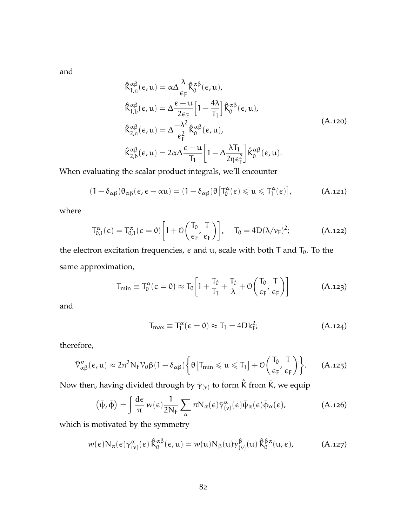and

$$
\hat{K}_{1,a}^{\alpha\beta}(\epsilon, u) = \alpha \Delta \frac{\lambda}{\epsilon_{F}} \hat{K}_{0}^{\alpha\beta}(\epsilon, u),
$$
\n
$$
\hat{K}_{1,b}^{\alpha\beta}(\epsilon, u) = \Delta \frac{\epsilon - u}{2\epsilon_{F}} \Big[ 1 - \frac{4\lambda}{T_{1}} \Big] \hat{K}_{0}^{\alpha\beta}(\epsilon, u),
$$
\n
$$
\hat{K}_{2,a}^{\alpha\beta}(\epsilon, u) = \Delta \frac{-\lambda^{2}}{\epsilon_{F}^{2}} \hat{K}_{0}^{\alpha\beta}(\epsilon, u),
$$
\n
$$
\hat{K}_{2,b}^{\alpha\beta}(\epsilon, u) = 2\alpha \Delta \frac{\epsilon - u}{T_{1}} \Big[ 1 - \Delta \frac{\lambda T_{1}}{2\eta \epsilon_{F}^{2}} \Big] \hat{K}_{0}^{\alpha\beta}(\epsilon, u).
$$
\n(A.120)

When evaluating the scalar product integrals, we'll encounter

$$
(1-\delta_{\alpha\beta})\theta_{\alpha\beta}(\varepsilon,\varepsilon-\alpha u)=(1-\delta_{\alpha\beta})\theta\big[T_0^{\alpha}(\varepsilon)\leqslant u\leqslant T_1^{\alpha}(\varepsilon)\big],\qquad \qquad \text{(A.121)}
$$

where

$$
T_{0,1}^{\alpha}(\varepsilon) = T_{0,1}^{\alpha}(\varepsilon = 0) \left[ 1 + \mathcal{O}\left(\frac{T_0}{\varepsilon_F}, \frac{T}{\varepsilon_F}\right) \right], \quad T_0 = 4D(\lambda/\nu_F)^2; \tag{A.122}
$$

the electron excitation frequencies,  $\epsilon$  and  $\mu$ , scale with both T and  $T_0$ . To the same approximation,

<span id="page-94-2"></span>
$$
T_{\min} \equiv T_0^{\alpha}(\varepsilon = 0) \approx T_0 \bigg[ 1 + \frac{T_0}{T_1} + \frac{T_0}{\lambda} + \mathcal{O}\bigg(\frac{T_0}{\varepsilon_F}, \frac{T}{\varepsilon_F}\bigg) \bigg] \qquad (A.123)
$$

and

<span id="page-94-0"></span>
$$
T_{\text{max}} \equiv T_1^{\alpha} (\epsilon = 0) \approx T_1 = 4Dk_F^2; \tag{A.124}
$$

therefore,

<span id="page-94-1"></span>
$$
\bar{\mathcal{V}}''_{\alpha\beta}(\varepsilon,u)\approx 2\pi^2N_F\mathcal{V}_0\beta(1-\delta_{\alpha\beta})\bigg\{\theta\big[T_{min}\leqslant u\leqslant T_1\big]+\mathcal{O}\bigg(\frac{T_0}{\varepsilon_F},\frac{T}{\varepsilon_F}\bigg)\bigg\}.\quad \ \ (A.125)
$$

Now then, having divided through by  $\bar{\gamma}_{(\nu)}$  to form  $\hat{\mathsf{K}}$  from  $\bar{\mathsf{K}}$ , we equip

$$
(\bar{\psi}, \bar{\phi}) = \int \frac{d\epsilon}{\pi} w(\epsilon) \frac{1}{2N_F} \sum_{\alpha} \pi N_{\alpha}(\epsilon) \bar{\gamma}^{\alpha}_{(\nu)}(\epsilon) \bar{\psi}_{\alpha}(\epsilon) \bar{\phi}_{\alpha}(\epsilon), \tag{A.126}
$$

which is motivated by the symmetry

$$
w(\epsilon)N_{\alpha}(\epsilon)\bar{\gamma}_{(\nu)}^{\alpha}(\epsilon)\hat{\bar{K}}_{0}^{\alpha\beta}(\epsilon,\mathfrak{u})=w(\mathfrak{u})N_{\beta}(\mathfrak{u})\bar{\gamma}_{(\nu)}^{\beta}(\mathfrak{u})\hat{\bar{K}}_{0}^{\beta\alpha}(\mathfrak{u},\epsilon), \qquad (A.127)
$$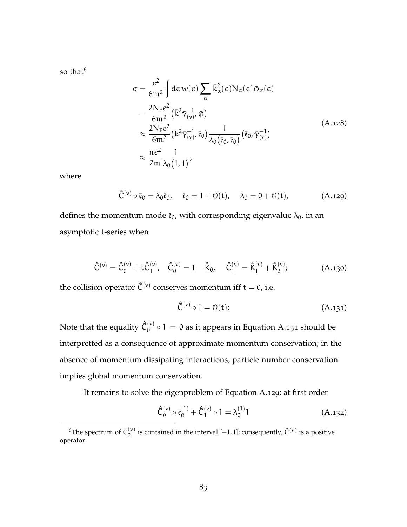so that $<sup>6</sup>$ </sup>

$$
\sigma = \frac{e^2}{6m^2} \int d\varepsilon w(\varepsilon) \sum_{\alpha} \bar{k}_{\alpha}^2(\varepsilon) N_{\alpha}(\varepsilon) \bar{\varphi}_{\alpha}(\varepsilon)
$$
  
\n
$$
= \frac{2N_{F}e^2}{6m^2} (\bar{k}^2 \bar{\gamma}_{(v)}^{-1}, \bar{\varphi})
$$
  
\n
$$
\approx \frac{2N_{F}e^2}{6m^2} (\bar{k}^2 \bar{\gamma}_{(v)}^{-1}, \bar{\varepsilon}_0) \frac{1}{\lambda_0(\bar{\varepsilon}_0, \bar{\varepsilon}_0)} (\bar{\varepsilon}_0, \bar{\gamma}_{(v)}^{-1})
$$
  
\n
$$
\approx \frac{ne^2}{2m} \frac{1}{\lambda_0(1, 1)},
$$
\n(A.128)

<span id="page-95-0"></span>where

$$
\hat{\bar{C}}^{(\nu)} \circ \bar{\mathfrak{e}}_0 = \lambda_0 \bar{\mathfrak{e}}_0, \quad \bar{\mathfrak{e}}_0 = 1 + \mathfrak{O}(\mathfrak{t}), \quad \lambda_0 = 0 + \mathfrak{O}(\mathfrak{t}), \tag{A.129}
$$

defines the momentum mode  $\bar{\mathfrak{e}}_0$ , with corresponding eigenvalue  $\lambda_0$ , in an asymptotic t-series when

$$
\hat{\bar{C}}^{(\nu)} = \hat{\bar{C}}_0^{(\nu)} + t \hat{\bar{C}}_1^{(\nu)}, \quad \hat{\bar{C}}_0^{(\nu)} = 1 - \hat{\bar{K}}_0, \quad \hat{\bar{C}}_1^{(\nu)} = \hat{\bar{K}}_1^{(\nu)} + \hat{\bar{K}}_2^{(\nu)}; \tag{A.130}
$$

the collision operator  $\hat{\bar{C}}^{(\nu)}$  conserves momentum iff t = 0, i.e.

<span id="page-95-1"></span>
$$
\hat{\bar{C}}^{(\nu)} \circ 1 = \mathcal{O}(\mathbf{t});\tag{A.131}
$$

Note that the equality  $\hat{\bar{\mathsf{C}}}_0^{(\nu)}$  $\binom{v}{0}$   $\circ$  1 = 0 as it appears in [Equation A.](#page-95-1)131 should be interpretted as a consequence of approximate momentum conservation; in the absence of momentum dissipating interactions, particle number conservation implies global momentum conservation.

It remains to solve the eigenproblem of [Equation A.](#page-95-0)129; at first order

$$
\hat{\bar{C}}_0^{(\nu)} \circ \bar{\mathfrak{e}}_0^{(1)} + \hat{\bar{C}}_1^{(\nu)} \circ 1 = \lambda_0^{(1)} 1 \tag{A.132}
$$

<sup>&</sup>lt;sup>6</sup>The spectrum of  $\hat{\bar{C}}_{0}^{(\nu)}$  $\hat{\mathcal{O}}_{0}^{(\nu)}$  is contained in the interval  $[-1, 1]$ ; consequently,  $\hat{\mathcal{C}}^{(\nu)}$  is a positive operator.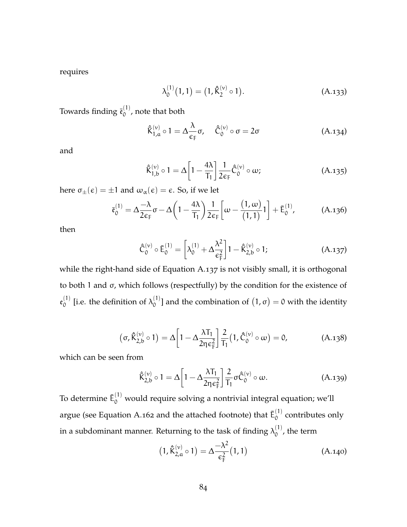requires

$$
\lambda_0^{(1)}(1,1) = (1, \hat{\mathsf{K}}_2^{(\nu)} \circ 1). \tag{A.133}
$$

Towards finding  $\bar{\mathfrak{e}}_0^{(1)}$  $\int_0^{17}$ , note that both

$$
\hat{\mathsf{K}}_{1,\alpha}^{(\nu)} \circ 1 = \Delta \frac{\lambda}{\epsilon_{\mathsf{F}}} \sigma, \quad \hat{\mathsf{C}}_{0}^{(\nu)} \circ \sigma = 2\sigma \tag{A.134}
$$

and

$$
\hat{\mathsf{K}}_{1,b}^{(\nu)} \circ 1 = \Delta \left[ 1 - \frac{4\lambda}{\mathsf{T}_1} \right] \frac{1}{2\epsilon_F} \hat{\mathsf{C}}_0^{(\nu)} \circ \omega; \tag{A.135}
$$

here  $\sigma_{\pm}(\epsilon) = \pm 1$  and  $\omega_{\alpha}(\epsilon) = \epsilon$ . So, if we let

$$
\bar{\mathfrak{e}}_0^{(1)} = \Delta \frac{-\lambda}{2\varepsilon_F} \sigma - \Delta \left(1 - \frac{4\lambda}{T_1}\right) \frac{1}{2\varepsilon_F} \left[ \omega - \frac{(1, \omega)}{(1, 1)}1 \right] + \bar{E}_0^{(1)}, \tag{A.136}
$$

<span id="page-96-0"></span>then

$$
\hat{\mathsf{C}}_{0}^{(\nu)} \circ \bar{\mathsf{E}}_{0}^{(1)} = \left[ \lambda_{0}^{(1)} + \Delta \frac{\lambda^{2}}{\varepsilon_{\mathrm{F}}^{2}} \right] \mathbf{1} - \hat{\mathsf{K}}_{2,b}^{(\nu)} \circ \mathbf{1};\tag{A.137}
$$

while the right-hand side of [Equation A.](#page-96-0)137 is not visibly small, it is orthogonal to both 1 and σ, which follows (respectfully) by the condition for the existence of  $\mathfrak{e}_0^{(1)}$  $\chi_0^{(1)}$  [i.e. the definition of  $\lambda_0^{(1)}$ <sup>(1)</sup>] and the combination of  $(1, σ) = 0$  with the identity

$$
\left(\sigma, \hat{K}_{2,b}^{(\nu)} \circ 1\right) = \Delta \left[1 - \Delta \frac{\lambda T_1}{2\eta \epsilon_F^2}\right] \frac{2}{T_1} \left(1, \hat{C}_0^{(\nu)} \circ \omega\right) = 0, \tag{A.138}
$$

which can be seen from

$$
\hat{\mathsf{K}}_{2,b}^{(\nu)} \circ 1 = \Delta \left[ 1 - \Delta \frac{\lambda \mathsf{T}_1}{2 \eta \epsilon_{\mathsf{F}}^2} \right] \frac{2}{\mathsf{T}_1} \sigma \hat{\mathsf{C}}_0^{(\nu)} \circ \omega.
$$
 (A.139)

To determine  $\bar{\bm{\mathsf{E}}}^{(1)}_0$  would require solving a nontrivial integral equation; we'll argue (see [Equation A.](#page-101-0)162 and the attached footnote) that  $\bar{\mathsf{E}}_0^{(1)}$  $_0^{(1)}$  contributes only in a subdominant manner. Returning to the task of finding  $\lambda_0^{(1)}$  $_0^{(1)}$ , the term

$$
(1, \hat{K}_{2,a}^{(\nu)} \circ 1) = \Delta \frac{-\lambda^2}{\epsilon_F^2} (1, 1)
$$
 (A.140)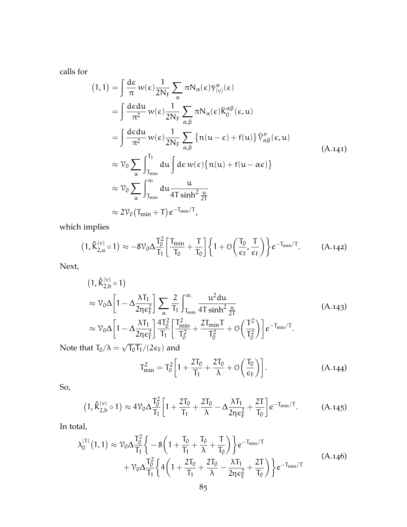calls for

$$
(1,1) = \int \frac{d\varepsilon}{\pi} w(\varepsilon) \frac{1}{2N_{F}} \sum_{\alpha} \pi N_{\alpha}(\varepsilon) \bar{\gamma}_{(\nu)}^{\alpha}(\varepsilon)
$$
  
\n
$$
= \int \frac{d\varepsilon du}{\pi^{2}} w(\varepsilon) \frac{1}{2N_{F}} \sum_{\alpha,\beta} \pi N_{\alpha}(\varepsilon) \bar{K}_{0}^{\alpha\beta}(\varepsilon, u)
$$
  
\n
$$
= \int \frac{d\varepsilon du}{\pi^{2}} w(\varepsilon) \frac{1}{2N_{F}} \sum_{\alpha,\beta} \left\{ n(u-\varepsilon) + f(u) \right\} \bar{\nu}_{\alpha\beta}^{\prime\prime}(\varepsilon, u)
$$
  
\n
$$
\approx \nu_{0} \sum_{\alpha} \int_{T_{\min}}^{T_{1}} du \int d\varepsilon w(\varepsilon) \left\{ n(u) + f(u - \alpha \varepsilon) \right\}
$$
  
\n
$$
\approx \nu_{0} \sum_{\alpha} \int_{T_{\min}}^{\infty} du \frac{u}{4T \sinh^{2} \frac{u}{2T}}
$$
  
\n
$$
\approx 2\nu_{0} (T_{\min} + T) e^{-T_{\min}/T},
$$
\n(4.141)

which implies

$$
\left(1, \hat{K}_{2,\alpha}^{(\nu)} \circ 1 \right) \approx - 8 \mathcal{V}_0 \Delta \frac{T_0^2}{T_1} \bigg[ \frac{T_{min}}{T_0} + \frac{T}{T_0} \bigg] \bigg\{ 1 + \mathcal{O} \bigg( \frac{T_0}{\varepsilon_F} , \frac{T}{\varepsilon_F} \bigg) \bigg\} e^{-T_{min}/T} . \hspace{1cm} (A.142)
$$

Next,

$$
(1, \hat{K}_{2,b}^{(\nu)} \circ 1)
$$
\n
$$
\approx \mathcal{V}_0 \Delta \left[ 1 - \Delta \frac{\lambda T_1}{2\eta \epsilon_F^2} \right] \sum_{\alpha} \frac{2}{T_1} \int_{T_{\text{min}}}^{\infty} \frac{u^2 du}{4T \sinh^2 \frac{u}{2T}} \tag{A.143}
$$
\n
$$
\approx \mathcal{V}_0 \Delta \left[ 1 - \Delta \frac{\lambda T_1}{2\eta \epsilon_F^2} \right] \frac{4T_0^2}{T_1} \left[ \frac{T_{\text{min}}^2}{T_0^2} + \frac{2T_{\text{min}}T}{T_0^2} + \mathcal{O}\left(\frac{T^2}{T_0^2}\right) \right] e^{-T_{\text{min}}/T}.
$$

Note that  $T_0/\lambda =$  $\overline{{\mathsf{T}}_0{\mathsf{T}}_1}/(2\varepsilon_{\mathsf{F}})$  and

$$
T_{\min}^2 = T_0^2 \left[ 1 + \frac{2T_0}{T_1} + \frac{2T_0}{\lambda} + \mathcal{O}\left(\frac{T_0}{\epsilon_F}\right) \right].
$$
 (A.144)

So,

$$
\left(1,\hat{K}_{2,b}^{(\nu)}\circ 1\right)\approx4\mathcal{V}_0\Delta\frac{T_0^2}{T_1}\bigg[1+\frac{2T_0}{T_1}+\frac{2T_0}{\lambda}-\Delta\frac{\lambda T_1}{2\eta\varepsilon_F^2}+\frac{2T}{T_0}\bigg]e^{-T_{min}/T}.\hspace{1cm}\left( A.145\right)
$$

In total,

$$
\lambda_0^{(1)}(1,1) \approx \mathcal{V}_0 \Delta \frac{T_0^2}{T_1} \left\{ -8\left(1 + \frac{T_0}{T_1} + \frac{T_0}{\lambda} + \frac{T}{T_0}\right) \right\} e^{-T_{min}/T} + \mathcal{V}_0 \Delta \frac{T_0^2}{T_1} \left\{ 4\left(1 + \frac{2T_0}{T_1} + \frac{2T_0}{\lambda} - \frac{\lambda T_1}{2\eta \epsilon_F^2} + \frac{2T}{T_0}\right) \right\} e^{-T_{min}/T}
$$
\n(A.146)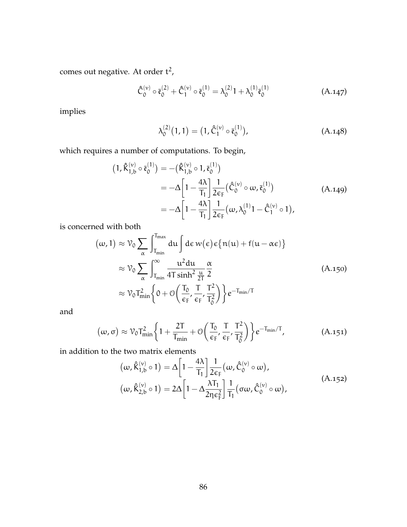comes out negative. At order  $t^2$ ,

$$
\hat{\bar{C}}_{0}^{(\nu)} \circ \bar{\mathfrak{e}}_{0}^{(2)} + \hat{\bar{C}}_{1}^{(\nu)} \circ \bar{\mathfrak{e}}_{0}^{(1)} = \lambda_{0}^{(2)} 1 + \lambda_{0}^{(1)} \bar{\mathfrak{e}}_{0}^{(1)} \tag{A.147}
$$

implies

$$
\lambda_0^{(2)}(1,1) = (1, \hat{\bar{C}}_1^{(\nu)} \circ \bar{\mathfrak{e}}_0^{(1)}), \tag{A.148}
$$

which requires a number of computations. To begin,

$$
(1, \hat{K}_{1,b}^{(\nu)} \circ \bar{\mathfrak{e}}_0^{(1)}) = -(\hat{K}_{1,b}^{(\nu)} \circ 1, \bar{\mathfrak{e}}_0^{(1)})
$$
  
=  $-\Delta \left[1 - \frac{4\lambda}{T_1}\right] \frac{1}{2\varepsilon_F} (\hat{C}_0^{(\nu)} \circ \omega, \bar{\mathfrak{e}}_0^{(1)})$   
=  $-\Delta \left[1 - \frac{4\lambda}{T_1}\right] \frac{1}{2\varepsilon_F} (\omega, \lambda_0^{(1)} 1 - \hat{C}_1^{(\nu)} \circ 1),$  (A.149)

is concerned with both

$$
(\omega, 1) \approx \mathcal{V}_0 \sum_{\alpha} \int_{T_{\text{min}}}^{T_{\text{max}}} du \int d\epsilon w(\epsilon) \epsilon \{n(u) + f(u - \alpha \epsilon)\}
$$
  

$$
\approx \mathcal{V}_0 \sum_{\alpha} \int_{T_{\text{min}}}^{\infty} \frac{u^2 du}{4T \sinh^2 \frac{u}{2T}} \frac{\alpha}{2}
$$
  

$$
\approx \mathcal{V}_0 T_{\text{min}}^2 \left\{0 + \mathcal{O}\left(\frac{T_0}{\epsilon_F}, \frac{T}{\epsilon_F}, \frac{T^2}{T_0^2}\right)\right\} e^{-T_{\text{min}}/T}
$$
 (A.150)

and

$$
(\omega,\sigma) \approx \mathcal{V}_0 T_{\min}^2 \left\{ 1 + \frac{2T}{T_{\min}} + \mathcal{O}\left(\frac{T_0}{\epsilon_F}, \frac{T}{\epsilon_F}, \frac{T^2}{T_0^2}\right) \right\} e^{-T_{\min}/T}, \tag{A.151}
$$

in addition to the two matrix elements

$$
(\omega, \hat{\mathsf{K}}_{1,b}^{(\nu)} \circ 1) = \Delta \left[ 1 - \frac{4\lambda}{T_1} \right] \frac{1}{2\varepsilon_{\mathsf{F}}} (\omega, \hat{\mathsf{C}}_{0}^{(\nu)} \circ \omega),
$$
  

$$
(\omega, \hat{\mathsf{K}}_{2,b}^{(\nu)} \circ 1) = 2\Delta \left[ 1 - \Delta \frac{\lambda T_1}{2\eta \varepsilon_{\mathsf{F}}^2} \right] \frac{1}{T_1} (\sigma \omega, \hat{\mathsf{C}}_{0}^{(\nu)} \circ \omega),
$$
 (A.152)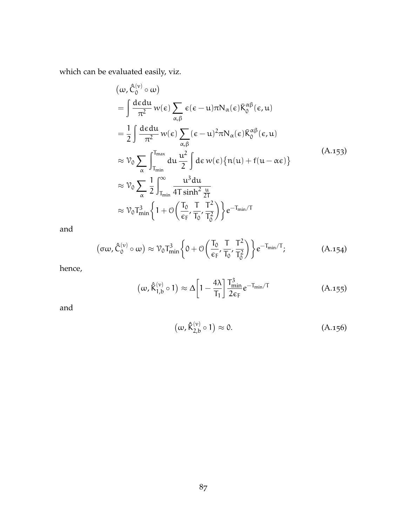which can be evaluated easily, viz.

$$
(\omega, \hat{C}_{0}^{(\nu)} \circ \omega)
$$
\n
$$
= \int \frac{d\epsilon d\mu}{\pi^{2}} w(\epsilon) \sum_{\alpha,\beta} \epsilon(\epsilon - \mu) \pi N_{\alpha}(\epsilon) \bar{K}_{0}^{\alpha\beta}(\epsilon, \mu)
$$
\n
$$
= \frac{1}{2} \int \frac{d\epsilon d\mu}{\pi^{2}} w(\epsilon) \sum_{\alpha,\beta} (\epsilon - \mu)^{2} \pi N_{\alpha}(\epsilon) \bar{K}_{0}^{\alpha\beta}(\epsilon, \mu)
$$
\n
$$
\approx \mathcal{V}_{0} \sum_{\alpha} \int_{T_{\text{min}}}^{T_{\text{max}}} d\mu \frac{\mu^{2}}{2} \int d\epsilon w(\epsilon) \{n(\mu) + f(\mu - \alpha \epsilon)\}
$$
\n
$$
\approx \mathcal{V}_{0} \sum_{\alpha} \frac{1}{2} \int_{T_{\text{min}}}^{\infty} \frac{\mu^{3} d\mu}{4T \sinh^{2} \frac{\mu}{2T}}
$$
\n
$$
\approx \mathcal{V}_{0} T_{\text{min}}^{3} \left\{1 + \mathcal{O}\left(\frac{T_{0}}{\epsilon_{F}}, \frac{T}{T_{0}}, \frac{T^{2}}{T_{0}^{2}}\right)\right\} e^{-T_{\text{min}}/T}
$$
\n(4.153)

and

$$
(\sigma\omega,\hat{C}_0^{(\nu)}\circ\omega)\approx \mathcal{V}_0 T_{\min}^3\bigg\{0+\mathcal{O}\bigg(\frac{T_0}{\varepsilon_F},\frac{T}{T_0},\frac{T^2}{T_0^2}\bigg)\bigg\}e^{-T_{\min}/T};\tag{A.154}
$$

hence,

$$
\left(\omega, \hat{K}_{1,b}^{(\nu)} \circ 1\right) \approx \Delta \left[1 - \frac{4\lambda}{T_1}\right] \frac{T_{\min}^3}{2\varepsilon_F} e^{-T_{\min}/T} \tag{A.155}
$$

and

$$
\left(\omega, \hat{\mathsf{K}}_{2,b}^{(\nu)} \circ 1\right) \approx 0. \tag{A.156}
$$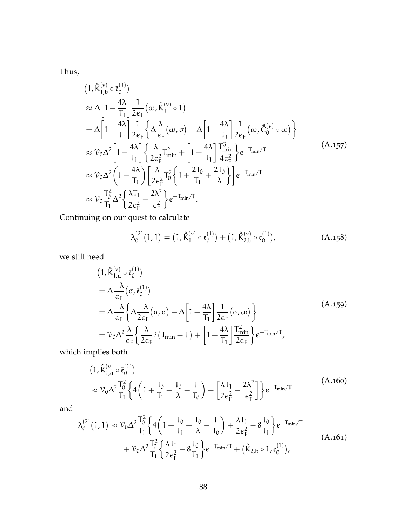Thus,

$$
(1, \hat{K}_{1,b}^{(\nu)} \circ \bar{\varepsilon}_{0}^{(1)})
$$
  
\n
$$
\approx \Delta \left[ 1 - \frac{4\lambda}{T_{1}} \right] \frac{1}{2\varepsilon_{F}} \left( \omega, \hat{K}_{1}^{(\nu)} \circ 1 \right)
$$
  
\n
$$
= \Delta \left[ 1 - \frac{4\lambda}{T_{1}} \right] \frac{1}{2\varepsilon_{F}} \left\{ \Delta \frac{\lambda}{\varepsilon_{F}} \left( \omega, \sigma \right) + \Delta \left[ 1 - \frac{4\lambda}{T_{1}} \right] \frac{1}{2\varepsilon_{F}} \left( \omega, \hat{C}_{0}^{(\nu)} \circ \omega \right) \right\}
$$
  
\n
$$
\approx \mathcal{V}_{0} \Delta^{2} \left[ 1 - \frac{4\lambda}{T_{1}} \right] \left\{ \frac{\lambda}{2\varepsilon_{F}^{2}} T_{\min}^{2} + \left[ 1 - \frac{4\lambda}{T_{1}} \right] \frac{T_{\min}^{3}}{4\varepsilon_{F}^{2}} \right\} e^{-T_{\min}/T}
$$
  
\n
$$
\approx \mathcal{V}_{0} \Delta^{2} \left( 1 - \frac{4\lambda}{T_{1}} \right) \left[ \frac{\lambda}{2\varepsilon_{F}^{2}} T_{0}^{2} \left\{ 1 + \frac{2T_{0}}{T_{1}} + \frac{2T_{0}}{\lambda} \right\} \right] e^{-T_{\min}/T}
$$
  
\n
$$
\approx \mathcal{V}_{0} \frac{T_{0}^{2}}{T_{1}} \Delta^{2} \left\{ \frac{\lambda T_{1}}{2\varepsilon_{F}^{2}} - \frac{2\lambda^{2}}{\varepsilon_{F}^{2}} \right\} e^{-T_{\min}/T}.
$$
 (A.157)

Continuing on our quest to calculate

$$
\lambda_0^{(2)}(1,1) = (1, \hat{\mathsf{K}}_1^{(\nu)} \circ \bar{\mathfrak{e}}_0^{(1)}) + (1, \hat{\mathsf{K}}_{2,b}^{(\nu)} \circ \bar{\mathfrak{e}}_0^{(1)}), \qquad (A.158)
$$

we still need

$$
(1, \hat{K}_{1,a}^{(\nu)} \circ \bar{\varepsilon}_{0}^{(1)})
$$
  
=  $\Delta \frac{-\lambda}{\varepsilon_{F}} \left( \sigma, \bar{\varepsilon}_{0}^{(1)} \right)$   
=  $\Delta \frac{-\lambda}{\varepsilon_{F}} \left\{ \Delta \frac{-\lambda}{2\varepsilon_{F}} (\sigma, \sigma) - \Delta \left[ 1 - \frac{4\lambda}{T_{1}} \right] \frac{1}{2\varepsilon_{F}} (\sigma, \omega) \right\}$   
=  $\mathcal{V}_{0} \Delta^{2} \frac{\lambda}{\varepsilon_{F}} \left\{ \frac{\lambda}{2\varepsilon_{F}} 2 (T_{min} + T) + \left[ 1 - \frac{4\lambda}{T_{1}} \right] \frac{T_{min}^{2}}{2\varepsilon_{F}} \right\} e^{-T_{min}/T},$  (A.159)

which implies both

$$
(1, \hat{K}_{1,a}^{(\nu)} \circ \bar{\mathfrak{e}}_0^{(1)})
$$
  
\n
$$
\approx \mathcal{V}_0 \Delta^2 \frac{T_0^2}{T_1} \left\{ 4 \left( 1 + \frac{T_0}{T_1} + \frac{T_0}{\lambda} + \frac{T}{T_0} \right) + \left[ \frac{\lambda T_1}{2 \epsilon_F^2} - \frac{2\lambda^2}{\epsilon_F^2} \right] \right\} e^{-T_{\text{min}}/T}
$$
\n(A.160)

and

$$
\lambda_0^{(2)}(1,1) \approx \mathcal{V}_0 \Delta^2 \frac{T_0^2}{T_1} \left\{ 4 \left( 1 + \frac{T_0}{T_1} + \frac{T_0}{\lambda} + \frac{T}{T_0} \right) + \frac{\lambda T_1}{2 \epsilon_F^2} - 8 \frac{T_0}{T_1} \right\} e^{-T_{min}/T} + \mathcal{V}_0 \Delta^2 \frac{T_0^2}{T_1} \left\{ \frac{\lambda T_1}{2 \epsilon_F^2} - 8 \frac{T_0}{T_1} \right\} e^{-T_{min}/T} + (\hat{K}_{2,b} \circ 1, \bar{\mathfrak{e}}_0^{(1)}),
$$
(A.161)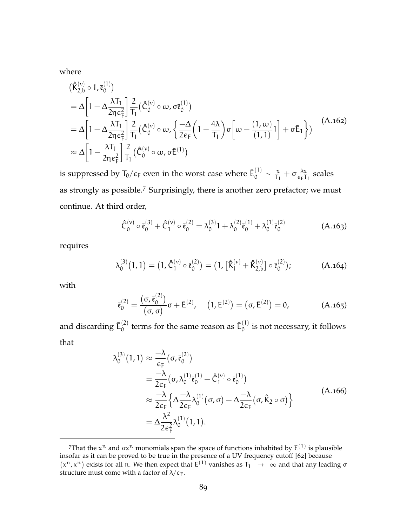<span id="page-101-0"></span>where

$$
\begin{split}\n&\left(\hat{K}_{2,b}^{(\nu)} \circ 1, \bar{\mathfrak{e}}_{0}^{(1)}\right) \\
&= \Delta \bigg[1 - \Delta \frac{\lambda T_{1}}{2\eta \epsilon_{F}^{2}}\bigg] \frac{2}{T_{1}} \left(\hat{C}_{0}^{(\nu)} \circ \omega, \sigma \bar{\mathfrak{e}}_{0}^{(1)}\right) \\
&= \Delta \bigg[1 - \Delta \frac{\lambda T_{1}}{2\eta \epsilon_{F}^{2}}\bigg] \frac{2}{T_{1}} \left(\hat{C}_{0}^{(\nu)} \circ \omega, \left\{\frac{-\Delta}{2\epsilon_{F}} \left(1 - \frac{4\lambda}{T_{1}}\right) \sigma \bigg[\omega - \frac{(1, \omega)}{(1, 1)}1\bigg] + \sigma \bar{E}_{1}\right\}\right)\n\end{split} \approx \Delta \bigg[1 - \frac{\lambda T_{1}}{2\eta \epsilon_{F}^{2}}\bigg] \frac{2}{T_{1}} \left(\hat{C}_{0}^{(\nu)} \circ \omega, \sigma \bar{E}^{(1)}\right)
$$
\n(A.162)

is suppressed by  $T_0/\epsilon_{\rm F}$  even in the worst case where  $\bar{\mathsf{E}}^{(1)}_0$  $\frac{(1)}{0} \sim \frac{x}{T_1}$  $\frac{x}{T_1} + \sigma \frac{\lambda x}{\epsilon_F T}$  $\frac{\Delta x}{\epsilon_F T_1}$  scales as strongly as possible.<sup>7</sup> Surprisingly, there is another zero prefactor; we must continue. At third order,

$$
\hat{\bar{C}}_{0}^{(\nu)} \circ \bar{\mathfrak{e}}_{0}^{(3)} + \hat{\bar{C}}_{1}^{(\nu)} \circ \bar{\mathfrak{e}}_{0}^{(2)} = \lambda_{0}^{(3)} 1 + \lambda_{0}^{(2)} \bar{\mathfrak{e}}_{0}^{(1)} + \lambda_{0}^{(1)} \bar{\mathfrak{e}}_{0}^{(2)} \tag{A.163}
$$

requires

$$
\lambda_0^{(3)}(1,1) = (1,\hat{\mathbb{C}}_1^{(\nu)} \circ \bar{\mathfrak{e}}_0^{(2)}) = (1, [\hat{K}_1^{(\nu)} + \hat{K}_{2,b}^{(\nu)}] \circ \bar{\mathfrak{e}}_0^{(2)}); \tag{A.164}
$$

with

$$
\bar{\mathfrak{e}}_0^{(2)} = \frac{(\sigma, \bar{\mathfrak{e}}_0^{(2)})}{(\sigma, \sigma)} \sigma + \bar{E}^{(2)}, \quad (1, E^{(2)}) = (\sigma, \bar{E}^{(2)}) = 0,
$$
 (A.165)

and discarding  $\bar{\mathsf{E}}_0^{(2)}$  $\mathbf{c}_0^{(2)}$  terms for the same reason as  $\mathbf{\bar{E}}_0^{(1)}$  $\int_0^{1}$  is not necessary, it follows that

$$
\lambda_0^{(3)}(1,1) \approx \frac{-\lambda}{\epsilon_{\rm F}} (\sigma, \bar{\mathfrak{e}}_0^{(2)})
$$
  
= 
$$
\frac{-\lambda}{2\epsilon_{\rm F}} (\sigma, \lambda_0^{(1)} \bar{\mathfrak{e}}_0^{(1)} - \hat{C}_1^{(\nu)} \circ \bar{\mathfrak{e}}_0^{(1)})
$$
  

$$
\approx \frac{-\lambda}{2\epsilon_{\rm F}} \Big\{ \Delta \frac{-\lambda}{2\epsilon_{\rm F}} \lambda_0^{(1)} (\sigma, \sigma) - \Delta \frac{-\lambda}{2\epsilon_{\rm F}} (\sigma, \hat{K}_2 \circ \sigma) \Big\}
$$
(A.166)  
= 
$$
\Delta \frac{\lambda^2}{2\epsilon_{\rm F}^2} \lambda_0^{(1)}(1,1).
$$

<sup>&</sup>lt;sup>7</sup>That the  $x^n$  and  $\sigma x^n$  monomials span the space of functions inhabited by  $E^{(1)}$  is plausible insofar as it can be proved to be true in the presence of a UV frequency cutoff [[62](#page-171-1)] because  $(x^n, x^n)$  exists for all n. We then expect that  $E^{(1)}$  vanishes as  $T_1 \rightarrow \infty$  and that any leading  $\sigma$ structure must come with a factor of  $\lambda/\epsilon_F$ .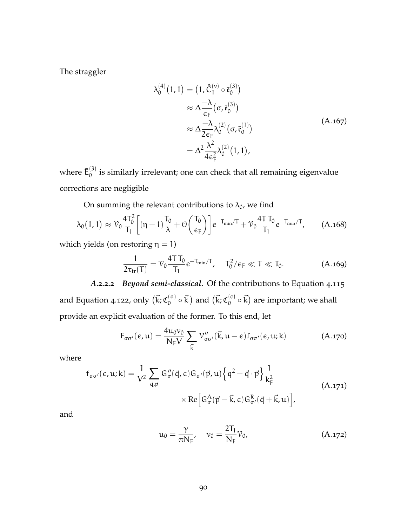The straggler

$$
\lambda_0^{(4)}(1,1) = (1, \hat{C}_1^{(\nu)} \circ \bar{\mathfrak{e}}_0^{(3)})
$$
  
\n
$$
\approx \Delta \frac{-\lambda}{\epsilon_{\mathsf{F}}} (\sigma, \bar{\mathfrak{e}}_0^{(3)})
$$
  
\n
$$
\approx \Delta \frac{-\lambda}{2\epsilon_{\mathsf{F}}} \lambda_0^{(2)} (\sigma, \bar{\mathfrak{e}}_0^{(1)})
$$
  
\n
$$
= \Delta^2 \frac{\lambda^2}{4\epsilon_{\mathsf{F}}^2} \lambda_0^{(2)}(1,1),
$$
\n(A.167)

where  $\bar{\mathsf{E}}_0^{(3)}$  $\int_{0}^{(3)}$  is similarly irrelevant; one can check that all remaining eigenvalue corrections are negligible

On summing the relevant contributions to  $\lambda_0$ , we find

$$
\lambda_0(1,1) \approx \mathcal{V}_0 \frac{4T_0^2}{T_1} \bigg[ (\eta - 1) \frac{T_0}{\lambda} + \mathcal{O}\left(\frac{T_0}{\varepsilon_F}\right) \bigg] e^{-T_{\min}/T} + \mathcal{V}_0 \frac{4T T_0}{T_1} e^{-T_{\min}/T}, \quad (A.168)
$$

which yields (on restoring  $\eta = 1$ )

$$
\frac{1}{2\tau_{tr}(T)} = \mathcal{V}_0 \frac{4T T_0}{T_1} e^{-T_{min}/T}, \quad T_0^2/\epsilon_F \ll T \ll T_0.
$$
 (A.169)

*A.2.2.2 Beyond semi-classical.* Of the contributions to [Equation](#page-73-0) 4.115 and [Equation](#page-73-1) 4.122, only  $(\vec{k}; \mathfrak{C}_0^{(\mathfrak{a})})$  $\binom{a}{0} \circ \vec{k}$  and  $(\vec{k}; \mathfrak{C}_0^{(c)})$  $\mathcal{L}_{0}^{(c)}\circ\vec{k}$  are important; we shall provide an explicit evaluation of the former. To this end, let

$$
F_{\sigma\sigma'}(\epsilon, u) = \frac{4u_0v_0}{N_F V} \sum_{\vec{k}} \mathcal{V}''_{\sigma\sigma'}(\vec{k}, u - \epsilon) f_{\sigma\sigma'}(\epsilon, u; k)
$$
(A.170)

where

$$
f_{\sigma\sigma'}(\epsilon, u; k) = \frac{1}{V^2} \sum_{\vec{q}, \vec{p}} G''_{\sigma}(\vec{q}, \epsilon) G_{\sigma'}(\vec{p}, u) \left\{ q^2 - \vec{q} \cdot \vec{p} \right\} \frac{1}{k_F^2}
$$
  
× Re  $\left[ G_{\sigma}^A(\vec{p} - \vec{k}, \epsilon) G_{\sigma'}^R(\vec{q} + \vec{k}, u) \right],$  (A.171)

and

$$
u_0 = \frac{\gamma}{\pi N_F}, \quad v_0 = \frac{2T_1}{N_F} \mathcal{V}_0,
$$
 (A.172)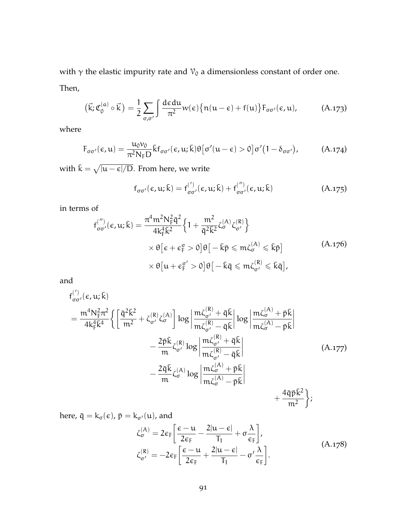with  $\gamma$  the elastic impurity rate and  $\mathcal{V}_0$  a dimensionless constant of order one. Then,

$$
(\vec{k}; \mathfrak{C}_0^{(a)} \circ \vec{k}) = \frac{1}{2} \sum_{\sigma, \sigma'} \int \frac{\mathrm{d} \epsilon \mathrm{d} u}{\pi^2} w(\epsilon) \{ n(u - \epsilon) + f(u) \} F_{\sigma \sigma'}(\epsilon, u), \tag{A.173}
$$

where

$$
F_{\sigma\sigma'}(\epsilon, u) = \frac{u_0 v_0}{\pi^2 N_F D} \bar{k} f_{\sigma\sigma'}(\epsilon, u; \bar{k}) \theta \left[\sigma'(u - \epsilon) > 0\right] \sigma'(1 - \delta_{\sigma\sigma'})
$$
\n(A.174)

with  $\bar{\mathsf{k}} = \sqrt{|\mathsf{u}-\boldsymbol{\epsilon}|/\mathsf{D}}.$  From here, we write

$$
f_{\sigma\sigma'}(\varepsilon, u; \bar{k}) = f_{\sigma\sigma'}^{(')}(\varepsilon, u; \bar{k}) + f_{\sigma\sigma'}^{('')}(\varepsilon, u; \bar{k})
$$
 (A.175)

in terms of

$$
f_{\sigma\sigma'}^{('')}(\epsilon, u; \bar{k}) = \frac{\pi^4 m^2 N_F^2 \bar{q}^2}{4k_F^4 \bar{k}^2} \left\{ 1 + \frac{m^2}{\bar{q}^2 \bar{k}^2} \zeta_{\sigma}^{(A)} \zeta_{\sigma'}^{(R)} \right\}
$$

$$
\times \theta \left[ \epsilon + \epsilon_F^{\sigma} > 0 \right] \theta \left[ -\bar{k} \bar{p} \leq m \zeta_{\sigma}^{(A)} \leq \bar{k} \bar{p} \right]
$$

$$
\times \theta \left[ u + \epsilon_F^{\sigma'} > 0 \right] \theta \left[ -\bar{k} \bar{q} \leq m \zeta_{\sigma'}^{(R)} \leq \bar{k} \bar{q} \right],
$$
(A.176)

and

$$
f_{\sigma\sigma'}^{(')}(\epsilon, u; \bar{k})
$$
\n
$$
= \frac{m^4 N_{\bar{F}}^2 \pi^2}{4k_{\bar{F}}^4 \bar{k}^4} \left\{ \left[ \frac{\bar{q}^2 \bar{k}^2}{m^2} + \zeta_{\sigma'}^{(R)} \zeta_{\sigma}^{(A)} \right] \log \left| \frac{m \zeta_{\sigma'}^{(R)} + \bar{q} \bar{k}}{m \zeta_{\sigma'}^{(R)} - \bar{q} \bar{k}} \right| \log \left| \frac{m \zeta_{\sigma}^{(A)} + \bar{p} \bar{k}}{m \zeta_{\sigma'}^{(A)} - \bar{p} \bar{k}} \right|
$$
\n
$$
- \frac{2\bar{p} \bar{k}}{m} \zeta_{\sigma'}^{(R)} \log \left| \frac{m \zeta_{\sigma'}^{(R)} + \bar{q} \bar{k}}{m \zeta_{\sigma'}^{(R)} - \bar{q} \bar{k}} \right|
$$
\n
$$
- \frac{2\bar{q} \bar{k}}{m} \zeta_{\sigma}^{(A)} \log \left| \frac{m \zeta_{\sigma'}^{(A)} + \bar{p} \bar{k}}{m \zeta_{\sigma}^{(A)} - \bar{p} \bar{k}} \right|
$$
\n
$$
+ \frac{4\bar{q} \bar{p} \bar{k}^2}{m^2} \right\};
$$
\n(A.177)

here,  $\bar{q} = k_{\sigma}(\epsilon)$ ,  $\bar{p} = k_{\sigma'}(u)$ , and

$$
\zeta_{\sigma}^{(A)} = 2\varepsilon_{F} \left[ \frac{\varepsilon - u}{2\varepsilon_{F}} - \frac{2|u - \varepsilon|}{T_{1}} + \sigma \frac{\lambda}{\varepsilon_{F}} \right],
$$
\n
$$
\zeta_{\sigma'}^{(R)} = -2\varepsilon_{F} \left[ \frac{\varepsilon - u}{2\varepsilon_{F}} + \frac{2|u - \varepsilon|}{T_{1}} - \sigma' \frac{\lambda}{\varepsilon_{F}} \right].
$$
\n(A.178)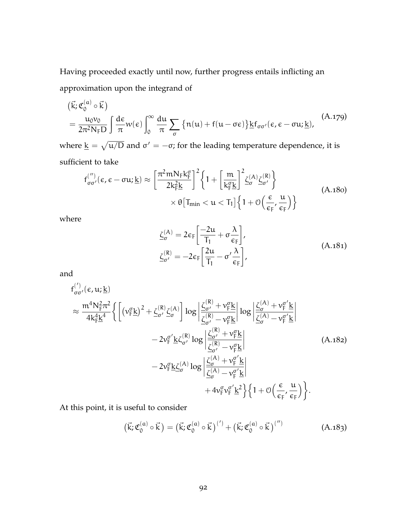Having proceeded exactly until now, further progress entails inflicting an approximation upon the integrand of

$$
(\vec{k}; \mathfrak{C}_0^{(a)} \circ \vec{k}) = \frac{u_0 v_0}{2\pi^2 N_F D} \int \frac{d\varepsilon}{\pi} w(\varepsilon) \int_0^\infty \frac{du}{\pi} \sum_{\sigma} \left\{ n(u) + f(u - \sigma \varepsilon) \right\} \underline{k} f_{\sigma \sigma'}(\varepsilon, \varepsilon - \sigma u; \underline{k}), \tag{A.179}
$$

where  $\underline{k} = \sqrt{\mathfrak{u}/\mathsf{D}}$  and  $\sigma' = -\sigma$ ; for the leading temperature dependence, it is sufficient to take

$$
\begin{split} f_{\sigma\sigma'}^{('')}(\varepsilon,\varepsilon-\sigma u;\underline{k}) &\approx \bigg[\frac{\pi^2mN_Fk_F^{\sigma}}{2k_F^2\underline{k}}\bigg]^2\bigg\{1+\bigg[\frac{m}{k_F^{\sigma}\underline{k}}\bigg]^2\underline{\zeta}_{\sigma}^{(A)}\underline{\zeta}_{\sigma'}^{(R)}\bigg] \\ &\qquad \qquad \times \theta\big[T_{min} < u < T_1\big]\bigg\{1+\mathcal{O}\Big(\frac{\varepsilon}{\varepsilon_F},\frac{u}{\varepsilon_F}\Big)\bigg\} \end{split} \tag{A.180}
$$

where

$$
\underline{\zeta}_{\sigma}^{(A)} = 2\epsilon_{F} \left[ \frac{-2u}{T_{1}} + \sigma \frac{\lambda}{\epsilon_{F}} \right],
$$
\n
$$
\underline{\zeta}_{\sigma'}^{(R)} = -2\epsilon_{F} \left[ \frac{2u}{T_{1}} - \sigma' \frac{\lambda}{\epsilon_{F}} \right],
$$
\n(A.181)

and

$$
f_{\sigma\sigma'}^{(')}(\epsilon, u; \underline{k})
$$
\n
$$
\approx \frac{m^4 N_{F}^2 \pi^2}{4k_{F}^4 \underline{k}^4} \Biggl\{ \Biggl[ (\nu_{F}^{\sigma} \underline{k})^2 + \underline{\zeta}_{\sigma'}^{(R)} \underline{\zeta}_{\sigma}^{(A)} \Biggr] \log \Biggl| \frac{\underline{\zeta}_{\sigma'}^{(R)} + \nu_{F}^{\sigma} \underline{k}}{\underline{\zeta}_{\sigma'}^{(R)} - \nu_{F}^{\sigma} \underline{k}} \Biggr| \log \Biggl| \frac{\underline{\zeta}_{\sigma'}^{(A)} + \nu_{F}^{\sigma'} \underline{k}}{\underline{\zeta}_{\sigma'}^{(A)} - \nu_{F}^{\sigma'} \underline{k}} \Biggr|
$$
\n
$$
- 2\nu_{F}^{\sigma'} \underline{k} \zeta_{\sigma'}^{(R)} \log \Biggl| \frac{\underline{\zeta}_{\sigma'}^{(R)} + \nu_{F}^{\sigma} \underline{k}}{\underline{\zeta}_{\sigma'}^{(R)} - \nu_{F}^{\sigma} \underline{k}} \Biggr|
$$
\n
$$
- 2\nu_{F}^{\sigma} \underline{k} \underline{\zeta}_{\sigma}^{(A)} \log \Biggl| \frac{\underline{\zeta}_{\sigma'}^{(A)} + \nu_{F}^{\sigma'} \underline{k}}{\underline{\zeta}_{\sigma}^{(A)} - \nu_{F}^{\sigma'} \underline{k}} \Biggr|
$$
\n
$$
+ 4\nu_{F}^{\sigma} \nu_{F}^{\sigma'} \underline{k}^2 \Biggr\} \Biggl\{ 1 + \mathcal{O} \Biggl( \frac{\epsilon}{\epsilon_{F}}, \frac{u}{\epsilon_{F}} \Biggr) \Biggr\}.
$$
\n(A.182)

At this point, it is useful to consider

$$
(\vec{k}; \mathfrak{C}_0^{(a)} \circ \vec{k}) = (\vec{k}; \mathfrak{C}_0^{(a)} \circ \vec{k})^{(')} + (\vec{k}; \mathfrak{C}_0^{(a)} \circ \vec{k})^{('')}
$$
(A.183)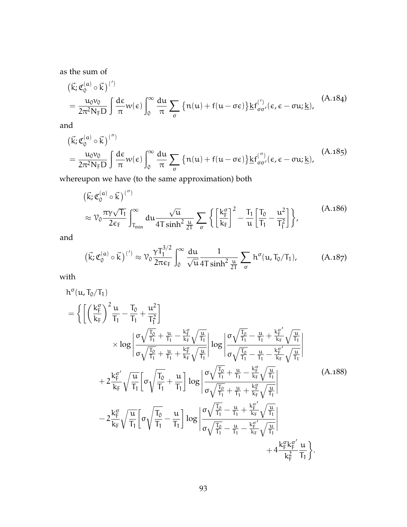as the sum of

$$
(\vec{k}; \mathfrak{C}_{0}^{(a)} \circ \vec{k})^{(')} = \frac{u_{0}v_{0}}{2\pi^{2}N_{F}D} \int \frac{d\epsilon}{\pi} w(\epsilon) \int_{0}^{\infty} \frac{du}{\pi} \sum_{\sigma} \left\{ n(u) + f(u - \sigma \epsilon) \right\} k f_{\sigma\sigma'}^{(')}(\epsilon, \epsilon - \sigma u; \underline{k}), \tag{A.184}
$$

and

$$
(\vec{k}; \mathfrak{C}_0^{(a)} \circ \vec{k})^{('')} = \frac{u_0 v_0}{2\pi^2 N_F D} \int \frac{d\epsilon}{\pi} w(\epsilon) \int_0^\infty \frac{du}{\pi} \sum_{\sigma} \left\{ n(u) + f(u - \sigma \epsilon) \right\} k f_{\sigma \sigma'}^{('')}(\epsilon, \epsilon - \sigma u; \underline{k}), \tag{A.185}
$$

whereupon we have (to the same approximation) both

<span id="page-105-0"></span>
$$
(\vec{k}; \mathfrak{C}_{0}^{(\alpha)} \circ \vec{k})^{('')} \n\approx \mathcal{V}_{0} \frac{\pi \gamma \sqrt{T_{1}}}{2\varepsilon_{F}} \int_{T_{\min}}^{\infty} du \frac{\sqrt{u}}{4T \sinh^{2} \frac{u}{2T}} \sum_{\sigma} \left\{ \left[ \frac{k_{F}^{\sigma}}{k_{F}} \right]^{2} - \frac{T_{1}}{u} \left[ \frac{T_{0}}{T_{1}} - \frac{u^{2}}{T_{1}^{2}} \right] \right\},
$$
\n(A.186)

<span id="page-105-1"></span>and

$$
\left(\vec{k}; \mathfrak{C}_0^{(a)} \circ \vec{k}\right)^{(')} \approx \mathcal{V}_0 \frac{\gamma T_1^{3/2}}{2\pi \epsilon_F} \int_0^\infty \frac{du}{\sqrt{u}} \frac{1}{4T \sinh^2 \frac{u}{2T}} \sum_{\sigma} h^{\sigma}(u, T_0/T_1), \tag{A.187}
$$

with

$$
h^{\sigma}(u, T_{0}/T_{1})
$$
\n
$$
= \left\{ \left[ \left( \frac{k_{F}^{\sigma}}{k_{F}} \right)^{2} \frac{u}{T_{1}} - \frac{T_{0}}{T_{1}} + \frac{u^{2}}{T_{1}^{2}} \right] \times \log \left| \frac{\sigma \sqrt{\frac{T_{0}}{T_{1}}} + \frac{u}{T_{1}} - \frac{k_{F}^{\sigma}}{k_{F}} \sqrt{\frac{u}{T_{1}}}}{\sigma \sqrt{\frac{T_{0}}{T_{1}}} + \frac{u}{T_{1}} + \frac{k_{F}^{\sigma}}{k_{F}} \sqrt{\frac{u}{T_{1}}}} \right| \log \left| \frac{\sigma \sqrt{\frac{T_{0}}{T_{1}}} - \frac{u}{T_{1}} + \frac{k_{F}^{\sigma}'}{k_{F}} \sqrt{\frac{u}{T_{1}}}}{\sigma \sqrt{\frac{T_{0}}{T_{1}}} - \frac{u}{T_{1}} - \frac{k_{F}^{\sigma}'}{k_{F}} \sqrt{\frac{u}{T_{1}}}} \right|
$$
\n
$$
+ 2 \frac{k_{F}^{\sigma}}{k_{F}} \sqrt{\frac{u}{T_{1}}} \left[ \sigma \sqrt{\frac{T_{0}}{T_{1}}} + \frac{u}{T_{1}} \right] \log \left| \frac{\sigma \sqrt{\frac{T_{0}}{T_{1}}} + \frac{u}{T_{1}} - \frac{k_{F}^{\sigma}}{k_{F}} \sqrt{\frac{u}{T_{1}}}}{\sigma \sqrt{\frac{T_{0}}{T_{1}}} + \frac{u}{T_{1}} + \frac{k_{F}^{\sigma}}{k_{F}} \sqrt{\frac{u}{T_{1}}}} \right|
$$
\n
$$
- 2 \frac{k_{F}^{\sigma}}{k_{F}} \sqrt{\frac{u}{T_{1}}} \left[ \sigma \sqrt{\frac{T_{0}}{T_{1}}} - \frac{u}{T_{1}} \right] \log \left| \frac{\sigma \sqrt{\frac{T_{0}}{T_{1}}} - \frac{u}{T_{1}} + \frac{k_{F}^{\sigma}}{k_{F}} \sqrt{\frac{u}{T_{1}}}}{\sigma \sqrt{\frac{T_{0}}{T_{1}}} - \frac{u}{T_{1}} - \frac{k_{F}^{\sigma'}}{k_{F}} \sqrt{\frac{u}{T_{1}}}} \right|
$$
\n
$$
+ 4 \frac{k_{F}^{\sigma} k_{F}^{\sigma}}{k_{F}^{\sigma}} \frac{u}{T_{1}} \right\}
$$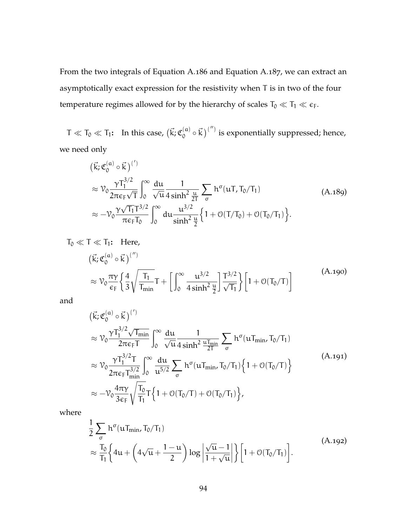From the two integrals of [Equation A.](#page-105-0)186 and [Equation A.](#page-105-1)187, we can extract an asymptotically exact expression for the resistivity when T is in two of the four temperature regimes allowed for by the hierarchy of scales  $T_0 \ll T_1 \ll \epsilon_F$ .

 $\mathsf{T} \ll \mathsf{T}_0 \ll \mathsf{T}_1$ : In this case,  $(\vec{\mathsf{k}};\mathfrak{C}_0^{(\mathfrak{a})})$  $\binom{(\mathfrak{a})}{\mathfrak{d}} \circ \vec{k}$   $\binom{(\prime\prime)}{)}$  is exponentially suppressed; hence, we need only

$$
(\vec{k}; \mathfrak{C}_{0}^{(a)} \circ \vec{k})^{(')}\n\approx \mathcal{V}_{0} \frac{\gamma T_{1}^{3/2}}{2\pi \epsilon_{F} \sqrt{T}} \int_{0}^{\infty} \frac{du}{\sqrt{u}} \frac{1}{4 \sinh^{2} \frac{u}{2T}} \sum_{\sigma} h^{\sigma}(uT, T_{0}/T_{1})\n\approx -\mathcal{V}_{0} \frac{\gamma \sqrt{T_{1}} T^{3/2}}{\pi \epsilon_{F} T_{0}} \int_{0}^{\infty} du \frac{u^{3/2}}{\sinh^{2} \frac{u}{2}} \left\{1 + \mathcal{O}(T/T_{0}) + \mathcal{O}(T_{0}/T_{1})\right\}.
$$
\n(A.189)

$$
T_0 \ll T \ll T_1: \text{ Here,}
$$
  
\n
$$
(\vec{k}; \mathfrak{C}_0^{(a)} \circ \vec{k})^{('')}
$$
  
\n
$$
\approx \mathcal{V}_0 \frac{\pi \gamma}{\epsilon_F} \left\{ \frac{4}{3} \sqrt{\frac{T_1}{T_{\text{min}}}} T + \left[ \int_0^\infty \frac{u^{3/2}}{4 \sinh^2 \frac{u}{2}} \right] \frac{T^{3/2}}{\sqrt{T_1}} \right\} \left[ 1 + \mathcal{O}(T_0/T) \right]
$$
\n(A.190)

and

$$
(\vec{k}; \mathfrak{C}_{0}^{(a)} \circ \vec{k})^{(')}\n\approx \mathcal{V}_{0} \frac{\gamma T_{1}^{3/2} \sqrt{T_{\min}}}{2\pi \epsilon_{F} T} \int_{0}^{\infty} \frac{du}{\sqrt{u} 4 \sinh^{2} \frac{u T_{\min}}{2T}} \sum_{\sigma} h^{\sigma} (u T_{\min}, T_{0}/T_{1})\n\approx \mathcal{V}_{0} \frac{\gamma T_{1}^{3/2} T}{2\pi \epsilon_{F} T_{\min}^{3/2}} \int_{0}^{\infty} \frac{du}{u^{5/2}} \sum_{\sigma} h^{\sigma} (u T_{\min}, T_{0}/T_{1}) \left\{ 1 + \mathcal{O}(T_{0}/T) \right\}\n\approx -\mathcal{V}_{0} \frac{4\pi \gamma}{3\epsilon_{F}} \sqrt{\frac{T_{0}}{T_{1}}} T \left\{ 1 + \mathcal{O}(T_{0}/T) + \mathcal{O}(T_{0}/T_{1}) \right\},
$$
\n(A.191)

where

$$
\frac{1}{2} \sum_{\sigma} h^{\sigma} (u T_{\min}, T_0/T_1)
$$
\n
$$
\approx \frac{T_0}{T_1} \left\{ 4u + \left( 4\sqrt{u} + \frac{1-u}{2} \right) \log \left| \frac{\sqrt{u}-1}{1+\sqrt{u}} \right| \right\} \left[ 1 + \mathcal{O}(T_0/T_1) \right].
$$
\n(A.192)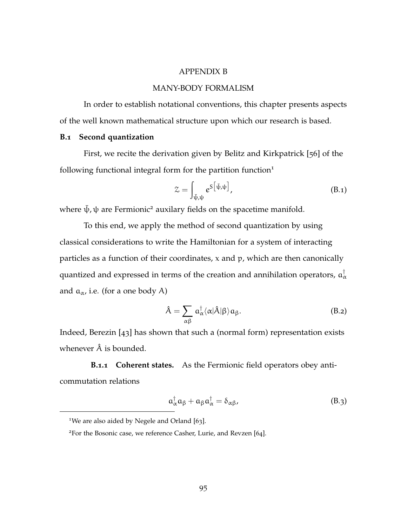### APPENDIX B

# MANY-BODY FORMALISM

In order to establish notational conventions, this chapter presents aspects of the well known mathematical structure upon which our research is based.

#### **B.1 Second quantization**

First, we recite the derivation given by Belitz and Kirkpatrick [[56](#page-170-1)] of the following functional integral form for the partition function $1$ 

$$
\mathcal{Z} = \int_{\bar{\psi}, \psi} e^{S\left[\bar{\psi}, \psi\right]}, \tag{B.1}
$$

where  $\bar{\psi}$ ,  $\psi$  are Fermionic<sup>2</sup> auxilary fields on the spacetime manifold.

To this end, we apply the method of second quantization by using classical considerations to write the Hamiltonian for a system of interacting particles as a function of their coordinates, x and p, which are then canonically quantized and expressed in terms of the creation and annihilation operators,  $\mathfrak{a}^\dagger_\alpha$ and  $a_{\alpha}$ , i.e. (for a one body A)

$$
\hat{A} = \sum_{\alpha\beta} \alpha_{\alpha}^{\dagger} \langle \alpha | \hat{A} | \beta \rangle \alpha_{\beta}.
$$
 (B.2)

Indeed, Berezin [[43](#page-169-2)] has shown that such a (normal form) representation exists whenever  $\hat{A}$  is bounded.

**B.1.1 Coherent states.** As the Fermionic field operators obey anticommutation relations

$$
a^{\dagger}_{\alpha}a_{\beta} + a_{\beta}a^{\dagger}_{\alpha} = \delta_{\alpha\beta}, \qquad (B.3)
$$

<sup>&</sup>lt;sup>1</sup>We are also aided by Negele and Orland [[63](#page-171-2)].

<sup>2</sup>For the Bosonic case, we reference Casher, Lurie, and Revzen [[64](#page-171-3)].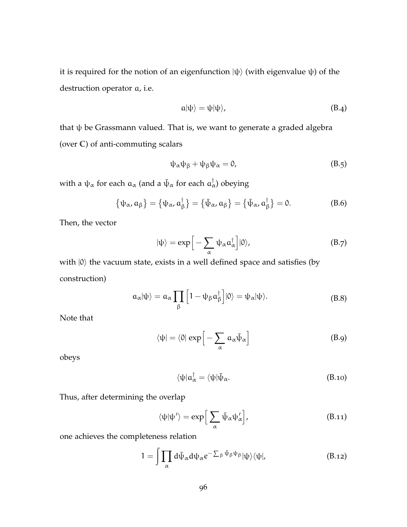it is required for the notion of an eigenfunction  $|\psi\rangle$  (with eigenvalue  $\psi$ ) of the destruction operator a, i.e.

$$
a|\psi\rangle = \psi|\psi\rangle, \tag{B.4}
$$

that ψ be Grassmann valued. That is, we want to generate a graded algebra (over **C**) of anti-commuting scalars

$$
\psi_{\alpha}\psi_{\beta} + \psi_{\beta}\psi_{\alpha} = 0, \tag{B.5}
$$

with a  $\psi_\alpha$  for each  $\mathfrak{a}_\alpha$  (and a  $\bar\psi_\alpha$  for each  $\mathfrak{a}^\dagger_\alpha$ ) obeying

$$
\{\psi_{\alpha}, \alpha_{\beta}\} = \{\psi_{\alpha}, \alpha_{\beta}^{\dagger}\} = \{\bar{\psi}_{\alpha}, \alpha_{\beta}\} = \{\bar{\psi}_{\alpha}, \alpha_{\beta}^{\dagger}\} = 0. \tag{B.6}
$$

Then, the vector

$$
|\psi\rangle = \exp\Big[-\sum_{\alpha} \psi_{\alpha} a_{\alpha}^{\dagger}\Big] |0\rangle, \tag{B.7}
$$

with  $|0\rangle$  the vacuum state, exists in a well defined space and satisfies (by construction)

$$
\alpha_{\alpha}|\psi\rangle = \alpha_{\alpha} \prod_{\beta} \left[1 - \psi_{\beta} \alpha_{\beta}^{\dagger}\right] |0\rangle = \psi_{\alpha}|\psi\rangle.
$$
 (B.8)

Note that

$$
\langle \psi | = \langle 0 | \exp \left[ - \sum_{\alpha} a_{\alpha} \bar{\psi}_{\alpha} \right] \tag{B.9}
$$

obeys

$$
\langle \psi | \mathfrak{a}^\dagger_{\alpha} = \langle \psi | \bar{\psi}_{\alpha}. \tag{B.10}
$$

Thus, after determining the overlap

$$
\langle \psi | \psi' \rangle = \exp \Big[ \sum_{\alpha} \bar{\psi}_{\alpha} \psi'_{\alpha} \Big], \tag{B.11}
$$

one achieves the completeness relation

$$
1 = \int \prod_{\alpha} d\bar{\psi}_{\alpha} d\psi_{\alpha} e^{-\sum_{\beta} \bar{\psi}_{\beta} \psi_{\beta}} |\psi\rangle \langle \psi|, \tag{B.12}
$$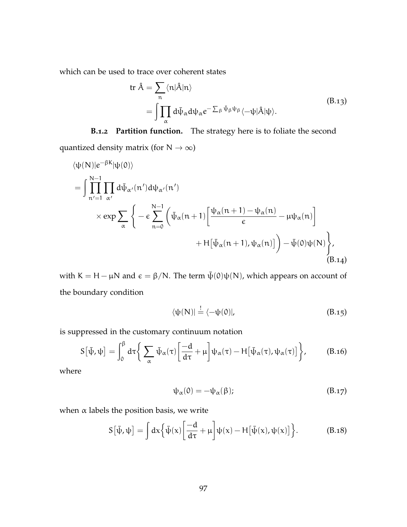which can be used to trace over coherent states

tr 
$$
\hat{A} = \sum_{n} \langle n | \hat{A} | n \rangle
$$
  
=  $\int \prod_{\alpha} d\bar{\psi}_{\alpha} d\psi_{\alpha} e^{-\sum_{\beta} \bar{\psi}_{\beta} \psi_{\beta}} \langle -\psi | \hat{A} | \psi \rangle$ . (B.13)

**B.1.2 Partition function.** The strategy here is to foliate the second quantized density matrix (for  $N \to \infty$ )

$$
\langle \psi(N)|e^{-\beta K}|\psi(0)\rangle
$$
\n
$$
= \int_{n'=1}^{N-1} \prod_{\alpha'} d\bar{\psi}_{\alpha'}(n') d\psi_{\alpha'}(n')
$$
\n
$$
\times \exp \sum_{\alpha} \left\{ -\epsilon \sum_{n=0}^{N-1} \left( \bar{\psi}_{\alpha}(n+1) \left[ \frac{\psi_{\alpha}(n+1) - \psi_{\alpha}(n)}{\epsilon} - \mu \psi_{\alpha}(n) \right] + H[\bar{\psi}_{\alpha}(n+1), \psi_{\alpha}(n)] \right) - \bar{\psi}(0)\psi(N) \right\},\tag{B.14}
$$

with K = H –  $\mu$ N and  $\epsilon = \beta/N$ . The term  $\bar{\psi}(0)\psi(N)$ , which appears on account of the boundary condition

$$
\langle \psi(N) | \stackrel{!}{=} \langle -\psi(0) |, \tag{B.15}
$$

is suppressed in the customary continuum notation

$$
S[\bar{\psi},\psi] = \int_0^{\beta} d\tau \bigg\{ \sum_{\alpha} \bar{\psi}_{\alpha}(\tau) \bigg[ \frac{-d}{d\tau} + \mu \bigg] \psi_{\alpha}(\tau) - H[\bar{\psi}_{\alpha}(\tau), \psi_{\alpha}(\tau)] \bigg\}, \quad (B.16)
$$

where

$$
\psi_{\alpha}(0) = -\psi_{\alpha}(\beta); \tag{B.17}
$$

when  $\alpha$  labels the position basis, we write

$$
S[\bar{\psi}, \psi] = \int dx \Big\{ \bar{\psi}(x) \Big[ \frac{-d}{d\tau} + \mu \Big] \psi(x) - H[\bar{\psi}(x), \psi(x)] \Big\}.
$$
 (B.18)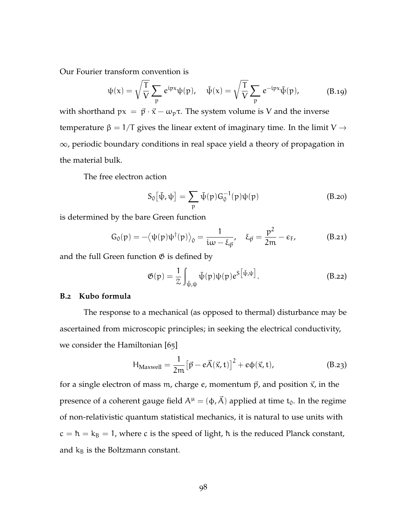Our Fourier transform convention is

$$
\psi(x) = \sqrt{\frac{T}{V}} \sum_{p} e^{ipx} \psi(p), \quad \bar{\psi}(x) = \sqrt{\frac{T}{V}} \sum_{p} e^{-ipx} \bar{\psi}(p), \quad (B.19)
$$

with shorthand  $px = \vec{p} \cdot \vec{x} - \omega_p \tau$ . The system volume is V and the inverse temperature  $\beta = 1/T$  gives the linear extent of imaginary time. In the limit V  $\rightarrow$ <sup>∞</sup>, periodic boundary conditions in real space yield a theory of propagation in the material bulk.

The free electron action

$$
S_0[\bar{\psi}, \psi] = \sum_{p} \bar{\psi}(p) G_0^{-1}(p) \psi(p)
$$
 (B.20)

is determined by the bare Green function

$$
G_0(p) = -\langle \psi(p)\psi^{\dagger}(p)\rangle_0 = \frac{1}{i\omega - \xi_{\vec{p}}}, \quad \xi_{\vec{p}} = \frac{p^2}{2m} - \varepsilon_F,
$$
 (B.21)

and the full Green function  $\mathfrak G$  is defined by

$$
\mathfrak{G}(\mathfrak{p}) = \frac{1}{2} \int_{\bar{\psi}, \psi} \bar{\psi}(\mathfrak{p}) \psi(\mathfrak{p}) e^{S \left[ \bar{\psi}, \psi \right]}.
$$
 (B.22)

#### **B.2 Kubo formula**

The response to a mechanical (as opposed to thermal) disturbance may be ascertained from microscopic principles; in seeking the electrical conductivity, we consider the Hamiltonian [[65](#page-171-0)]

$$
H_{Maxwell} = \frac{1}{2m} \left[ \vec{p} - e\vec{A}(\vec{x}, t) \right]^2 + e\phi(\vec{x}, t), \tag{B.23}
$$

for a single electron of mass m, charge  $e$ , momentum  $\vec{p}$ , and position  $\vec{x}$ , in the presence of a coherent gauge field  $A^{\mu} = (\phi, \vec{A})$  applied at time t<sub>0</sub>. In the regime of non-relativistic quantum statistical mechanics, it is natural to use units with  $c = \hbar = k_B = 1$ , where c is the speed of light,  $\hbar$  is the reduced Planck constant, and  $k_B$  is the Boltzmann constant.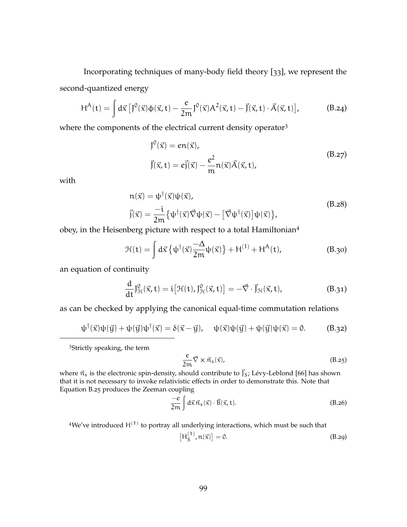Incorporating techniques of many-body field theory [[33](#page-168-0)], we represent the second-quantized energy

$$
H^{A}(t) = \int d\vec{x} \left[ J^{0}(\vec{x}) \varphi(\vec{x}, t) - \frac{e}{2m} J^{0}(\vec{x}) A^{2}(\vec{x}, t) - \vec{J}(\vec{x}, t) \cdot \vec{A}(\vec{x}, t) \right],
$$
 (B.24)

where the components of the electrical current density operator<sup>3</sup>

$$
J^{0}(\vec{x}) = en(\vec{x}),
$$
  
\n
$$
\vec{J}(\vec{x}, t) = e\vec{j}(\vec{x}) - \frac{e^{2}}{m}n(\vec{x})\vec{A}(\vec{x}, t),
$$
\n(B.27)

with

$$
n(\vec{x}) = \psi^{\dagger}(\vec{x})\psi(\vec{x}),
$$
  
\n
$$
\vec{j}(\vec{x}) = \frac{-i}{2m} \{ \psi^{\dagger}(\vec{x})\vec{\nabla}\psi(\vec{x}) - [\vec{\nabla}\psi^{\dagger}(\vec{x})]\psi(\vec{x}) \},
$$
\n(B.28)

obey, in the Heisenberg picture with respect to a total Hamiltonian<sup>4</sup>

$$
\mathcal{H}(\mathbf{t}) = \int d\vec{x} \left\{ \psi^{\dagger}(\vec{x}) \frac{-\Delta}{2m} \psi(\vec{x}) \right\} + H^{(1)} + H^{A}(\mathbf{t}), \tag{B.30}
$$

an equation of continuity

$$
\frac{d}{dt}J_{\mathcal{H}}^0(\vec{x},t) = i\big[\mathcal{H}(t),J_{\mathcal{H}}^0(\vec{x},t)\big] = -\vec{\nabla}\cdot\vec{J}_{\mathcal{H}}(\vec{x},t),\tag{B.31}
$$

as can be checked by applying the canonical equal-time commutation relations

$$
\psi^{\dagger}(\vec{x})\psi(\vec{y}) + \psi(\vec{y})\psi^{\dagger}(\vec{x}) = \delta(\vec{x} - \vec{y}), \quad \psi(\vec{x})\psi(\vec{y}) + \psi(\vec{y})\psi(\vec{x}) = 0.
$$
 (B.32)

<sup>3</sup>Strictly speaking, the term

$$
\frac{e}{2m}\vec{\nabla}\times\vec{n}_{s}(\vec{x}),\tag{B.25}
$$

where  $\vec{n}_s$  is the electronic spin-density, should contribute to  $\vec{J}_s$ ; Lévy-Leblond [[66](#page-171-1)] has shown that it is not necessary to invoke relativistic effects in order to demonstrate this. Note that [Equation B.](#page-32-0)25 produces the Zeeman coupling

$$
\frac{-e}{2m} \int d\vec{x} \,\vec{n}_s(\vec{x}) \cdot \vec{B}(\vec{x}, t). \tag{B.26}
$$

<sup>4</sup>We've introduced  $H^{(1)}$  to portray all underlying interactions, which must be such that

$$
\left[\mathrm{H}_{\mathrm{S}}^{(1)}, \mathrm{n}(\vec{\mathrm{x}})\right] = 0. \tag{B.29}
$$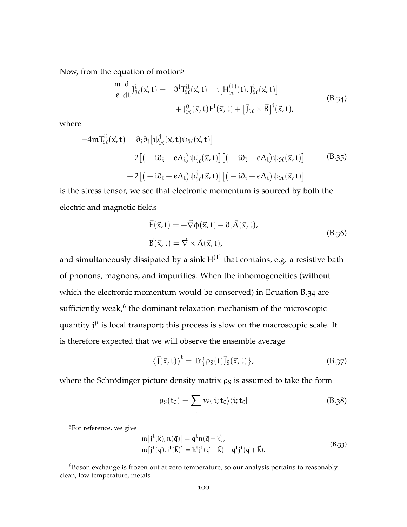Now, from the equation of motion<sup>5</sup>

$$
\frac{m}{e} \frac{d}{dt} J_{\mathcal{H}}^{i}(\vec{x}, t) = -\partial^{l} T_{\mathcal{H}}^{il}(\vec{x}, t) + i \left[ H_{\mathcal{H}}^{(1)}(t), J_{\mathcal{H}}^{i}(\vec{x}, t) \right] \n+ J_{\mathcal{H}}^{0}(\vec{x}, t) E^{i}(\vec{x}, t) + \left[ \vec{J}_{\mathcal{H}} \times \vec{B} \right]^{i}(\vec{x}, t),
$$
\n(B.34)

where

$$
-4m\mathsf{T}^{il}_{\mathcal{H}}(\vec{x},t) = \partial_i \partial_l [\psi_{\mathcal{H}}^{\dagger}(\vec{x},t)\psi_{\mathcal{H}}(\vec{x},t)]
$$
  
+2[(-i\partial\_i + eA\_i)\psi\_{\mathcal{H}}^{\dagger}(\vec{x},t)][(-i\partial\_l - eA\_l)\psi\_{\mathcal{H}}(\vec{x},t)] (B.35)  
+2[(-i\partial\_l + eA\_l)\psi\_{\mathcal{H}}^{\dagger}(\vec{x},t)][(-i\partial\_i - eA\_i)\psi\_{\mathcal{H}}(\vec{x},t)]

is the stress tensor, we see that electronic momentum is sourced by both the electric and magnetic fields

$$
\vec{E}(\vec{x}, t) = -\vec{\nabla}\phi(\vec{x}, t) - \partial_t \vec{A}(\vec{x}, t),
$$
  
\n
$$
\vec{B}(\vec{x}, t) = \vec{\nabla} \times \vec{A}(\vec{x}, t),
$$
\n(B.36)

and simultaneously dissipated by a sink  $\mathsf{H}^{(1)}$  that contains, e.g. a resistive bath of phonons, magnons, and impurities. When the inhomogeneities (without which the electronic momentum would be conserved) in [Equation B.](#page-35-0)34 are sufficiently weak, $^6$  the dominant relaxation mechanism of the microscopic quantity j<sup>µ</sup> is local transport; this process is slow on the macroscopic scale. It is therefore expected that we will observe the ensemble average

$$
\langle \vec{J}(\vec{x},t) \rangle^{t} = \text{Tr} \{ \rho_S(t) \vec{J}_S(\vec{x},t) \}, \tag{B.37}
$$

where the Schrödinger picture density matrix  $\rho_S$  is assumed to take the form

$$
\rho_S(t_0) = \sum_i w_i |i; t_0\rangle\langle i; t_0|
$$
 (B.38)

<sup>5</sup>For reference, we give

$$
m[j^{i}(\vec{k}), n(\vec{q})] = q^{i}n(\vec{q} + \vec{k}),
$$
  
\n
$$
m[j^{i}(\vec{q}), j^{l}(\vec{k})] = k^{i}j^{l}(\vec{q} + \vec{k}) - q^{l}j^{i}(\vec{q} + \vec{k}).
$$
\n(B.33)

 $6B$ oson exchange is frozen out at zero temperature, so our analysis pertains to reasonably clean, low temperature, metals.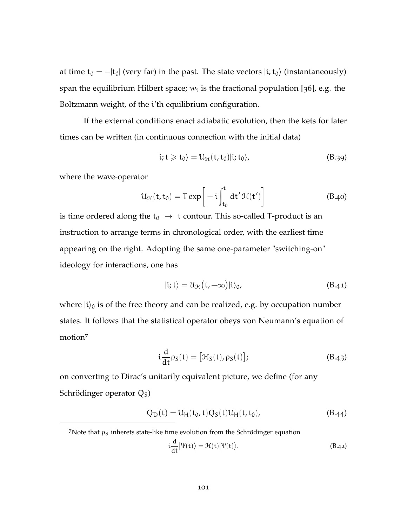at time  $t_0 = -|t_0|$  (very far) in the past. The state vectors  $|i; t_0\rangle$  (instantaneously) span the equilibrium Hilbert space;  $w_i$  is the fractional population [[36](#page-168-1)], e.g. the Boltzmann weight, of the i'th equilibrium configuration.

If the external conditions enact adiabatic evolution, then the kets for later times can be written (in continuous connection with the initial data)

$$
|i;t \geqslant t_0\rangle = \mathcal{U}_{\mathcal{H}}(t,t_0)|i;t_0\rangle,
$$
 (B.39)

where the wave-operator

$$
\mathcal{U}_{\mathcal{H}}(t, t_0) = T \exp\left[-i \int_{t_0}^t dt' \mathcal{H}(t')\right]
$$
 (B.40)

is time ordered along the  $t_0 \rightarrow t$  contour. This so-called T-product is an instruction to arrange terms in chronological order, with the earliest time appearing on the right. Adopting the same one-parameter "switching-on" ideology for interactions, one has

$$
|i;t\rangle = \mathcal{U}_{\mathcal{H}}(t,-\infty)|i\rangle_0, \tag{B.41}
$$

where  $|i\rangle_0$  is of the free theory and can be realized, e.g. by occupation number states. It follows that the statistical operator obeys von Neumann's equation of motion<sup>7</sup>

$$
\mathfrak{i}\frac{\mathrm{d}}{\mathrm{d}t}\rho_{\mathrm{S}}(\mathfrak{t}) = [\mathcal{H}_{\mathrm{S}}(\mathfrak{t}), \rho_{\mathrm{S}}(\mathfrak{t})];\tag{B.43}
$$

on converting to Dirac's unitarily equivalent picture, we define (for any Schrödinger operator  $Q<sub>S</sub>$ )

$$
Q_{D}(t) = \mathcal{U}_{H}(t_{0}, t)Q_{S}(t)\mathcal{U}_{H}(t, t_{0}), \qquad (B.44)
$$

$$
i\frac{d}{dt}|\Psi(t)\rangle = \mathcal{H}(t)|\Psi(t)\rangle.
$$
 (B.42)

 $7$ Note that  $\rho_S$  inherets state-like time evolution from the Schrödinger equation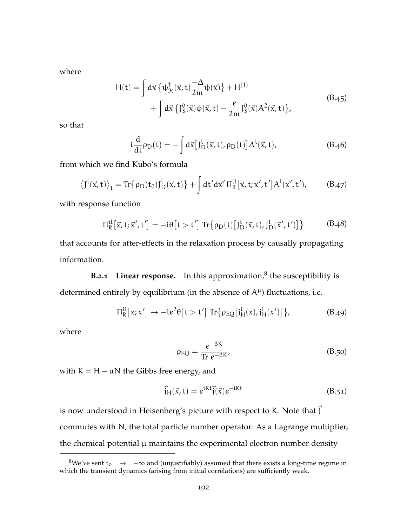where

$$
H(t) = \int d\vec{x} \left\{ \psi_{\mathcal{H}}^{\dagger}(\vec{x}, t) \frac{-\Delta}{2m} \psi(\vec{x}) \right\} + H^{(1)}
$$
  
+ 
$$
\int d\vec{x} \left\{ J_S^0(\vec{x}) \phi(\vec{x}, t) - \frac{e}{2m} J_S^0(\vec{x}) A^2(\vec{x}, t) \right\},
$$
 (B.45)

so that

$$
i\frac{d}{dt}\rho_D(t) = -\int d\vec{x} \left[J_D^L(\vec{x}, t), \rho_D(t)\right] A^L(\vec{x}, t),\tag{B.46}
$$

from which we find Kubo's formula

$$
\left\langle J^i(\vec{x},t)\right\rangle_t = \text{Tr}\big\{\rho_D(t_0)J^i_D(\vec{x},t)\big\} + \int dt'd\vec{x}'\,\Pi_R^{il}\big[\vec{x},t;\vec{x}',t'\big]A^l(\vec{x}',t'),\tag{B.47}
$$

with response function

$$
\Pi_R^{\rm il}[\vec{x},t;\vec{x}',t'] = -i\theta[t > t'] \operatorname{Tr} \{ \rho_D(t) \left[ J_D^{\rm i}(\vec{x},t), J_D^{\rm l}(\vec{x}',t') \right] \} \tag{B.48}
$$

that accounts for after-effects in the relaxation process by causally propagating information.

**B.2.1** Linear response. In this approximation,<sup>8</sup> the susceptibility is determined entirely by equilibrium (in the absence of  $A^{\mu}$ ) fluctuations, i.e.

$$
\Pi_R^{\rm il}[x;x'] \to -ie^2\theta[t>t'] \operatorname{Tr} \{ \rho_{\rm EQ}[j_H^i(x),j_H^l(x')] \}, \tag{B.49}
$$

where

$$
\rho_{\rm EQ} = \frac{e^{-\beta K}}{\text{Tr } e^{-\beta K}},\tag{B.50}
$$

with  $K = H - uN$  the Gibbs free energy, and

$$
\vec{j}_{\mathrm{H}}(\vec{x},t) = e^{ikt}\vec{j}(\vec{x})e^{-iKt}
$$
\n(B.51)

is now understood in Heisenberg's picture with respect to K. Note that  $\vec{j}$ commutes with N, the total particle number operator. As a Lagrange multiplier, the chemical potential  $\mu$  maintains the experimental electron number density

<sup>&</sup>lt;sup>8</sup>We've sent t<sub>0</sub>  $\rightarrow$   $-\infty$  and (unjustifiably) assumed that there exists a long-time regime in which the transient dynamics (arising from initial correlations) are sufficiently weak.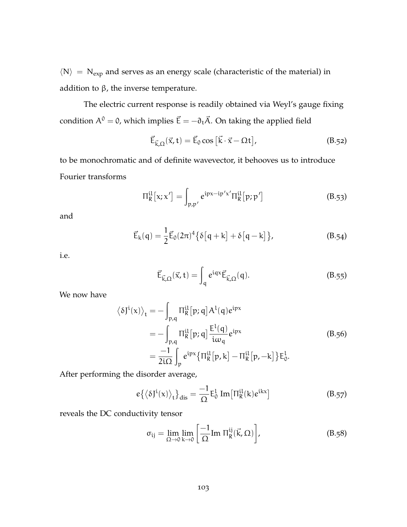$\langle N \rangle = N_{exp}$  and serves as an energy scale (characteristic of the material) in addition to  $β$ , the inverse temperature.

The electric current response is readily obtained via Weyl's gauge fixing condition  $A^{0} = 0$ , which implies  $\vec{E} = -\partial_{t}\vec{A}$ . On taking the applied field

$$
\vec{E}_{\vec{k},\Omega}(\vec{x},t) = \vec{E}_0 \cos\left[\vec{k}\cdot\vec{x} - \Omega t\right],\tag{B.52}
$$

to be monochromatic and of definite wavevector, it behooves us to introduce Fourier transforms

$$
\Pi_R^{\rm il}[x; x'] = \int_{p, p'} e^{ipx - ip'x'} \Pi_R^{\rm il}[p; p'] \tag{B.53}
$$

and

$$
\vec{E}_k(q) = \frac{1}{2} \vec{E}_0(2\pi)^4 \{ \delta[q+k] + \delta[q-k] \},
$$
 (B.54)

i.e.

$$
\vec{E}_{\vec{k},\Omega}(\vec{x},t) = \int_{q} e^{iqx} \vec{E}_{\vec{k},\Omega}(q). \qquad (B.55)
$$

We now have

$$
\langle \delta J^{i}(x) \rangle_{t} = -\int_{p,q} \Pi_{R}^{il}[p;q] A^{l}(q) e^{ipx}
$$
  
= 
$$
-\int_{p,q} \Pi_{R}^{il}[p;q] \frac{E^{l}(q)}{i\omega_{q}} e^{ipx}
$$
  
= 
$$
\frac{-1}{2i\Omega} \int_{p} e^{ipx} {\Pi_{R}^{il}[p,k] - \Pi_{R}^{il}[p,-k]} E_{0}^{l}.
$$
 (B.56)

After performing the disorder average,

$$
e\{\langle \delta J^{i}(x)\rangle_{t}\}_{dis} = \frac{-1}{\Omega}E_{0}^{l} \operatorname{Im}\left[\Pi_{R}^{il}(k)e^{ikx}\right]
$$
(B.57)

reveals the DC conductivity tensor

$$
\sigma_{ij} = \lim_{\Omega \to 0} \lim_{k \to 0} \left[ \frac{-1}{\Omega} \text{Im } \Pi_R^{ij}(\vec{k}, \Omega) \right], \tag{B.58}
$$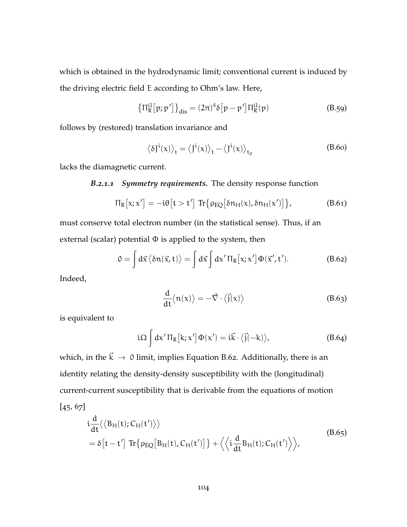which is obtained in the hydrodynamic limit; conventional current is induced by the driving electric field E according to Ohm's law. Here,

$$
\left\{\Pi_{\mathsf{R}}^{\text{il}}[p;p']\right\}_{\text{dis}} = (2\pi)^4 \delta[p-p'] \Pi_{\mathsf{R}}^{\text{il}}(p) \tag{B.59}
$$

follows by (restored) translation invariance and

$$
\langle \delta J^{i}(x) \rangle_{t} = \langle J^{i}(x) \rangle_{t} - \langle J^{i}(x) \rangle_{t_{0}}
$$
 (B.60)

lacks the diamagnetic current.

### *B.2.1.1 Symmetry requirements.* The density response function

$$
\Pi_R[x; x'] = -i\theta[t > t'] \operatorname{Tr} \{ \rho_{EQ} [\delta n_H(x), \delta n_H(x')] \}, \tag{B.61}
$$

must conserve total electron number (in the statistical sense). Thus, if an external (scalar) potential  $\Phi$  is applied to the system, then

$$
0 = \int d\vec{x} \langle \delta n(\vec{x}, t) \rangle = \int d\vec{x} \int d\mathbf{x}' \Pi_R[x; \mathbf{x}'] \Phi(\vec{x}', t'). \tag{B.62}
$$

Indeed,

<span id="page-116-0"></span>
$$
\frac{d}{dt}\langle n(x)\rangle = -\vec{\nabla}\cdot\langle \vec{j}(x)\rangle
$$
 (B.63)

is equivalent to

$$
i\Omega \int dx' \Pi_R [k; x'] \Phi(x') = i\vec{k} \cdot \langle \vec{j}(-k) \rangle, \tag{B.64}
$$

which, in the  $\vec{k} \rightarrow 0$  limit, implies [Equation B.](#page-116-0)62. Additionally, there is an identity relating the density-density susceptibility with the (longitudinal) current-current susceptibility that is derivable from the equations of motion  $[45, 67]$  $[45, 67]$  $[45, 67]$  $[45, 67]$  $[45, 67]$ 

$$
\begin{split} &\mathrm{i}\frac{\mathrm{d}}{\mathrm{d}t}\langle\langle B_{\mathrm{H}}(t);C_{\mathrm{H}}(t')\rangle\rangle\\ &=\delta\big[t-t'\big] \operatorname{Tr}\big\{\rho_{EQ}\big[B_{\mathrm{H}}(t),C_{\mathrm{H}}(t')\big]\big\} + \Big\langle\Big\langle\mathrm{i}\frac{\mathrm{d}}{\mathrm{d}t}B_{\mathrm{H}}(t);C_{\mathrm{H}}(t')\Big\rangle\Big\rangle,\end{split} \tag{B.65}
$$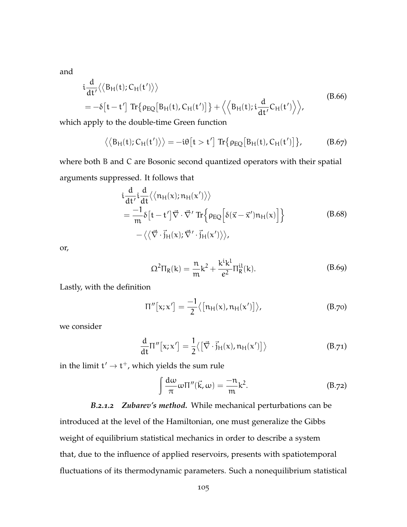and

$$
i\frac{d}{dt'}\langle \langle B_H(t); C_H(t') \rangle \rangle
$$
  
=  $-\delta[t - t'] \text{ Tr} \{ \rho_{EQ}[B_H(t), C_H(t')] \} + \langle \langle B_H(t); i \frac{d}{dt'} C_H(t') \rangle \rangle,$  (B.66)

which apply to the double-time Green function

$$
\langle \langle B_H(t); C_H(t') \rangle \rangle = -i\theta \big[ t > t' \big] \operatorname{Tr} \{ \rho_{EQ} \big[ B_H(t), C_H(t') \big] \}, \tag{B.67}
$$

where both B and C are Bosonic second quantized operators with their spatial arguments suppressed. It follows that

$$
\begin{split}\n&\frac{d}{dt'}\dot{u}\frac{d}{dt}\langle\langle n_H(x);n_H(x')\rangle\rangle \\
&=\frac{-1}{m}\delta\big[t-t'\big]\vec{\nabla}\cdot\vec{\nabla}'\operatorname{Tr}\Big\{\rho_{EQ}\Big[\delta(\vec{x}-\vec{x}')n_H(x)\Big]\Big\} \\
&\quad-\langle\langle\vec{\nabla}\cdot\vec{j}_H(x);\vec{\nabla}'\cdot\vec{j}_H(x')\rangle\rangle,\n\end{split} \tag{B.68}
$$

<span id="page-117-0"></span>or,

$$
\Omega^{2}\Pi_{R}(k) = \frac{n}{m}k^{2} + \frac{k^{i}k^{l}}{e^{2}}\Pi_{R}^{il}(k).
$$
 (B.69)

Lastly, with the definition

$$
\Pi''\big[x; x'\big] = \frac{-1}{2} \big\langle \big[n_H(x), n_H(x')\big] \big\rangle, \tag{B.70}
$$

we consider

$$
\frac{d}{dt}\Pi''[x;x'] = \frac{1}{2}\langle \left[\vec{\nabla} \cdot \vec{j}_{H}(x), n_{H}(x')\right] \rangle \tag{B.71}
$$

in the limit  $t' \rightarrow t^+$ , which yields the sum rule

<span id="page-117-1"></span>
$$
\int \frac{d\omega}{\pi} \omega \Pi''(\vec{k}, \omega) = -\frac{n}{m} k^2.
$$
 (B.72)

*B.2.1.2 Zubarev's method.* While mechanical perturbations can be introduced at the level of the Hamiltonian, one must generalize the Gibbs weight of equilibrium statistical mechanics in order to describe a system that, due to the influence of applied reservoirs, presents with spatiotemporal fluctuations of its thermodynamic parameters. Such a nonequilibrium statistical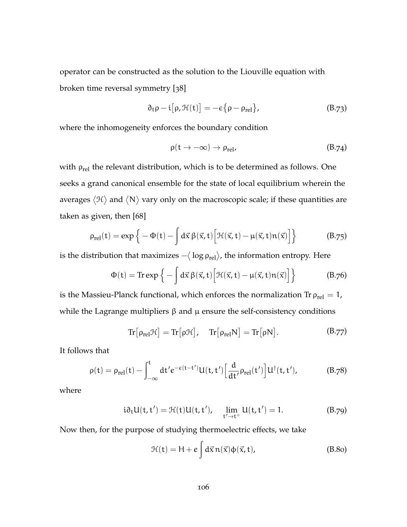operator can be constructed as the solution to the Liouville equation with broken time reversal symmetry [[38](#page-168-2)]

$$
\partial_t \rho - i [\rho, \mathcal{H}(t)] = -\varepsilon {\rho - \rho_{rel}}, \qquad (B.73)
$$

where the inhomogeneity enforces the boundary condition

$$
\rho(t \to -\infty) \to \rho_{rel}, \tag{B.74}
$$

with  $\rho_{rel}$  the relevant distribution, which is to be determined as follows. One seeks a grand canonical ensemble for the state of local equilibrium wherein the averages  $\langle \mathfrak{H} \rangle$  and  $\langle \mathsf{N} \rangle$  vary only on the macroscopic scale; if these quantities are taken as given, then [[68](#page-171-3)]

$$
\rho_{rel}(t) = \exp\left\{-\Phi(t) - \int d\vec{x} \,\beta(\vec{x}, t) \Big[\mathcal{H}(\vec{x}, t) - \mu(\vec{x}, t) n(\vec{x})\Big]\right\} \tag{B.75}
$$

is the distribution that maximizes  $-\langle{}\log\rho_{\mathrm{rel}}\rangle$ , the information entropy. Here

$$
\Phi(t) = \text{Tr} \exp\left\{-\int d\vec{x} \,\beta(\vec{x},t) \Big[\mathcal{H}(\vec{x},t) - \mu(\vec{x},t)\mathfrak{n}(\vec{x})\Big]\right\} \tag{B.76}
$$

is the Massieu-Planck functional, which enforces the normalization Tr  $\rho_{rel} = 1$ , while the Lagrange multipliers  $\beta$  and  $\mu$  ensure the self-consistency conditions

$$
\mathrm{Tr}\big[\rho_{\text{rel}}\mathcal{H}\big] = \mathrm{Tr}\big[\rho\mathcal{H}\big], \quad \mathrm{Tr}\big[\rho_{\text{rel}}N\big] = \mathrm{Tr}\big[\rho N\big]. \tag{B.77}
$$

It follows that

$$
\rho(t) = \rho_{rel}(t) - \int_{-\infty}^{t} dt' e^{-\varepsilon(t-t')} U(t,t') \Big[ \frac{d}{dt'} \rho_{rel}(t') \Big] U^{\dagger}(t,t'), \tag{B.78}
$$

where

$$
i\partial_t U(t, t') = \mathcal{H}(t)U(t, t'), \quad \lim_{t' \to t^+} U(t, t') = 1.
$$
 (B.79)

Now then, for the purpose of studying thermoelectric effects, we take

$$
\mathcal{H}(t) = H + e \int d\vec{x} \, n(\vec{x}) \Phi(\vec{x}, t), \tag{B.80}
$$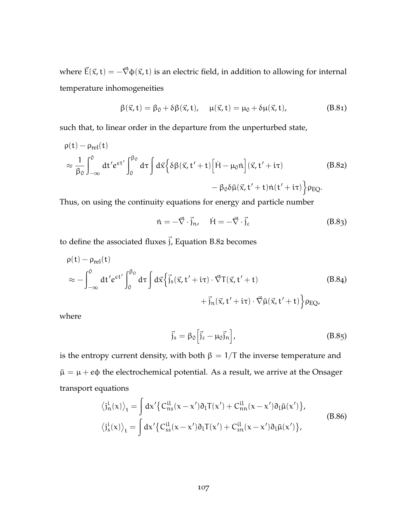where  $\vec{E}(\vec{x}, t) = -\vec{\nabla}\phi(\vec{x}, t)$  is an electric field, in addition to allowing for internal temperature inhomogeneities

$$
\beta(\vec{x},t) = \beta_0 + \delta\beta(\vec{x},t), \quad \mu(\vec{x},t) = \mu_0 + \delta\mu(\vec{x},t), \tag{B.81}
$$

such that, to linear order in the departure from the unperturbed state,

$$
\rho(t) - \rho_{rel}(t)
$$
  
\n
$$
\approx \frac{1}{\beta_0} \int_{-\infty}^0 dt' e^{\epsilon t'} \int_0^{\beta_0} d\tau \int d\vec{x} \Big\{ \delta \beta(\vec{x}, t' + t) \Big[ \dot{H} - \mu_0 \dot{n} \Big] (\vec{x}, t' + i\tau) -\beta_0 \delta \tilde{\mu}(\vec{x}, t' + t) \dot{n}(t' + i\tau) \Big\} \rho_{EQ}.
$$
\n(B.82)

Thus, on using the continuity equations for energy and particle number

<span id="page-119-0"></span>
$$
\dot{\mathfrak{n}} = -\vec{\nabla} \cdot \vec{j}_n, \quad \dot{H} = -\vec{\nabla} \cdot \vec{j}_\varepsilon \tag{B.83}
$$

to define the associated fluxes  $\vec{j}$ , [Equation B.](#page-119-0)82 becomes

$$
\rho(t) - \rho_{rel}(t)
$$
  
\n
$$
\approx -\int_{-\infty}^{0} dt' e^{\epsilon t'} \int_{0}^{\beta_0} d\tau \int d\vec{x} \left\{ \vec{j}_s(\vec{x}, t' + i\tau) \cdot \vec{\nabla} T(\vec{x}, t' + t) + \vec{j}_n(\vec{x}, t' + i\tau) \cdot \vec{\nabla} \tilde{\mu}(\vec{x}, t' + t) \right\} \rho_{EQ},
$$
\n(B.84)

where

$$
\vec{j}_s = \beta_0 \left[ \vec{j}_\varepsilon - \mu_0 \vec{j}_n \right],
$$
\n(B.85)

is the entropy current density, with both  $\beta = 1/T$  the inverse temperature and  $\tilde{\mu} = \mu + e\phi$  the electrochemical potential. As a result, we arrive at the Onsager transport equations

$$
\langle j_n^i(x) \rangle_t = \int dx' \{ C_{ns}^{il}(x - x') \partial_l T(x') + C_{nn}^{il}(x - x') \partial_l \tilde{\mu}(x') \},
$$
\n
$$
\langle j_s^i(x) \rangle_t = \int dx' \{ C_{ss}^{il}(x - x') \partial_l T(x') + C_{sn}^{il}(x - x') \partial_l \tilde{\mu}(x') \},
$$
\n(B.86)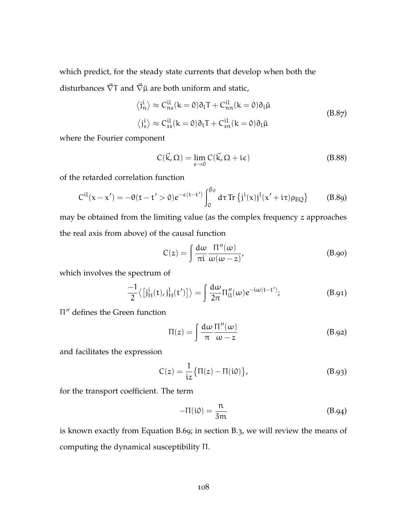which predict, for the steady state currents that develop when both the disturbances  $\vec{\nabla}T$  and  $\vec{\nabla}\tilde{\mu}$  are both uniform and static,

$$
\langle j_n^i \rangle \approx C_{ns}^{il}(k=0)\partial_l T + C_{nn}^{il}(k=0)\partial_l \tilde{\mu}
$$
  

$$
\langle j_s^i \rangle \approx C_{ss}^{il}(k=0)\partial_l T + C_{sn}^{il}(k=0)\partial_l \tilde{\mu}
$$
 (B.87)

where the Fourier component

$$
C(\vec{k}, \Omega) = \lim_{\epsilon \to 0} C(\vec{k}, \Omega + i\epsilon)
$$
 (B.88)

of the retarded correlation function

$$
C^{il}(x-x') = -\theta(t-t' > 0)e^{-\varepsilon(t-t')} \int_0^{\beta_0} d\tau \operatorname{Tr} \left\{ j^i(x) j^l(x'+i\tau)\rho_{EQ} \right\} \tag{B.89}
$$

may be obtained from the limiting value (as the complex frequency z approaches the real axis from above) of the causal function

$$
C(z) = \int \frac{d\omega}{\pi i} \frac{\Pi''(\omega)}{\omega(\omega - z)},
$$
 (B.90)

which involves the spectrum of

$$
\frac{-1}{2}\langle \left[j_H^i(t), j_H^l(t')\right] \rangle = \int \frac{d\omega}{2\pi} \Pi_{il}''(\omega) e^{-i\omega(t-t')};
$$
 (B.91)

Π <sup>00</sup> defines the Green function

$$
\Pi(z) = \int \frac{d\omega}{\pi} \frac{\Pi''(\omega)}{\omega - z}
$$
 (B.92)

and facilitates the expression

$$
C(z) = \frac{1}{iz} \{ \Pi(z) - \Pi(i0) \},
$$
 (B.93)

for the transport coefficient. The term

$$
-\Pi(i0) = \frac{n}{3m} \tag{B.94}
$$

is known exactly from [Equation B.](#page-117-0)69; in [section B.](#page-33-0)3, we will review the means of computing the dynamical susceptibility Π.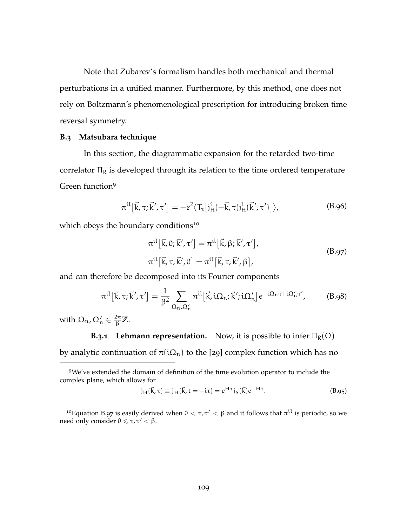Note that Zubarev's formalism handles both mechanical and thermal perturbations in a unified manner. Furthermore, by this method, one does not rely on Boltzmann's phenomenological prescription for introducing broken time reversal symmetry.

#### **B.3 Matsubara technique**

In this section, the diagrammatic expansion for the retarded two-time correlator  $\Pi_R$  is developed through its relation to the time ordered temperature Green function<sup>9</sup>

$$
\pi^{\text{il}}\big[\vec{k},\tau;\vec{k}',\tau'\big] = -e^2 \big\langle T_{\tau}\big[j_{\text{H}}^{\text{i}}(-\vec{k},\tau)j_{\text{H}}^{\text{l}}(\vec{k}',\tau')\big]\big\rangle,\tag{B.96}
$$

which obeys the boundary conditions<sup>10</sup>

<span id="page-121-0"></span>
$$
\pi^{\text{il}}\left[\vec{k},0;\vec{k}',\tau'\right] = \pi^{\text{il}}\left[\vec{k},\beta;\vec{k}',\tau'\right],
$$
\n
$$
\pi^{\text{il}}\left[\vec{k},\tau;\vec{k}',0\right] = \pi^{\text{il}}\left[\vec{k},\tau;\vec{k}',\beta\right],
$$
\n(B.97)

and can therefore be decomposed into its Fourier components

$$
\pi^{\rm il}[\vec{k},\tau;\vec{k}',\tau'] = \frac{1}{\beta^2} \sum_{\Omega_n,\Omega'_n} \pi^{\rm il}[\vec{k},\mathrm{i}\Omega_n;\vec{k}';\mathrm{i}\Omega'_n] e^{-\mathrm{i}\Omega_n\tau + \mathrm{i}\Omega'_n\tau'},\tag{B.98}
$$

with  $\Omega_\mathfrak{n}$ ,  $\Omega'_\mathfrak{n} \in \frac{2\pi}{\beta} \mathbb{Z}$ .

# **B.3.1 Lehmann representation.** Now, it is possible to infer  $\Pi_R(\Omega)$

by analytic continuation of  $\pi(i\Omega_n)$  to the [[29](#page-168-3)] complex function which has no

$$
j_{H}(\vec{k}, \tau) \equiv j_{H}(\vec{k}, t = -i\tau) = e^{H\tau} j_{S}(\vec{k}) e^{-H\tau}.
$$
 (B.95)

<sup>10</sup>[Equation B.](#page-121-0)97 is easily derived when  $0 < \tau, \tau' < \beta$  and it follows that  $\pi^{\text{i}l}$  is periodic, so we need only consider  $0 \leq \tau, \tau' < \beta$ .

<sup>9</sup>We've extended the domain of definition of the time evolution operator to include the complex plane, which allows for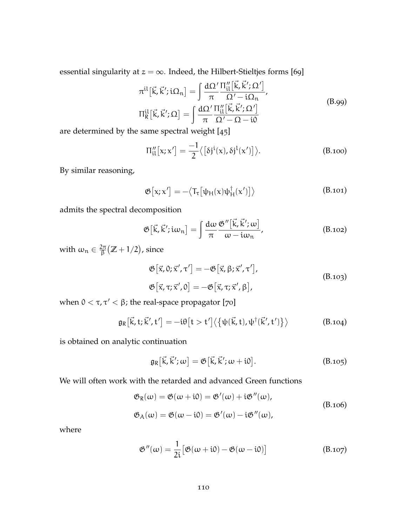essential singularity at  $z = \infty$ . Indeed, the Hilbert-Stieltjes forms [[69](#page-171-4)]

$$
\pi^{\text{il}}\left[\vec{k}, \vec{k}'; \mathbf{i}\Omega_n\right] = \int \frac{d\Omega'}{\pi} \frac{\Pi_{\text{il}}''\left[\vec{k}, \vec{k}'; \Omega'\right]}{\Omega' - \mathbf{i}\Omega_n},
$$
\n
$$
\Pi_R^{\text{il}}\left[\vec{k}, \vec{k}'; \Omega\right] = \int \frac{d\Omega'}{\pi} \frac{\Pi_{\text{il}}''\left[\vec{k}, \vec{k}'; \Omega'\right]}{\Omega' - \Omega - \mathbf{i}0} \tag{B.99}
$$

are determined by the same spectral weight [[45](#page-169-0)]

$$
\Pi''_{\mathfrak{U}}[x;x'] = \frac{-1}{2} \langle [\delta j^{\mathfrak{i}}(x), \delta j^{\mathfrak{l}}(x')] \rangle.
$$
 (B.100)

By similar reasoning,

<span id="page-122-0"></span>
$$
\mathfrak{G}\big[x; x'\big] = -\big\langle T_{\tau}\big[\psi_H(x)\psi_H^{\dagger}(x')\big] \big\rangle \tag{B.101}
$$

admits the spectral decomposition

$$
\mathfrak{G}\left[\vec{k},\vec{k}';i\omega_{n}\right]=\int\frac{d\omega}{\pi}\frac{\mathfrak{G}''\left[\vec{k},\vec{k}';\omega\right]}{\omega-i\omega_{n}},\qquad\qquad\text{(B.102)}
$$

with  $\omega_n \in \frac{2\pi}{6}$  $\frac{2\pi}{\beta} \bigl( \mathbb{Z} + 1/2 \bigr)$ , since

$$
\mathfrak{G}\left[\vec{x},0;\vec{x}',\tau'\right] = -\mathfrak{G}\left[\vec{x},\beta;\vec{x}',\tau'\right],
$$
\n
$$
\mathfrak{G}\left[\vec{x},\tau;\vec{x}',0\right] = -\mathfrak{G}\left[\vec{x},\tau;\vec{x}',\beta\right],
$$
\n(B.103)

when  $0 < \tau, \tau' < \beta$ ; the real-space propagator [[70](#page-171-5)]

$$
\mathfrak{g}_{R}[\vec{k},t;\vec{k}',t'] = -i\theta[t > t'] \langle \{\psi(\vec{k},t),\psi^{\dagger}(\vec{k}',t')\}\rangle \qquad (B.104)
$$

is obtained on analytic continuation

$$
\mathfrak{g}_{R}[\vec{k}, \vec{k}'; \omega] = \mathfrak{G}[\vec{k}, \vec{k}'; \omega + i0]. \qquad (B.105)
$$

We will often work with the retarded and advanced Green functions

$$
\mathfrak{G}_{R}(\omega) = \mathfrak{G}(\omega + i0) = \mathfrak{G}'(\omega) + i\mathfrak{G}''(\omega),
$$
  
\n
$$
\mathfrak{G}_{A}(\omega) = \mathfrak{G}(\omega - i0) = \mathfrak{G}'(\omega) - i\mathfrak{G}''(\omega),
$$
\n(B.106)

where

$$
\mathfrak{G}''(\omega) = \frac{1}{2i} \big[ \mathfrak{G}(\omega + i0) - \mathfrak{G}(\omega - i0) \big] \tag{B.107}
$$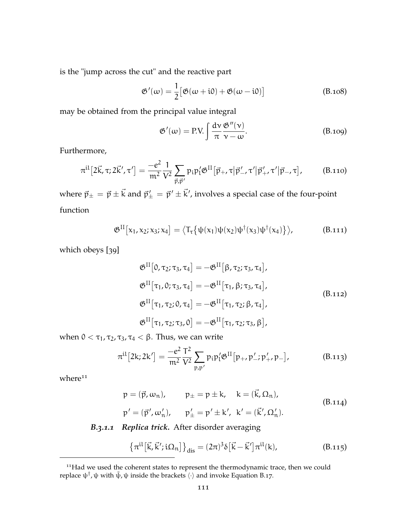is the "jump across the cut" and the reactive part

$$
\mathfrak{G}'(\omega) = \frac{1}{2} \big[ \mathfrak{G}(\omega + i0) + \mathfrak{G}(\omega - i0) \big] \tag{B.108}
$$

may be obtained from the principal value integral

$$
\mathfrak{G}'(\omega) = \text{P.V.} \int \frac{d\mathbf{v}}{\pi} \frac{\mathfrak{G}''(\mathbf{v})}{\mathbf{v} - \omega}.
$$
 (B.109)

Furthermore,

$$
\pi^{\text{il}}[2\vec{k},\tau;2\vec{k}',\tau'] = \frac{-e^2}{m^2} \frac{1}{V^2} \sum_{\vec{p},\vec{p}'} p_i p'_1 \mathfrak{G}^{\text{II}}[\vec{p}_+, \tau | \vec{p}'_-, \tau' | \vec{p}'_+, \tau' | \vec{p}_-, \tau], \qquad (B.110)
$$

where  $\vec{p}_\pm = \vec{p}\pm\vec{k}$  and  $\vec{p}'_\pm = \vec{p}'\pm\vec{k}'$ , involves a special case of the four-point function

$$
\mathfrak{G}^{\text{II}}\big[x_1,x_2;x_3;x_4\big] = \big\langle \mathsf{T}_{\tau}\big\{\psi(x_1)\psi(x_2)\psi^{\dagger}(x_3)\psi^{\dagger}(x_4)\big\} \big\rangle, \tag{B.111}
$$

which obeys [[39](#page-169-1)]

$$
\mathfrak{G}^{\text{II}}\left[0,\tau_{2};\tau_{3},\tau_{4}\right]=-\mathfrak{G}^{\text{II}}\left[\beta,\tau_{2};\tau_{3},\tau_{4}\right],
$$
\n
$$
\mathfrak{G}^{\text{II}}\left[\tau_{1},0;\tau_{3},\tau_{4}\right]=-\mathfrak{G}^{\text{II}}\left[\tau_{1},\beta;\tau_{3},\tau_{4}\right],
$$
\n
$$
\mathfrak{G}^{\text{II}}\left[\tau_{1},\tau_{2};0,\tau_{4}\right]=-\mathfrak{G}^{\text{II}}\left[\tau_{1},\tau_{2};\beta,\tau_{4}\right],
$$
\n
$$
\mathfrak{G}^{\text{II}}\left[\tau_{1},\tau_{2};\tau_{3},0\right]=-\mathfrak{G}^{\text{II}}\left[\tau_{1},\tau_{2};\tau_{3},\beta\right],
$$
\n(B.112)

when  $0 < \tau_1$ ,  $\tau_2$ ,  $\tau_3$ ,  $\tau_4 < \beta$ . Thus, we can write

$$
\pi^{\text{il}}[2k; 2k'] = \frac{-e^2}{m^2} \frac{T^2}{V^2} \sum_{p, p'} p_i p'_i \mathfrak{G}^{\text{II}}[p_+, p'_-; p'_+, p_-], \tag{B.113}
$$

 $where<sup>11</sup>$ 

$$
p = (\vec{p}, \omega_n), \qquad p_{\pm} = p \pm k, \quad k = (\vec{k}, \Omega_n),
$$
  
\n
$$
p' = (\vec{p}', \omega'_n), \qquad p'_{\pm} = p' \pm k', \quad k' = (\vec{k}', \Omega'_n).
$$
\n(B.114)

# *B.3.1.1 Replica trick.* After disorder averaging

$$
\left\{\pi^{\mathfrak{i}\mathfrak{l}}\left[\vec{k},\vec{k}';\mathfrak{i}\Omega_{\mathfrak{n}}\right]\right\}_{\mathbf{dis}} = (2\pi)^{3}\delta\left[\vec{k}-\vec{k}'\right]\pi^{\mathfrak{i}\mathfrak{l}}(k),\tag{B.115}
$$

<sup>&</sup>lt;sup>11</sup>Had we used the coherent states to represent the thermodynamic trace, then we could replace  $\psi^{\dagger}$ ,  $\psi$  with  $\bar{\psi}$ ,  $\psi$  inside the brackets  $\langle \cdot \rangle$  and invoke [Equation B.](#page-30-0)17.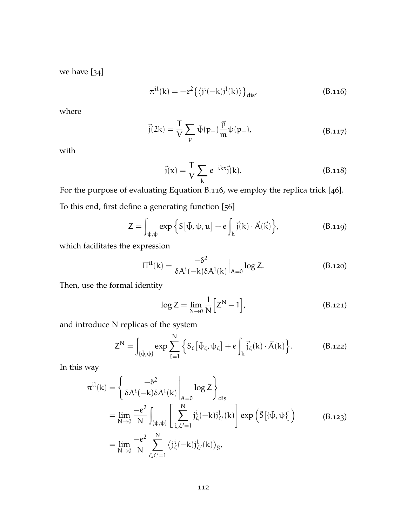<span id="page-124-0"></span>we have [[34](#page-168-4)]

$$
\pi^{\rm il}(\mathbf{k}) = -e^2 \left\{ \left\langle j^{\rm i}(-\mathbf{k})j^{\rm l}(\mathbf{k}) \right\rangle \right\}_{\rm dis'}
$$
 (B.116)

where

$$
\vec{j}(2k) = \frac{T}{V} \sum_{p} \bar{\psi}(p_{+}) \frac{\vec{p}}{m} \psi(p_{-}), \qquad (B.117)
$$

with

$$
\vec{j}(x) = \frac{T}{V} \sum_{k} e^{-ikx} \vec{j}(k). \tag{B.118}
$$

For the purpose of evaluating [Equation B.](#page-124-0)116, we employ the replica trick [[46](#page-169-2)]. To this end, first define a generating function [[56](#page-170-0)]

$$
Z = \int_{\bar{\psi}, \psi} \exp \left\{ S \left[ \bar{\psi}, \psi, u \right] + e \int_{k} \vec{j}(k) \cdot \vec{A}(\vec{k}) \right\},\tag{B.119}
$$

which facilitates the expression

$$
\Pi^{il}(k) = \frac{-\delta^2}{\delta A^i(-k)\delta A^l(k)}\Big|_{A=0} \log Z.
$$
 (B.120)

Then, use the formal identity

$$
\log Z = \lim_{N \to 0} \frac{1}{N} \left[ Z^N - 1 \right],\tag{B.121}
$$

and introduce N replicas of the system

$$
Z^N = \int_{\{\bar{\psi}, \psi\}} \exp \sum_{\zeta=1}^N \left\{ S_{\zeta} \left[ \bar{\psi}_{\zeta}, \psi_{\zeta} \right] + e \int_k \vec{j}_{\zeta}(k) \cdot \vec{A}(k) \right\}.
$$
 (B.122)

In this way

$$
\pi^{il}(k) = \left\{ \frac{-\delta^2}{\delta A^i(-k)\delta A^l(k)} \bigg|_{A=0} \log Z \right\}_{dis}
$$
  
\n
$$
= \lim_{N \to 0} \frac{-e^2}{N} \int_{\{\bar{\psi}, \psi\}} \left[ \sum_{\zeta, \zeta'=1}^N j_{\zeta}^i(-k) j_{\zeta'}^l(k) \right] \exp \left( \tilde{S} [\{\bar{\psi}, \psi\}] \right)
$$
  
\n
$$
= \lim_{N \to 0} \frac{-e^2}{N} \sum_{\zeta, \zeta'=1}^N \langle j_{\zeta}^i(-k) j_{\zeta'}^l(k) \rangle_{\bar{S}},
$$
 (B.123)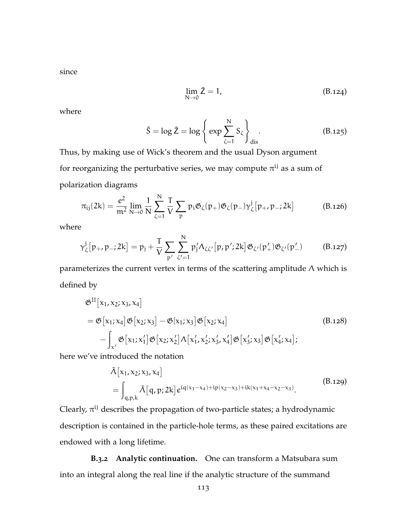since

$$
\lim_{N \to 0} \tilde{Z} = 1,\tag{B.124}
$$

where

<span id="page-125-0"></span>
$$
\tilde{S} = \log \tilde{Z} = \log \left\{ \exp \sum_{\zeta=1}^{N} S_{\zeta} \right\}_{\text{dis}}.
$$
 (B.125)

Thus, by making use of Wick's theorem and the usual Dyson argument for reorganizing the perturbative series, we may compute  $\pi^{\mathfrak{ij}}$  as a sum of polarization diagrams

<span id="page-125-1"></span>
$$
\pi_{ij}(2k)=\frac{e^2}{m^2}\lim_{N\to 0}\frac{1}{N}\sum_{\zeta=1}^N\frac{T}{V}\sum_{p}\mathfrak{p}_i\mathfrak{G}_\zeta(p_+)\mathfrak{G}_\zeta(p_-)\gamma_\zeta^j\big[p_+,p_-\vphantom{1};2k\big]\qquad \qquad (B.126)
$$

where

$$
\gamma_{\zeta}^{j}[p_{+}, p_{-}; 2k] = p_{j} + \frac{T}{V} \sum_{p'} \sum_{\zeta'=1}^{N} p'_{j} \Lambda_{\zeta \zeta'}[p, p'; 2k] \mathfrak{G}_{\zeta'}(p'_{+}) \mathfrak{G}_{\zeta'}(p'_{-})
$$
(B.127)

parameterizes the current vertex in terms of the scattering amplitude  $\Lambda$  which is defined by

$$
\mathfrak{G}^{\text{II}}[\mathbf{x}_1, \mathbf{x}_2; \mathbf{x}_3, \mathbf{x}_4] \n= \mathfrak{G}[\mathbf{x}_1; \mathbf{x}_4] \mathfrak{G}[\mathbf{x}_2; \mathbf{x}_3] - \mathfrak{G}[\mathbf{x}_1; \mathbf{x}_3] \mathfrak{G}[\mathbf{x}_2; \mathbf{x}_4] \n- \int_{\mathbf{x}'} \mathfrak{G}[\mathbf{x}_1; \mathbf{x}_1'] \mathfrak{G}[\mathbf{x}_2; \mathbf{x}_2'] \Lambda[\mathbf{x}_1', \mathbf{x}_2'; \mathbf{x}_3', \mathbf{x}_4'] \mathfrak{G}[\mathbf{x}_3'; \mathbf{x}_3] \mathfrak{G}[\mathbf{x}_4'; \mathbf{x}_4];
$$
\n(B.128)

here we've introduced the notation

$$
\tilde{\Lambda}[x_1, x_2; x_3, x_4] = \int_{q,p,k} \tilde{\Lambda}[q, p; 2k] e^{iq(x_1 - x_4) + ip(x_2 - x_3) + ik(x_1 + x_4 - x_2 - x_3)}.
$$
\n(B.129)

Clearly,  $\pi^{ij}$  describes the propagation of two-particle states; a hydrodynamic description is contained in the particle-hole terms, as these paired excitations are endowed with a long lifetime.

**B.3.2 Analytic continuation.** One can transform a Matsubara sum into an integral along the real line if the analytic structure of the summand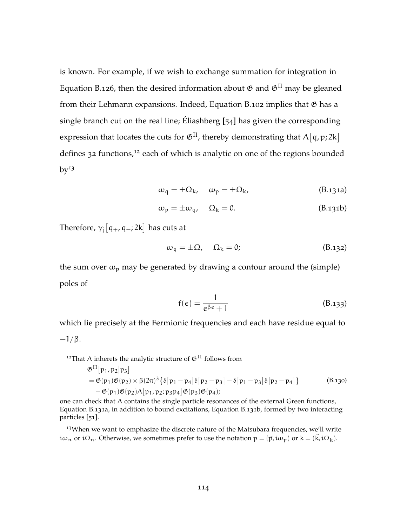is known. For example, if we wish to exchange summation for integration in [Equation B.](#page-125-0)126, then the desired information about  $\mathfrak{G}$  and  $\mathfrak{G}^{\text{II}}$  may be gleaned from their Lehmann expansions. Indeed, [Equation B.](#page-122-0)102 implies that  $\mathfrak G$  has a single branch cut on the real line; Éliashberg [[54](#page-170-1)] has given the corresponding expression that locates the cuts for  $\mathfrak{G}^{\text{II}}$ , thereby demonstrating that  $\Lambda[\mathfrak{q},\mathfrak{p};2\mathfrak{k}]$ defines  $32$  functions,<sup>12</sup> each of which is analytic on one of the regions bounded  $by<sup>13</sup>$ 

$$
\omega_{q} = \pm \Omega_{k}, \quad \omega_{p} = \pm \Omega_{k}, \tag{B.131a}
$$

$$
\omega_{\mathfrak{p}} = \pm \omega_{\mathfrak{q}}, \quad \Omega_{\mathfrak{k}} = 0. \tag{B.131b}
$$

Therefore,  $\gamma_j[\mathfrak{q}_+, \mathfrak{q}_-; 2\mathsf{k}]$  has cuts at

$$
\omega_{q} = \pm \Omega, \quad \Omega_{k} = 0; \tag{B.132}
$$

the sum over  $\omega_p$  may be generated by drawing a contour around the (simple) poles of

$$
f(\epsilon) = \frac{1}{e^{\beta \epsilon} + 1} \tag{B.133}
$$

which lie precisely at the Fermionic frequencies and each have residue equal to

$$
-1/\beta.
$$

<sup>12</sup>That Λ inherets the analytic structure of  $\mathfrak{G}^{\text{II}}$  follows from

$$
\mathfrak{G}^{\text{II}}[p_1, p_2|p_3] \n= \mathfrak{G}(p_1)\mathfrak{G}(p_2) \times \beta(2\pi)^3 \{\delta[p_1 - p_4]\delta[p_2 - p_3] - \delta[p_1 - p_3]\delta[p_2 - p_4]\} \qquad (B.130) \n- \mathfrak{G}(p_1)\mathfrak{G}(p_2)\Lambda[p_1, p_2; p_3p_4] \mathfrak{G}(p_3)\mathfrak{G}(p_4);
$$

one can check that  $\Lambda$  contains the single particle resonances of the external Green functions, [Equation B.](#page-26-0)131a, in addition to bound excitations, [Equation B.](#page-27-0)131b, formed by two interacting particles [[51](#page-170-2)].

 $13$ When we want to emphasize the discrete nature of the Matsubara frequencies, we'll write i $\omega_n$  or i $\Omega_n$ . Otherwise, we sometimes prefer to use the notation  $p = (\vec{p}, i\omega_p)$  or  $k = (\vec{k}, i\Omega_k)$ .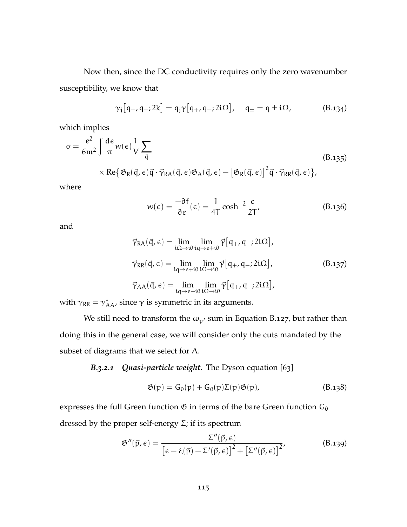Now then, since the DC conductivity requires only the zero wavenumber susceptibility, we know that

$$
\gamma_j [q_+, q_-; 2k] = q_j \gamma [q_+, q_-; 2i\Omega], \quad q_\pm = q \pm i\Omega, \quad (B.134)
$$

which implies

$$
\sigma = \frac{e^2}{6m^2} \int \frac{d\epsilon}{\pi} w(\epsilon) \frac{1}{V} \sum_{\vec{q}} \tag{B.135}
$$
\n
$$
\times \text{Re} \{ \mathfrak{G}_R(\vec{q}, \epsilon) \vec{q} \cdot \vec{\gamma}_{RA}(\vec{q}, \epsilon) \mathfrak{G}_A(\vec{q}, \epsilon) - \left[ \mathfrak{G}_R(\vec{q}, \epsilon) \right]^2 \vec{q} \cdot \vec{\gamma}_{RR}(\vec{q}, \epsilon) \},
$$

where

$$
w(\epsilon) = \frac{-\partial f}{\partial \epsilon}(\epsilon) = \frac{1}{4T} \cosh^{-2} \frac{\epsilon}{2T},
$$
 (B.136)

and

$$
\vec{\gamma}_{RA}(\vec{q}, \epsilon) = \lim_{i\Omega \to i0} \lim_{iq \to \epsilon + i0} \vec{\gamma} [q_+, q_-; 2i\Omega],
$$
\n
$$
\vec{\gamma}_{RR}(\vec{q}, \epsilon) = \lim_{iq \to \epsilon + i0} \lim_{i\Omega \to i0} \vec{\gamma} [q_+, q_-; 2i\Omega],
$$
\n
$$
\vec{\gamma}_{AA}(\vec{q}, \epsilon) = \lim_{iq \to \epsilon - i0} \lim_{i\Omega \to i0} \vec{\gamma} [q_+, q_-; 2i\Omega],
$$
\n(B.137)

with  $\gamma_{RR} = \gamma_{AA}^*$ , since  $\gamma$  is symmetric in its arguments.

We still need to transform the  $\omega_{p'}$  sum in [Equation B.](#page-125-1)127, but rather than doing this in the general case, we will consider only the cuts mandated by the subset of diagrams that we select for  $\Lambda$ .

*B.3.2.1 Quasi-particle weight.* The Dyson equation [[63](#page-171-6)]

$$
\mathfrak{G}(p) = G_0(p) + G_0(p)\Sigma(p)\mathfrak{G}(p), \qquad (B.138)
$$

expresses the full Green function  $\mathfrak G$  in terms of the bare Green function  $G_0$ dressed by the proper self-energy  $\Sigma$ ; if its spectrum

$$
\mathfrak{G}''(\vec{p}, \epsilon) = \frac{\Sigma''(\vec{p}, \epsilon)}{\left[\epsilon - \xi(\vec{p}) - \Sigma'(\vec{p}, \epsilon)\right]^2 + \left[\Sigma''(\vec{p}, \epsilon)\right]^2},
$$
(B.139)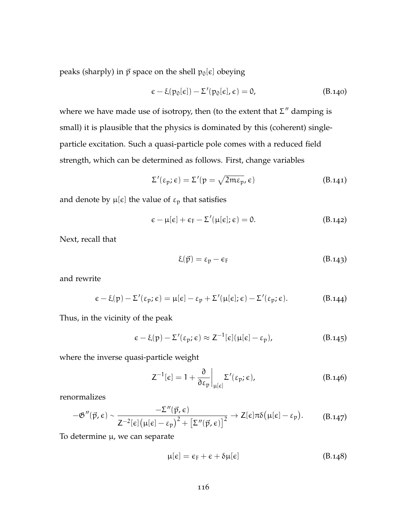peaks (sharply) in  $\vec{p}$  space on the shell  $p_0[\epsilon]$  obeying

$$
\epsilon - \xi(p_0[\epsilon]) - \Sigma'(p_0[\epsilon], \epsilon) = 0, \qquad (B.140)
$$

where we have made use of isotropy, then (to the extent that  $\Sigma''$  damping is small) it is plausible that the physics is dominated by this (coherent) singleparticle excitation. Such a quasi-particle pole comes with a reduced field strength, which can be determined as follows. First, change variables

$$
\Sigma'(\varepsilon_p; \varepsilon) = \Sigma'(p = \sqrt{2m\varepsilon_p}, \varepsilon)
$$
 (B.141)

and denote by  $\mu[\epsilon]$  the value of  $\epsilon_p$  that satisfies

$$
\epsilon - \mu[\epsilon] + \epsilon_F - \Sigma'(\mu[\epsilon]; \epsilon) = 0. \tag{B.142}
$$

Next, recall that

$$
\xi(\vec{p}) = \varepsilon_p - \varepsilon_F \tag{B.143}
$$

and rewrite

$$
\epsilon - \xi(p) - \Sigma'(\epsilon_p; \epsilon) = \mu[\epsilon] - \epsilon_p + \Sigma'(\mu[\epsilon]; \epsilon) - \Sigma'(\epsilon_p; \epsilon). \tag{B.144}
$$

Thus, in the vicinity of the peak

$$
\epsilon - \xi(\mathbf{p}) - \Sigma'(\epsilon_{\mathbf{p}}; \epsilon) \approx Z^{-1}[\epsilon](\mu[\epsilon] - \epsilon_{\mathbf{p}}), \tag{B.145}
$$

where the inverse quasi-particle weight

$$
Z^{-1}[\epsilon] = 1 + \frac{\partial}{\partial \epsilon_p} \bigg|_{\mu[\epsilon]} \Sigma'(\epsilon_p; \epsilon), \tag{B.146}
$$

renormalizes

$$
-\mathfrak{G}''(\vec{p},\epsilon) \sim \frac{-\Sigma''(\vec{p},\epsilon)}{Z^{-2}[\epsilon]\big(\mu[\epsilon]-\epsilon_{\mathfrak{p}}\big)^{2}+\big[\Sigma''(\vec{p},\epsilon)\big]^{2}} \to Z[\epsilon]\pi\delta\big(\mu[\epsilon]-\epsilon_{\mathfrak{p}}\big).
$$
 (B.147)

To determine  $\mu$ , we can separate

$$
\mu[\epsilon] = \epsilon_{\rm F} + \epsilon + \delta \mu[\epsilon] \tag{B.148}
$$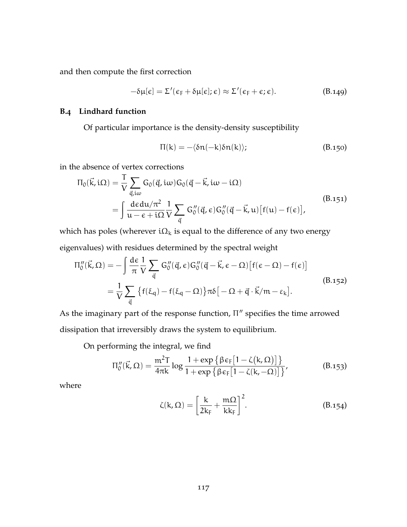and then compute the first correction

$$
-\delta\mu[\varepsilon] = \Sigma'(\varepsilon_F + \delta\mu[\varepsilon]; \varepsilon) \approx \Sigma'(\varepsilon_F + \varepsilon; \varepsilon).
$$
 (B.149)

# **B.4 Lindhard function**

Of particular importance is the density-density susceptibility

$$
\Pi(k) = -\langle \delta n(-k)\delta n(k) \rangle; \tag{B.150}
$$

in the absence of vertex corrections

$$
\Pi_{0}(\vec{k}, i\Omega) = \frac{T}{V} \sum_{\vec{q}, i\omega} G_{0}(\vec{q}, i\omega) G_{0}(\vec{q} - \vec{k}, i\omega - i\Omega)
$$
\n
$$
= \int \frac{d\epsilon d\mu/\pi^{2}}{\mu - \epsilon + i\Omega} \frac{1}{V} \sum_{\vec{q}} G_{0}''(\vec{q}, \epsilon) G_{0}''(\vec{q} - \vec{k}, \mu) [f(\mu) - f(\epsilon)],
$$
\n(B.151)

which has poles (wherever  $i\Omega_k$  is equal to the difference of any two energy eigenvalues) with residues determined by the spectral weight

$$
\Pi_0''(\vec{k}, \Omega) = -\int \frac{d\epsilon}{\pi} \frac{1}{V} \sum_{\vec{q}} G_0''(\vec{q}, \epsilon) G_0''(\vec{q} - \vec{k}, \epsilon - \Omega) [f(\epsilon - \Omega) - f(\epsilon)]
$$
  

$$
= \frac{1}{V} \sum_{\vec{q}} \left\{ f(\xi_q) - f(\xi_q - \Omega) \right\} \pi \delta \left[ -\Omega + \vec{q} \cdot \vec{k}/m - \epsilon_k \right].
$$
 (B.152)

As the imaginary part of the response function,  $\Pi''$  specifies the time arrowed dissipation that irreversibly draws the system to equilibrium.

On performing the integral, we find

$$
\Pi_0''(\vec{k},\Omega)=\frac{\mathfrak{m}^2 T}{4\pi k}\log\frac{1+\exp\left\{\beta\varepsilon_F\big[1-\zeta(k,\Omega)\big]\right\}}{1+\exp\left\{\beta\varepsilon_F\big[1-\zeta(k,-\Omega)\big]\right\}},\hspace{1.0in}\textbf{(B.153)}
$$

where

<span id="page-129-0"></span>
$$
\zeta(k,\Omega) = \left[\frac{k}{2k_F} + \frac{m\Omega}{kk_F}\right]^2.
$$
 (B.154)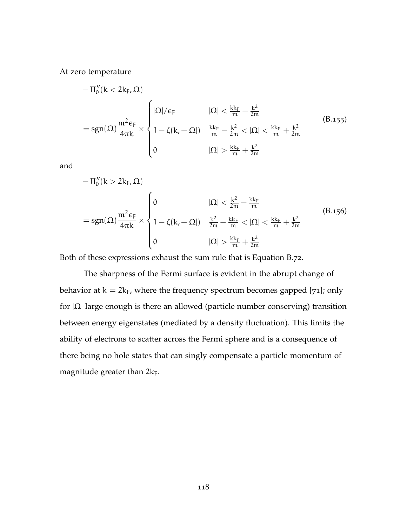At zero temperature

$$
\begin{aligned} &-\Pi_0''(k<2k_F,\Omega)\\ &=\text{sgn}(\Omega)\frac{m^2\varepsilon_F}{4\pi k}\times\begin{cases} |\Omega|/\varepsilon_F & |\Omega|<\frac{k k_F}{m}-\frac{k^2}{2m}\\ &1-\zeta(k,-|\Omega|) & \frac{k k_F}{m}-\frac{k^2}{2m}<|\Omega|<\frac{k k_F}{m}+\frac{k^2}{2m}\\ &0 &|\Omega|>\frac{k k_F}{m}+\frac{k^2}{2m} \end{cases}\end{aligned}\tag{B.155}
$$

and

$$
-\Pi_0''(k > 2k_F, \Omega)
$$
\n
$$
= sgn(\Omega) \frac{m^2 \varepsilon_F}{4\pi k} \times \begin{cases} 0 & |\Omega| < \frac{k^2}{2m} - \frac{k k_F}{m} \\ 1 - \zeta(k, -|\Omega|) & \frac{k^2}{2m} - \frac{k k_F}{m} < |\Omega| < \frac{k k_F}{m} + \frac{k^2}{2m} \\ 0 & |\Omega| > \frac{k k_F}{m} + \frac{k^2}{2m} \end{cases}
$$
\n(B.156)

Both of these expressions exhaust the sum rule that is [Equation B.](#page-117-1)72.

The sharpness of the Fermi surface is evident in the abrupt change of behavior at  $k = 2k_F$ , where the frequency spectrum becomes gapped [[71](#page-171-7)]; only for  $|\Omega|$  large enough is there an allowed (particle number conserving) transition between energy eigenstates (mediated by a density fluctuation). This limits the ability of electrons to scatter across the Fermi sphere and is a consequence of there being no hole states that can singly compensate a particle momentum of magnitude greater than  $2k_F$ .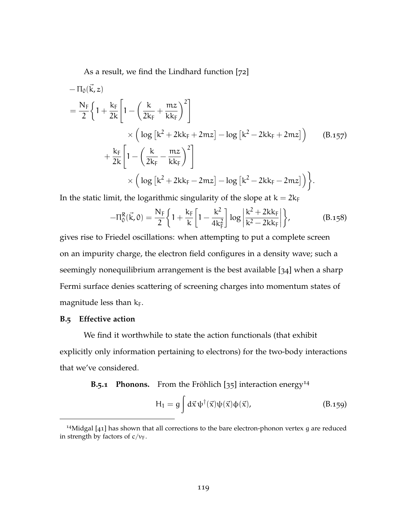As a result, we find the Lindhard function [[72](#page-172-0)]

$$
-\Pi_{0}(\vec{k}, z)
$$
\n
$$
= \frac{N_{F}}{2} \left\{ 1 + \frac{k_{F}}{2k} \left[ 1 - \left( \frac{k}{2k_{F}} + \frac{mz}{kk_{F}} \right)^{2} \right] \times \left( \log \left[ k^{2} + 2kk_{F} + 2mz \right] - \log \left[ k^{2} - 2kk_{F} + 2mz \right] \right) \right\}
$$
\n
$$
+ \frac{k_{F}}{2k} \left[ 1 - \left( \frac{k}{2k_{F}} - \frac{mz}{kk_{F}} \right)^{2} \right]
$$
\n
$$
\times \left( \log \left[ k^{2} + 2kk_{F} - 2mz \right] - \log \left[ k^{2} - 2kk_{F} - 2mz \right] \right) \right\}.
$$
\n(B.157)

In the static limit, the logarithmic singularity of the slope at  $k = 2k_F$ 

$$
-\Pi_0^R(\vec{k},0) = \frac{N_F}{2} \left\{ 1 + \frac{k_F}{k} \left[ 1 - \frac{k^2}{4k_F^2} \right] \log \left| \frac{k^2 + 2kk_F}{k^2 - 2kk_F} \right| \right\},
$$
(B.158)

gives rise to Friedel oscillations: when attempting to put a complete screen on an impurity charge, the electron field configures in a density wave; such a seemingly nonequilibrium arrangement is the best available [[34](#page-168-4)] when a sharp Fermi surface denies scattering of screening charges into momentum states of magnitude less than  $k_F$ .

# **B.5 Effective action**

We find it worthwhile to state the action functionals (that exhibit explicitly only information pertaining to electrons) for the two-body interactions that we've considered.

**B.5.1 Phonons.** From the Fröhlich  $[35]$  $[35]$  $[35]$  interaction energy<sup>14</sup>

$$
H_1 = g \int d\vec{x} \psi^{\dagger}(\vec{x}) \psi(\vec{x}) \phi(\vec{x}), \qquad (B.159)
$$

<sup>&</sup>lt;sup>14</sup>Midgal  $[41]$  $[41]$  $[41]$  has shown that all corrections to the bare electron-phonon vertex g are reduced in strength by factors of  $c/v_F$ .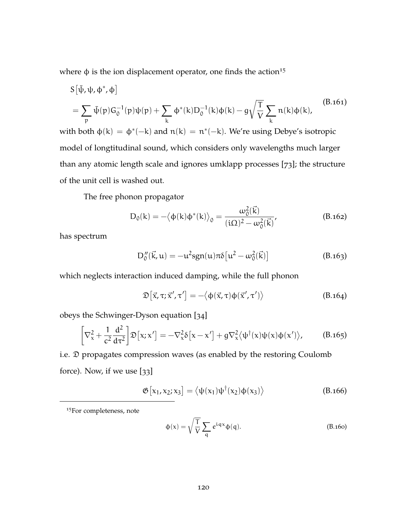where  $\phi$  is the ion displacement operator, one finds the action<sup>15</sup>

$$
S[\bar{\psi}, \psi, \phi^*, \phi]
$$
  
=  $\sum_{p} \bar{\psi}(p) G_0^{-1}(p) \psi(p) + \sum_{k} \phi^*(k) D_0^{-1}(k) \phi(k) - g \sqrt{\frac{T}{V}} \sum_{k} n(k) \phi(k),$  (B.161)  
the both  $\phi(k) = \phi^*(-k)$  and  $n(k) = n^*(-k)$ . We're using Dehrz's isotranis.

with both  $\phi(k) = \phi^*(-k)$  and  $\pi(k) = \pi^*(-k)$ . We're using Debye's isotropic model of longtitudinal sound, which considers only wavelengths much larger than any atomic length scale and ignores umklapp processes [[73](#page-172-1)]; the structure of the unit cell is washed out.

The free phonon propagator

$$
D_0(k) = -\langle \phi(k)\phi^*(k) \rangle_0 = \frac{\omega_0^2(\vec{k})}{(i\Omega)^2 - \omega_0^2(\vec{k})},
$$
 (B.162)

has spectrum

$$
D_0''(\vec{k}, u) = -u^2 sgn(u)\pi \delta [u^2 - \omega_0^2(\vec{k})]
$$
 (B.163)

which neglects interaction induced damping, while the full phonon

$$
\mathfrak{D}\big[\vec{x},\tau;\vec{x}',\tau'\big] = -\big\langle \phi(\vec{x},\tau)\phi(\vec{x}',\tau') \big\rangle \tag{B.164}
$$

obeys the Schwinger-Dyson equation [[34](#page-168-4)]

$$
\left[\nabla_x^2 + \frac{1}{c^2} \frac{d^2}{d\tau^2}\right] \mathfrak{D}\left[x; x'\right] = -\nabla_x^2 \delta\left[x - x'\right] + g \nabla_x^2 \langle \psi^\dagger(x) \psi(x) \phi(x') \rangle, \tag{B.165}
$$

i.e. D propagates compression waves (as enabled by the restoring Coulomb force). Now, if we use [[33](#page-168-0)]

$$
\mathfrak{G}\left[x_1,x_2;x_3\right] = \left\langle \psi(x_1)\psi^\dagger(x_2)\phi(x_3) \right\rangle \tag{B.166}
$$

<sup>15</sup>For completeness, note

$$
\phi(x) = \sqrt{\frac{T}{V}} \sum_{q} e^{iqx} \phi(q).
$$
 (B.160)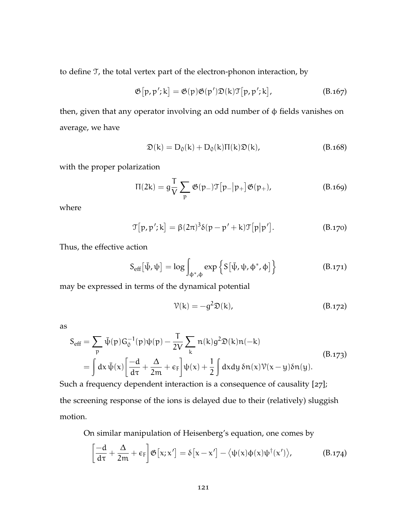to define T, the total vertex part of the electron-phonon interaction, by

$$
\mathfrak{G}[p, p'; k] = \mathfrak{G}(p) \mathfrak{G}(p') \mathfrak{D}(k) \mathfrak{T}[p, p'; k], \qquad (B.167)
$$

then, given that any operator involving an odd number of φ fields vanishes on average, we have

$$
\mathfrak{D}(k) = D_0(k) + D_0(k)\Pi(k)\mathfrak{D}(k), \qquad (B.168)
$$

with the proper polarization

$$
\Pi(2k) = g \frac{T}{V} \sum_{p} \mathfrak{G}(p_{-}) \mathfrak{T}[p_{-}|p_{+}] \mathfrak{G}(p_{+}), \qquad (B.169)
$$

where

$$
\mathcal{T}[p, p'; k] = \beta (2\pi)^3 \delta(p - p' + k) \mathcal{T}[p|p'].
$$
 (B.170)

Thus, the effective action

$$
S_{eff}[\bar{\psi}, \psi] = \log \int_{\phi^*, \phi} \exp \left\{ S[\bar{\psi}, \psi, \phi^*, \phi] \right\} \tag{B.171}
$$

may be expressed in terms of the dynamical potential

$$
\mathcal{V}(k) = -g^2 \mathfrak{D}(k), \tag{B.172}
$$

as

$$
S_{eff} = \sum_{p} \bar{\psi}(p) G_0^{-1}(p) \psi(p) - \frac{T}{2V} \sum_{k} n(k) g^2 \mathfrak{D}(k) n(-k)
$$
  
=  $\int dx \bar{\psi}(x) \left[ \frac{-d}{d\tau} + \frac{\Delta}{2m} + \epsilon_F \right] \psi(x) + \frac{1}{2} \int dx dy \, \delta n(x) \mathcal{V}(x - y) \delta n(y).$  (B.173)

Such a frequency dependent interaction is a consequence of causality [[27](#page-167-0)]; the screening response of the ions is delayed due to their (relatively) sluggish motion.

On similar manipulation of Heisenberg's equation, one comes by

$$
\left[\frac{-d}{d\tau} + \frac{\Delta}{2m} + \varepsilon_F\right] \mathfrak{G}\left[x; x'\right] = \delta\left[x - x'\right] - \langle \psi(x)\phi(x)\psi^\dagger(x')\rangle, \tag{B.174}
$$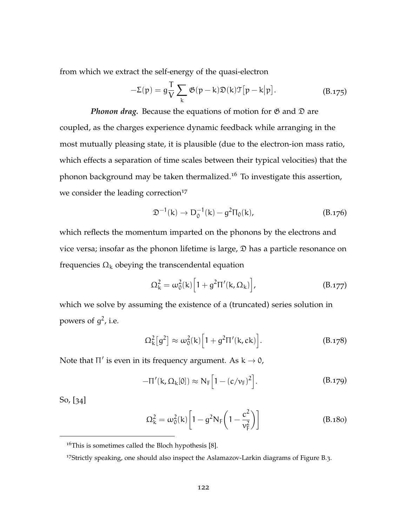from which we extract the self-energy of the quasi-electron

$$
-\Sigma(p) = g\frac{T}{V} \sum_{k} \mathfrak{G}(p-k)\mathfrak{D}(k)\mathfrak{T}[p-k|p]. \qquad (B.175)
$$

*Phonon drag.* Because the equations of motion for  $\mathfrak G$  and  $\mathfrak D$  are coupled, as the charges experience dynamic feedback while arranging in the most mutually pleasing state, it is plausible (due to the electron-ion mass ratio, which effects a separation of time scales between their typical velocities) that the phonon background may be taken thermalized.<sup>16</sup> To investigate this assertion, we consider the leading correction<sup>17</sup>

$$
\mathfrak{D}^{-1}(\mathbf{k}) \to \mathbf{D}_0^{-1}(\mathbf{k}) - g^2 \Pi_0(\mathbf{k}), \tag{B.176}
$$

which reflects the momentum imparted on the phonons by the electrons and vice versa; insofar as the phonon lifetime is large,  $\mathcal{D}$  has a particle resonance on frequencies  $Ω_k$  obeying the transcendental equation

$$
\Omega_{k}^{2} = \omega_{0}^{2}(k) \left[ 1 + g^{2} \Pi'(k, \Omega_{k}) \right],
$$
 (B.177)

which we solve by assuming the existence of a (truncated) series solution in powers of  $g^2$ , i.e.

$$
\Omega_{\mathbf{k}}^2[g^2] \approx \omega_0^2(\mathbf{k}) \Big[ 1 + g^2 \Pi'(\mathbf{k}, \mathbf{ck}) \Big]. \tag{B.178}
$$

Note that  $\Pi'$  is even in its frequency argument. As  $k \to 0$ ,

$$
-\Pi'(\mathbf{k},\Omega_{\mathbf{k}}[0]) \approx \mathbf{N}_{\mathbf{F}}\Big[1-(c/\nu_{\mathbf{F}})^2\Big].
$$
 (B.179)

So, [[34](#page-168-4)]

$$
\Omega_{\rm k}^2 = \omega_0^2(k) \left[ 1 - g^2 N_{\rm F} \left( 1 - \frac{c^2}{v_{\rm F}^2} \right) \right]
$$
 (B.180)

 $16$ This is sometimes called the Bloch hypothesis [[8](#page-165-0)].

<sup>17</sup>Strictly speaking, one should also inspect the Aslamazov-Larkin diagrams of [Figure B.](#page-154-0)3.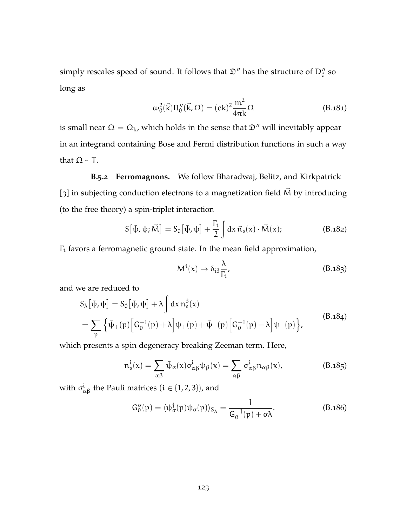simply rescales speed of sound. It follows that  $\mathfrak{D}''$  has the structure of  $D''_0$  so long as

$$
\omega_0^2(\vec{k})\Pi_0''(\vec{k},\Omega) = (ck)^2 \frac{m^2}{4\pi k}\Omega
$$
 (B.181)

is small near  $\Omega = \Omega_k$ , which holds in the sense that  $\mathfrak{D}''$  will inevitably appear in an integrand containing Bose and Fermi distribution functions in such a way that  $\Omega \sim T$ .

# **B.5.2 Ferromagnons.** We follow Bharadwaj, Belitz, and Kirkpatrick [[3](#page-165-1)] in subjecting conduction electrons to a magnetization field  $\vec{M}$  by introducing (to the free theory) a spin-triplet interaction

$$
S[\bar{\psi}, \psi; \vec{M}] = S_0[\bar{\psi}, \psi] + \frac{\Gamma_t}{2} \int dx \, \vec{\pi}_s(x) \cdot \vec{M}(x); \tag{B.182}
$$

Γ<sup>t</sup> favors a ferromagnetic ground state. In the mean field approximation,

<span id="page-135-0"></span>
$$
M^{i}(x) \to \delta_{i3} \frac{\lambda}{\Gamma_{t}}, \qquad (B.183)
$$

and we are reduced to

$$
S_{\lambda}[\bar{\psi}, \psi] = S_0[\bar{\psi}, \psi] + \lambda \int dx \, n_s^3(x)
$$
  
= 
$$
\sum_{p} \left\{ \bar{\psi}_{+}(p) \left[ G_0^{-1}(p) + \lambda \right] \psi_{+}(p) + \bar{\psi}_{-}(p) \left[ G_0^{-1}(p) - \lambda \right] \psi_{-}(p) \right\},
$$
 (B.184)

which presents a spin degeneracy breaking Zeeman term. Here,

<sup>n</sup>

$$
n_s^i(x) = \sum_{\alpha\beta} \bar{\psi}_{\alpha}(x) \sigma_{\alpha\beta}^i \psi_{\beta}(x) = \sum_{\alpha\beta} \sigma_{\alpha\beta}^i n_{\alpha\beta}(x), \qquad (B.185)
$$

with  $\sigma_{\alpha\beta}^i$  the Pauli matrices  $(i \in \{1,2,3\})$ , and

$$
G_0^{\sigma}(p) = \langle \psi_{\sigma}^{\dagger}(p) \psi_{\sigma}(p) \rangle_{S_{\lambda}} = \frac{1}{G_0^{-1}(p) + \sigma \lambda}.
$$
 (B.186)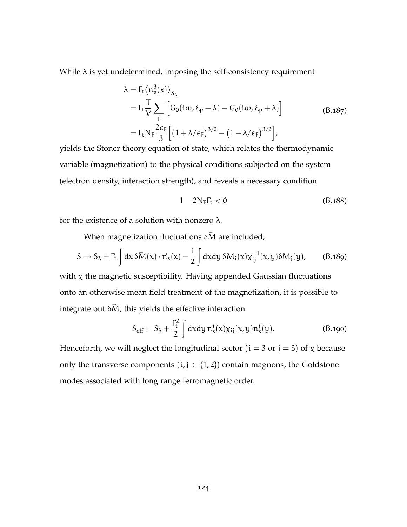While  $\lambda$  is yet undetermined, imposing the self-consistency requirement

$$
\lambda = \Gamma_t \langle n_s^3(x) \rangle_{S_{\lambda}}
$$
  
=  $\Gamma_t \frac{T}{V} \sum_p \left[ G_0(i\omega, \xi_p - \lambda) - G_0(i\omega, \xi_p + \lambda) \right]$  (B.187)  
=  $\Gamma_t N_F \frac{2\varepsilon_F}{3} \left[ \left( 1 + \lambda/\varepsilon_F \right)^{3/2} - \left( 1 - \lambda/\varepsilon_F \right)^{3/2} \right],$ 

yields the Stoner theory equation of state, which relates the thermodynamic variable (magnetization) to the physical conditions subjected on the system (electron density, interaction strength), and reveals a necessary condition

<span id="page-136-0"></span>
$$
1 - 2N_F \Gamma_t < 0 \tag{B.188}
$$

for the existence of a solution with nonzero λ.

When magnetization fluctuations  $\delta \vec{M}$  are included,

$$
S \to S_{\lambda} + \Gamma_{t} \int dx \, \delta \vec{M}(x) \cdot \vec{n}_{s}(x) - \frac{1}{2} \int dx dy \, \delta M_{i}(x) \chi_{ij}^{-1}(x, y) \delta M_{j}(y), \qquad (B.189)
$$

with  $\chi$  the magnetic susceptibility. Having appended Gaussian fluctuations onto an otherwise mean field treatment of the magnetization, it is possible to integrate out  $\delta \vec{M}$ ; this yields the effective interaction

$$
S_{\text{eff}} = S_{\lambda} + \frac{\Gamma_{\text{t}}^2}{2} \int dx dy \, n_{\text{s}}^{\text{i}}(x) \chi_{\text{ij}}(x, y) n_{\text{s}}^{\text{j}}(y). \tag{B.190}
$$

Henceforth, we will neglect the longitudinal sector  $(i = 3 \text{ or } j = 3)$  of  $\chi$  because only the transverse components  $(i, j \in \{1, 2\})$  contain magnons, the Goldstone modes associated with long range ferromagnetic order.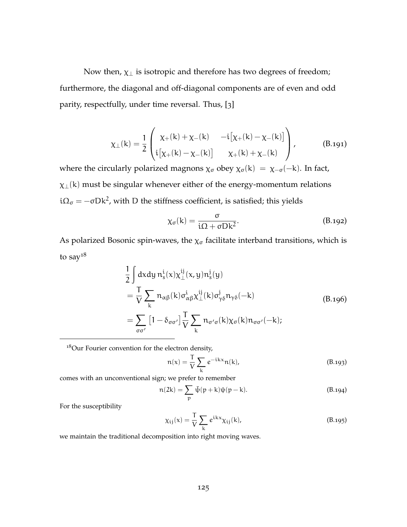Now then,  $\chi_{\perp}$  is isotropic and therefore has two degrees of freedom; furthermore, the diagonal and off-diagonal components are of even and odd parity, respectfully, under time reversal. Thus, [[3](#page-165-1)]

$$
\chi_{\perp}(k) = \frac{1}{2} \begin{pmatrix} \chi_{+}(k) + \chi_{-}(k) & -i[\chi_{+}(k) - \chi_{-}(k)] \\ i[\chi_{+}(k) - \chi_{-}(k)] & \chi_{+}(k) + \chi_{-}(k) \end{pmatrix},
$$
(B.191)

where the circularly polarized magnons  $\chi_{\sigma}$  obey  $\chi_{\sigma}(k) = \chi_{-\sigma}(-k)$ . In fact,  $\chi_{\perp}(k)$  must be singular whenever either of the energy-momentum relations i $\Omega_{\sigma}$  =  $-\sigma$ Dk<sup>2</sup>, with D the stiffness coefficient, is satisfied; this yields

$$
\chi_{\sigma}(k) = \frac{\sigma}{i\Omega + \sigma Dk^2}.
$$
 (B.192)

As polarized Bosonic spin-waves, the  $\chi_{\sigma}$  facilitate interband transitions, which is to say $18$ 

$$
\frac{1}{2} \int dx dy n_s^i(x) \chi_{\perp}^{ij}(x, y) n_s^j(y)
$$
\n
$$
= \frac{T}{V} \sum_{k} n_{\alpha\beta}(k) \sigma_{\alpha\beta}^i \chi_{\perp}^{ij}(k) \sigma_{\gamma\delta}^j n_{\gamma\delta}(-k)
$$
\n
$$
= \sum_{\sigma\sigma'} [1 - \delta_{\sigma\sigma'}] \frac{T}{V} \sum_{k} n_{\sigma'\sigma}(k) \chi_{\sigma}(k) n_{\sigma\sigma'}(-k);
$$
\n(B.196)

<sup>18</sup>Our Fourier convention for the electron density,

$$
n(x) = \frac{T}{V} \sum_{k} e^{-ikx} n(k),
$$
 (B.193)

comes with an unconventional sign; we prefer to remember

$$
n(2k) = \sum_{p} \bar{\psi}(p+k)\psi(p-k).
$$
 (B.194)

For the susceptibility

$$
\chi_{ij}(x) = \frac{T}{V} \sum_{k} e^{ikx} \chi_{ij}(k), \qquad (B.195)
$$

we maintain the traditional decomposition into right moving waves.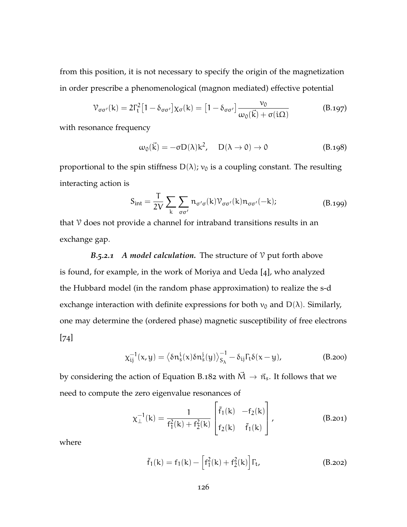from this position, it is not necessary to specify the origin of the magnetization in order prescribe a phenomenological (magnon mediated) effective potential

$$
\mathcal{V}_{\sigma\sigma'}(k) = 2\Gamma_t^2 \left[1 - \delta_{\sigma\sigma'}\right] \chi_{\sigma}(k) = \left[1 - \delta_{\sigma\sigma'}\right] \frac{\nu_0}{\omega_0(\vec{k}) + \sigma(i\Omega)} \tag{B.197}
$$

with resonance frequency

$$
\omega_0(\vec{k}) = -\sigma D(\lambda)k^2, \quad D(\lambda \to 0) \to 0 \tag{B.198}
$$

proportional to the spin stiffness  $D(\lambda)$ ;  $v_0$  is a coupling constant. The resulting interacting action is

$$
S_{int} = \frac{T}{2V} \sum_{k} \sum_{\sigma\sigma'} n_{\sigma'\sigma}(k) \mathcal{V}_{\sigma\sigma'}(k) n_{\sigma\sigma'}(-k); \tag{B.199}
$$

that  $\gamma$  does not provide a channel for intraband transitions results in an exchange gap.

*B.5.2.1 A model calculation.* The structure of  $\mathcal V$  put forth above is found, for example, in the work of Moriya and Ueda [[4](#page-165-2)], who analyzed the Hubbard model (in the random phase approximation) to realize the s-d exchange interaction with definite expressions for both  $v_0$  and  $D(\lambda)$ . Similarly, one may determine the (ordered phase) magnetic susceptibility of free electrons [[74](#page-172-2)]

$$
\chi_{ij}^{-1}(x,y) = \left\langle \delta n_s^i(x)\delta n_s^j(y)\right\rangle_{S_{\lambda}}^{-1} - \delta_{ij}\Gamma_t\delta(x-y), \tag{B.200}
$$

by considering the action of [Equation B.](#page-135-0)182 with  $\vec{M} \rightarrow \vec{n}_{s}$ . It follows that we need to compute the zero eigenvalue resonances of

$$
\chi_{\perp}^{-1}(k) = \frac{1}{f_1^2(k) + f_2^2(k)} \begin{bmatrix} \tilde{f}_1(k) & -f_2(k) \\ f_2(k) & \tilde{f}_1(k) \end{bmatrix},
$$
 (B.201)

where

$$
\tilde{f}_1(k) = f_1(k) - \left[ f_1^2(k) + f_2^2(k) \right] \Gamma_t, \tag{B.202}
$$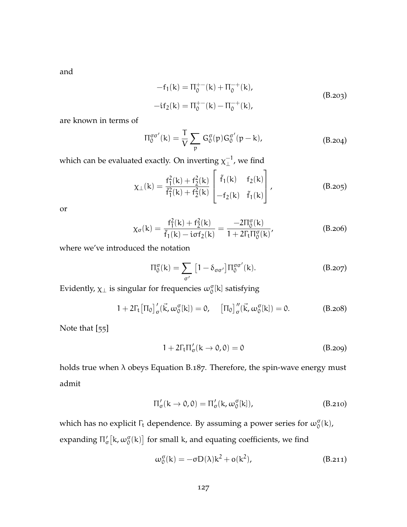and

$$
-f_1(k) = \Pi_0^{+-}(k) + \Pi_0^{-+}(k),
$$
  
\n
$$
-if_2(k) = \Pi_0^{+-}(k) - \Pi_0^{-+}(k),
$$
\n(B.203)

are known in terms of

$$
\Pi_0^{\sigma\sigma'}(k) = \frac{T}{V} \sum_p G_0^{\sigma}(p) G_0^{\sigma'}(p-k), \qquad (B.204)
$$

which can be evaluated exactly. On inverting  $\chi_{\perp}^{-1}$  $_{\perp}^{-1}$ , we find

$$
\chi_{\perp}(k) = \frac{f_1^2(k) + f_2^2(k)}{\tilde{f}_1^2(k) + f_2^2(k)} \begin{bmatrix} \tilde{f}_1(k) & f_2(k) \\ -f_2(k) & \tilde{f}_1(k) \end{bmatrix},
$$
(B.205)

or

$$
\chi_{\sigma}(k) = \frac{f_1^2(k) + f_2^2(k)}{\tilde{f}_1(k) - i\sigma f_2(k)} = \frac{-2\Pi_{0}^{\sigma}(k)}{1 + 2\Gamma_{t}\Pi_{0}^{\sigma}(k)},
$$
(B.206)

where we've introduced the notation

$$
\Pi_0^{\sigma}(k) = \sum_{\sigma'} \left[ 1 - \delta_{\sigma\sigma'} \right] \Pi_0^{\sigma\sigma'}(k). \tag{B.207}
$$

Evidently,  $\chi_{\perp}$  is singular for frequencies  $\omega_0^{\sigma}[k]$  satisfying

$$
1 + 2\Gamma_{t}\left[\Pi_{0}\right]_{\sigma}^{\prime}(\vec{k}, \omega_{0}^{\sigma}[k]) = 0, \quad \left[\Pi_{0}\right]_{\sigma}^{\prime\prime}(\vec{k}, \omega_{0}^{\sigma}[k]) = 0. \tag{B.208}
$$

Note that [[55](#page-170-3)]

$$
1 + 2\Gamma_t \Pi'_\sigma(k \to 0, 0) = 0 \tag{B.209}
$$

holds true when  $\lambda$  obeys [Equation B.](#page-136-0)187. Therefore, the spin-wave energy must admit

$$
\Pi_{\sigma}'(k \to 0,0) = \Pi_{\sigma}'(k, \omega_{0}^{\sigma}[k]), \qquad (B.210)
$$

which has no explicit  $\Gamma_t$  dependence. By assuming a power series for  $\omega_0^{\sigma}(k)$ , expanding  $\Pi_{\sigma}'[k, \omega_{0}^{\sigma}(k)]$  for small k, and equating coefficients, we find

$$
\omega_0^{\sigma}(k) = -\sigma D(\lambda)k^2 + o(k^2), \qquad (B.211)
$$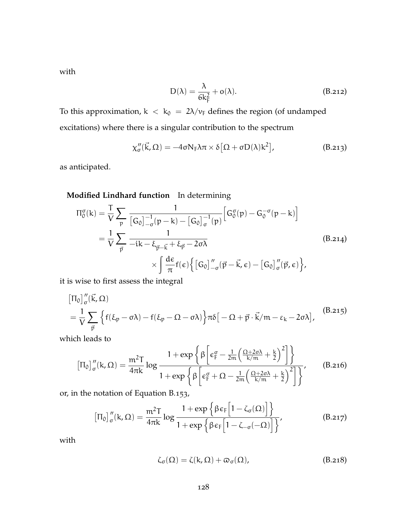with

$$
D(\lambda) = \frac{\lambda}{6k_F^2} + o(\lambda).
$$
 (B.212)

To this approximation,  $k < k_0 = 2\lambda/\nu_F$  defines the region (of undamped excitations) where there is a singular contribution to the spectrum

$$
\chi''_{\sigma}(\vec{k},\Omega) = -4\sigma N_{F}\lambda\pi \times \delta[\Omega + \sigma D(\lambda)k^{2}], \qquad (B.213)
$$

as anticipated.

**Modified Lindhard function** In determining

$$
\Pi_{0}^{\sigma}(k) = \frac{T}{V} \sum_{p} \frac{1}{[G_{0}]_{-\sigma}^{-1}(p-k) - [G_{0}]_{\sigma}^{-1}(p)} \Big[ G_{0}^{\sigma}(p) - G_{0}^{-\sigma}(p-k) \Big]
$$
  
=  $\frac{1}{V} \sum_{\vec{p}} \frac{1}{-ik - \xi_{\vec{p}-\vec{k}} + \xi_{\vec{p}} - 2\sigma\lambda}$  (B.214)  

$$
\times \int \frac{d\epsilon}{\pi} f(\epsilon) \Big\{ [G_{0}]_{-\sigma}^{\prime\prime}(\vec{p} - \vec{k}, \epsilon) - [G_{0}]_{\sigma}^{\prime\prime}(\vec{p}, \epsilon) \Big\},
$$

it is wise to first assess the integral

$$
\begin{aligned} &\left[\Pi_0\right]''_{\sigma}(\vec{k},\Omega) \\ &= \frac{1}{V} \sum_{\vec{p}} \left\{ f(\xi_p - \sigma \lambda) - f(\xi_p - \Omega - \sigma \lambda) \right\} \pi \delta \big[ -\Omega + \vec{p} \cdot \vec{k} / m - \epsilon_k - 2\sigma \lambda \big], \end{aligned} \tag{B.215}
$$

which leads to

$$
\left[\Pi_0\right]_{\sigma}''(k,\Omega)=\frac{m^2T}{4\pi k}\log\frac{1+\exp\left\{\beta\left[\varepsilon_{F}^{\sigma}-\frac{1}{2m}\left(\frac{\Omega+2\sigma\lambda}{k/m}+\frac{k}{2}\right)^2\right]\right\}}{1+\exp\left\{\beta\left[\varepsilon_{F}^{\sigma}+\Omega-\frac{1}{2m}\left(\frac{\Omega+2\sigma\lambda}{k/m}+\frac{k}{2}\right)^2\right]\right\}},\qquad \textbf{(B.216)}
$$

or, in the notation of [Equation B.](#page-129-0)153,

$$
\left[\Pi_0\right]_{\sigma}''(k,\Omega) = \frac{m^2 T}{4\pi k} \log \frac{1+\exp\left\{\beta \varepsilon_F \Big[1-\zeta_{\sigma}(\Omega)\Big]\right\}}{1+\exp\left\{\beta \varepsilon_F \Big[1-\zeta_{-\sigma}(-\Omega)\Big]\right\}},\tag{B.217}
$$

with

$$
\zeta_{\sigma}(\Omega) = \zeta(k, \Omega) + \varpi_{\sigma}(\Omega), \tag{B.218}
$$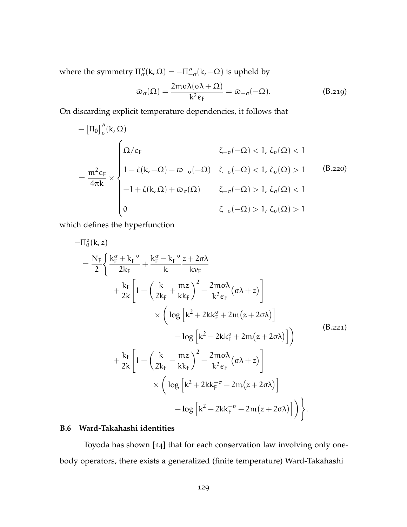where the symmetry  $\Pi_{\sigma}''(k,\Omega) = -\Pi_{-\sigma}''(k,-\Omega)$  is upheld by

$$
\varpi_{\sigma}(\Omega) = \frac{2m\sigma\lambda(\sigma\lambda + \Omega)}{k^2\varepsilon_F} = \varpi_{-\sigma}(-\Omega). \tag{B.219}
$$

On discarding explicit temperature dependencies, it follows that

$$
-\left[\Pi_0\right]_{\sigma}^{\prime\prime}(k,\Omega)\\=\frac{m^2\varepsilon_F}{4\pi k}\times\begin{cases} \Omega/\varepsilon_F &\zeta_{-\sigma}(-\Omega)<1,\ \zeta_{\sigma}(\Omega)<1\\ 1-\zeta(k,-\Omega)-\varpi_{-\sigma}(-\Omega) &\zeta_{-\sigma}(-\Omega)<1,\ \zeta_{\sigma}(\Omega)>1\quad \ \ (B.220)\\ -1+\zeta(k,\Omega)+\varpi_{\sigma}(\Omega) &\zeta_{-\sigma}(-\Omega)>1,\ \zeta_{\sigma}(\Omega)<1\\ 0&\zeta_{-\sigma}(-\Omega)>1,\ \zeta_{\sigma}(\Omega)>1\end{cases}
$$

which defines the hyperfunction

$$
-\Pi_{0}^{\sigma}(k, z)
$$
\n
$$
= \frac{N_{F}}{2} \left\{ \frac{k_{F}^{\sigma} + k_{F}^{-\sigma}}{2k_{F}} + \frac{k_{F}^{\sigma} - k_{F}^{-\sigma} z + 2\sigma\lambda}{k} k_{F} \right\}
$$
\n
$$
+ \frac{k_{F}}{2k} \left[ 1 - \left( \frac{k}{2k_{F}} + \frac{m z}{k k_{F}} \right)^{2} - \frac{2m\sigma\lambda}{k^{2} \epsilon_{F}} (\sigma\lambda + z) \right]
$$
\n
$$
\times \left( \log \left[ k^{2} + 2k k_{F}^{\sigma} + 2m(z + 2\sigma\lambda) \right] - \log \left[ k^{2} - 2k k_{F}^{\sigma} + 2m(z + 2\sigma\lambda) \right] \right)
$$
\n
$$
+ \frac{k_{F}}{2k} \left[ 1 - \left( \frac{k}{2k_{F}} - \frac{m z}{k k_{F}} \right)^{2} - \frac{2m\sigma\lambda}{k^{2} \epsilon_{F}} (\sigma\lambda + z) \right]
$$
\n
$$
\times \left( \log \left[ k^{2} + 2k k_{F}^{-\sigma} - 2m(z + 2\sigma\lambda) \right] - \log \left[ k^{2} - 2k k_{F}^{-\sigma} - 2m(z + 2\sigma\lambda) \right] \right).
$$
\n(B.221)

# **B.6 Ward-Takahashi identities**

Toyoda has shown [[14](#page-166-0)] that for each conservation law involving only onebody operators, there exists a generalized (finite temperature) Ward-Takahashi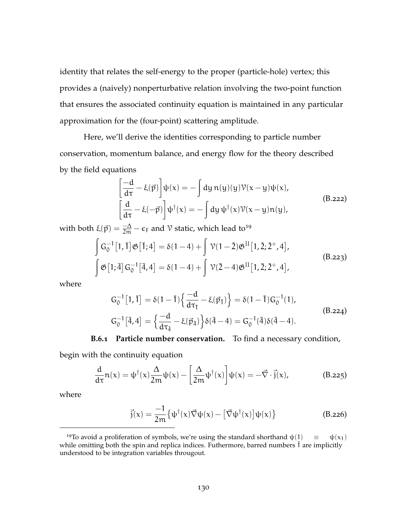identity that relates the self-energy to the proper (particle-hole) vertex; this provides a (naively) nonperturbative relation involving the two-point function that ensures the associated continuity equation is maintained in any particular approximation for the (four-point) scattering amplitude.

Here, we'll derive the identities corresponding to particle number conservation, momentum balance, and energy flow for the theory described by the field equations

$$
\begin{aligned}\n\left[\frac{-d}{d\tau} - \xi(\vec{p})\right] \psi(x) &= -\int dy \, n(y)(y) \mathcal{V}(x - y) \psi(x), \\
\left[\frac{d}{d\tau} - \xi(-\vec{p})\right] \psi^{\dagger}(x) &= -\int dy \, \psi^{\dagger}(x) \mathcal{V}(x - y) n(y),\n\end{aligned} \tag{B.222}
$$

with both  $\xi(\vec{p}) = \frac{-\Delta}{2m} - \epsilon_F$  and  $\vartheta$  static, which lead to<sup>19</sup>

$$
\int G_0^{-1}[1,\bar{1}] \mathfrak{G} [\bar{1};4] = \delta(1-4) + \int \mathcal{V}(1-\bar{2}) \mathfrak{G}^{II}[1,\bar{2};\bar{2}^+,4],
$$
\n
$$
\int \mathfrak{G}[1;\bar{4}] G_0^{-1}[\bar{4},4] = \delta(1-4) + \int \mathcal{V}(\bar{2}-4) \mathfrak{G}^{II}[1,\bar{2};\bar{2}^+,4],
$$
\n(B.223)

where

$$
G_0^{-1}[1, \bar{1}] = \delta(1 - \bar{1}) \left\{ \frac{-d}{d\tau_{\bar{1}}} - \xi(\vec{p}_{\bar{1}}) \right\} = \delta(1 - \bar{1}) G_0^{-1}(1),
$$
\n
$$
G_0^{-1}[\bar{4}, 4] = \left\{ \frac{-d}{d\tau_4} - \xi(\vec{p}_{\bar{4}}) \right\} \delta(\bar{4} - 4) = G_0^{-1}(\bar{4}) \delta(\bar{4} - 4).
$$
\n(B.224)

**B.6.1 Particle number conservation.** To find a necessary condition,

begin with the continuity equation

$$
\frac{d}{d\tau}\mathfrak{n}(x) = \psi^{\dagger}(x)\frac{\Delta}{2m}\psi(x) - \left[\frac{\Delta}{2m}\psi^{\dagger}(x)\right]\psi(x) = -\vec{\nabla}\cdot\vec{j}(x),\tag{B.225}
$$

where

$$
\vec{j}(x) = \frac{-1}{2m} \{ \psi^{\dagger}(x) \vec{\nabla} \psi(x) - [\vec{\nabla} \psi^{\dagger}(x)] \psi(x) \}
$$
(B.226)

<sup>&</sup>lt;sup>19</sup>To avoid a proliferation of symbols, we're using the standard shorthand  $\psi(1) \equiv \psi(x_1)$ while omitting both the spin and replica indices. Futhermore, barred numbers  $\overline{1}$  are implicitly understood to be integration variables througout.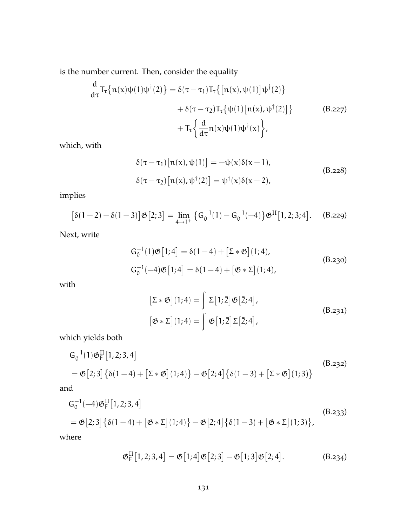is the number current. Then, consider the equality

$$
\frac{d}{d\tau}T_{\tau}\{n(x)\psi(1)\psi^{\dagger}(2)\} = \delta(\tau - \tau_{1})T_{\tau}\{[n(x),\psi(1)]\psi^{\dagger}(2)\} \n+ \delta(\tau - \tau_{2})T_{\tau}\{\psi(1)[n(x),\psi^{\dagger}(2)]\}
$$
\n(B.227)  
\n
$$
+ T_{\tau}\left\{\frac{d}{d\tau}n(x)\psi(1)\psi^{\dagger}(x)\right\},
$$

which, with

$$
\delta(\tau - \tau_1) [\mathbf{n}(x), \psi(1)] = -\psi(x)\delta(x - 1),
$$
  
\n
$$
\delta(\tau - \tau_2) [\mathbf{n}(x), \psi^{\dagger}(2)] = \psi^{\dagger}(x)\delta(x - 2),
$$
\n(B.228)

implies

$$
[\delta(1-2)-\delta(1-3)]\mathfrak{G}[2;3] = \lim_{4 \to 1^+} {\{G_0^{-1}(1) - G_0^{-1}(-4)\}} \mathfrak{G}^{\text{II}}[1,2;3;4]. \quad \text{(B.229)}
$$

Next, write

$$
G_0^{-1}(1)\mathfrak{G}[1;4] = \delta(1-4) + [\Sigma * \mathfrak{G}](1;4),
$$
  
\n
$$
G_0^{-1}(-4)\mathfrak{G}[1;4] = \delta(1-4) + [\mathfrak{G} * \Sigma](1;4),
$$
\n(B.230)

with

$$
[\Sigma * \mathfrak{G}](1;4) = \int \Sigma [1;\bar{2}] \mathfrak{G}[\bar{2};4],
$$
  

$$
[\mathfrak{G} * \Sigma](1;4) = \int \mathfrak{G}[1;\bar{2}] \Sigma[\bar{2};4],
$$
  
(B.231)

which yields both

$$
G_0^{-1}(1)\mathfrak{G}_F^{II}[1,2;3,4]
$$
\n
$$
= \mathfrak{G}[2;3]\left\{\delta(1-4) + \left[\Sigma * \mathfrak{G}\right](1;4)\right\} - \mathfrak{G}[2;4]\left\{\delta(1-3) + \left[\Sigma * \mathfrak{G}\right](1;3)\right\}
$$
\n(B.232)

and

$$
G_0^{-1}(-4)\mathfrak{G}_F^{II}[1,2;3,4]
$$
\n
$$
= \mathfrak{G}[2;3]\{\delta(1-4) + [\mathfrak{G} * \Sigma](1;4)\} - \mathfrak{G}[2;4]\{\delta(1-3) + [\mathfrak{G} * \Sigma](1;3)\},
$$
\n(B.233)\n
$$
= \mathfrak{G}[2;3]\{\delta(1-4) + [\mathfrak{G} * \Sigma](1;4)\} - \mathfrak{G}[2;4]\{\delta(1-3) + [\mathfrak{G} * \Sigma](1;3)\},
$$
\n(B.233)

where

$$
\mathfrak{G}_{F}^{II}[1,2;3,4] = \mathfrak{G}[1;4]\mathfrak{G}[2;3] - \mathfrak{G}[1;3]\mathfrak{G}[2;4].
$$
 (B.234)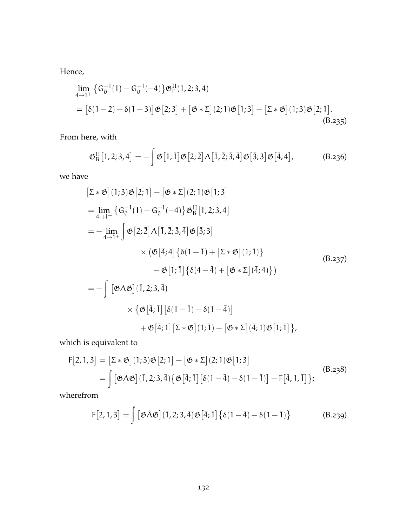Hence,

$$
\lim_{4 \to 1^+} \left\{ G_0^{-1}(1) - G_0^{-1}(-4) \right\} \mathfrak{G}_{F}^{II}(1,2;3,4)
$$
\n
$$
= \left[ \delta(1-2) - \delta(1-3) \right] \mathfrak{G}[2;3] + \left[ \mathfrak{G} * \Sigma \right](2;1) \mathfrak{G}[1;3] - \left[ \Sigma * \mathfrak{G} \right](1;3) \mathfrak{G}[2;1].
$$
\n(B.235)

From here, with

$$
\mathfrak{G}_{\mathrm{B}}^{\mathrm{II}}[1,2;3,4] = -\int \mathfrak{G}[1;\overline{1}] \mathfrak{G}[2;\overline{2}] \Lambda[\overline{1},\overline{2};\overline{3},\overline{4}] \mathfrak{G}[\overline{3};3] \mathfrak{G}[\overline{4};4], \qquad (B.236)
$$

we have

$$
[\Sigma * \mathfrak{G}](1;3)\mathfrak{G}[2;1] - [\mathfrak{G} * \Sigma](2;1)\mathfrak{G}[1;3]
$$
  
\n
$$
= \lim_{4 \to 1^+} \{G_0^{-1}(1) - G_0^{-1}(-4)\} \mathfrak{G}_B^{\text{II}}[1,2;3,4]
$$
  
\n
$$
= - \lim_{4 \to 1^+} \int \mathfrak{G}[2;\overline{2}]\Lambda[\overline{1},\overline{2};\overline{3},\overline{4}]\mathfrak{G}[\overline{3};3]
$$
  
\n
$$
\times (\mathfrak{G}[\overline{4};4]\{\delta(1-\overline{1}) + [\Sigma * \mathfrak{G}](1;\overline{1})\}
$$
  
\n
$$
- \mathfrak{G}[1;\overline{1}]\{\delta(4-\overline{4}) + [\mathfrak{G} * \Sigma](\overline{4};4)\})
$$
  
\n
$$
= - \int [\mathfrak{G}\Lambda \mathfrak{G}](\overline{1},2;3,\overline{4}]
$$
  
\n
$$
\times {\mathfrak{G}[\overline{4};\overline{1}][\delta(1-\overline{1}) - \delta(1-\overline{4})]
$$
  
\n
$$
+ \mathfrak{G}[\overline{4};1][\Sigma * \mathfrak{G}](1;\overline{1}) - [\mathfrak{G} * \Sigma](\overline{4};1)\mathfrak{G}[1;\overline{1}]\},
$$

which is equivalent to

$$
F[2,1,3] = [\Sigma * \mathfrak{G}](1;3)\mathfrak{G}[2;1] - [\mathfrak{G} * \Sigma](2;1)\mathfrak{G}[1;3]
$$
  
= 
$$
\int [\mathfrak{G}\Lambda \mathfrak{G}](1,2;3,\overline{4}) {\mathfrak{G}[\overline{4};\overline{1}][\delta(1-\overline{4})-\delta(1-\overline{1})] - F[\overline{4},1,\overline{1}]};
$$
 (B.238)

wherefrom

$$
F[2,1,3] = \int [\mathfrak{G}\tilde{\Lambda}\mathfrak{G}](\overline{1},2;3,\overline{4})\mathfrak{G}[\overline{4};\overline{1}]\{\delta(1-\overline{4})-\delta(1-\overline{1})\}
$$
(B.239)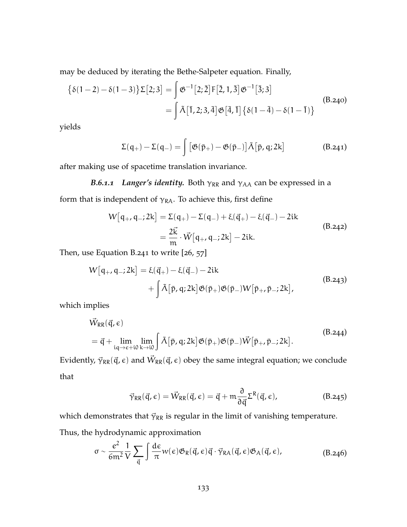may be deduced by iterating the Bethe-Salpeter equation. Finally,

$$
\{\delta(1-2) - \delta(1-3)\}\Sigma[2;3] = \int \mathfrak{G}^{-1}[2;\bar{2}]\,F[\bar{2},1,\bar{3}]\,\mathfrak{G}^{-1}[\bar{3};3] \\
= \int \tilde{\Lambda}[\bar{1},2;3,\bar{4}]\,\mathfrak{G}[\bar{4},\bar{1}]\{\delta(1-\bar{4}) - \delta(1-\bar{1})\} \tag{B.240}
$$

<span id="page-145-0"></span>yields

$$
\Sigma(q_+) - \Sigma(q_-) = \int \left[ \mathfrak{G}(\bar{p}_+) - \mathfrak{G}(\bar{p}_-) \right] \tilde{\Lambda}[\bar{p}, q; 2k] \tag{B.241}
$$

after making use of spacetime translation invariance.

*B.6.1.1 Langer's identity.* Both  $\gamma_{RR}$  and  $\gamma_{AA}$  can be expressed in a form that is independent of  $\gamma_{RA}$ . To achieve this, first define

$$
W[q_{+}, q_{-}; 2k] = \Sigma(q_{+}) - \Sigma(q_{-}) + \xi(\vec{q}_{+}) - \xi(\vec{q}_{-}) - 2ik
$$
  
=  $\frac{2\vec{k}}{m} \cdot \vec{W}[q_{+}, q_{-}; 2k] - 2ik.$  (B.242)

Then, use [Equation B.](#page-145-0)241 to write [[26](#page-167-0), [57](#page-170-0)]

$$
W[q_{+}, q_{-}; 2k] = \xi(\vec{q}_{+}) - \xi(\vec{q}_{-}) - 2ik + \int \tilde{\Lambda}[\bar{p}, q; 2k] \mathfrak{G}(\bar{p}_{+}) \mathfrak{G}(\bar{p}_{-}) W[\bar{p}_{+}, \bar{p}_{-}; 2k],
$$
\n(B.243)

which implies

$$
\begin{split} \vec{W}_{RR}(\vec{q}, \epsilon) \\ &= \vec{q} + \lim_{iq \to \epsilon + i0} \lim_{k \to i0} \int \tilde{\Lambda}[\bar{p}, q; 2k] \mathfrak{G}(\bar{p}_{+}) \mathfrak{G}(\bar{p}_{-}) \vec{W}[\bar{p}_{+}, \bar{p}_{-}; 2k]. \end{split} \tag{B.244}
$$

Evidently,  $\vec{\gamma}_{\mathsf{RR}}(\vec{\mathsf{q}},\epsilon)$  and  $\vec{W}_{\mathsf{RR}}(\vec{\mathsf{q}},\epsilon)$  obey the same integral equation; we conclude that

$$
\vec{\gamma}_{RR}(\vec{q}, \epsilon) = \vec{W}_{RR}(\vec{q}, \epsilon) = \vec{q} + m \frac{\partial}{\partial \vec{q}} \Sigma^{R}(\vec{q}, \epsilon), \qquad (B.245)
$$

which demonstrates that  $\vec{\gamma}_{RR}$  is regular in the limit of vanishing temperature.

Thus, the hydrodynamic approximation

$$
\sigma \sim \frac{e^2}{6m^2} \frac{1}{V} \sum_{\vec{q}} \int \frac{d\epsilon}{\pi} w(\epsilon) \mathfrak{G}_R(\vec{q}, \epsilon) \vec{q} \cdot \vec{\gamma}_{RA}(\vec{q}, \epsilon) \mathfrak{G}_A(\vec{q}, \epsilon), \tag{B.246}
$$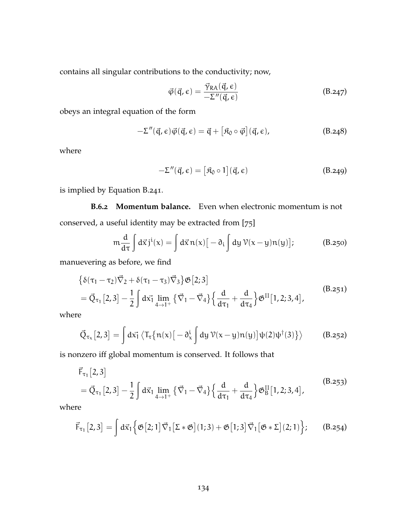contains all singular contributions to the conductivity; now,

$$
\vec{\varphi}(\vec{q}, \epsilon) = \frac{\vec{\gamma}_{\text{RA}}(\vec{q}, \epsilon)}{-\Sigma''(\vec{q}, \epsilon)}
$$
(B.247)

obeys an integral equation of the form

$$
-\Sigma''(\vec{q},\epsilon)\vec{\varphi}(\vec{q},\epsilon) = \vec{q} + [\mathfrak{K}_0 \circ \vec{\varphi}](\vec{q},\epsilon), \qquad (B.248)
$$

<span id="page-146-0"></span>where

$$
-\Sigma''(\vec{q}, \epsilon) = [\mathfrak{K}_0 \circ 1](\vec{q}, \epsilon)
$$
 (B.249)

is implied by [Equation B.](#page-145-0)241.

**B.6.2 Momentum balance.** Even when electronic momentum is not conserved, a useful identity may be extracted from [[75](#page-172-0)]

$$
m\frac{d}{d\tau}\int d\vec{x}\,j^{i}(x) = \int d\vec{x}\,n(x)\big[-\partial_{i}\int dy\,\mathcal{V}(x-y)n(y)\big];\tag{B.250}
$$

manuevering as before, we find

$$
\{\delta(\tau_1 - \tau_2)\vec{\nabla}_2 + \delta(\tau_1 - \tau_3)\vec{\nabla}_3\} \mathfrak{G}[2;3] \n= \vec{Q}_{\tau_1}[2,3] - \frac{1}{2} \int d\vec{x_1} \lim_{4 \to 1^+} {\vec{\nabla}_1 - \vec{\nabla}_4} {\frac{d}{d\tau_1} + \frac{d}{d\tau_4}} \mathfrak{G}^{II}[1,2;3,4],
$$
\n(B.251)

where

$$
\vec{Q}_{\tau_x}[2,3] = \int d\vec{x_1} \left\langle T_{\tau} \{ n(x) \big[ -\partial_x^i \int dy \, \mathcal{V}(x-y) n(y) \big] \psi(2) \psi^{\dagger}(3) \right\} \right\rangle \tag{B.252}
$$

is nonzero iff global momentum is conserved. It follows that

$$
\vec{F}_{\tau_1}[2,3] = \vec{Q}_{\tau_1}[2,3] - \frac{1}{2} \int d\vec{x}_1 \lim_{4 \to 1^+} {\{\vec{\nabla}_1 - \vec{\nabla}_4\} \{\frac{d}{d\tau_1} + \frac{d}{d\tau_4}\}\mathfrak{G}_B^{II}[1,2;3,4],}
$$
\n(B.253)

where

$$
\vec{F}_{\tau_1}[2,3] = \int d\vec{x}_1 \left\{ \mathfrak{G}[2;1] \vec{\nabla}_1 [\Sigma * \mathfrak{G}](1;3) + \mathfrak{G}[1;3] \vec{\nabla}_1 [\mathfrak{G} * \Sigma](2;1) \right\};\qquad(8.254)
$$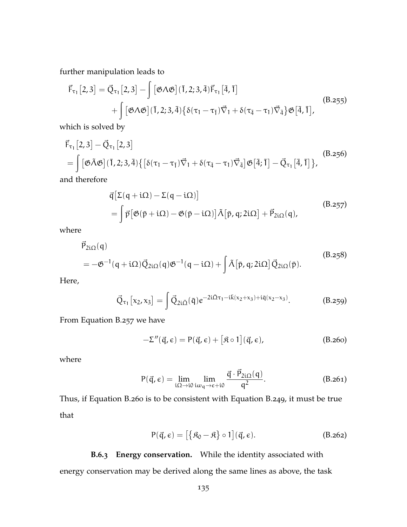further manipulation leads to

$$
\vec{F}_{\tau_1}[2,3] = \vec{Q}_{\tau_1}[2,3] - \int [\mathfrak{G}\Lambda \mathfrak{G}](1,2;3,\bar{4})\vec{F}_{\tau_1}[\bar{4},\bar{1}]
$$
\n
$$
+ \int [\mathfrak{G}\Lambda \mathfrak{G}](1,2;3,\bar{4}) \{ \delta(\tau_1 - \tau_{\bar{1}}) \vec{\nabla}_1 + \delta(\tau_{\bar{4}} - \tau_{1}) \vec{\nabla}_{\bar{4}} \} \mathfrak{G}[\bar{4},\bar{1}],
$$
\n(B.255)

which is solved by

$$
\vec{F}_{\tau_1}[2,3] - \vec{Q}_{\tau_1}[2,3]
$$
\n
$$
= \int [\mathfrak{G}\tilde{\Lambda}\mathfrak{G}](\bar{1},2;3,\bar{4}) \{ [\delta(\tau_1 - \tau_1)\vec{\nabla}_1 + \delta(\tau_4 - \tau_1)\vec{\nabla}_4] \mathfrak{G}[\bar{4};\bar{1}] - \vec{Q}_{\tau_1}[\bar{4},\bar{1}] \},
$$
\n(B.256)

and therefore

<span id="page-147-0"></span>
$$
\vec{q} \left[ \Sigma(q + i\Omega) - \Sigma(q - i\Omega) \right]
$$
\n
$$
= \int \vec{p} \left[ \vec{\mathfrak{G}}(\vec{p} + i\Omega) - \vec{\mathfrak{G}}(\vec{p} - i\Omega) \right] \tilde{\Lambda} \left[ \vec{p}, q; 2i\Omega \right] + \vec{P}_{2i\Omega}(q),
$$
\n(B.257)

where

$$
\vec{P}_{2i\Omega}(q)
$$
\n
$$
= -\mathfrak{G}^{-1}(q + i\Omega)\vec{Q}_{2i\Omega}(q)\mathfrak{G}^{-1}(q - i\Omega) + \int \tilde{\Lambda}[\bar{p}, q; 2i\Omega]\vec{Q}_{2i\Omega}(\bar{p}).
$$
\n(B.258)

Here,

$$
\vec{Q}_{\tau_1}[x_2, x_3] = \int \vec{Q}_{2i\bar{\Omega}}(\bar{q}) e^{-2i\bar{\Omega}\tau_1 - i\bar{k}(x_2 + x_3) + i\bar{q}(x_2 - x_3)}. \tag{B.259}
$$

From [Equation B.](#page-147-0)257 we have

<span id="page-147-1"></span>
$$
-\Sigma''(\vec{q}, \epsilon) = P(\vec{q}, \epsilon) + [\mathfrak{K} \circ 1](\vec{q}, \epsilon), \qquad (B.260)
$$

where

$$
P(\vec{q}, \epsilon) = \lim_{i\Omega \to i0} \lim_{i\omega_q \to \epsilon + i0} \frac{\vec{q} \cdot \vec{P}_{2i\Omega}(q)}{q^2}.
$$
 (B.261)

Thus, if [Equation B.](#page-147-1)260 is to be consistent with [Equation B.](#page-146-0)249, it must be true that

$$
P(\vec{q}, \epsilon) = [\{\mathfrak{K}_0 - \mathfrak{K}\} \circ 1](\vec{q}, \epsilon). \tag{B.262}
$$

**B.6.3 Energy conservation.** While the identity associated with energy conservation may be derived along the same lines as above, the task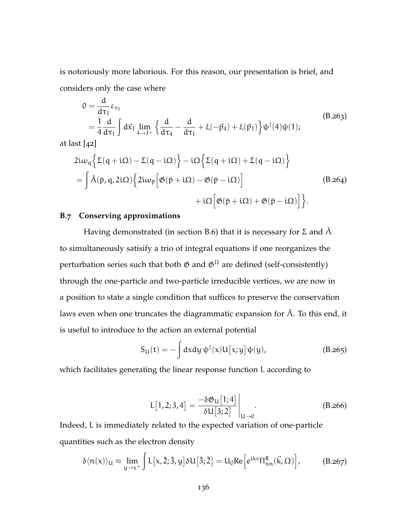is notoriously more laborious. For this reason, our presentation is brief, and considers only the case where

$$
0 = \frac{d}{d\tau_1} \varepsilon_{\tau_1}
$$
  
=  $\frac{1}{4} \frac{d}{d\tau_1} \int d\vec{x}_1 \lim_{4 \to 1^+} \left\{ \frac{d}{d\tau_4} - \frac{d}{d\tau_1} + \xi(-\vec{p}_4) + \xi(\vec{p}_1) \right\} \psi^{\dagger}(4) \psi(1);$  (B.263)

at last [[42](#page-169-0)]

$$
2i\omega_{q}\left\{\Sigma(q+i\Omega)-\Sigma(q-i\Omega)\right\}-i\Omega\left\{\Sigma(q+i\Omega)+\Sigma(q-i\Omega)\right\}
$$
\n
$$
=\int \tilde{\Lambda}(\bar{p},q,2i\Omega)\left\{2i\omega_{\bar{p}}\left[\mathfrak{G}(\bar{p}+i\Omega)-\mathfrak{G}(\bar{p}-i\Omega)\right]\right\} +i\Omega\left[\mathfrak{G}(\bar{p}+i\Omega)+\mathfrak{G}(\bar{p}-i\Omega)\right]\right\}.
$$
\n(B.264)

## **B.7 Conserving approximations**

Having demonstrated (in [section B.](#page-141-0)6) that it is necessary for Σ and  $\tilde{\Lambda}$ to simultaneously satisify a trio of integral equations if one reorganizes the perturbation series such that both  $\mathfrak G$  and  $\mathfrak G^{\rm II}$  are defined (self-consistently) through the one-particle and two-particle irreducible vertices, we are now in a position to state a single condition that suffices to preserve the conservation laws even when one truncates the diagrammatic expansion for  $\tilde{\Lambda}$ . To this end, it is useful to introduce to the action an external potential

$$
S_{\mathcal{U}}(t) = -\int dx dy \, \psi^{\dagger}(x) U[x; y] \psi(y), \tag{B.265}
$$

which facilitates generating the linear response function L according to

$$
L[1,2;3,4] = \frac{-\delta \mathfrak{G}_{\mathsf{u}}[1;4]}{\delta \mathsf{u}[3;2]}\bigg|_{\mathsf{u}\to 0}.
$$
 (B.266)

Indeed, L is immediately related to the expected variation of one-particle quantities such as the electron density

$$
\delta \langle n(x) \rangle_{U} \approx \lim_{y \to x^{+}} \int L[x, \bar{2}; \bar{3}, y] \, \delta U\big[\bar{3}; \bar{2}\big] = U_{0} \text{Re}\Big[e^{ikx} \Pi_{nn}^{R}(\vec{k}, \Omega)\Big], \tag{B.267}
$$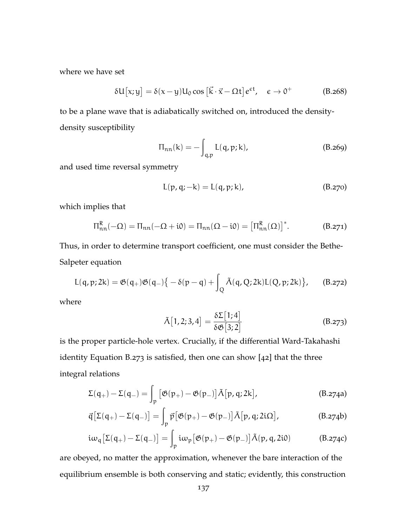where we have set

$$
\delta U[x; y] = \delta(x - y) U_0 \cos [\vec{k} \cdot \vec{x} - \Omega t] e^{\epsilon t}, \quad \epsilon \to 0^+
$$
 (B.268)

to be a plane wave that is adiabatically switched on, introduced the densitydensity susceptibility

$$
\Pi_{nn}(k) = -\int_{q,p} L(q,p;k),
$$
 (B.269)

and used time reversal symmetry

$$
L(p, q; -k) = L(q, p; k),
$$
 (B.270)

which implies that

$$
\Pi_{nn}^{R}(-\Omega) = \Pi_{nn}(-\Omega + i0) = \Pi_{nn}(\Omega - i0) = \left[\Pi_{nn}^{R}(\Omega)\right]^{*}.
$$
 (B.271)

Thus, in order to determine transport coefficient, one must consider the Bethe-Salpeter equation

<span id="page-149-0"></span>
$$
L(q,p;2k) = \mathfrak{G}(q_+) \mathfrak{G}(q_-) \big\{ - \delta(p-q) + \int_Q \tilde{\Lambda}(q,Q;2k) L(Q,p;2k) \big\}, \qquad (B.272)
$$

where

$$
\tilde{\Lambda}[1,2;3,4] = \frac{\delta \Sigma[1;4]}{\delta \mathfrak{G}[3;2]}
$$
 (B.273)

is the proper particle-hole vertex. Crucially, if the differential Ward-Takahashi identity [Equation B.](#page-149-0)273 is satisfied, then one can show [[42](#page-169-0)] that the three integral relations

$$
\Sigma(\mathbf{q}_{+}) - \Sigma(\mathbf{q}_{-}) = \int_{\mathfrak{p}} \left[ \mathfrak{G}(\mathfrak{p}_{+}) - \mathfrak{G}(\mathfrak{p}_{-}) \right] \tilde{\Lambda}[\mathfrak{p}, \mathfrak{q}; 2k], \qquad (B.274a)
$$

$$
\vec{q} \left[ \Sigma(q_+) - \Sigma(q_-) \right] = \int_p \vec{p} \left[ \mathfrak{G}(p_+) - \mathfrak{G}(p_-) \right] \tilde{\Lambda} \left[ p, q; 2i\Omega \right], \tag{B.274b}
$$

$$
i\omega_{q} \big[\Sigma(q_{+}) - \Sigma(q_{-})\big] = \int_{p} i\omega_{p} \big[\mathfrak{G}(p_{+}) - \mathfrak{G}(p_{-})\big] \tilde{\Lambda}(p,q,2i0) \tag{B.274c}
$$

are obeyed, no matter the approximation, whenever the bare interaction of the equilibrium ensemble is both conserving and static; evidently, this construction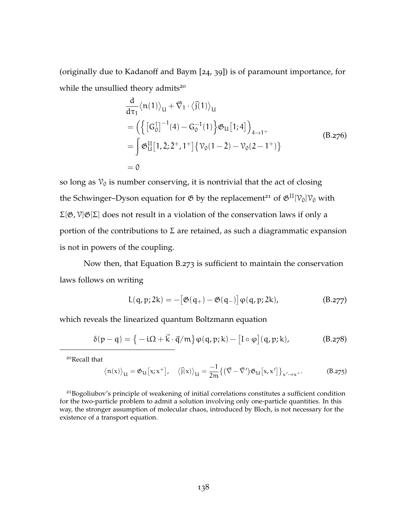(originally due to Kadanoff and Baym [[24](#page-167-1), [39](#page-169-1)]) is of paramount importance, for while the unsullied theory admits<sup>20</sup>

$$
\frac{d}{d\tau_1} \langle n(1) \rangle_{U} + \vec{\nabla}_1 \cdot \langle \vec{j}(1) \rangle_{U}
$$
\n
$$
= \left( \left\{ [G_0^{\dagger}]^{-1}(4) - G_0^{-1}(1) \right\} \mathfrak{G}_U[1;4] \right)_{4 \to 1^+}
$$
\n
$$
= \int \mathfrak{G}_U^{II}[1, \bar{2}; \bar{2}^+, 1^+] \left\{ \mathcal{V}_0(1 - \bar{2}) - \mathcal{V}_0(2 - 1^+) \right\}
$$
\n(B.276)\n
$$
= 0
$$

so long as  $v_0$  is number conserving, it is nontrivial that the act of closing the Schwinger–Dyson equation for  $\mathfrak{G}$  by the replacement<sup>21</sup> of  $\mathfrak{G}^{\text{II}}[\mathcal{V}_0]\mathcal{V}_0$  with Σ[G,V]G[Σ] does not result in a violation of the conservation laws if only a portion of the contributions to Σ are retained, as such a diagrammatic expansion is not in powers of the coupling.

Now then, that [Equation B.](#page-149-0)273 is sufficient to maintain the conservation laws follows on writing

$$
L(q,p;2k) = -\big[\mathfrak{G}(q_+) - \mathfrak{G}(q_-)\big]\varphi(q,p;2k),\tag{B.277}
$$

which reveals the linearized quantum Boltzmann equation

$$
\delta(p-q) = \left\{-i\Omega + \vec{k} \cdot \vec{q}/m\right\}\varphi(q,p;k) - \left[I \circ \varphi\right](q,p;k),\tag{B.278}
$$

<sup>20</sup>Recall that

$$
\langle \mathfrak{n}(x) \rangle_{U} = \mathfrak{G}_{U} [x; x^{+}], \quad \langle \vec{j}(x) \rangle_{U} = \frac{-1}{2m} \{ (\vec{\nabla} - \vec{\nabla}') \mathfrak{G}_{U} [x, x'] \}_{x' \to x^{+}}.
$$
 (B.275)

<sup>21</sup>Bogoliubov's principle of weakening of initial correlations constitutes a sufficient condition for the two-particle problem to admit a solution involving only one-particle quantities. In this way, the stronger assumption of molecular chaos, introduced by Bloch, is not necessary for the existence of a transport equation.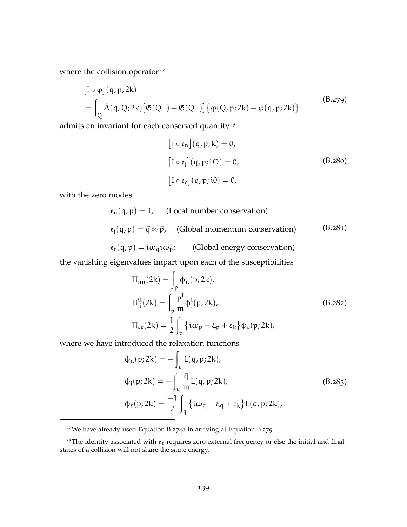where the collision operator<sup>22</sup>

$$
\begin{aligned} \left[I \circ \varphi\right](q, p; 2k) \\ &= \int_{Q} \tilde{\Lambda}(q, Q; 2k) \left[\mathfrak{G}(Q_{+}) - \mathfrak{G}(Q_{-})\right] \left\{\varphi(Q, p; 2k) - \varphi(q, p; 2k)\right\} \end{aligned} \tag{B.279}
$$

admits an invariant for each conserved quantity<sup>23</sup>

<span id="page-151-0"></span>
$$
[I \circ \mathfrak{e}_n](q, p; k) = 0,
$$
  
\n
$$
[I \circ \mathfrak{e}_j](q, p; i\Omega) = 0,
$$
  
\n
$$
[I \circ \mathfrak{e}_\varepsilon](q, p; i0) = 0,
$$
  
\n(B.280)

with the zero modes

$$
\epsilon_n(q, p) = 1, \quad \text{(Local number conservation)}
$$
\n
$$
\epsilon_j(q, p) = \vec{q} \otimes \vec{p}, \quad \text{(Global momentum conservation)} \tag{B.281}
$$
\n
$$
\epsilon_{\varepsilon}(q, p) = i\omega_q i\omega_p; \quad \text{(Global energy conservation)}
$$

the vanishing eigenvalues impart upon each of the susceptibilities

$$
\Pi_{nn}(2k) = \int_{p} \phi_n(p; 2k),
$$
  
\n
$$
\Pi_{jj}^{il}(2k) = \int_{p} \frac{p^{i}}{m} \phi_{j}^{l}(p; 2k),
$$
  
\n
$$
\Pi_{\epsilon\epsilon}(2k) = \frac{1}{2} \int_{p} \{i\omega_{p} + \xi_{p} + \varepsilon_{k}\} \phi_{\epsilon}(p; 2k),
$$
\n(B.282)

where we have introduced the relaxation functions

$$
\Phi_{n}(p; 2k) = -\int_{q} L(q, p; 2k),
$$
  
\n
$$
\vec{\Phi}_{j}(p; 2k) = -\int_{q} \frac{\vec{q}}{m} L(q, p; 2k),
$$
  
\n
$$
\Phi_{\epsilon}(p; 2k) = -\frac{1}{2} \int_{q} \{i\omega_{q} + \xi_{q} + \varepsilon_{k}\} L(q, p; 2k),
$$
\n(B.283)

<sup>22</sup>We have already used [Equation B.](#page-26-0)274a in arriving at [Equation B.](#page-151-0)279.

<sup>&</sup>lt;sup>23</sup>The identity associated with  $\mathfrak{e}_{\varepsilon}$  requires zero external frequency or else the initial and final states of a collision will not share the same energy.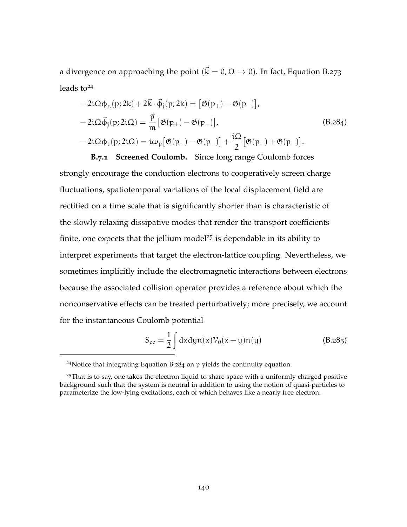a divergence on approaching the point ( $\vec{k} = 0, \Omega \rightarrow 0$ ). In fact, [Equation B.](#page-149-0)273 leads  $to^{24}$ 

<span id="page-152-0"></span>
$$
-2i\Omega\phi_n(p;2k) + 2\vec{k}\cdot\vec{\phi}_j(p;2k) = [\mathfrak{G}(p_+) - \mathfrak{G}(p_-)],
$$
  
\n
$$
-2i\Omega\vec{\phi}_j(p;2i\Omega) = \frac{\vec{p}}{m} [\mathfrak{G}(p_+) - \mathfrak{G}(p_-)],
$$
  
\n
$$
-2i\Omega\phi_\varepsilon(p;2i\Omega) = i\omega_p [\mathfrak{G}(p_+) - \mathfrak{G}(p_-)] + \frac{i\Omega}{2} [\mathfrak{G}(p_+) + \mathfrak{G}(p_-)].
$$
 (B.284)

**B.7.1 Screened Coulomb.** Since long range Coulomb forces strongly encourage the conduction electrons to cooperatively screen charge fluctuations, spatiotemporal variations of the local displacement field are rectified on a time scale that is significantly shorter than is characteristic of the slowly relaxing dissipative modes that render the transport coefficients finite, one expects that the jellium model<sup>25</sup> is dependable in its ability to interpret experiments that target the electron-lattice coupling. Nevertheless, we sometimes implicitly include the electromagnetic interactions between electrons because the associated collision operator provides a reference about which the nonconservative effects can be treated perturbatively; more precisely, we account for the instantaneous Coulomb potential

$$
S_{ee} = \frac{1}{2} \int dx dy n(x) \mathcal{V}_0(x - y) n(y)
$$
 (B.285)

<sup>24</sup>Notice that integrating [Equation B.](#page-152-0)284 on p yields the continuity equation.

 $25$ That is to say, one takes the electron liquid to share space with a uniformly charged positive background such that the system is neutral in addition to using the notion of quasi-particles to parameterize the low-lying excitations, each of which behaves like a nearly free electron.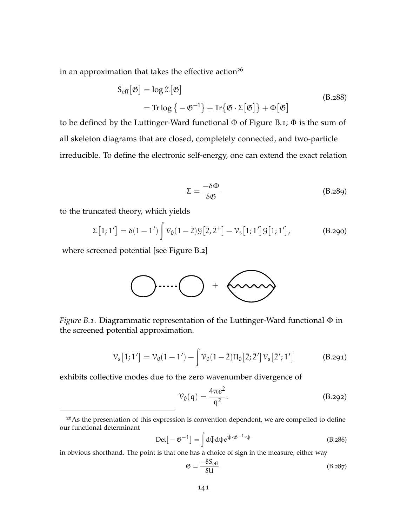in an approximation that takes the effective action<sup>26</sup>

$$
S_{eff}[\mathfrak{G}] = \log \mathfrak{Z}[\mathfrak{G}]
$$
  
= Tr log { -  $\mathfrak{G}^{-1}$ } + Tr { $\mathfrak{G} \cdot \Sigma[\mathfrak{G}]$ } +  $\Phi[\mathfrak{G}]$  (B.288)

to be defined by the Luttinger-Ward functional  $\Phi$  of [Figure B.](#page-153-0)1;  $\Phi$  is the sum of all skeleton diagrams that are closed, completely connected, and two-particle irreducible. To define the electronic self-energy, one can extend the exact relation

$$
\Sigma = \frac{-\delta \Phi}{\delta \mathfrak{G}} \tag{B.289}
$$

to the truncated theory, which yields

$$
\Sigma[1;1'] = \delta(1-1') \int \mathcal{V}_0(1-\bar{2}) \mathcal{G}[\bar{2},\bar{2}^+] - \mathcal{V}_s[1;1'] \mathcal{G}[1;1'], \tag{B.290}
$$

<span id="page-153-0"></span>where screened potential [see [Figure B.](#page-154-0)2]



*Figure B.1.* Diagrammatic representation of the Luttinger-Ward functional Φ in the screened potential approximation.

$$
\mathcal{V}_s[1;1'] = \mathcal{V}_0(1-1') - \int \mathcal{V}_0(1-\overline{2})\Pi_0[\overline{2};\overline{2}'] \mathcal{V}_s[\overline{2}';1'] \tag{B.291}
$$

exhibits collective modes due to the zero wavenumber divergence of

$$
V_0(q) = \frac{4\pi e^2}{q^2}.
$$
 (B.292)

$$
\text{Det}\left[-\mathfrak{G}^{-1}\right] = \int d\bar{\psi} d\psi e^{\bar{\psi} \cdot \mathfrak{G}^{-1} \cdot \psi}
$$
 (B.286)

in obvious shorthand. The point is that one has a choice of sign in the measure; either way

$$
\mathfrak{G} = \frac{-\delta S_{\text{eff}}}{\delta U}.
$$
\n(B.287)

 $26$ As the presentation of this expression is convention dependent, we are compelled to define our functional determinant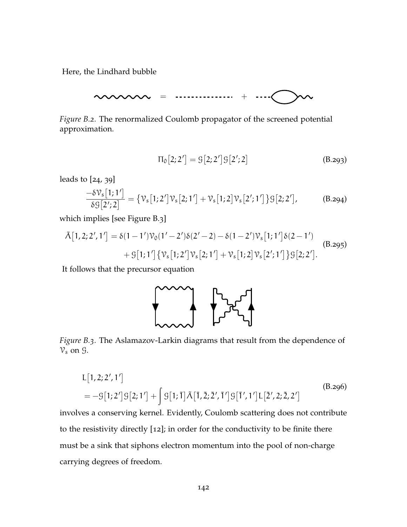<span id="page-154-0"></span>Here, the Lindhard bubble

= +

*Figure B.2.* The renormalized Coulomb propagator of the screened potential approximation.

$$
\Pi_0[2;2'] = \mathcal{G}[2;2']\mathcal{G}[2';2]
$$
\n(B.293)

leads to [[24](#page-167-1), [39](#page-169-1)]

$$
\frac{-\delta \mathcal{V}_s[1;1']}{\delta \mathcal{G}[2';2]} = {\mathcal{V}_s[1;2']\mathcal{V}_s[2;1'] + \mathcal{V}_s[1;2]\mathcal{V}_s[2';1'] } {\mathcal{G}[2;2']},
$$
(B.294)

which implies [see [Figure B.](#page-154-1)3]

$$
\tilde{\Lambda}[1,2;2',1'] = \delta(1-1')\mathcal{V}_0(1'-2')\delta(2'-2) - \delta(1-2')\mathcal{V}_s[1;1']\delta(2-1')
$$
  
+
$$
S[1;1']\{\mathcal{V}_s[1;2']\mathcal{V}_s[2;1'] + \mathcal{V}_s[1;2]\mathcal{V}_s[2';1']\}\mathcal{G}[2;2'].
$$
 (B.295)

<span id="page-154-1"></span>It follows that the precursor equation



*Figure B.3.* The Aslamazov-Larkin diagrams that result from the dependence of  $V_s$  on  $\mathcal{G}$ .

$$
L[1,2;2',1']
$$
  
= - $\mathcal{G}[1;2']\mathcal{G}[2;1'] + \int \mathcal{G}[1;\overline{1}]\tilde{\Lambda}[\overline{1},\overline{2};\overline{2}',\overline{1}']\mathcal{G}[\overline{1}',1']L[\overline{2}',2;\overline{2},2']$  (B.296)

involves a conserving kernel. Evidently, Coulomb scattering does not contribute to the resistivity directly [[12](#page-166-0)]; in order for the conductivity to be finite there must be a sink that siphons electron momentum into the pool of non-charge carrying degrees of freedom.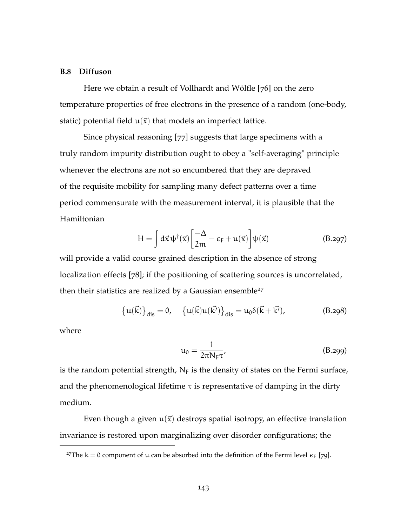### **B.8 Diffuson**

Here we obtain a result of Vollhardt and Wölfle [[76](#page-172-1)] on the zero temperature properties of free electrons in the presence of a random (one-body, static) potential field  $u(\vec{x})$  that models an imperfect lattice.

Since physical reasoning [[77](#page-172-2)] suggests that large specimens with a truly random impurity distribution ought to obey a "self-averaging" principle whenever the electrons are not so encumbered that they are depraved of the requisite mobility for sampling many defect patterns over a time period commensurate with the measurement interval, it is plausible that the Hamiltonian

$$
H = \int d\vec{x} \psi^{\dagger}(\vec{x}) \left[ \frac{-\Delta}{2m} - \varepsilon_F + u(\vec{x}) \right] \psi(\vec{x})
$$
 (B.297)

will provide a valid course grained description in the absence of strong localization effects [[78](#page-172-3)]; if the positioning of scattering sources is uncorrelated, then their statistics are realized by a Gaussian ensemble<sup>27</sup>

$$
\{u(\vec{k})\}_{dis} = 0, \quad \{u(\vec{k})u(\vec{k'})\}_{dis} = u_0 \delta(\vec{k} + \vec{k'}), \tag{B.298}
$$

where

$$
\mathfrak{u}_0 = \frac{1}{2\pi N_{\rm F}\tau},\tag{B.299}
$$

is the random potential strength,  $N_F$  is the density of states on the Fermi surface, and the phenomenological lifetime  $\tau$  is representative of damping in the dirty medium.

Even though a given  $u(\vec{x})$  destroys spatial isotropy, an effective translation invariance is restored upon marginalizing over disorder configurations; the

<sup>&</sup>lt;sup>27</sup>The k = 0 component of u can be absorbed into the definition of the Fermi level  $\epsilon_F$  [[79](#page-172-4)].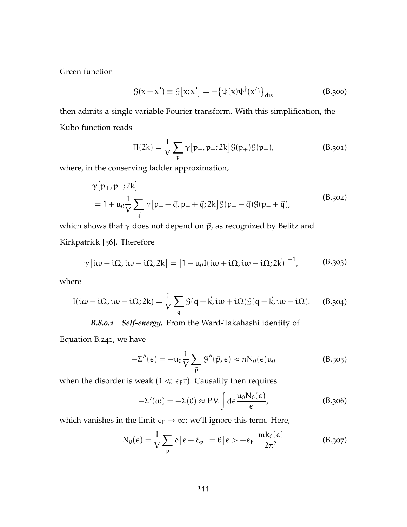Green function

$$
\mathcal{G}(\mathbf{x} - \mathbf{x}') \equiv \mathcal{G}[\mathbf{x}; \mathbf{x}'] = -\{\psi(\mathbf{x})\psi^{\dagger}(\mathbf{x}')\}_{\text{dis}} \tag{B.300}
$$

then admits a single variable Fourier transform. With this simplification, the Kubo function reads

<span id="page-156-0"></span>
$$
\Pi(2k) = \frac{T}{V} \sum_{p} \gamma [p_{+}, p_{-}; 2k] \mathcal{G}(p_{+}) \mathcal{G}(p_{-}), \tag{B.301}
$$

where, in the conserving ladder approximation,

$$
\gamma[p_+, p_-; 2k] \n= 1 + u_0 \frac{1}{V} \sum_{\vec{q}} \gamma[p_+ + \vec{q}, p_- + \vec{q}; 2k] \mathcal{G}(p_+ + \vec{q}) \mathcal{G}(p_- + \vec{q}),
$$
\n(B.302)

which shows that  $\gamma$  does not depend on  $\vec{p}$ , as recognized by Belitz and Kirkpatrick [[56](#page-170-1)]. Therefore

$$
\gamma[i\omega + i\Omega, i\omega - i\Omega, 2k] = [1 - u_0 I(i\omega + i\Omega, i\omega - i\Omega; 2\vec{k})]^{-1},
$$
 (B.303)

where

$$
I(i\omega + i\Omega, i\omega - i\Omega; 2k) = \frac{1}{V} \sum_{\vec{q}} \mathcal{G}(\vec{q} + \vec{k}, i\omega + i\Omega) \mathcal{G}(\vec{q} - \vec{k}, i\omega - i\Omega).
$$
 (B.304)

# *B.8.0.1 Self-energy.* From the Ward-Takahashi identity of

[Equation B.](#page-145-0)241, we have

$$
-\Sigma''(\epsilon) = -u_0 \frac{1}{V} \sum_{\vec{p}} \mathcal{G}''(\vec{p}, \epsilon) \approx \pi N_0(\epsilon) u_0 \tag{B.305}
$$

when the disorder is weak ( $1 \ll \epsilon_F \tau$ ). Causality then requires

$$
-\Sigma'(\omega) = -\Sigma(0) \approx \text{P.V.} \int d\epsilon \frac{u_0 N_0(\epsilon)}{\epsilon}, \tag{B.306}
$$

which vanishes in the limit  $\varepsilon_F \to \infty$ ; we'll ignore this term. Here,

$$
N_0(\epsilon) = \frac{1}{V} \sum_{\vec{p}} \delta[\epsilon - \xi_p] = \theta[\epsilon > -\epsilon_F] \frac{mk_0(\epsilon)}{2\pi^2}
$$
 (B.307)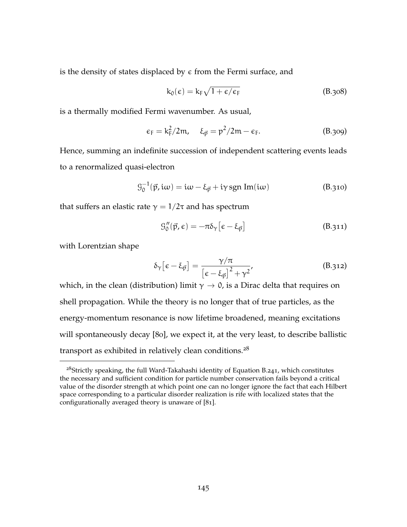is the density of states displaced by  $\epsilon$  from the Fermi surface, and

$$
k_0(\varepsilon) = k_F \sqrt{1 + \varepsilon/\varepsilon_F} \tag{B.308}
$$

is a thermally modified Fermi wavenumber. As usual,

$$
\epsilon_{\mathsf{F}} = \mathsf{k}_{\mathsf{F}}^2 / 2\mathfrak{m}, \quad \xi_{\vec{\mathsf{p}}} = \mathsf{p}^2 / 2\mathfrak{m} - \epsilon_{\mathsf{F}}.\tag{B.309}
$$

Hence, summing an indefinite succession of independent scattering events leads to a renormalized quasi-electron

$$
G_0^{-1}(\vec{p}, i\omega) = i\omega - \xi_{\vec{p}} + i\gamma \operatorname{sgn} \operatorname{Im}(i\omega)
$$
 (B.310)

that suffers an elastic rate  $\gamma = 1/2\tau$  and has spectrum

$$
\mathcal{G}_{0}''(\vec{p}, \epsilon) = -\pi \delta_{\gamma} \left[ \epsilon - \xi_{\vec{p}} \right]
$$
 (B.311)

with Lorentzian shape

$$
\delta_{\gamma} \left[ \epsilon - \xi_{\vec{p}} \right] = \frac{\gamma / \pi}{\left[ \epsilon - \xi_{\vec{p}} \right]^2 + \gamma^2},\tag{B.312}
$$

which, in the clean (distribution) limit  $\gamma \to 0$ , is a Dirac delta that requires on shell propagation. While the theory is no longer that of true particles, as the energy-momentum resonance is now lifetime broadened, meaning excitations will spontaneously decay [[80](#page-172-5)], we expect it, at the very least, to describe ballistic transport as exhibited in relatively clean conditions.<sup>28</sup>

<sup>&</sup>lt;sup>28</sup>Strictly speaking, the full Ward-Takahashi identity of [Equation B.](#page-145-0)241, which constitutes the necessary and sufficient condition for particle number conservation fails beyond a critical value of the disorder strength at which point one can no longer ignore the fact that each Hilbert space corresponding to a particular disorder realization is rife with localized states that the configurationally averaged theory is unaware of [[81](#page-172-6)].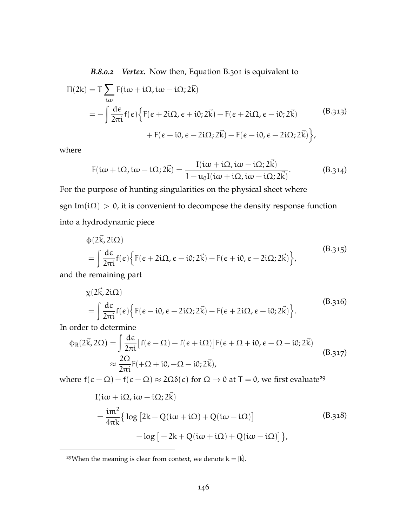*B.8.0.2 Vertex.* Now then, [Equation B.](#page-156-0)301 is equivalent to

$$
\Pi(2k) = T \sum_{i\omega} F(i\omega + i\Omega, i\omega - i\Omega; 2\vec{k})
$$
  
= 
$$
- \int \frac{d\epsilon}{2\pi i} f(\epsilon) \Big\{ F(\epsilon + 2i\Omega, \epsilon + i0; 2\vec{k}) - F(\epsilon + 2i\Omega, \epsilon - i0; 2\vec{k})
$$
 (B.313)  
+ 
$$
F(\epsilon + i0, \epsilon - 2i\Omega; 2\vec{k}) - F(\epsilon - i0, \epsilon - 2i\Omega; 2\vec{k}) \Big\},
$$

where

$$
F(i\omega + i\Omega, i\omega - i\Omega; 2\vec{k}) = \frac{I(i\omega + i\Omega, i\omega - i\Omega; 2\vec{k})}{1 - u_0 I(i\omega + i\Omega, i\omega - i\Omega; 2\vec{k})}.
$$
(B.314)

For the purpose of hunting singularities on the physical sheet where sgn Im( $i\Omega$ ) > 0, it is convenient to decompose the density response function into a hydrodynamic piece

$$
\begin{split} \n\phi(2\vec{k}, 2i\Omega) \\ \n&= \int \frac{d\epsilon}{2\pi i} f(\epsilon) \Big\{ F(\epsilon + 2i\Omega, \epsilon - i0; 2\vec{k}) - F(\epsilon + i0, \epsilon - 2i\Omega; 2\vec{k}) \Big\}, \n\end{split} \tag{B.315}
$$

and the remaining part

$$
\chi(2\vec{k}, 2i\Omega) = \int \frac{d\epsilon}{2\pi i} f(\epsilon) \{ F(\epsilon - i0, \epsilon - 2i\Omega; 2\vec{k}) - F(\epsilon + 2i\Omega, \epsilon + i0; 2\vec{k}) \}.
$$
\n(B.316)

In order to determine

$$
\begin{split} \Phi_{R}(2\vec{k},2\Omega) &= \int \frac{d\epsilon}{2\pi i} \left[ f(\epsilon-\Omega) - f(\epsilon+i\Omega) \right] F(\epsilon+\Omega+i0,\epsilon-\Omega-i0;2\vec{k}) \\ &\approx \frac{2\Omega}{2\pi i} F(+\Omega+i0,-\Omega-i0;2\vec{k}), \end{split} \tag{B.317}
$$

where  $f(\epsilon - \Omega) - f(\epsilon + \Omega) \approx 2\Omega \delta(\epsilon)$  for  $\Omega \to 0$  at  $T = 0$ , we first evaluate<sup>29</sup>

$$
I(i\omega + i\Omega, i\omega - i\Omega; 2\vec{k})
$$
  
=  $\frac{im^2}{4\pi k} \{ \log [2k + Q(i\omega + i\Omega) + Q(i\omega - i\Omega)]$  (B.318)  
 $- \log [-2k + Q(i\omega + i\Omega) + Q(i\omega - i\Omega)] \},$ 

<sup>29</sup>When the meaning is clear from context, we denote  $k = |\vec{k}|$ .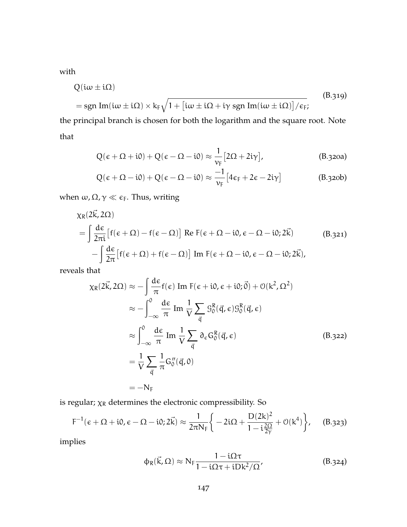with

$$
Q(i\omega \pm i\Omega)
$$
  
= sgn Im(i\omega \pm i\Omega) \times k\_F \sqrt{1 + [i\omega \pm i\Omega + i\gamma sgn Im(i\omega \pm i\Omega)]/\epsilon\_F}; (B.319)

the principal branch is chosen for both the logarithm and the square root. Note that

$$
Q(\epsilon + \Omega + i0) + Q(\epsilon - \Omega - i0) \approx \frac{1}{\nu_F} [2\Omega + 2i\gamma],
$$
 (B.320a)

$$
Q(\epsilon + \Omega - i0) + Q(\epsilon - \Omega - i0) \approx \frac{-1}{\nu_F} [4\epsilon_F + 2\epsilon - 2i\gamma]
$$
 (B.320b)

when  $\omega$ ,  $\Omega$ ,  $\gamma \ll \epsilon_F$ . Thus, writing

$$
\chi_{R}(2\vec{k}, 2\Omega)
$$
\n
$$
= \int \frac{d\epsilon}{2\pi i} [f(\epsilon + \Omega) - f(\epsilon - \Omega)] \text{ Re } F(\epsilon + \Omega - i0, \epsilon - \Omega - i0; 2\vec{k})
$$
\n
$$
- \int \frac{d\epsilon}{2\pi} [f(\epsilon + \Omega) + f(\epsilon - \Omega)] \text{ Im } F(\epsilon + \Omega - i0, \epsilon - \Omega - i0; 2\vec{k}),
$$
\n(B.321)

reveals that

$$
\chi_{R}(2\vec{k}, 2\Omega) \approx -\int \frac{d\epsilon}{\pi} f(\epsilon) \operatorname{Im} F(\epsilon + i0, \epsilon + i0; \vec{0}) + O(k^{2}, \Omega^{2})
$$
  

$$
\approx -\int_{-\infty}^{0} \frac{d\epsilon}{\pi} \operatorname{Im} \frac{1}{V} \sum_{\vec{q}} S_{0}^{R}(\vec{q}, \epsilon) S_{0}^{R}(\vec{q}, \epsilon)
$$
  

$$
\approx \int_{-\infty}^{0} \frac{d\epsilon}{\pi} \operatorname{Im} \frac{1}{V} \sum_{\vec{q}} \partial_{\epsilon} G_{0}^{R}(\vec{q}, \epsilon)
$$
  

$$
= \frac{1}{V} \sum_{\vec{q}} \frac{1}{\pi} G_{0}''(\vec{q}, 0)
$$
  

$$
= -N_{F}
$$
 (B.322)

is regular;  $\chi_R$  determines the electronic compressibility. So

$$
F^{-1}(\epsilon + \Omega + i0, \epsilon - \Omega - i0; 2\vec{k}) \approx \frac{1}{2\pi N_F} \left\{ -2i\Omega + \frac{D(2k)^2}{1 - i\frac{2\Omega}{2\gamma}} + \mathcal{O}(k^4) \right\}, \quad (B.323)
$$

implies

$$
\varphi_R(\vec{k}, \Omega) \approx N_F \frac{1 - i\Omega \tau}{1 - i\Omega \tau + iDk^2/\Omega'},
$$
 (B.324)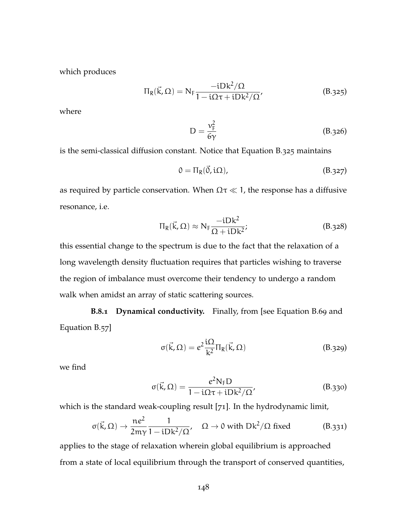which produces

<span id="page-160-0"></span>
$$
\Pi_R(\vec{k}, \Omega) = N_F \frac{-iDk^2/\Omega}{1 - i\Omega\tau + iDk^2/\Omega'},
$$
 (B.325)

<span id="page-160-1"></span>where

$$
D = \frac{v_{\rm F}^2}{6\gamma} \tag{B.326}
$$

is the semi-classical diffusion constant. Notice that [Equation B.](#page-160-0)325 maintains

$$
0 = \Pi_R(\vec{0}, i\Omega), \tag{B.327}
$$

as required by particle conservation. When  $\Omega \tau \ll 1$ , the response has a diffusive resonance, i.e.

$$
\Pi_{R}(\vec{k},\Omega) \approx N_{F} \frac{-iDk^{2}}{\Omega + iDk^{2}};
$$
 (B.328)

this essential change to the spectrum is due to the fact that the relaxation of a long wavelength density fluctuation requires that particles wishing to traverse the region of imbalance must overcome their tendency to undergo a random walk when amidst an array of static scattering sources.

**B.8.1 Dynamical conductivity.** Finally, from [see [Equation B.](#page-117-0)69 and [Equation B.](#page-115-0)57]

$$
\sigma(\vec{k}, \Omega) = e^2 \frac{i\Omega}{k^2} \Pi_R(\vec{k}, \Omega)
$$
 (B.329)

we find

$$
\sigma(\vec{k}, \Omega) = \frac{e^2 N_F D}{1 - i\Omega \tau + iDk^2/\Omega'}
$$
 (B.330)

which is the standard weak-coupling result [[71](#page-171-0)]. In the hydrodynamic limit,

$$
\sigma(\vec{k}, \Omega) \to \frac{ne^2}{2m\gamma} \frac{1}{1 - iDk^2/\Omega}, \quad \Omega \to 0 \text{ with } Dk^2/\Omega \text{ fixed} \tag{B.331}
$$

applies to the stage of relaxation wherein global equilibrium is approached from a state of local equilibrium through the transport of conserved quantities,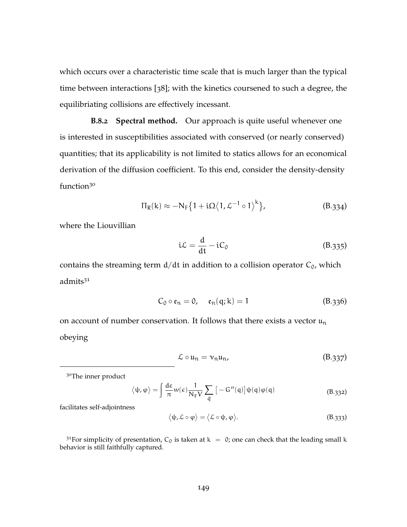which occurs over a characteristic time scale that is much larger than the typical time between interactions [[38](#page-168-0)]; with the kinetics coursened to such a degree, the equilibriating collisions are effectively incessant.

**B.8.2 Spectral method.** Our approach is quite useful whenever one is interested in susceptibilities associated with conserved (or nearly conserved) quantities; that its applicability is not limited to statics allows for an economical derivation of the diffusion coefficient. To this end, consider the density-density function<sup>30</sup>

$$
\Pi_R(k) \approx -N_F \left\{ 1 + i\Omega \left\langle 1, \mathcal{L}^{-1} \circ 1 \right\rangle^k \right\},\tag{B.334}
$$

where the Liouvillian

$$
i\mathcal{L} = \frac{d}{dt} - iC_0 \tag{B.335}
$$

contains the streaming term  $d/dt$  in addition to a collision operator  $C_0$ , which admits<sup>31</sup>

$$
C_0 \circ \mathfrak{e}_n = 0, \quad \mathfrak{e}_n(q; k) = 1 \tag{B.336}
$$

on account of number conservation. It follows that there exists a vector  $\mathfrak{u}_n$ obeying

$$
\mathcal{L} \circ \mathfrak{u}_n = \mathfrak{v}_n \mathfrak{u}_n,\tag{B.337}
$$

<sup>30</sup>The inner product

$$
\langle \psi, \varphi \rangle = \int \frac{d\varepsilon}{\pi} w(\varepsilon) \frac{1}{N_F V} \sum_{\vec{q}} \left[ -G''(q) \right] \psi(q) \varphi(q) \tag{B.332}
$$

facilitates self-adjointness

$$
\langle \psi, \mathcal{L} \circ \phi \rangle = \langle \mathcal{L} \circ \psi, \phi \rangle. \tag{B.333}
$$

<sup>31</sup>For simplicity of presentation, C<sub>0</sub> is taken at  $k = 0$ ; one can check that the leading small k behavior is still faithfully captured.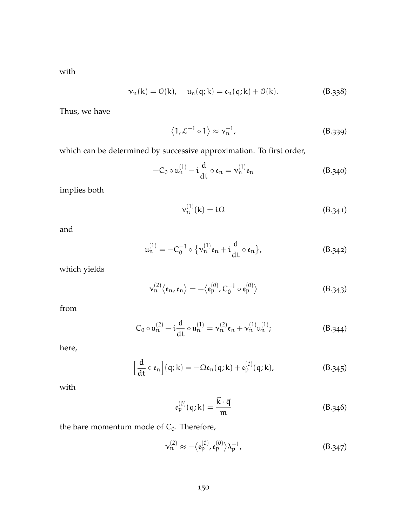with

$$
\nu_n(k) = \mathcal{O}(k), \quad u_n(q;k) = \mathfrak{e}_n(q;k) + \mathcal{O}(k). \tag{B.338}
$$

Thus, we have

$$
\langle 1, \mathcal{L}^{-1} \circ 1 \rangle \approx \nu_n^{-1}, \tag{B.339}
$$

which can be determined by successive approximation. To first order,

$$
-C_0 \circ \mathfrak{u}_n^{(1)} - \mathfrak{i}\frac{d}{dt} \circ \mathfrak{e}_n = \mathfrak{v}_n^{(1)} \mathfrak{e}_n \tag{B.340}
$$

implies both

$$
\mathbf{v}_n^{(1)}(\mathbf{k}) = \mathbf{i}\Omega\tag{B.341}
$$

and

$$
\mathfrak{u}_n^{(1)} = -C_0^{-1} \circ \{ \nu_n^{(1)} \mathfrak{e}_n + \mathfrak{i} \frac{d}{dt} \circ \mathfrak{e}_n \},\tag{B.342}
$$

which yields

$$
\nu_n^{(2)} \langle \varepsilon_n, \varepsilon_n \rangle = -\langle \varepsilon_p^{(0)}, C_0^{-1} \circ \varepsilon_p^{(0)} \rangle \tag{B.343}
$$

from

$$
C_0 \circ u_n^{(2)} - i \frac{d}{dt} \circ u_n^{(1)} = v_n^{(2)} \varepsilon_n + v_n^{(1)} u_n^{(1)};
$$
 (B.344)

here,

$$
\left[\frac{d}{dt}\circ \mathfrak{e}_n\right](q;k) = -\Omega \mathfrak{e}_n(q;k) + \mathfrak{e}_p^{(0)}(q;k), \tag{B.345}
$$

with

$$
\mathfrak{e}_{\mathfrak{p}}^{(0)}(\mathfrak{q};\mathbf{k}) = \frac{\vec{\mathbf{k}} \cdot \vec{\mathfrak{q}}}{\mathfrak{m}} \tag{B.346}
$$

the bare momentum mode of  $C_0$ . Therefore,

$$
\nu_{\rm n}^{(2)} \approx -\langle \mathfrak{e}_{\rm p}^{(0)}, \mathfrak{e}_{\rm p}^{(0)} \rangle \lambda_{\rm p}^{-1},\tag{B.347}
$$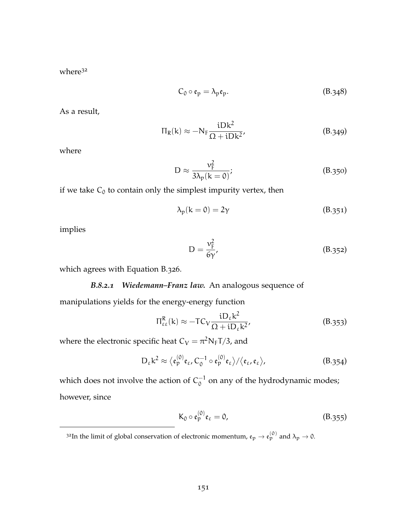where<sup>32</sup>

$$
C_0 \circ \mathfrak{e}_p = \lambda_p \mathfrak{e}_p. \tag{B.348}
$$

As a result,

$$
\Pi_{R}(k) \approx -N_{F} \frac{iDk^{2}}{\Omega + iDk^{2}},
$$
 (B.349)

where

$$
D \approx \frac{v_{F}^{2}}{3\lambda_{p}(k=0)};
$$
 (B.350)

if we take  $C_0$  to contain only the simplest impurity vertex, then

$$
\lambda_p(k=0) = 2\gamma \tag{B.351}
$$

implies

$$
D = \frac{v_{\rm F}^2}{6\gamma'},\tag{B.352}
$$

which agrees with [Equation B.](#page-160-1)326.

## *B.8.2.1 Wiedemann–Franz law.* An analogous sequence of

manipulations yields for the energy-energy function

$$
\Pi_{\varepsilon\varepsilon}^{R}(k) \approx -TC_{V} \frac{iD_{\varepsilon}k^{2}}{\Omega + iD_{\varepsilon}k^{2}},
$$
\n(B.353)

where the electronic specific heat  $C_V = \pi^2 N_F T/3$ , and

$$
D_{\varepsilon} k^2 \approx \langle \mathfrak{e}_p^{(0)} \mathfrak{e}_{\varepsilon}, C_0^{-1} \circ \mathfrak{e}_p^{(0)} \mathfrak{e}_{\varepsilon} \rangle / \langle \mathfrak{e}_{\varepsilon}, \mathfrak{e}_{\varepsilon} \rangle, \tag{B.354}
$$

which does not involve the action of  $C_0^{-1}$  $_0^{-1}$  on any of the hydrodynamic modes; however, since

$$
K_0 \circ \mathfrak{e}_p^{(0)} \mathfrak{e}_\varepsilon = 0, \tag{B.355}
$$

<sup>&</sup>lt;sup>32</sup>In the limit of global conservation of electronic momentum,  ${\mathfrak e}_{\mathfrak p} \to {\mathfrak e}_{\mathfrak p}^{(0)}$  and  $\lambda_{\mathfrak p} \to$  0.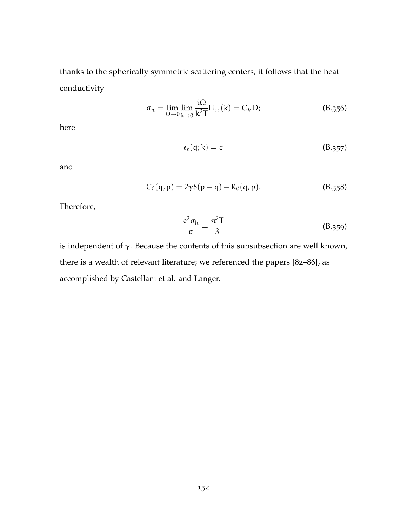thanks to the spherically symmetric scattering centers, it follows that the heat conductivity

$$
\sigma_{h} = \lim_{\Omega \to 0} \lim_{\vec{k} \to 0} \frac{i\Omega}{k^{2}T} \Pi_{\varepsilon\varepsilon}(k) = C_{V}D; \tag{B.356}
$$

here

$$
\mathfrak{e}_{\varepsilon}(\mathfrak{q};\mathbf{k})=\varepsilon\tag{B.357}
$$

and

$$
C_0(q,p) = 2\gamma \delta(p-q) - K_0(q,p).
$$
 (B.358)

Therefore,

$$
\frac{e^2 \sigma_{\rm h}}{\sigma} = \frac{\pi^2 T}{3} \tag{B.359}
$$

is independent of γ. Because the contents of this subsubsection are well known, there is a wealth of relevant literature; we referenced the papers [[82](#page-173-0)–[86](#page-173-1)], as accomplished by Castellani et al. and Langer.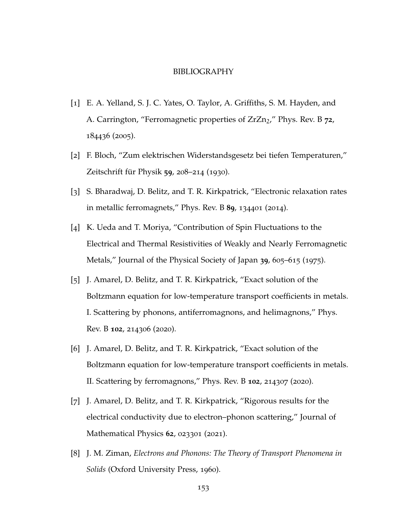#### BIBLIOGRAPHY

- [1] E. A. Yelland, S. J. C. Yates, O. Taylor, A. Griffiths, S. M. Hayden, and A. Carrington, "Ferromagnetic properties of ZrZn<sub>2</sub>," [Phys. Rev. B](https://doi.org/10.1103/PhysRevB.72.184436) 72, [184436](https://doi.org/10.1103/PhysRevB.72.184436) (2005).
- [2] F. Bloch, "Zum elektrischen Widerstandsgesetz bei tiefen Temperaturen," [Zeitschrift für Physik](https://doi.org/10.1007/BF01341426) **59**, 208–214 (1930).
- [3] S. Bharadwaj, D. Belitz, and T. R. Kirkpatrick, "Electronic relaxation rates in metallic ferromagnets," [Phys. Rev. B](https://doi.org/10.1103/PhysRevB.89.134401) **89**, 134401 (2014).
- [4] K. Ueda and T. Moriya, "Contribution of Spin Fluctuations to the Electrical and Thermal Resistivities of Weakly and Nearly Ferromagnetic Metals," [Journal of the Physical Society of Japan](https://doi.org/10.1143/JPSJ.39.605) **39**, 605–615 (1975).
- [5] J. Amarel, D. Belitz, and T. R. Kirkpatrick, "Exact solution of the Boltzmann equation for low-temperature transport coefficients in metals. I. Scattering by phonons, antiferromagnons, and helimagnons," [Phys.](https://doi.org/10.1103/PhysRevB.102.214306) [Rev. B](https://doi.org/10.1103/PhysRevB.102.214306) **102**, 214306 (2020).
- [6] J. Amarel, D. Belitz, and T. R. Kirkpatrick, "Exact solution of the Boltzmann equation for low-temperature transport coefficients in metals. II. Scattering by ferromagnons," [Phys. Rev. B](https://doi.org/10.1103/PhysRevB.102.214307) **102**, 214307 (2020).
- [7] J. Amarel, D. Belitz, and T. R. Kirkpatrick, "Rigorous results for the electrical conductivity due to electron–phonon scattering," [Journal of](https://doi.org/10.1063/5.0004277) [Mathematical Physics](https://doi.org/10.1063/5.0004277) **62**, 023301 (2021).
- [8] J. M. Ziman, *Electrons and Phonons: The Theory of Transport Phenomena in Solids* (Oxford University Press, 1960).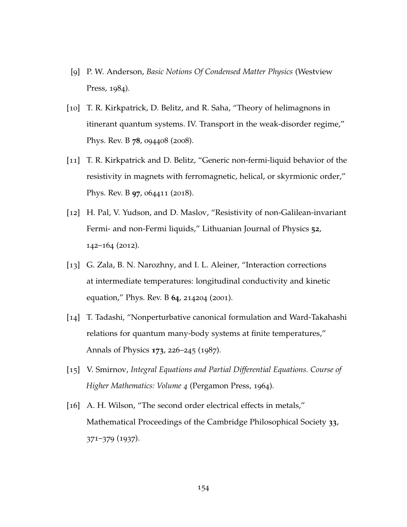- [9] P. W. Anderson, *Basic Notions Of Condensed Matter Physics* (Westview Press, 1984).
- [10] T. R. Kirkpatrick, D. Belitz, and R. Saha, "Theory of helimagnons in itinerant quantum systems. IV. Transport in the weak-disorder regime," [Phys. Rev. B](https://doi.org/10.1103/PhysRevB.78.094408) **78**, 094408 (2008).
- [11] T. R. Kirkpatrick and D. Belitz, "Generic non-fermi-liquid behavior of the resistivity in magnets with ferromagnetic, helical, or skyrmionic order," [Phys. Rev. B](https://doi.org/10.1103/PhysRevB.97.064411) **97**, 064411 (2018).
- <span id="page-166-0"></span>[12] H. Pal, V. Yudson, and D. Maslov, "Resistivity of non-Galilean-invariant Fermi- and non-Fermi liquids," [Lithuanian Journal of Physics](https://doi.org/http://dx.doi.org/10.3952/lithjphys.52207) **52**, 142–164 ([2012](https://doi.org/http://dx.doi.org/10.3952/lithjphys.52207)).
- [13] G. Zala, B. N. Narozhny, and I. L. Aleiner, "Interaction corrections at intermediate temperatures: longitudinal conductivity and kinetic equation," [Phys. Rev. B](https://doi.org/10.1103/PhysRevB.64.214204) **64**, 214204 (2001).
- [14] T. Tadashi, "Nonperturbative canonical formulation and Ward-Takahashi relations for quantum many-body systems at finite temperatures," [Annals of Physics](https://doi.org/https://doi.org/10.1016/0003-4916(87)90100-X) **173**, 226–245 (1987).
- [15] V. Smirnov, *Integral Equations and Partial Differential Equations. Course of Higher Mathematics: Volume 4* (Pergamon Press, 1964).
- [16] A. H. Wilson, "The second order electrical effects in metals," [Mathematical Proceedings of the Cambridge Philosophical Society](https://doi.org/10.1017/S0305004100019757) **33**, 371–379 ([1937](https://doi.org/10.1017/S0305004100019757)).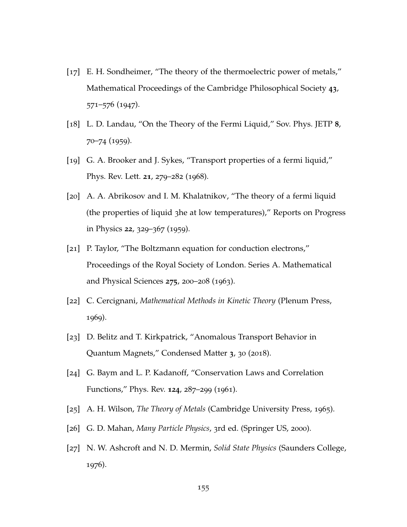- [17] E. H. Sondheimer, "The theory of the thermoelectric power of metals," [Mathematical Proceedings of the Cambridge Philosophical Society](https://doi.org/10.1017/S0305004100023811) **43**, 571–576 ([1947](https://doi.org/10.1017/S0305004100023811)).
- [18] L. D. Landau, "On the Theory of the Fermi Liquid," [Sov. Phys. JETP](http://www.jetp.ac.ru/cgi-bin/e/index/e/8/1/p70?a=list) **8**, 70–74 ([1959](http://www.jetp.ac.ru/cgi-bin/e/index/e/8/1/p70?a=list)).
- [19] G. A. Brooker and J. Sykes, "Transport properties of a fermi liquid," [Phys. Rev. Lett.](https://doi.org/10.1103/PhysRevLett.21.279) **21**, 279–282 (1968).
- [20] A. A. Abrikosov and I. M. Khalatnikov, "The theory of a fermi liquid (the properties of liquid 3he at low temperatures)," [Reports on Progress](https://doi.org/10.1088/0034-4885/22/1/310) [in Physics](https://doi.org/10.1088/0034-4885/22/1/310) **22**, 329–367 (1959).
- [21] P. Taylor, "The Boltzmann equation for conduction electrons," [Proceedings of the Royal Society of London. Series A. Mathematical](https://doi.org/10.1098/rspa.1963.0164) [and Physical Sciences](https://doi.org/10.1098/rspa.1963.0164) **275**, 200–208 (1963).
- [22] C. Cercignani, *Mathematical Methods in Kinetic Theory* (Plenum Press, 1969).
- [23] D. Belitz and T. Kirkpatrick, "Anomalous Transport Behavior in Quantum Magnets," [Condensed Matter](https://doi.org/10.3390/condmat3040030) **3**, 30 (2018).
- <span id="page-167-1"></span>[24] G. Baym and L. P. Kadanoff, "Conservation Laws and Correlation Functions," [Phys. Rev.](https://doi.org/10.1103/PhysRev.124.287) **124**, 287–299 (1961).
- [25] A. H. Wilson, *The Theory of Metals* (Cambridge University Press, 1965).
- <span id="page-167-0"></span>[26] G. D. Mahan, *Many Particle Physics*, 3rd ed. (Springer US, 2000).
- [27] N. W. Ashcroft and N. D. Mermin, *Solid State Physics* (Saunders College, 1976).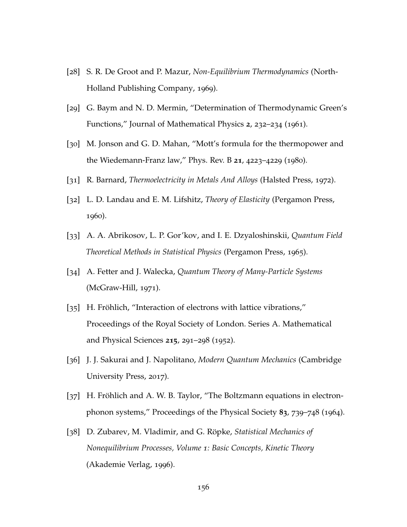- [28] S. R. De Groot and P. Mazur, *Non-Equilibrium Thermodynamics* (North-Holland Publishing Company, 1969).
- [29] G. Baym and N. D. Mermin, "Determination of Thermodynamic Green's Functions," [Journal of Mathematical Physics](https://doi.org/10.1063/1.1703704) **2**, 232–234 (1961).
- [30] M. Jonson and G. D. Mahan, "Mott's formula for the thermopower and the Wiedemann-Franz law," [Phys. Rev. B](https://doi.org/10.1103/PhysRevB.21.4223) **21**, 4223–4229 (1980).
- [31] R. Barnard, *Thermoelectricity in Metals And Alloys* (Halsted Press, 1972).
- [32] L. D. Landau and E. M. Lifshitz, *Theory of Elasticity* (Pergamon Press, 1960).
- [33] A. A. Abrikosov, L. P. Gor'kov, and I. E. Dzyaloshinskii, *Quantum Field Theoretical Methods in Statistical Physics* (Pergamon Press, 1965).
- [34] A. Fetter and J. Walecka, *Quantum Theory of Many-Particle Systems* (McGraw-Hill, 1971).
- [35] H. Fröhlich, "Interaction of electrons with lattice vibrations," [Proceedings of the Royal Society of London. Series A. Mathematical](https://doi.org/10.1098/rspa.1952.0212) [and Physical Sciences](https://doi.org/10.1098/rspa.1952.0212) **215**, 291–298 (1952).
- [36] J. J. Sakurai and J. Napolitano, *Modern Quantum Mechanics* (Cambridge University Press, 2017).
- [37] H. Fröhlich and A. W. B. Taylor, "The Boltzmann equations in electronphonon systems," [Proceedings of the Physical Society](https://doi.org/10.1088/0370-1328/83/5/305) **83**, 739–748 (1964).
- <span id="page-168-0"></span>[38] D. Zubarev, M. Vladimir, and G. Röpke, *Statistical Mechanics of Nonequilibrium Processes, Volume 1: Basic Concepts, Kinetic Theory* (Akademie Verlag, 1996).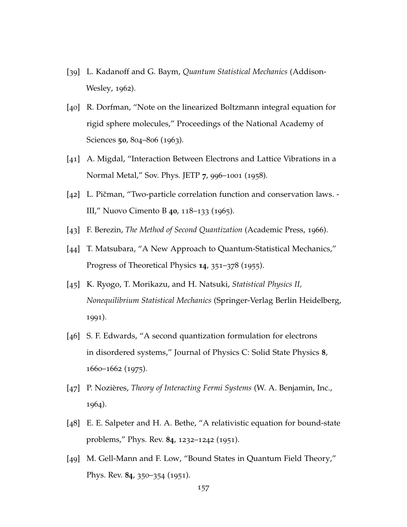- <span id="page-169-1"></span>[39] L. Kadanoff and G. Baym, *Quantum Statistical Mechanics* (Addison-Wesley, 1962).
- [40] R. Dorfman, "Note on the linearized Boltzmann integral equation for rigid sphere molecules," [Proceedings of the National Academy of](https://doi.org/10.1073/pnas.50.5.804) [Sciences](https://doi.org/10.1073/pnas.50.5.804) **50**, 804–806 (1963).
- [41] A. Migdal, "Interaction Between Electrons and Lattice Vibrations in a Normal Metal," [Sov. Phys. JETP](http://http://www.jetp.ac.ru/cgi-bin/e/index/e/7/6/p996?a=list) **7**, 996–1001 (1958).
- <span id="page-169-0"></span>[42] L. Pičman, "Two-particle correlation function and conservation laws. -III," [Nuovo Cimento B](https://doi.org/10.1007/BF02710768) **40**, 118–133 (1965).
- [43] F. Berezin, *The Method of Second Quantization* (Academic Press, 1966).
- [44] T. Matsubara, "A New Approach to Quantum-Statistical Mechanics," [Progress of Theoretical Physics](https://doi.org/10.1143/PTP.14.351) **14**, 351–378 (1955).
- [45] K. Ryogo, T. Morikazu, and H. Natsuki, *Statistical Physics II, Nonequilibrium Statistical Mechanics* (Springer-Verlag Berlin Heidelberg, 1991).
- [46] S. F. Edwards, "A second quantization formulation for electrons in disordered systems," [Journal of Physics C: Solid State Physics](https://doi.org/10.1088/0022-3719/8/11/017) **8**, [1660](https://doi.org/10.1088/0022-3719/8/11/017)–1662 (1975).
- [47] P. Nozières, *Theory of Interacting Fermi Systems* (W. A. Benjamin, Inc., 1964).
- [48] E. E. Salpeter and H. A. Bethe, "A relativistic equation for bound-state problems," [Phys. Rev.](https://doi.org/10.1103/PhysRev.84.1232) **84**, 1232–1242 (1951).
- [49] M. Gell-Mann and F. Low, "Bound States in Quantum Field Theory," [Phys. Rev.](https://doi.org/10.1103/PhysRev.84.350) **84**, 350–354 (1951).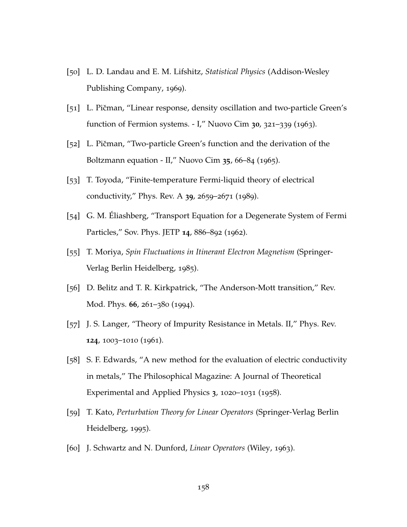- [50] L. D. Landau and E. M. Lifshitz, *Statistical Physics* (Addison-Wesley Publishing Company, 1969).
- [51] L. Pičman, "Linear response, density oscillation and two-particle Green's function of Fermion systems. - I," [Nuovo Cim](https://doi.org/10.1007/BF02750770) **30**, 321–339 (1963).
- [52] L. Pičman, "Two-particle Green's function and the derivation of the Boltzmann equation - II," [Nuovo Cim](https://doi.org/10.1007/BF02734825) **35**, 66–84 (1965).
- [53] T. Toyoda, "Finite-temperature Fermi-liquid theory of electrical conductivity," [Phys. Rev. A](https://doi.org/10.1103/PhysRevA.39.2659) **39**, 2659–2671 (1989).
- [54] G. M. Éliashberg, "Transport Equation for a Degenerate System of Fermi Particles," [Sov. Phys. JETP](http://www.jetp.ac.ru/cgi-bin/e/index/e/14/4/p886?a=list) **14**, 886–892 (1962).
- [55] T. Moriya, *Spin Fluctuations in Itinerant Electron Magnetism* (Springer-Verlag Berlin Heidelberg, 1985).
- <span id="page-170-1"></span>[56] D. Belitz and T. R. Kirkpatrick, "The Anderson-Mott transition," [Rev.](https://doi.org/10.1103/RevModPhys.66.261) [Mod. Phys.](https://doi.org/10.1103/RevModPhys.66.261) **66**, 261–380 (1994).
- <span id="page-170-0"></span>[57] J. S. Langer, "Theory of Impurity Resistance in Metals. II," [Phys. Rev.](https://doi.org/10.1103/PhysRev.124.1003) **124**, [1003](https://doi.org/10.1103/PhysRev.124.1003)–1010 (1961).
- [58] S. F. Edwards, "A new method for the evaluation of electric conductivity in metals," [The Philosophical Magazine: A Journal of Theoretical](https://doi.org/10.1080/14786435808243244) [Experimental and Applied Physics](https://doi.org/10.1080/14786435808243244) **3**, 1020–1031 (1958).
- [59] T. Kato, *Perturbation Theory for Linear Operators* (Springer-Verlag Berlin Heidelberg, 1995).
- [60] J. Schwartz and N. Dunford, *Linear Operators* (Wiley, 1963).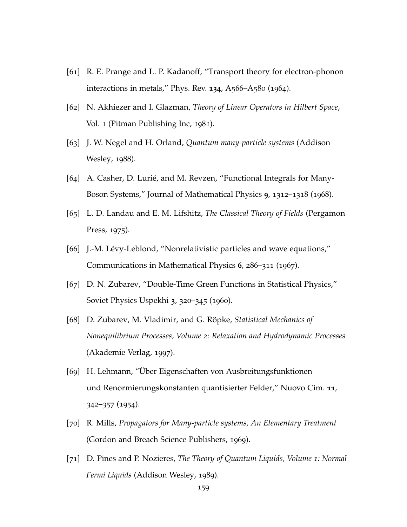- [61] R. E. Prange and L. P. Kadanoff, "Transport theory for electron-phonon interactions in metals," [Phys. Rev.](https://doi.org/10.1103/PhysRev.134.A566) **134**, A566–A580 (1964).
- [62] N. Akhiezer and I. Glazman, *Theory of Linear Operators in Hilbert Space*, Vol. 1 (Pitman Publishing Inc, 1981).
- [63] J. W. Negel and H. Orland, *Quantum many-particle systems* (Addison Wesley, 1988).
- [64] A. Casher, D. Lurié, and M. Revzen, "Functional Integrals for Many-Boson Systems," [Journal of Mathematical Physics](https://doi.org/10.1063/1.1664716) **9**, 1312–1318 (1968).
- [65] L. D. Landau and E. M. Lifshitz, *The Classical Theory of Fields* (Pergamon Press, 1975).
- [66] J.-M. Lévy-Leblond, "Nonrelativistic particles and wave equations," [Communications in Mathematical Physics](https://doi.org/cmp/1103840281) **6**, 286–311 (1967).
- [67] D. N. Zubarev, "Double-Time Green Functions in Statistical Physics," [Soviet Physics Uspekhi](https://doi.org/10.1070/pu1960v003n03abeh003275) **3**, 320–345 (1960).
- [68] D. Zubarev, M. Vladimir, and G. Röpke, *Statistical Mechanics of Nonequilibrium Processes, Volume 2: Relaxation and Hydrodynamic Processes* (Akademie Verlag, 1997).
- [69] H. Lehmann, "Über Eigenschaften von Ausbreitungsfunktionen und Renormierungskonstanten quantisierter Felder," [Nuovo Cim.](https://doi.org/10.1007/BF02783624) **11**, 342–357 ([1954](https://doi.org/10.1007/BF02783624)).
- [70] R. Mills, *Propagators for Many-particle systems, An Elementary Treatment* (Gordon and Breach Science Publishers, 1969).
- <span id="page-171-0"></span>[71] D. Pines and P. Nozieres, *The Theory of Quantum Liquids, Volume 1: Normal Fermi Liquids* (Addison Wesley, 1989).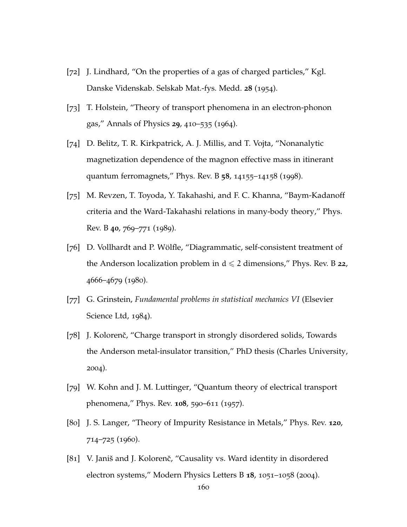- [72] J. Lindhard, "On the properties of a gas of charged particles," [Kgl.](https://www.osti.gov/biblio/4405425) [Danske Videnskab. Selskab Mat.-fys. Medd.](https://www.osti.gov/biblio/4405425) **28** (1954).
- [73] T. Holstein, "Theory of transport phenomena in an electron-phonon gas," [Annals of Physics](https://doi.org/https://doi.org/10.1016/0003-4916(64)90008-9) **29**, 410–535 (1964).
- [74] D. Belitz, T. R. Kirkpatrick, A. J. Millis, and T. Vojta, "Nonanalytic magnetization dependence of the magnon effective mass in itinerant quantum ferromagnets," [Phys. Rev. B](https://doi.org/10.1103/PhysRevB.58.14155) **58**, 14155–14158 (1998).
- <span id="page-172-0"></span>[75] M. Revzen, T. Toyoda, Y. Takahashi, and F. C. Khanna, "Baym-Kadanoff criteria and the Ward-Takahashi relations in many-body theory," [Phys.](https://doi.org/10.1103/PhysRevB.40.769) [Rev. B](https://doi.org/10.1103/PhysRevB.40.769) **40**, 769–771 (1989).
- <span id="page-172-1"></span>[76] D. Vollhardt and P. Wölfle, "Diagrammatic, self-consistent treatment of the Anderson localization problem in  $d \leq 2$  dimensions," [Phys. Rev. B](https://doi.org/10.1103/PhysRevB.22.4666) 22, [4666](https://doi.org/10.1103/PhysRevB.22.4666)–4679 (1980).
- <span id="page-172-2"></span>[77] G. Grinstein, *Fundamental problems in statistical mechanics VI* (Elsevier Science Ltd, 1984).
- <span id="page-172-3"></span>[78] J. Kolorenč, "Charge transport in strongly disordered solids, Towards the Anderson metal-insulator transition," PhD thesis (Charles University, 2004).
- <span id="page-172-4"></span>[79] W. Kohn and J. M. Luttinger, "Quantum theory of electrical transport phenomena," [Phys. Rev.](https://doi.org/10.1103/PhysRev.108.590) **108**, 590–611 (1957).
- <span id="page-172-5"></span>[80] J. S. Langer, "Theory of Impurity Resistance in Metals," [Phys. Rev.](https://doi.org/10.1103/PhysRev.120.714) **120**, 714–725 ([1960](https://doi.org/10.1103/PhysRev.120.714)).
- <span id="page-172-6"></span>[81] V. Janiš and J. Kolorenč, "Causality vs. Ward identity in disordered electron systems," [Modern Physics Letters B](https://doi.org/10.1142/S0217984904007591) **18**, 1051–1058 (2004).